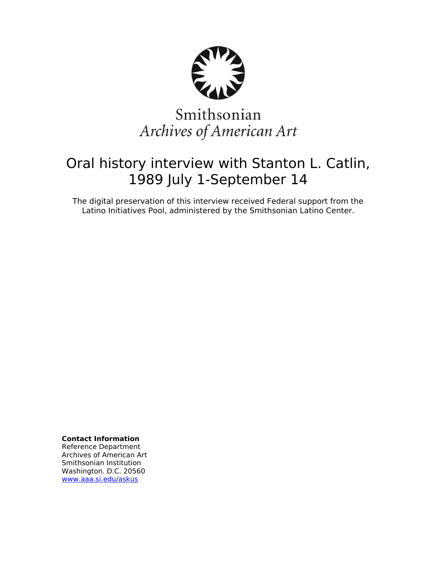

# Smithsonian Archives of American Art

## Oral history interview with Stanton L. Catlin, 1989 July 1-September 14

The digital preservation of this interview received Federal support from the Latino Initiatives Pool, administered by the Smithsonian Latino Center.

**Contact Information**

Reference Department Archives of American Art Smithsonian Institution Washington. D.C. 20560 [www.aaa.si.edu/askus](http://www.aaa.si.edu/askus)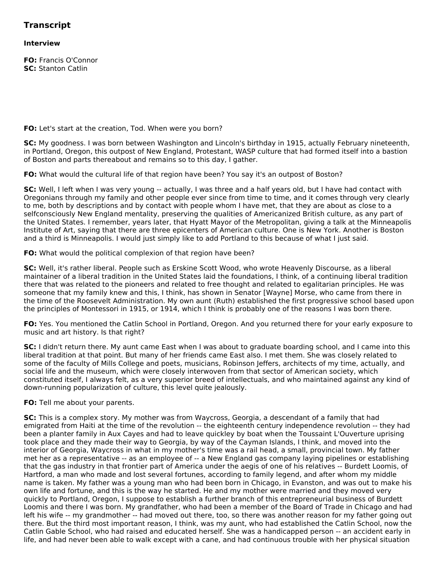## **Transcript**

## **Interview**

**FO:** Francis O'Connor **SC:** Stanton Catlin

**FO:** Let's start at the creation, Tod. When were you born?

**SC:** My goodness. I was born between Washington and Lincoln's birthday in 1915, actually February nineteenth, in Portland, Oregon, this outpost of New England, Protestant, WASP culture that had formed itself into a bastion of Boston and parts thereabout and remains so to this day, I gather.

**FO:** What would the cultural life of that region have been? You say it's an outpost of Boston?

**SC:** Well, I left when I was very young -- actually, I was three and a half years old, but I have had contact with Oregonians through my family and other people ever since from time to time, and it comes through very clearly to me, both by descriptions and by contact with people whom I have met, that they are about as close to a selfconsciously New England mentality, preserving the qualities of Americanized British culture, as any part of the United States. I remember, years later, that Hyatt Mayor of the Metropolitan, giving a talk at the Minneapolis Institute of Art, saying that there are three epicenters of American culture. One is New York. Another is Boston and a third is Minneapolis. I would just simply like to add Portland to this because of what I just said.

**FO:** What would the political complexion of that region have been?

**SC:** Well, it's rather liberal. People such as Erskine Scott Wood, who wrote Heavenly Discourse, as a liberal maintainer of a liberal tradition in the United States laid the foundations, I think, of a continuing liberal tradition there that was related to the pioneers and related to free thought and related to egalitarian principles. He was someone that my family knew and this, I think, has shown in Senator [Wayne] Morse, who came from there in the time of the Roosevelt Administration. My own aunt (Ruth) established the first progressive school based upon the principles of Montessori in 1915, or 1914, which I think is probably one of the reasons I was born there.

**FO:** Yes. You mentioned the Catlin School in Portland, Oregon. And you returned there for your early exposure to music and art history. Is that right?

**SC:** I didn't return there. My aunt came East when I was about to graduate boarding school, and I came into this liberal tradition at that point. But many of her friends came East also. I met them. She was closely related to some of the faculty of Mills College and poets, musicians, Robinson Jeffers, architects of my time, actually, and social life and the museum, which were closely interwoven from that sector of American society, which constituted itself, I always felt, as a very superior breed of intellectuals, and who maintained against any kind of down-running popularization of culture, this level quite jealously.

**FO:** Tell me about your parents.

**SC:** This is a complex story. My mother was from Waycross, Georgia, a descendant of a family that had emigrated from Haiti at the time of the revolution -- the eighteenth century independence revolution -- they had been a planter family in Aux Cayes and had to leave quickley by boat when the Toussaint L'Ouverture uprising took place and they made their way to Georgia, by way of the Cayman Islands, I think, and moved into the interior of Georgia, Waycross in what in my mother's time was a rail head, a small, provincial town. My father met her as a representative -- as an employee of -- a New England gas company laying pipelines or establishing that the gas industry in that frontier part of America under the aegis of one of his relatives -- Burdett Loomis, of Hartford, a man who made and lost several fortunes, according to family legend, and after whom my middle name is taken. My father was a young man who had been born in Chicago, in Evanston, and was out to make his own life and fortune, and this is the way he started. He and my mother were married and they moved very quickly to Portland, Oregon, I suppose to establish a further branch of this entrepreneurial business of Burdett Loomis and there I was born. My grandfather, who had been a member of the Board of Trade in Chicago and had left his wife -- my grandmother -- had moved out there, too, so there was another reason for my father going out there. But the third most important reason, I think, was my aunt, who had established the Catlin School, now the Catlin Gable School, who had raised and educated herself. She was a handicapped person -- an accident early in life, and had never been able to walk except with a cane, and had continuous trouble with her physical situation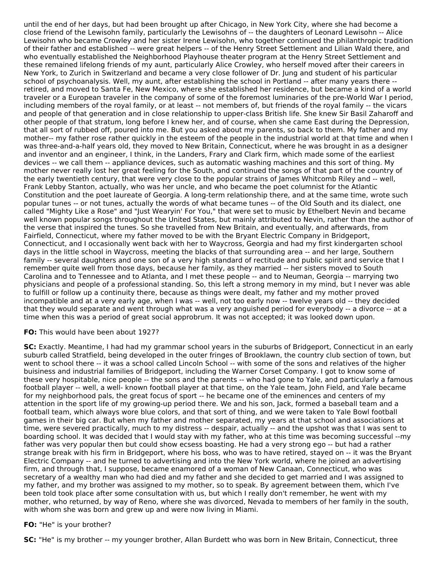until the end of her days, but had been brought up after Chicago, in New York City, where she had become a close friend of the Lewisohn family, particularly the Lewisohns of -- the daughters of Leonard Lewisohn -- Alice Lewisohn who became Crowley and her sister Irene Lewisohn, who together continued the philanthropic tradition of their father and established -- were great helpers -- of the Henry Street Settlement and Lilian Wald there, and who eventually established the Neighborhood Playhouse theater program at the Henry Street Settlement and these remained lifelong friends of my aunt, particularly Alice Crowley, who herself moved after their careers in New York, to Zurich in Switzerland and became a very close follower of Dr. Jung and student of his particular school of psychoanalysis. Well, my aunt, after establishing the school in Portland -- after many years there - retired, and moved to Santa Fe, New Mexico, where she established her residence, but became a kind of a world traveler or a European traveler in the company of some of the foremost luminaries of the pre-World War I period, including members of the royal family, or at least -- not members of, but friends of the royal family -- the vicars and people of that generation and in close relationship to upper-class British life. She knew Sir Basil Zaharoff and other people of that stratum, long before I knew her, and of course, when she came East during the Depression, that all sort of rubbed off, poured into me. But you asked about my parents, so back to them. My father and my mother-- my father rose rather quickly in the esteem of the people in the industrial world at that time and when I was three-and-a-half years old, they moved to New Britain, Connecticut, where he was brought in as a designer and inventor and an engineer, I think, in the Landers, Frary and Clark firm, which made some of the earliest devices -- we call them -- appliance devices, such as automatic washing machines and this sort of thing. My mother never really lost her great feeling for the South, and continued the songs of that part of the country of the early twentieth century, that were very close to the popular strains of James Whitcomb Riley and -- well, Frank Lebby Stanton, actually, who was her uncle, and who became the poet columnist for the Atlantic Constitution and the poet laureate of Georgia. A long-term relationship there, and at the same time, wrote such popular tunes -- or not tunes, actually the words of what became tunes -- of the Old South and its dialect, one called "Mighty Like a Rose" and "Just Wearyin' For You," that were set to music by Ethelbert Nevin and became well known popular songs throughout the United States, but mainly attributed to Nevin, rather than the author of the verse that inspired the tunes. So she travelled from New Britain, and eventually, and afterwards, from Fairfield, Connecticut, where my father moved to be with the Bryant Electric Company in Bridgeport, Connecticut, and I occasionally went back with her to Waycross, Georgia and had my first kindergarten school days in the little school in Waycross, meeting the blacks of that surrounding area -- and her large, Southern family -- several daughters and one son of a very high standard of rectitude and public spirit and service that I remember quite well from those days, because her family, as they married -- her sisters moved to South Carolina and to Tennessee and to Atlanta, and I met these people -- and to Neuman, Georgia -- marrying two physicians and people of a professional standing. So, this left a strong memory in my mind, but I never was able to fulfill or follow up a continuity there, because as things were dealt, my father and my mother proved incompatible and at a very early age, when I was -- well, not too early now -- twelve years old -- they decided that they would separate and went through what was a very anguished period for everybody -- a divorce -- at a time when this was a period of great social approbrum. It was not accepted; it was looked down upon.

#### **FO:** This would have been about 1927?

**SC:** Exactly. Meantime, I had had my grammar school years in the suburbs of Bridgeport, Connecticut in an early suburb called Stratfield, being developed in the outer fringes of Brooklawn, the country club section of town, but went to school there -- it was a school called Lincoln School -- with some of the sons and relatives of the higher buisiness and industrial families of Bridgeport, including the Warner Corset Company. I got to know some of these very hospitable, nice people -- the sons and the parents -- who had gone to Yale, and particularly a famous football player -- well, a well- known football player at that time, on the Yale team, John Field, and Yale became for my neighborhood pals, the great focus of sport -- he became one of the eminences and centers of my attention in the sport life of my growing-up period there. We and his son, Jack, formed a baseball team and a football team, which always wore blue colors, and that sort of thing, and we were taken to Yale Bowl football games in their big car. But when my father and mother separated, my years at that school and associations at time, were severed practically, much to my distress -- despair, actually -- and the upshot was that I was sent to boarding school. It was decided that I would stay with my father, who at this time was becoming successful --my father was very popular then but could show ecsess boasting. He had a very strong ego -- but had a rather strange break with his firm in Bridgeport, where his boss, who was to have retired, stayed on -- it was the Bryant Electric Company -- and he turned to advertising and into the New York world, where he joined an advertising firm, and through that, I suppose, became enamored of a woman of New Canaan, Connecticut, who was secretary of a wealthy man who had died and my father and she decided to get married and I was assigned to my father, and my brother was assigned to my mother, so to speak. By agreement between them, which I've been told took place after some consultation with us, but which I really don't remember, he went with my mother, who returned, by way of Reno, where she was divorced, Nevada to members of her family in the south, with whom she was born and grew up and were now living in Miami.

#### **FO:** "He" is your brother?

**SC:** "He" is my brother -- my younger brother, Allan Burdett who was born in New Britain, Connecticut, three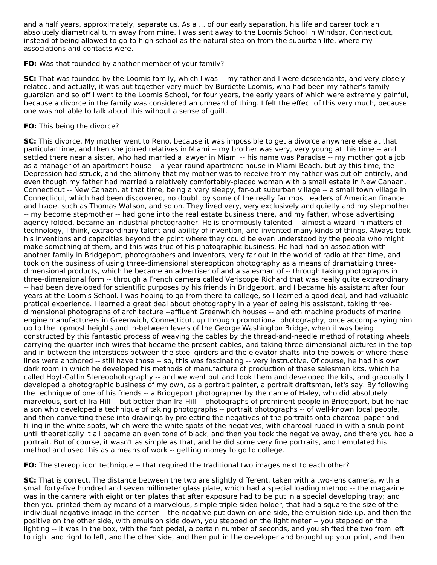and a half years, approximately, separate us. As a ... of our early separation, his life and career took an absolutely diametrical turn away from mine. I was sent away to the Loomis School in Windsor, Connecticut, instead of being allowed to go to high school as the natural step on from the suburban life, where my associations and contacts were.

#### **FO:** Was that founded by another member of your family?

**SC:** That was founded by the Loomis family, which I was -- my father and I were descendants, and very closely related, and actually, it was put together very much by Burdette Loomis, who had been my father's family guardian and so off I went to the Loomis School, for four years, the early years of which were extremely painful, because a divorce in the family was considered an unheard of thing. I felt the effect of this very much, because one was not able to talk about this without a sense of guilt.

## **FO:** This being the divorce?

**SC:** This divorce. My mother went to Reno, because it was impossible to get a divorce anywhere else at that particular time, and then she joined relatives in Miami -- my brother was very, very young at this time -- and settled there near a sister, who had married a lawyer in Miami -- his name was Paradise -- my mother got a job as a manager of an apartment house -- a year round apartment house in Miami Beach, but by this time, the Depression had struck, and the alimony that my mother was to receive from my father was cut off entirely, and even though my father had married a relatively comfortably-placed woman with a small estate in New Canaan, Connecticut -- New Canaan, at that time, being a very sleepy, far-out suburban village -- a small town village in Connecticut, which had been discovered, no doubt, by some of the really far most leaders of American finance and trade, such as Thomas Watson, and so on. They lived very, very exclusively and quietly and my stepmother -- my become stepmother -- had gone into the real estate business there, and my father, whose advertising agency folded, became an industrial photographer. He is enormously talented -- almost a wizard in matters of technology, I think, extraordinary talent and ability of invention, and invented many kinds of things. Always took his inventions and capacities beyond the point where they could be even understood by the people who might make something of them, and this was true of his photographic business. He had had an association with another family in Bridgeport, photographers and inventors, very far out in the world of radio at that time, and took on the business of using three-dimensional stereopticon photography as a means of dramatizing threedimensional products, which he became an advertiser of and a salesman of -- through taking photographs in three-dimensional form -- through a French camera called Veriscope Richard that was really quite extraordinary -- had been developed for scientific purposes by his friends in Bridgeport, and I became his assistant after four years at the Loomis School. I was hoping to go from there to college, so I learned a good deal, and had valuable pratical experience. I learned a great deal about photography in a year of being his assistant, taking threedimensional photographs of architecture --affluent Greenwhich houses -- and eth machine products of marine engine manufacturers in Greenwich, Connecticut, up through promotional photography, once accompanying him up to the topmost heights and in-between levels of the George Washington Bridge, when it was being constructed by this fantastic process of weaving the cables by the thread-and-needle method of rotating wheels, carrying the quarter-inch wires that became the present cables, and taking three-dimensional pictures in the top and in between the interstices between the steel girders and the elevator shafts into the bowels of where these lines were anchored -- still have those -- so, this was fascinating -- very instructive. Of course, he had his own dark room in which he developed his methods of manufacture of production of these salesman kits, which he called Hoyt-Catlin Stereophotography -- and we went out and took them and developed the kits, and gradually I developed a photographic business of my own, as a portrait painter, a portrait draftsman, let's say. By following the technique of one of his friends -- a Bridgeport photographer by the name of Haley, who did absolutely marvelous, sort of Ira Hill -- but better than Ira Hill -- photographs of prominent people in Bridgeport, but he had a son who developed a technique of taking photographs -- portrait photographs -- of well-known local people, and then converting these into drawings by projecting the negatives of the portraits onto charcoal paper and filling in the white spots, which were the white spots of the negatives, with charcoal rubed in with a snub point until theoretically it all became an even tone of black, and then you took the negative away, and there you had a portrait. But of course, it wasn't as simple as that, and he did some very fine portraits, and I emulated his method and used this as a means of work -- getting money to go to college.

**FO:** The stereopticon technique -- that required the traditional two images next to each other?

**SC:** That is correct. The distance between the two are slightly different, taken with a two-lens camera, with a small forty-five hundred and seven millimeter glass plate, which had a special loading method -- the magazine was in the camera with eight or ten plates that after exposure had to be put in a special developing tray; and then you printed them by means of a marvelous, simple triple-sided holder, that had a square the size of the individual negative image in the center -- the negative put down on one side, the emulsion side up, and then the positive on the other side, with emulsion side down, you stepped on the light meter -- you stepped on the lighting -- it was in the box, with the foot pedal, a certain number of seconds, and you shifted the two from left to right and right to left, and the other side, and then put in the developer and brought up your print, and then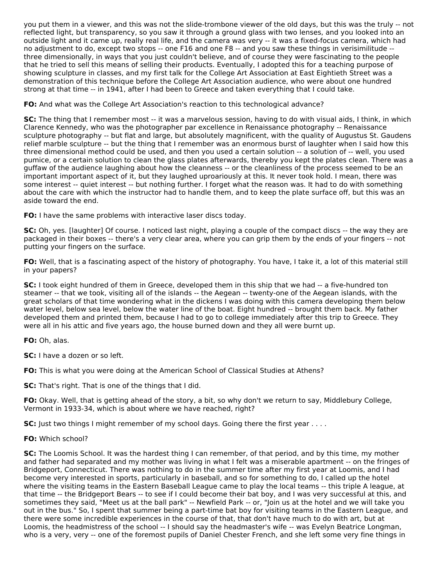you put them in a viewer, and this was not the slide-trombone viewer of the old days, but this was the truly -- not reflected light, but transparency, so you saw it through a ground glass with two lenses, and you looked into an outside light and it came up, really real life, and the camera was very -- it was a fixed-focus camera, which had no adjustment to do, except two stops -- one F16 and one F8 -- and you saw these things in verisimilitude - three dimensionally, in ways that you just couldn't believe, and of course they were fascinating to the people that he tried to sell this means of selling their products. Eventually, I adopted this for a teaching purpose of showing sculpture in classes, and my first talk for the College Art Association at East Eightieth Street was a demonstration of this technique before the College Art Association audience, who were about one hundred strong at that time -- in 1941, after I had been to Greece and taken everything that I could take.

**FO:** And what was the College Art Association's reaction to this technological advance?

**SC:** The thing that I remember most -- it was a marvelous session, having to do with visual aids, I think, in which Clarence Kennedy, who was the photographer par excellence in Renaissance photography -- Renaissance sculpture photography -- but flat and large, but absolutely magnificent, with the quality of Augustus St. Gaudens relief marble sculpture -- but the thing that I remember was an enormous burst of laughter when I said how this three dimensional method could be used, and then you used a certain solution -- a solution of -- well, you used pumice, or a certain solution to clean the glass plates afterwards, thereby you kept the plates clean. There was a guffaw of the audience laughing about how the cleanness -- or the cleanliness of the process seemed to be an important important aspect of it, but they laughed uproariously at this. It never took hold. I mean, there was some interest -- quiet interest -- but nothing further. I forget what the reason was. It had to do with something about the care with which the instructor had to handle them, and to keep the plate surface off, but this was an aside toward the end.

**FO:** I have the same problems with interactive laser discs today.

**SC:** Oh, yes. [laughter] Of course. I noticed last night, playing a couple of the compact discs -- the way they are packaged in their boxes -- there's a very clear area, where you can grip them by the ends of your fingers -- not putting your fingers on the surface.

**FO:** Well, that is a fascinating aspect of the history of photography. You have, I take it, a lot of this material still in your papers?

**SC:** I took eight hundred of them in Greece, developed them in this ship that we had -- a five-hundred ton steamer -- that we took, visiting all of the islands -- the Aegean -- twenty-one of the Aegean islands, with the great scholars of that time wondering what in the dickens I was doing with this camera developing them below water level, below sea level, below the water line of the boat. Eight hundred -- brought them back. My father developed them and printed them, because I had to go to college immediately after this trip to Greece. They were all in his attic and five years ago, the house burned down and they all were burnt up.

**FO:** Oh, alas.

**SC:** I have a dozen or so left.

**FO:** This is what you were doing at the American School of Classical Studies at Athens?

**SC:** That's right. That is one of the things that I did.

**FO:** Okay. Well, that is getting ahead of the story, a bit, so why don't we return to say, Middlebury College, Vermont in 1933-34, which is about where we have reached, right?

**SC:** Just two things I might remember of my school days. Going there the first year . . . .

**FO:** Which school?

**SC:** The Loomis School. It was the hardest thing I can remember, of that period, and by this time, my mother and father had separated and my mother was living in what I felt was a miserable apartment -- on the fringes of Bridgeport, Connecticut. There was nothing to do in the summer time after my first year at Loomis, and I had become very interested in sports, particularly in baseball, and so for something to do, I called up the hotel where the visiting teams in the Eastern Baseball League came to play the local teams -- this triple A league, at that time -- the Bridgeport Bears -- to see if I could become their bat boy, and I was very successful at this, and sometimes they said, "Meet us at the ball park" -- Newfield Park -- or, "Join us at the hotel and we will take you out in the bus." So, I spent that summer being a part-time bat boy for visiting teams in the Eastern League, and there were some incredible experiences in the course of that, that don't have much to do with art, but at Loomis, the headmistress of the school -- I should say the headmaster's wife -- was Evelyn Beatrice Longman, who is a very, very -- one of the foremost pupils of Daniel Chester French, and she left some very fine things in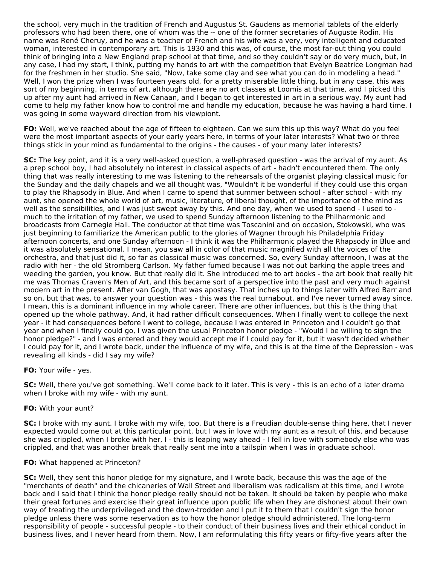the school, very much in the tradition of French and Augustus St. Gaudens as memorial tablets of the elderly professors who had been there, one of whom was the -- one of the former secretaries of Auguste Rodin. His name was René Cheruy, and he was a teacher of French and his wife was a very, very intelligent and educated woman, interested in contemporary art. This is 1930 and this was, of course, the most far-out thing you could think of bringing into a New England prep school at that time, and so they couldn't say or do very much, but, in any case, I had my start, I think, putting my hands to art with the competition that Evelyn Beatrice Longman had for the freshmen in her studio. She said, "Now, take some clay and see what you can do in modeling a head." Well, I won the prize when I was fourteen years old, for a pretty miserable little thing, but in any case, this was sort of my beginning, in terms of art, although there are no art classes at Loomis at that time, and I picked this up after my aunt had arrived in New Canaan, and I began to get interested in art in a serious way. My aunt had come to help my father know how to control me and handle my education, because he was having a hard time. I was going in some wayward direction from his viewpiont.

**FO:** Well, we've reached about the age of fifteen to eighteen. Can we sum this up this way? What do you feel were the most important aspects of your early years here, in terms of your later interests? What two or three things stick in your mind as fundamental to the origins - the causes - of your many later interests?

**SC:** The key point, and it is a very well-asked question, a well-phrased question - was the arrival of my aunt. As a prep school boy, I had absolutely no interest in classical aspects of art - hadn't encountered them. The only thing that was really interesting to me was listening to the rehearsals of the organist playing classical music for the Sunday and the daily chapels and we all thought was, "Wouldn't it be wonderful if they could use this organ to play the Rhapsody in Blue. And when I came to spend that summer between school - after school - with my aunt, she opened the whole world of art, music, literature, of liberal thought, of the importance of the mind as well as the sensibilities, and I was just swept away by this. And one day, when we used to spend - I used to much to the irritation of my father, we used to spend Sunday afternoon listening to the Philharmonic and broadcasts from Carnegie Hall. The conductor at that time was Toscanini and on occasion, Stokowski, who was just beginning to familiarize the American public to the glories of Wagner through his Philadelphia Friday afternoon concerts, and one Sunday afternoon - I think it was the Philharmonic played the Rhapsody in Blue and it was absolutely sensational. I mean, you saw all in color of that music magnified with all the voices of the orchestra, and that just did it, so far as classical music was concerned. So, every Sunday afternoon, I was at the radio with her - the old Stromberg Carlson. My father fumed because I was not out barking the apple trees and weeding the garden, you know. But that really did it. She introduced me to art books - the art book that really hit me was Thomas Craven's Men of Art, and this became sort of a perspective into the past and very much against modern art in the present. After van Gogh, that was apostasy. That inches up to things later with Alfred Barr and so on, but that was, to answer your question was - this was the real turnabout, and I've never turned away since. I mean, this is a dominant influence in my whole career. There are other influences, but this is the thing that opened up the whole pathway. And, it had rather difficult consequences. When I finally went to college the next year - it had consequences before I went to college, because I was entered in Princeton and I couldn't go that year and when I finally could go, I was given the usual Princeton honor pledge - "Would I be willing to sign the honor pledge?" - and I was entered and they would accept me if I could pay for it, but it wasn't decided whether I could pay for it, and I wrote back, under the influence of my wife, and this is at the time of the Depression - was revealing all kinds - did I say my wife?

#### **FO:** Your wife - yes.

**SC:** Well, there you've got something. We'll come back to it later. This is very - this is an echo of a later drama when I broke with my wife - with my aunt.

## **FO:** With your aunt?

**SC:** I broke with my aunt. I broke with my wife, too. But there is a Freudian double-sense thing here, that I never expected would come out at this particular point, but I was in love with my aunt as a result of this, and because she was crippled, when I broke with her, I - this is leaping way ahead - I fell in love with somebody else who was crippled, and that was another break that really sent me into a tailspin when I was in graduate school.

#### **FO:** What happened at Princeton?

**SC:** Well, they sent this honor pledge for my signature, and I wrote back, because this was the age of the "merchants of death" and the chicaneries of Wall Street and liberalism was radicalism at this time, and I wrote back and I said that I think the honor pledge really should not be taken. It should be taken by people who make their great fortunes and exercise their great influence upon public life when they are dishonest about their own way of treating the underprivileged and the down-trodden and I put it to them that I couldn't sign the honor pledge unless there was some reservation as to how the honor pledge should administered. The long-term responsibility of people - successful people - to their conduct of their business lives and their ethical conduct in business lives, and I never heard from them. Now, I am reformulating this fifty years or fifty-five years after the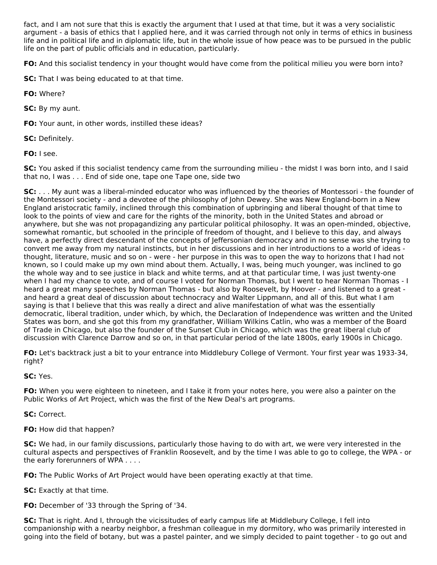fact, and I am not sure that this is exactly the argument that I used at that time, but it was a very socialistic argument - a basis of ethics that I applied here, and it was carried through not only in terms of ethics in business life and in political life and in diplomatic life, but in the whole issue of how peace was to be pursued in the public life on the part of public officials and in education, particularly.

**FO:** And this socialist tendency in your thought would have come from the political milieu you were born into?

**SC:** That I was being educated to at that time.

**FO:** Where?

**SC:** By my aunt.

**FO:** Your aunt, in other words, instilled these ideas?

**SC:** Definitely.

**FO:** I see.

**SC:** You asked if this socialist tendency came from the surrounding milieu - the midst I was born into, and I said that no, I was . . . End of side one, tape one Tape one, side two

**SC:** . . . My aunt was a liberal-minded educator who was influenced by the theories of Montessori - the founder of the Montessori society - and a devotee of the philosophy of John Dewey. She was New England-born in a New England aristocratic family, inclined through this combination of upbringing and liberal thought of that time to look to the points of view and care for the rights of the minority, both in the United States and abroad or anywhere, but she was not propagandizing any particular political philosophy. It was an open-minded, objective, somewhat romantic, but schooled in the principle of freedom of thought, and I believe to this day, and always have, a perfectly direct descendant of the concepts of Jeffersonian democracy and in no sense was she trying to convert me away from my natural instincts, but in her discussions and in her introductions to a world of ideas thought, literature, music and so on - were - her purpose in this was to open the way to horizons that I had not known, so I could make up my own mind about them. Actually, I was, being much younger, was inclined to go the whole way and to see justice in black and white terms, and at that particular time, I was just twenty-one when I had my chance to vote, and of course I voted for Norman Thomas, but I went to hear Norman Thomas - I heard a great many speeches by Norman Thomas - but also by Roosevelt, by Hoover - and listened to a great and heard a great deal of discussion about technocracy and Walter Lippmann, and all of this. But what I am saying is that I believe that this was really a direct and alive manifestation of what was the essentially democratic, liberal tradition, under which, by which, the Declaration of Independence was written and the United States was born, and she got this from my grandfather, William Wilkins Catlin, who was a member of the Board of Trade in Chicago, but also the founder of the Sunset Club in Chicago, which was the great liberal club of discussion with Clarence Darrow and so on, in that particular period of the late 1800s, early 1900s in Chicago.

**FO:** Let's backtrack just a bit to your entrance into Middlebury College of Vermont. Your first year was 1933-34, right?

**SC:** Yes.

**FO:** When you were eighteen to nineteen, and I take it from your notes here, you were also a painter on the Public Works of Art Project, which was the first of the New Deal's art programs.

**SC:** Correct.

**FO:** How did that happen?

**SC:** We had, in our family discussions, particularly those having to do with art, we were very interested in the cultural aspects and perspectives of Franklin Roosevelt, and by the time I was able to go to college, the WPA - or the early forerunners of WPA . . . .

**FO:** The Public Works of Art Project would have been operating exactly at that time.

**SC:** Exactly at that time.

**FO:** December of '33 through the Spring of '34.

**SC:** That is right. And I, through the vicissitudes of early campus life at Middlebury College, I fell into companionship with a nearby neighbor, a freshman colleague in my dormitory, who was primarily interested in going into the field of botany, but was a pastel painter, and we simply decided to paint together - to go out and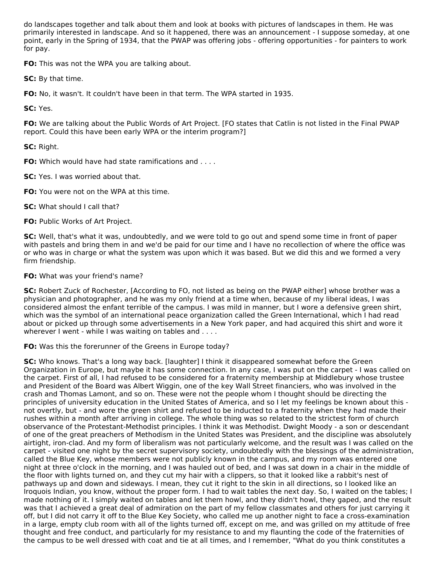do landscapes together and talk about them and look at books with pictures of landscapes in them. He was primarily interested in landscape. And so it happened, there was an announcement - I suppose someday, at one point, early in the Spring of 1934, that the PWAP was offering jobs - offering opportunities - for painters to work for pay.

**FO:** This was not the WPA you are talking about.

**SC:** By that time.

**FO:** No, it wasn't. It couldn't have been in that term. The WPA started in 1935.

**SC:** Yes.

**FO:** We are talking about the Public Words of Art Project. [FO states that Catlin is not listed in the Final PWAP report. Could this have been early WPA or the interim program?]

**SC:** Right.

**FO:** Which would have had state ramifications and . . . .

**SC:** Yes. I was worried about that.

**FO:** You were not on the WPA at this time.

**SC:** What should I call that?

**FO:** Public Works of Art Project.

**SC:** Well, that's what it was, undoubtedly, and we were told to go out and spend some time in front of paper with pastels and bring them in and we'd be paid for our time and I have no recollection of where the office was or who was in charge or what the system was upon which it was based. But we did this and we formed a very firm friendship.

**FO:** What was your friend's name?

**SC:** Robert Zuck of Rochester, [According to FO, not listed as being on the PWAP either] whose brother was a physician and photographer, and he was my only friend at a time when, because of my liberal ideas, I was considered almost the enfant terrible of the campus. I was mild in manner, but I wore a defensive green shirt, which was the symbol of an international peace organization called the Green International, which I had read about or picked up through some advertisements in a New York paper, and had acquired this shirt and wore it wherever I went - while I was waiting on tables and . . . .

**FO:** Was this the forerunner of the Greens in Europe today?

**SC:** Who knows. That's a long way back. [laughter] I think it disappeared somewhat before the Green Organization in Europe, but maybe it has some connection. In any case, I was put on the carpet - I was called on the carpet. First of all, I had refused to be considered for a fraternity membership at Middlebury whose trustee and President of the Board was Albert Wiggin, one of the key Wall Street financiers, who was involved in the crash and Thomas Lamont, and so on. These were not the people whom I thought should be directing the principles of university education in the United States of America, and so I let my feelings be known about this not overtly, but - and wore the green shirt and refused to be inducted to a fraternity when they had made their rushes within a month after arriving in college. The whole thing was so related to the strictest form of church observance of the Protestant-Methodist principles. I think it was Methodist. Dwight Moody - a son or descendant of one of the great preachers of Methodism in the United States was President, and the discipline was absolutely airtight, iron-clad. And my form of liberalism was not particularly welcome, and the result was I was called on the carpet - visited one night by the secret supervisory society, undoubtedly with the blessings of the administration, called the Blue Key, whose members were not publicly known in the campus, and my room was entered one night at three o'clock in the morning, and I was hauled out of bed, and I was sat down in a chair in the middle of the floor with lights turned on, and they cut my hair with a clippers, so that it looked like a rabbit's nest of pathways up and down and sideways. I mean, they cut it right to the skin in all directions, so I looked like an Iroquois Indian, you know, without the proper form. I had to wait tables the next day. So, I waited on the tables; I made nothing of it. I simply waited on tables and let them howl, and they didn't howl, they gaped, and the result was that I achieved a great deal of admiration on the part of my fellow classmates and others for just carrying it off, but I did not carry it off to the Blue Key Society, who called me up another night to face a cross-examination in a large, empty club room with all of the lights turned off, except on me, and was grilled on my attitude of free thought and free conduct, and particularly for my resistance to and my flaunting the code of the fraternities of the campus to be well dressed with coat and tie at all times, and I remember, "What do you think constitutes a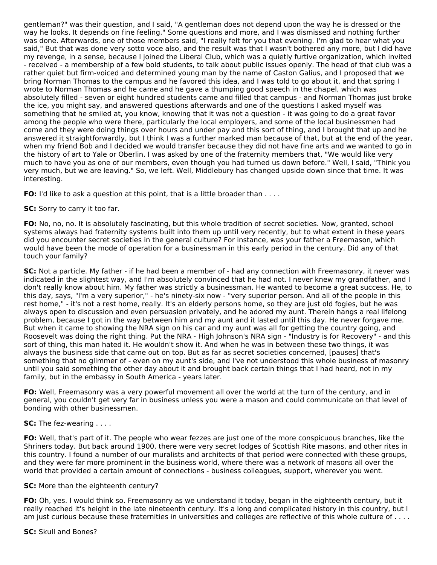gentleman?" was their question, and I said, "A gentleman does not depend upon the way he is dressed or the way he looks. It depends on fine feeling." Some questions and more, and I was dismissed and nothing further was done. Afterwards, one of those members said, "I really felt for you that evening. I'm glad to hear what you said," But that was done very sotto voce also, and the result was that I wasn't bothered any more, but I did have my revenge, in a sense, because I joined the Liberal Club, which was a quietly furtive organization, which invited - received - a membership of a few bold students, to talk about public issues openly. The head of that club was a rather quiet but firm-voiced and determined young man by the name of Caston Galius, and I proposed that we bring Norman Thomas to the campus and he favored this idea, and I was told to go about it, and that spring I wrote to Norman Thomas and he came and he gave a thumping good speech in the chapel, which was absolutely filled - seven or eight hundred students came and filled that campus - and Norman Thomas just broke the ice, you might say, and answered questions afterwards and one of the questions I asked myself was something that he smiled at, you know, knowing that it was not a question - it was going to do a great favor among the people who were there, particularly the local employers, and some of the local businessmen had come and they were doing things over hours and under pay and this sort of thing, and I brought that up and he answered it straightforwardly, but I think I was a further marked man because of that, but at the end of the year, when my friend Bob and I decided we would transfer because they did not have fine arts and we wanted to go in the history of art to Yale or Oberlin. I was asked by one of the fraternity members that, "We would like very much to have you as one of our members, even though you had turned us down before." Well, I said, "Think you very much, but we are leaving." So, we left. Well, Middlebury has changed upside down since that time. It was interesting.

**FO:** I'd like to ask a question at this point, that is a little broader than . . . .

## **SC:** Sorry to carry it too far.

**FO:** No, no, no. It is absolutely fascinating, but this whole tradition of secret societies. Now, granted, school systems always had fraternity systems built into them up until very recently, but to what extent in these years did you encounter secret societies in the general culture? For instance, was your father a Freemason, which would have been the mode of operation for a businessman in this early period in the century. Did any of that touch your family?

**SC:** Not a particle. My father - if he had been a member of - had any connection with Freemasonry, it never was indicated in the slightest way, and I'm absolutely convinced that he had not. I never knew my grandfather, and I don't really know about him. My father was strictly a businessman. He wanted to become a great success. He, to this day, says, "I'm a very superior," - he's ninety-six now - "very superior person. And all of the people in this rest home," - it's not a rest home, really. It's an elderly persons home, so they are just old fogies, but he was always open to discussion and even persuasion privately, and he adored my aunt. Therein hangs a real lifelong problem, because I got in the way between him and my aunt and it lasted until this day. He never forgave me. But when it came to showing the NRA sign on his car and my aunt was all for getting the country going, and Roosevelt was doing the right thing. Put the NRA - High Johnson's NRA sign - "Industry is for Recovery" - and this sort of thing, this man hated it. He wouldn't show it. And when he was in between these two things, it was always the business side that came out on top. But as far as secret societies concerned, [pauses] that's something that no glimmer of - even on my aunt's side, and I've not understood this whole business of masonry until you said something the other day about it and brought back certain things that I had heard, not in my family, but in the embassy in South America - years later.

**FO:** Well, Freemasonry was a very powerful movement all over the world at the turn of the century, and in general, you couldn't get very far in business unless you were a mason and could communicate on that level of bonding with other businessmen.

## **SC:** The fez-wearing . . . .

**FO:** Well, that's part of it. The people who wear fezzes are just one of the more conspicuous branches, like the Shriners today. But back around 1900, there were very secret lodges of Scottish Rite masons, and other rites in this country. I found a number of our muralists and architects of that period were connected with these groups, and they were far more prominent in the business world, where there was a network of masons all over the world that provided a certain amount of connections - business colleagues, support, wherever you went.

#### **SC:** More than the eighteenth century?

**FO:** Oh, yes. I would think so. Freemasonry as we understand it today, began in the eighteenth century, but it really reached it's height in the late nineteenth century. It's a long and complicated history in this country, but I am just curious because these fraternities in universities and colleges are reflective of this whole culture of . . . .

#### **SC:** Skull and Bones?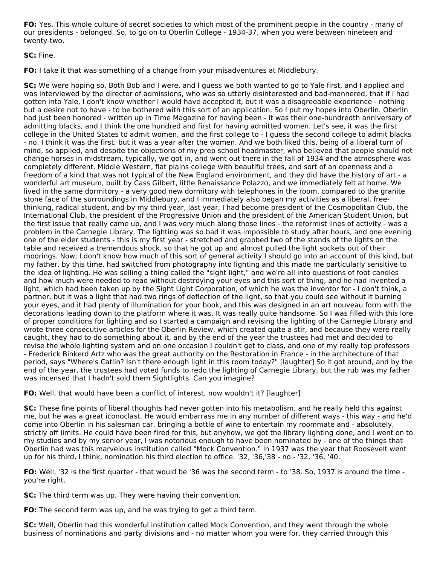**FO:** Yes. This whole culture of secret societies to which most of the prominent people in the country - many of our presidents - belonged. So, to go on to Oberlin College - 1934-37, when you were between nineteen and twenty-two.

**SC:** Fine.

**FO:** I take it that was something of a change from your misadventures at Middlebury.

**SC:** We were hoping so. Both Bob and I were, and I guess we both wanted to go to Yale first, and I applied and was interviewed by the director of admissions, who was so utterly disinterested and bad-mannered, that if I had gotten into Yale, I don't know whether I would have accepted it, but it was a disagreeable experience - nothing but a desire not to have - to be bothered with this sort of an application. So I put my hopes into Oberlin. Oberlin had just been honored - written up in Time Magazine for having been - it was their one-hundredth anniversary of admitting blacks, and I think the one hundred and first for having admitted women. Let's see, it was the first college in the United States to admit women, and the first college to - I guess the second college to admit blacks - no, I think it was the first, but it was a year after the women. And we both liked this, being of a liberal turn of mind, so applied, and despite the objections of my prep school headmaster, who believed that people should not change horses in midstream, typically, we got in, and went out there in the fall of 1934 and the atmosphere was completely different. Middle Western, flat plains college with beautiful trees, and sort of an openness and a freedom of a kind that was not typical of the New England environment, and they did have the history of art - a wonderful art museum, built by Cass Gilbert, little Renaissance Polazzo, and we immediately felt at home. We lived in the same dormitory - a very good new dormitory with telephones in the room, compared to the granite stone face of the surroundings in Middlebury, and I immediately also began my activities as a liberal, freethinking, radical student, and by my third year, last year, I had become president of the Cosmopolitan Club, the International Club, the president of the Progressive Union and the president of the American Student Union, but the first issue that really came up, and I was very much along those lines - the reformist lines of activity - was a problem in the Carnegie Library. The lighting was so bad it was impossible to study after hours, and one evening one of the elder students - this is my first year - stretched and grabbed two of the stands of the lights on the table and received a tremendous shock, so that he got up and almost pulled the light sockets out of their moorings. Now, I don't know how much of this sort of general activity I should go into an account of this kind, but my father, by this time, had switched from photography into lighting and this made me particularly sensitive to the idea of lighting. He was selling a thing called the "sight light," and we're all into questions of foot candles and how much were needed to read without destroying your eyes and this sort of thing, and he had invented a light, which had been taken up by the Sight Light Corporation, of which he was the inventor for - I don't think, a partner, but it was a light that had two rings of deflection of the light, so that you could see without it burning your eyes, and it had plenty of illumination for your book, and this was designed in an art nouveau form with the decorations leading down to the platform where it was. It was really quite handsome. So I was filled with this lore of proper conditions for lighting and so I started a campaign and revising the lighting of the Carnegie Library and wrote three consecutive articles for the Oberlin Review, which created quite a stir, and because they were really caught, they had to do something about it, and by the end of the year the trustees had met and decided to revise the whole lighting system and on one occasion I couldn't get to class, and one of my really top professors - Frederick Binkerd Artz who was the great authority on the Restoration in France - in the architecture of that period, says "Where's Catlin? Isn't there enough light in this room today?" [laughter] So it got around, and by the end of the year, the trustees had voted funds to redo the lighting of Carnegie Library, but the rub was my father was incensed that I hadn't sold them Sightlights. Can you imagine?

**FO:** Well, that would have been a conflict of interest, now wouldn't it? [laughter]

**SC:** These fine points of liberal thoughts had never gotten into his metabolism, and he really held this against me, but he was a great iconoclast. He would embarrass me in any number of different ways - this way - and he'd come into Oberlin in his salesman car, bringing a bottle of wine to entertain my roommate and - absolutely, strictly off limits. He could have been fired for this, but anyhow, we got the library lighting done, and I went on to my studies and by my senior year, I was notorious enough to have been nominated by - one of the things that Oberlin had was this marvelous institution called "Mock Convention." In 1937 was the year that Roosevelt went up for his third, I think, nomination his third election to office. '32, '36,'38 - no - '32, '36, '40.

**FO:** Well, '32 is the first quarter - that would be '36 was the second term - to '38. So, 1937 is around the time you're right.

**SC:** The third term was up. They were having their convention.

**FO:** The second term was up, and he was trying to get a third term.

**SC:** Well, Oberlin had this wonderful institution called Mock Convention, and they went through the whole business of nominations and party divisions and - no matter whom you were for, they carried through this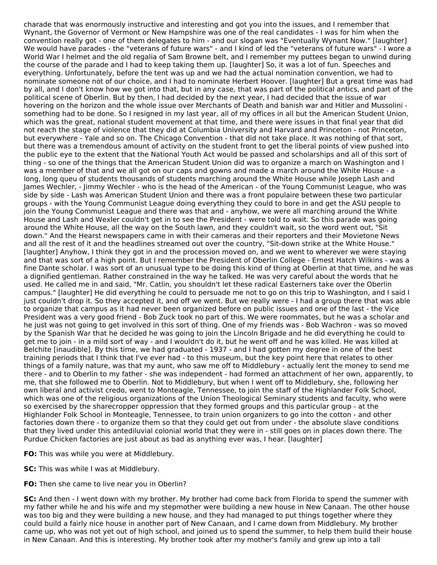charade that was enormously instructive and interesting and got you into the issues, and I remember that Wynant, the Governor of Vermont or New Hampshire was one of the real candidates - I was for him when the convention really got - one of them delegates to him - and our slogan was "Eventually Wynant Now." [laughter] We would have parades - the "veterans of future wars" - and I kind of led the "veterans of future wars" - I wore a World War I helmet and the old regalia of Sam Browne belt, and I remember my puttees began to unwind during the course of the parade and I had to keep taking them up. [laughter] So, it was a lot of fun. Speeches and everything. Unfortunately, before the tent was up and we had the actual nomination convention, we had to nominate someone not of our choice, and I had to nominate Herbert Hoover. [laughter] But a great time was had by all, and I don't know how we got into that, but in any case, that was part of the political antics, and part of the political scene of Oberlin. But by then, I had decided by the next year, I had decided that the issue of war hovering on the horizon and the whole issue over Merchants of Death and banish war and Hitler and Mussolini something had to be done. So I resigned in my last year, all of my offices in all but the American Student Union, which was the great, national student movement at that time, and there were issues in that final year that did not reach the stage of violence that they did at Columbia University and Harvard and Princeton - not Princeton, but everywhere - Yale and so on. The Chicago Convention - that did not take place. It was nothing of that sort, but there was a tremendous amount of activity on the student front to get the liberal points of view pushed into the public eye to the extent that the National Youth Act would be passed and scholarships and all of this sort of thing - so one of the things that the American Student Union did was to organize a march on Washington and I was a member of that and we all got on our caps and gowns and made a march around the White House - a long, long queu of students thousands of students marching around the White House while Joseph Lash and James Wechler, - Jimmy Wechler - who is the head of the American - of the Young Communist League, who was side by side - Lash was American Student Union and there was a front populaire between these two particular groups - with the Young Communist League doing everything they could to bore in and get the ASU people to join the Young Communist League and there was that and - anyhow, we were all marching around the White House and Lash and Wexler couldn't get in to see the President - were told to wait. So this parade was going around the White House, all the way on the South lawn, and they couldn't wait, so the word went out, "Sit down." And the Hearst newspapers came in with their cameras and their reporters and their Movietone News and all the rest of it and the headlines streamed out over the country, "Sit-down strike at the White House." [laughter] Anyhow, I think they got in and the procession moved on, and we went to wherever we were staying and that was sort of a high point. But I remember the President of Oberlin College - Ernest Hatch Wilkins - was a fine Dante scholar. I was sort of an unusual type to be doing this kind of thing at Oberlin at that time, and he was a dignified gentleman. Rather constrained in the way he talked. He was very careful about the words that he used. He called me in and said, "Mr. Catlin, you shouldn't let these radical Easterners take over the Oberlin campus." [laughter] He did everything he could to persuade me not to go on this trip to Washington, and I said I just couldn't drop it. So they accepted it, and off we went. But we really were - I had a group there that was able to organize that campus as it had never been organized before on public issues and one of the last - the Vice President was a very good friend - Bob Zuck took no part of this. We were roommates, but he was a scholar and he just was not going to get involved in this sort of thing. One of my friends was - Bob Wachron - was so moved by the Spanish War that he decided he was going to join the Lincoln Brigade and he did everything he could to get me to join - in a mild sort of way - and I wouldn't do it, but he went off and he was killed. He was killed at Belchite [inaudible]. By this time, we had graduated - 1937 - and I had gotten my degree in one of the best training periods that I think that I've ever had - to this museum, but the key point here that relates to other things of a family nature, was that my aunt, who saw me off to Middlebury - actually lent the money to send me there - and to Oberlin to my father - she was independent - had formed an attachment of her own, apparently, to me, that she followed me to Oberlin. Not to Middlebury, but when I went off to Middlebury, she, following her own liberal and activist credo, went to Monteagle, Tennessee, to join the staff of the Highlander Folk School, which was one of the religious organizations of the Union Theological Seminary students and faculty, who were so exercised by the sharecropper oppression that they formed groups and this particular group - at the Highlander Folk School in Monteagle, Tennessee, to train union organizers to go into the cotton - and other factories down there - to organize them so that they could get out from under - the absolute slave conditions that they lived under this antediluvial colonial world that they were in - still goes on in places down there. The Purdue Chicken factories are just about as bad as anything ever was, I hear. [laughter]

**FO:** This was while you were at Middlebury.

**SC:** This was while I was at Middlebury.

**FO:** Then she came to live near you in Oberlin?

**SC:** And then - I went down with my brother. My brother had come back from Florida to spend the summer with my father while he and his wife and my stepmother were building a new house in New Canaan. The other house was too big and they were building a new house, and they had managed to put things together where they could build a fairly nice house in another part of New Canaan, and I came down from Middlebury. My brother came up, who was not yet out of high school, and joined us to spend the summer, to help them build their house in New Canaan. And this is interesting. My brother took after my mother's family and grew up into a tall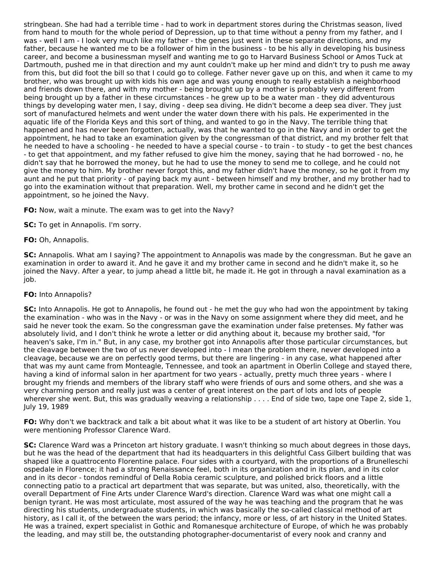stringbean. She had had a terrible time - had to work in department stores during the Christmas season, lived from hand to mouth for the whole period of Depression, up to that time without a penny from my father, and I was - well I am - I look very much like my father - the genes just went in these separate directions, and my father, because he wanted me to be a follower of him in the business - to be his ally in developing his business career, and become a businessman myself and wanting me to go to Harvard Business School or Amos Tuck at Dartmouth, pushed me in that direction and my aunt couldn't make up her mind and didn't try to push me away from this, but did foot the bill so that I could go to college. Father never gave up on this, and when it came to my brother, who was brought up with kids his own age and was young enough to really establish a neighborhood and friends down there, and with my mother - being brought up by a mother is probably very different from being brought up by a father in these circumstances - he grew up to be a water man - they did adventurous things by developing water men, I say, diving - deep sea diving. He didn't become a deep sea diver. They just sort of manufactured helmets and went under the water down there with his pals. He experimented in the aquatic life of the Florida Keys and this sort of thing, and wanted to go in the Navy. The terrible thing that happened and has never been forgotten, actually, was that he wanted to go in the Navy and in order to get the appointment, he had to take an examination given by the congressman of that district, and my brother felt that he needed to have a schooling - he needed to have a special course - to train - to study - to get the best chances - to get that appointment, and my father refused to give him the money, saying that he had borrowed - no, he didn't say that he borrowed the money, but he had to use the money to send me to college, and he could not give the money to him. My brother never forgot this, and my father didn't have the money, so he got it from my aunt and he put that priority - of paying back my aunt - between himself and my brother, and my brother had to go into the examination without that preparation. Well, my brother came in second and he didn't get the appointment, so he joined the Navy.

**FO:** Now, wait a minute. The exam was to get into the Navy?

**SC:** To get in Annapolis. I'm sorry.

**FO:** Oh, Annapolis.

**SC:** Annapolis. What am I saying? The appointment to Annapolis was made by the congressman. But he gave an examination in order to award it. And he gave it and my brother came in second and he didn't make it, so he joined the Navy. After a year, to jump ahead a little bit, he made it. He got in through a naval examination as a job.

#### **FO:** Into Annapolis?

**SC:** Into Annapolis. He got to Annapolis, he found out - he met the guy who had won the appointment by taking the examination - who was in the Navy - or was in the Navy on some assignment where they did meet, and he said he never took the exam. So the congressman gave the examination under false pretenses. My father was absolutely livid, and I don't think he wrote a letter or did anything about it, because my brother said, "for heaven's sake, I'm in." But, in any case, my brother got into Annapolis after those particular circumstances, but the cleavage between the two of us never developed into - I mean the problem there, never developed into a cleavage, because we are on perfectly good terms, but there are lingering - in any case, what happened after that was my aunt came from Monteagle, Tennessee, and took an apartment in Oberlin College and stayed there, having a kind of informal salon in her apartment for two years - actually, pretty much three years - where I brought my friends and members of the library staff who were friends of ours and some others, and she was a very charming person and really just was a center of great interest on the part of lots and lots of people wherever she went. But, this was gradually weaving a relationship . . . . End of side two, tape one Tape 2, side 1, July 19, 1989

**FO:** Why don't we backtrack and talk a bit about what it was like to be a student of art history at Oberlin. You were mentioning Professor Clarence Ward.

**SC:** Clarence Ward was a Princeton art history graduate. I wasn't thinking so much about degrees in those days, but he was the head of the department that had its headquarters in this delightful Cass Gilbert building that was shaped like a quattrocento Florentine palace. Four sides with a courtyard, with the proportions of a Brunelleschi ospedale in Florence; it had a strong Renaissance feel, both in its organization and in its plan, and in its color and in its decor - tondos remindful of Della Robia ceramic sculpture, and polished brick floors and a little connecting patio to a practical art department that was separate, but was united, also, theoretically, with the overall Department of Fine Arts under Clarence Ward's direction. Clarence Ward was what one might call a benign tyrant. He was most articulate, most assured of the way he was teaching and the program that he was directing his students, undergraduate students, in which was basically the so-called classical method of art history, as I call it, of the between the wars period; the infancy, more or less, of art history in the United States. He was a trained, expert specialist in Gothic and Romanesque architecture of Europe, of which he was probably the leading, and may still be, the outstanding photographer-documentarist of every nook and cranny and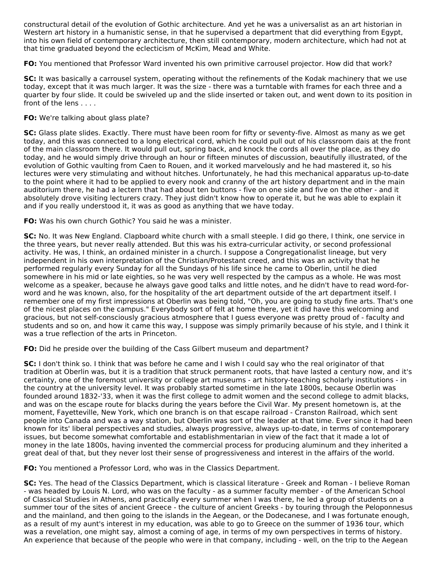constructural detail of the evolution of Gothic architecture. And yet he was a universalist as an art historian in Western art history in a humanistic sense, in that he supervised a department that did everything from Egypt, into his own field of contemporary architecture, then still contemporary, modern architecture, which had not at that time graduated beyond the eclecticism of McKim, Mead and White.

**FO:** You mentioned that Professor Ward invented his own primitive carrousel projector. How did that work?

**SC:** It was basically a carrousel system, operating without the refinements of the Kodak machinery that we use today, except that it was much larger. It was the size - there was a turntable with frames for each three and a quarter by four slide. It could be swiveled up and the slide inserted or taken out, and went down to its position in front of the lens . . . .

## **FO:** We're talking about glass plate?

**SC:** Glass plate slides. Exactly. There must have been room for fifty or seventy-five. Almost as many as we get today, and this was connected to a long electrical cord, which he could pull out of his classroom dais at the front of the main classroom there. It would pull out, spring back, and knock the cords all over the place, as they do today, and he would simply drive through an hour or fifteen minutes of discussion, beautifully illustrated, of the evolution of Gothic vaulting from Caen to Rouen, and it worked marvelously and he had mastered it, so his lectures were very stimulating and without hitches. Unfortunately, he had this mechanical apparatus up-to-date to the point where it had to be applied to every nook and cranny of the art history department and in the main auditorium there, he had a lectern that had about ten buttons - five on one side and five on the other - and it absolutely drove visiting lecturers crazy. They just didn't know how to operate it, but he was able to explain it and if you really understood it, it was as good as anything that we have today.

**FO:** Was his own church Gothic? You said he was a minister.

**SC:** No. It was New England. Clapboard white church with a small steeple. I did go there, I think, one service in the three years, but never really attended. But this was his extra-curricular activity, or second professional activity. He was, I think, an ordained minister in a church. I suppose a Congregationalist lineage, but very independent in his own interpretation of the Christian/Protestant creed, and this was an activity that he performed regularly every Sunday for all the Sundays of his life since he came to Oberlin, until he died somewhere in his mid or late eighties, so he was very well respected by the campus as a whole. He was most welcome as a speaker, because he always gave good talks and little notes, and he didn't have to read word-forword and he was known, also, for the hospitality of the art department outside of the art department itself. I remember one of my first impressions at Oberlin was being told, "Oh, you are going to study fine arts. That's one of the nicest places on the campus." Everybody sort of felt at home there, yet it did have this welcoming and gracious, but not self-consciously gracious atmosphere that I guess everyone was pretty proud of - faculty and students and so on, and how it came this way, I suppose was simply primarily because of his style, and I think it was a true reflection of the arts in Princeton.

**FO:** Did he preside over the building of the Cass Gilbert museum and department?

**SC:** I don't think so. I think that was before he came and I wish I could say who the real originator of that tradition at Oberlin was, but it is a tradition that struck permanent roots, that have lasted a century now, and it's certainty, one of the foremost university or college art museums - art history-teaching scholarly institutions - in the country at the university level. It was probably started sometime in the late 1800s, because Oberlin was founded around 1832-'33, when it was the first college to admit women and the second college to admit blacks, and was on the escape route for blacks during the years before the Civil War. My present hometown is, at the moment, Fayetteville, New York, which one branch is on that escape railroad - Cranston Railroad, which sent people into Canada and was a way station, but Oberlin was sort of the leader at that time. Ever since it had been known for its' liberal perspectives and studies, always progressive, always up-to-date, in terms of contemporary issues, but become somewhat comfortable and establishmentarian in view of the fact that it made a lot of money in the late 1800s, having invented the commercial process for producing aluminum and they inherited a great deal of that, but they never lost their sense of progressiveness and interest in the affairs of the world.

**FO:** You mentioned a Professor Lord, who was in the Classics Department.

**SC:** Yes. The head of the Classics Department, which is classical literature - Greek and Roman - I believe Roman - was headed by Louis N. Lord, who was on the faculty - as a summer faculty member - of the American School of Classical Studies in Athens, and practically every summer when I was there, he led a group of students on a summer tour of the sites of ancient Greece - the culture of ancient Greeks - by touring through the Peloponnesus and the mainland, and then going to the islands in the Aegean, or the Dodecanese, and I was fortunate enough, as a result of my aunt's interest in my education, was able to go to Greece on the summer of 1936 tour, which was a revelation, one might say, almost a coming of age, in terms of my own perspectives in terms of history. An experience that because of the people who were in that company, including - well, on the trip to the Aegean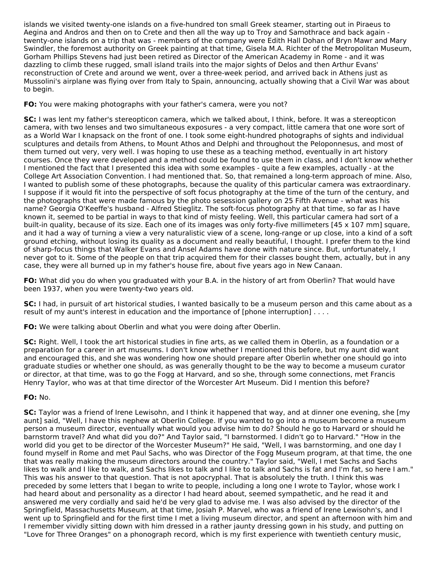islands we visited twenty-one islands on a five-hundred ton small Greek steamer, starting out in Piraeus to Aegina and Andros and then on to Crete and then all the way up to Troy and Samothrace and back again twenty-one islands on a trip that was - members of the company were Edith Hall Dohan of Bryn Mawr and Mary Swindler, the foremost authority on Greek painting at that time, Gisela M.A. Richter of the Metropolitan Museum, Gorham Phillips Stevens had just been retired as Director of the American Academy in Rome - and it was dazzling to climb these rugged, small island trails into the major sights of Delos and then Arthur Evans' reconstruction of Crete and around we went, over a three-week period, and arrived back in Athens just as Mussolini's airplane was flying over from Italy to Spain, announcing, actually showing that a Civil War was about to begin.

## **FO:** You were making photographs with your father's camera, were you not?

**SC:** I was lent my father's stereopticon camera, which we talked about, I think, before. It was a stereopticon camera, with two lenses and two simultaneous exposures - a very compact, little camera that one wore sort of as a World War I knapsack on the front of one. I took some eight-hundred photographs of sights and individual sculptures and details from Athens, to Mount Athos and Delphi and throughout the Peloponnesus, and most of them turned out very, very well. I was hoping to use these as a teaching method, eventually in art history courses. Once they were developed and a method could be found to use them in class, and I don't know whether I mentioned the fact that I presented this idea with some examples - quite a few examples, actually - at the College Art Association Convention. I had mentioned that. So, that remained a long-term approach of mine. Also, I wanted to publish some of these photographs, because the quality of this particular camera was extraordinary. I suppose if it would fit into the perspective of soft focus photography at the time of the turn of the century, and the photographs that were made famous by the photo sesession gallery on 25 Fifth Avenue - what was his name? Georgia O'Keeffe's husband - Alfred Stieglitz. The soft-focus photography at that time, so far as I have known it, seemed to be partial in ways to that kind of misty feeling. Well, this particular camera had sort of a built-in quality, because of its size. Each one of its images was only forty-five millimeters [45 x 107 mm] square, and it had a way of turning a view a very naturalistic view of a scene, long-range or up close, into a kind of a soft ground etching, without losing its quality as a document and really beautiful, I thought. I prefer them to the kind of sharp-focus things that Walker Evans and Ansel Adams have done with nature since. But, unfortunately, I never got to it. Some of the people on that trip acquired them for their classes bought them, actually, but in any case, they were all burned up in my father's house fire, about five years ago in New Canaan.

**FO:** What did you do when you graduated with your B.A. in the history of art from Oberlin? That would have been 1937, when you were twenty-two years old.

**SC:** I had, in pursuit of art historical studies, I wanted basically to be a museum person and this came about as a result of my aunt's interest in education and the importance of [phone interruption] . . . .

**FO:** We were talking about Oberlin and what you were doing after Oberlin.

**SC:** Right. Well, I took the art historical studies in fine arts, as we called them in Oberlin, as a foundation or a preparation for a career in art museums. I don't know whether I mentioned this before, but my aunt did want and encouraged this, and she was wondering how one should prepare after Oberlin whether one should go into graduate studies or whether one should, as was generally thought to be the way to become a museum curator or director, at that time, was to go the Fogg at Harvard, and so she, through some connections, met Francis Henry Taylor, who was at that time director of the Worcester Art Museum. Did I mention this before?

## **FO:** No.

**SC:** Taylor was a friend of Irene Lewisohn, and I think it happened that way, and at dinner one evening, she [my aunt] said, "Well, I have this nephew at Oberlin College. If you wanted to go into a museum become a museum person a museum director, eventually what would you advise him to do? Should he go to Harvard or should he barnstorm travel? And what did you do?" And Taylor said, "I barnstormed. I didn't go to Harvard." "How in the world did you get to be director of the Worcester Museum?" He said, "Well, I was barnstorming, and one day I found myself in Rome and met Paul Sachs, who was Director of the Fogg Museum program, at that time, the one that was really making the museum directors around the country." Taylor said, "Well, I met Sachs and Sachs likes to walk and I like to walk, and Sachs likes to talk and I like to talk and Sachs is fat and I'm fat, so here I am." This was his answer to that question. That is not apocryphal. That is absolutely the truth. I think this was preceded by some letters that I began to write to people, including a long one I wrote to Taylor, whose work I had heard about and personality as a director I had heard about, seemed sympathetic, and he read it and answered me very cordially and said he'd be very glad to advise me. I was also advised by the director of the Springfield, Massachusetts Museum, at that time, Josiah P. Marvel, who was a friend of Irene Lewisohn's, and I went up to Springfield and for the first time I met a living museum director, and spent an afternoon with him and I remember vividly sitting down with him dressed in a rather jaunty dressing gown in his study, and putting on "Love for Three Oranges" on a phonograph record, which is my first experience with twentieth century music,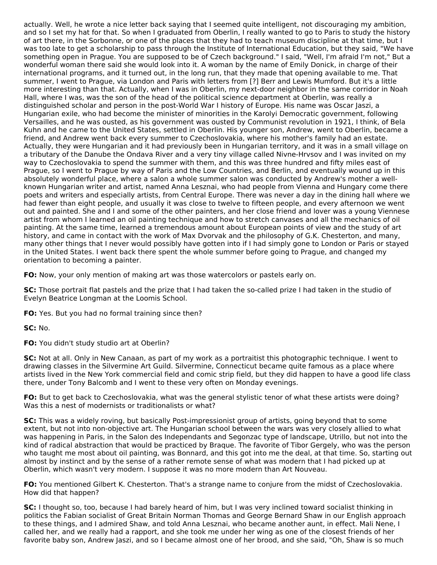actually. Well, he wrote a nice letter back saying that I seemed quite intelligent, not discouraging my ambition, and so I set my hat for that. So when I graduated from Oberlin, I really wanted to go to Paris to study the history of art there, in the Sorbonne, or one of the places that they had to teach museum discipline at that time, but I was too late to get a scholarship to pass through the Institute of International Education, but they said, "We have something open in Prague. You are supposed to be of Czech background." I said, "Well, I'm afraid I'm not," But a wonderful woman there said she would look into it. A woman by the name of Emily Donick, in charge of their international programs, and it turned out, in the long run, that they made that opening available to me. That summer, I went to Prague, via London and Paris with letters from [?] Berr and Lewis Mumford. But it's a little more interesting than that. Actually, when I was in Oberlin, my next-door neighbor in the same corridor in Noah Hall, where I was, was the son of the head of the political science department at Oberlin, was really a distinguished scholar and person in the post-World War I history of Europe. His name was Oscar Jaszi, a Hungarian exile, who had become the minister of minorities in the Karolyi Democratic government, following Versailles, and he was ousted, as his government was ousted by Communist revolution in 1921, I think, of Bela Kuhn and he came to the United States, settled in Oberlin. His younger son, Andrew, went to Oberlin, became a friend, and Andrew went back every summer to Czechoslovakia, where his mother's family had an estate. Actually, they were Hungarian and it had previously been in Hungarian territory, and it was in a small village on a tributary of the Danube the Ondava River and a very tiny village called Nivne-Hrvsov and I was invited on my way to Czechoslovakia to spend the summer with them, and this was three hundred and fifty miles east of Prague, so I went to Prague by way of Paris and the Low Countries, and Berlin, and eventually wound up in this absolutely wonderful place, where a salon a whole summer salon was conducted by Andrew's mother a wellknown Hungarian writer and artist, named Anna Lesznai, who had people from Vienna and Hungary come there poets and writers and especially artists, from Central Europe. There was never a day in the dining hall where we had fewer than eight people, and usually it was close to twelve to fifteen people, and every afternoon we went out and painted. She and I and some of the other painters, and her close friend and lover was a young Viennese artist from whom I learned an oil painting technique and how to stretch canvases and all the mechanics of oil painting. At the same time, learned a tremendous amount about European points of view and the study of art history, and came in contact with the work of Max Dvorvak and the philosophy of G.K. Chesterton, and many, many other things that I never would possibly have gotten into if I had simply gone to London or Paris or stayed in the United States. I went back there spent the whole summer before going to Prague, and changed my orientation to becoming a painter.

**FO:** Now, your only mention of making art was those watercolors or pastels early on.

**SC:** Those portrait flat pastels and the prize that I had taken the so-called prize I had taken in the studio of Evelyn Beatrice Longman at the Loomis School.

**FO:** Yes. But you had no formal training since then?

**SC:** No.

**FO:** You didn't study studio art at Oberlin?

**SC:** Not at all. Only in New Canaan, as part of my work as a portraitist this photographic technique. I went to drawing classes in the Silvermine Art Guild. Silvermine, Connecticut became quite famous as a place where artists lived in the New York commercial field and comic strip field, but they did happen to have a good life class there, under Tony Balcomb and I went to these very often on Monday evenings.

**FO:** But to get back to Czechoslovakia, what was the general stylistic tenor of what these artists were doing? Was this a nest of modernists or traditionalists or what?

**SC:** This was a widely roving, but basically Post-impressionist group of artists, going beyond that to some extent, but not into non-objective art. The Hungarian school between the wars was very closely allied to what was happening in Paris, in the Salon des Independants and Segonzac type of landscape, Utrillo, but not into the kind of radical abstraction that would be practiced by Braque. The favorite of Tibor Gergely, who was the person who taught me most about oil painting, was Bonnard, and this got into me the deal, at that time. So, starting out almost by instinct and by the sense of a rather remote sense of what was modern that I had picked up at Oberlin, which wasn't very modern. I suppose it was no more modern than Art Nouveau.

**FO:** You mentioned Gilbert K. Chesterton. That's a strange name to conjure from the midst of Czechoslovakia. How did that happen?

**SC:** I thought so, too, because I had barely heard of him, but I was very inclined toward socialist thinking in politics the Fabian socialist of Great Britain Norman Thomas and George Bernard Shaw in our English approach to these things, and I admired Shaw, and told Anna Lesznai, who became another aunt, in effect. Mali Nene, I called her, and we really had a rapport, and she took me under her wing as one of the closest friends of her favorite baby son, Andrew Jaszi, and so I became almost one of her brood, and she said, "Oh, Shaw is so much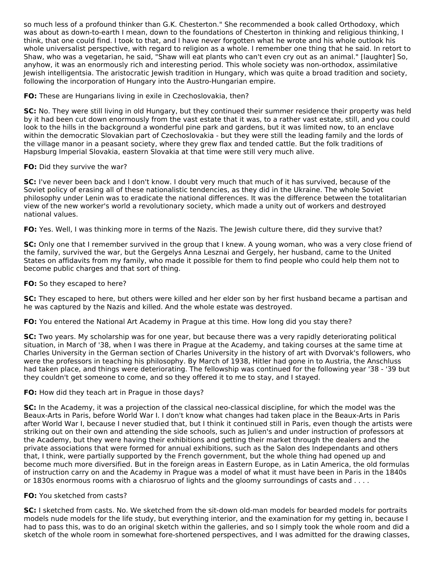so much less of a profound thinker than G.K. Chesterton." She recommended a book called Orthodoxy, which was about as down-to-earth I mean, down to the foundations of Chesterton in thinking and religious thinking, I think, that one could find. I took to that, and I have never forgotten what he wrote and his whole outlook his whole universalist perspective, with regard to religion as a whole. I remember one thing that he said. In retort to Shaw, who was a vegetarian, he said, "Shaw will eat plants who can't even cry out as an animal." [laughter] So, anyhow, it was an enormously rich and interesting period. This whole society was non-orthodox, assimilative Jewish intelligentsia. The aristocratic Jewish tradition in Hungary, which was quite a broad tradition and society, following the incorporation of Hungary into the Austro-Hungarian empire.

**FO:** These are Hungarians living in exile in Czechoslovakia, then?

**SC:** No. They were still living in old Hungary, but they continued their summer residence their property was held by it had been cut down enormously from the vast estate that it was, to a rather vast estate, still, and you could look to the hills in the background a wonderful pine park and gardens, but it was limited now, to an enclave within the democratic Slovakian part of Czechoslovakia - but they were still the leading family and the lords of the village manor in a peasant society, where they grew flax and tended cattle. But the folk traditions of Hapsburg Imperial Slovakia, eastern Slovakia at that time were still very much alive.

## **FO:** Did they survive the war?

**SC:** I've never been back and I don't know. I doubt very much that much of it has survived, because of the Soviet policy of erasing all of these nationalistic tendencies, as they did in the Ukraine. The whole Soviet philosophy under Lenin was to eradicate the national differences. It was the difference between the totalitarian view of the new worker's world a revolutionary society, which made a unity out of workers and destroyed national values.

**FO:** Yes. Well, I was thinking more in terms of the Nazis. The Jewish culture there, did they survive that?

**SC:** Only one that I remember survived in the group that I knew. A young woman, who was a very close friend of the family, survived the war, but the Gergelys Anna Lesznai and Gergely, her husband, came to the United States on affidavits from my family, who made it possible for them to find people who could help them not to become public charges and that sort of thing.

#### **FO:** So they escaped to here?

**SC:** They escaped to here, but others were killed and her elder son by her first husband became a partisan and he was captured by the Nazis and killed. And the whole estate was destroyed.

**FO:** You entered the National Art Academy in Prague at this time. How long did you stay there?

**SC:** Two years. My scholarship was for one year, but because there was a very rapidly deteriorating political situation, in March of '38, when I was there in Prague at the Academy, and taking courses at the same time at Charles University in the German section of Charles University in the history of art with Dvorvak's followers, who were the professors in teaching his philosophy. By March of 1938, Hitler had gone in to Austria, the Anschluss had taken place, and things were deteriorating. The fellowship was continued for the following year '38 - '39 but they couldn't get someone to come, and so they offered it to me to stay, and I stayed.

#### **FO:** How did they teach art in Prague in those days?

**SC:** In the Academy, it was a projection of the classical neo-classical discipline, for which the model was the Beaux-Arts in Paris, before World War I. I don't know what changes had taken place in the Beaux-Arts in Paris after World War I, because I never studied that, but I think it continued still in Paris, even though the artists were striking out on their own and attending the side schools, such as Julien's and under instruction of professors at the Academy, but they were having their exhibitions and getting their market through the dealers and the private associations that were formed for annual exhibitions, such as the Salon des Independants and others that, I think, were partially supported by the French government, but the whole thing had opened up and become much more diversified. But in the foreign areas in Eastern Europe, as in Latin America, the old formulas of instruction carry on and the Academy in Prague was a model of what it must have been in Paris in the 1840s or 1830s enormous rooms with a chiarosruo of lights and the gloomy surroundings of casts and . . . .

#### **FO:** You sketched from casts?

**SC:** I sketched from casts. No. We sketched from the sit-down old-man models for bearded models for portraits models nude models for the life study, but everything interior, and the examination for my getting in, because I had to pass this, was to do an original sketch within the galleries, and so I simply took the whole room and did a sketch of the whole room in somewhat fore-shortened perspectives, and I was admitted for the drawing classes,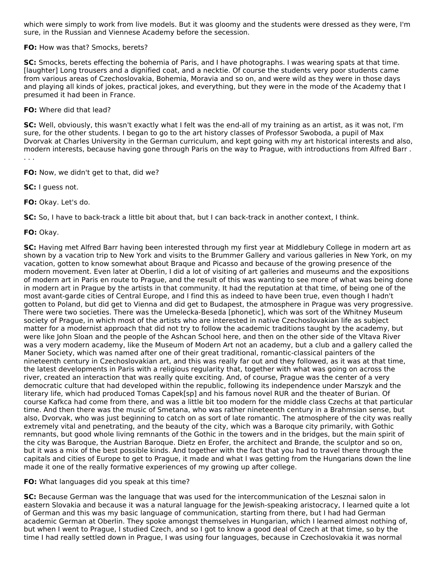which were simply to work from live models. But it was gloomy and the students were dressed as they were, I'm sure, in the Russian and Viennese Academy before the secession.

## **FO:** How was that? Smocks, berets?

**SC:** Smocks, berets effecting the bohemia of Paris, and I have photographs. I was wearing spats at that time. [laughter] Long trousers and a dignified coat, and a necktie. Of course the students very poor students came from various areas of Czechoslovakia, Bohemia, Moravia and so on, and were wild as they were in those days and playing all kinds of jokes, practical jokes, and everything, but they were in the mode of the Academy that I presumed it had been in France.

## **FO:** Where did that lead?

**SC:** Well, obviously, this wasn't exactly what I felt was the end-all of my training as an artist, as it was not, I'm sure, for the other students. I began to go to the art history classes of Professor Swoboda, a pupil of Max Dvorvak at Charles University in the German curriculum, and kept going with my art historical interests and also, modern interests, because having gone through Paris on the way to Prague, with introductions from Alfred Barr . . . .

**FO:** Now, we didn't get to that, did we?

**SC:** I guess not.

**FO:** Okay. Let's do.

**SC:** So, I have to back-track a little bit about that, but I can back-track in another context, I think.

**FO:** Okay.

**SC:** Having met Alfred Barr having been interested through my first year at Middlebury College in modern art as shown by a vacation trip to New York and visits to the Brummer Gallery and various galleries in New York, on my vacation, gotten to know somewhat about Braque and Picasso and because of the growing presence of the modern movement. Even later at Oberlin, I did a lot of visiting of art galleries and museums and the expositions of modern art in Paris en route to Prague, and the result of this was wanting to see more of what was being done in modern art in Prague by the artists in that community. It had the reputation at that time, of being one of the most avant-garde cities of Central Europe, and I find this as indeed to have been true, even though I hadn't gotten to Poland, but did get to Vienna and did get to Budapest, the atmosphere in Prague was very progressive. There were two societies. There was the Umelecka-Beseda [phonetic], which was sort of the Whitney Museum society of Prague, in which most of the artists who are interested in native Czechoslovakian life as subject matter for a modernist approach that did not try to follow the academic traditions taught by the academy, but were like John Sloan and the people of the Ashcan School here, and then on the other side of the Vltava River was a very modern academy, like the Museum of Modern Art not an academy, but a club and a gallery called the Maner Society, which was named after one of their great traditional, romantic-classical painters of the nineteenth century in Czechoslovakian art, and this was really far out and they followed, as it was at that time, the latest developments in Paris with a religious regularity that, together with what was going on across the river, created an interaction that was really quite exciting. And, of course, Prague was the center of a very democratic culture that had developed within the republic, following its independence under Marszyk and the literary life, which had produced Tomas Capek[sp] and his famous novel RUR and the theater of Burian. Of course Kafkca had come from there, and was a little bit too modern for the middle class Czechs at that particular time. And then there was the music of Smetana, who was rather nineteenth century in a Brahmsian sense, but also, Dvorvak, who was just beginning to catch on as sort of late romantic. The atmosphere of the city was really extremely vital and penetrating, and the beauty of the city, which was a Baroque city primarily, with Gothic remnants, but good whole living remnants of the Gothic in the towers and in the bridges, but the main spirit of the city was Baroque, the Austrian Baroque. Dietz en Erofer, the architect and Brande, the sculptor and so on, but it was a mix of the best possible kinds. And together with the fact that you had to travel there through the capitals and cities of Europe to get to Prague, it made and what I was getting from the Hungarians down the line made it one of the really formative experiences of my growing up after college.

#### **FO:** What languages did you speak at this time?

**SC:** Because German was the language that was used for the intercommunication of the Lesznai salon in eastern Slovakia and because it was a natural language for the Jewish-speaking aristocracy, I learned quite a lot of German and this was my basic language of communication, starting from there, but I had had German academic German at Oberlin. They spoke amongst themselves in Hungarian, which I learned almost nothing of, but when I went to Prague, I studied Czech, and so I got to know a good deal of Czech at that time, so by the time I had really settled down in Prague, I was using four languages, because in Czechoslovakia it was normal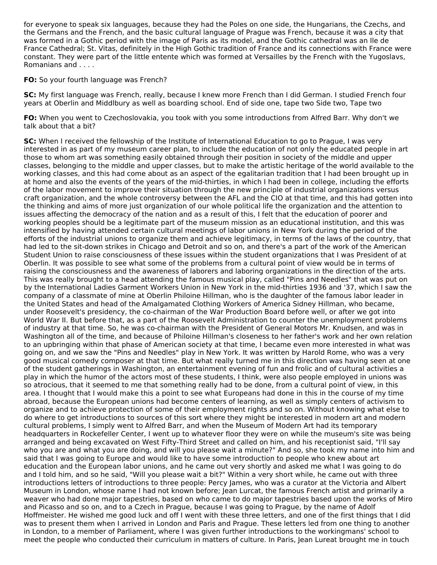for everyone to speak six languages, because they had the Poles on one side, the Hungarians, the Czechs, and the Germans and the French, and the basic cultural language of Prague was French, because it was a city that was formed in a Gothic period with the image of Paris as its model, and the Gothic cathedral was an Ile de France Cathedral; St. Vitas, definitely in the High Gothic tradition of France and its connections with France were constant. They were part of the little entente which was formed at Versailles by the French with the Yugoslavs, Romanians and . . . .

**FO:** So your fourth language was French?

**SC:** My first language was French, really, because I knew more French than I did German. I studied French four years at Oberlin and Middlbury as well as boarding school. End of side one, tape two Side two, Tape two

**FO:** When you went to Czechoslovakia, you took with you some introductions from Alfred Barr. Why don't we talk about that a bit?

**SC:** When I received the fellowship of the Institute of International Education to go to Prague, I was very interested in as part of my museum career plan, to include the education of not only the educated people in art those to whom art was something easily obtained through their position in society of the middle and upper classes, belonging to the middle and upper classes, but to make the artistic heritage of the world available to the working classes, and this had come about as an aspect of the egalitarian tradition that I had been brought up in at home and also the events of the years of the mid-thirties, in which I had been in college, including the efforts of the labor movement to improve their situation through the new principle of industrial organizations versus craft organization, and the whole controversy between the AFL and the CIO at that time, and this had gotten into the thinking and aims of more just organization of our whole political life the organization and the attention to issues affecting the democracy of the nation and as a result of this, I felt that the education of poorer and working peoples should be a legitimate part of the museum mission as an educational institution, and this was intensified by having attended certain cultural meetings of labor unions in New York during the period of the efforts of the industrial unions to organize them and achieve legitimacy, in terms of the laws of the country, that had led to the sit-down strikes in Chicago and Detroit and so on, and there's a part of the work of the American Student Union to raise consciousness of these issues within the student organizations that I was President of at Oberlin. It was possible to see what some of the problems from a cultural point of view would be in terms of raising the consciousness and the awareness of laborers and laboring organizations in the direction of the arts. This was really brought to a head attending the famous musical play, called "Pins and Needles" that was put on by the International Ladies Garment Workers Union in New York in the mid-thirties 1936 and '37, which I saw the company of a classmate of mine at Oberlin Philoine Hillman, who is the daughter of the famous labor leader in the United States and head of the Amalgamated Clothing Workers of America Sidney Hillman, who became, under Roosevelt's presidency, the co-chairman of the War Production Board before well, or after we got into World War II. But before that, as a part of the Roosevelt Administration to counter the unemployment problems of industry at that time. So, he was co-chairman with the President of General Motors Mr. Knudsen, and was in Washington all of the time, and because of Philoine Hillman's closeness to her father's work and her own relation to an upbringing within that phase of American society at that time, I became even more interested in what was going on, and we saw the "Pins and Needles" play in New York. It was written by Harold Rome, who was a very good musical comedy composer at that time. But what really turned me in this direction was having seen at one of the student gatherings in Washington, an entertainment evening of fun and frolic and of cultural activities a play in which the humor of the actors most of these students, I think, were also people employed in unions was so atrocious, that it seemed to me that something really had to be done, from a cultural point of view, in this area. I thought that I would make this a point to see what Europeans had done in this in the course of my time abroad, because the European unions had become centers of learning, as well as simply centers of activism to organize and to achieve protection of some of their employment rights and so on. Without knowing what else to do where to get introductions to sources of this sort where they might be interested in modern art and modern cultural problems, I simply went to Alfred Barr, and when the Museum of Modern Art had its temporary headquarters in Rockefeller Center, I went up to whatever floor they were on while the museum's site was being arranged and being excavated on West Fifty-Third Street and called on him, and his receptionist said, "I'll say who you are and what you are doing, and will you please wait a minute?" And so, she took my name into him and said that I was going to Europe and would like to have some introduction to people who knew about art education and the European labor unions, and he came out very shortly and asked me what I was going to do and I told him, and so he said, "Will you please wait a bit?" Within a very short while, he came out with three introductions letters of introductions to three people: Percy James, who was a curator at the Victoria and Albert Museum in London, whose name I had not known before; Jean Lurcat, the famous French artist and primarily a weaver who had done major tapestries, based on who came to do major tapestries based upon the works of Miro and Picasso and so on, and to a Czech in Prague, because I was going to Prague, by the name of Adolf Hoffmeister. He wished me good luck and off I went with these three letters, and one of the first things that I did was to present them when I arrived in London and Paris and Prague. These letters led from one thing to another in London, to a member of Parliament, where I was given further introductions to the workingmans' school to meet the people who conducted their curriculum in matters of culture. In Paris, Jean Lureat brought me in touch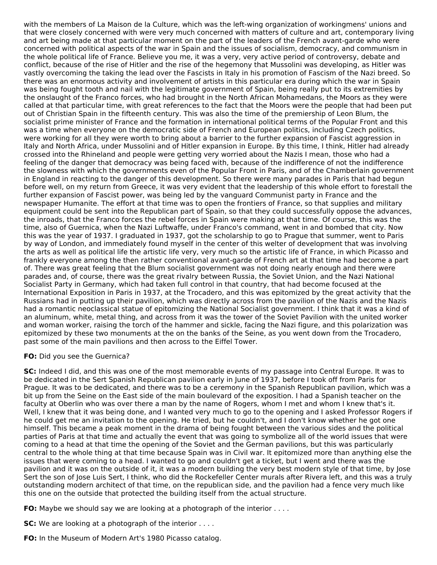with the members of La Maison de la Culture, which was the left-wing organization of workingmens' unions and that were closely concerned with were very much concerned with matters of culture and art, contemporary living and art being made at that particular moment on the part of the leaders of the French avant-garde who were concerned with political aspects of the war in Spain and the issues of socialism, democracy, and communism in the whole political life of France. Believe you me, it was a very, very active period of controversy, debate and conflict, because of the rise of Hitler and the rise of the hegemony that Mussolini was developing, as Hitler was vastly overcoming the taking the lead over the Fascists in Italy in his promotion of Fascism of the Nazi breed. So there was an enormous activity and involvement of artists in this particular era during which the war in Spain was being fought tooth and nail with the legitimate government of Spain, being really put to its extremities by the onslaught of the Franco forces, who had brought in the North African Mohamedans, the Moors as they were called at that particular time, with great references to the fact that the Moors were the people that had been put out of Christian Spain in the fifteenth century. This was also the time of the premiership of Leon Blum, the socialist prime minister of France and the formation in international political terms of the Popular Front and this was a time when everyone on the democratic side of French and European politics, including Czech politics, were working for all they were worth to bring about a barrier to the further expansion of Fascist aggression in Italy and North Africa, under Mussolini and of Hitler expansion in Europe. By this time, I think, Hitler had already crossed into the Rhineland and people were getting very worried about the Nazis I mean, those who had a feeling of the danger that democracy was being faced with, because of the indifference of not the indifference the slowness with which the governments even of the Popular Front in Paris, and of the Chamberlain government in England in reacting to the danger of this development. So there were many parades in Paris that had begun before well, on my return from Greece, it was very evident that the leadership of this whole effort to forestall the further expansion of Fascist power, was being led by the vanguard Communist party in France and the newspaper Humanite. The effort at that time was to open the frontiers of France, so that supplies and military equipment could be sent into the Republican part of Spain, so that they could successfully oppose the advances, the inroads, that the Franco forces the rebel forces in Spain were making at that time. Of course, this was the time, also of Guernica, when the Nazi Luftwaffe, under Franco's command, went in and bombed that city. Now this was the year of 1937. I graduated in 1937, got the scholarship to go to Prague that summer, went to Paris by way of London, and immediately found myself in the center of this welter of development that was involving the arts as well as political life the artistic life very, very much so the artistic life of France, in which Picasso and frankly everyone among the then rather conventional avant-garde of French art at that time had become a part of. There was great feeling that the Blum socialist government was not doing nearly enough and there were parades and, of course, there was the great rivalry between Russia, the Soviet Union, and the Nazi National Socialist Party in Germany, which had taken full control in that country, that had become focused at the International Exposition in Paris in 1937, at the Trocadero, and this was epitomized by the great activity that the Russians had in putting up their pavilion, which was directly across from the pavilion of the Nazis and the Nazis had a romantic neoclassical statue of epitomizing the National Socialist government. I think that it was a kind of an aluminum, white, metal thing, and across from it was the tower of the Soviet Pavilion with the united worker and woman worker, raising the torch of the hammer and sickle, facing the Nazi figure, and this polarization was epitomized by these two monuments at the on the banks of the Seine, as you went down from the Trocadero, past some of the main pavilions and then across to the Eiffel Tower.

#### **FO:** Did you see the Guernica?

**SC:** Indeed I did, and this was one of the most memorable events of my passage into Central Europe. It was to be dedicated in the Sert Spanish Republican pavilion early in June of 1937, before I took off from Paris for Prague. It was to be dedicated, and there was to be a ceremony in the Spanish Republican pavilion, which was a bit up from the Seine on the East side of the main boulevard of the exposition. I had a Spanish teacher on the faculty at Oberlin who was over there a man by the name of Rogers, whom I met and whom I knew that's it. Well, I knew that it was being done, and I wanted very much to go to the opening and I asked Professor Rogers if he could get me an invitation to the opening. He tried, but he couldn't, and I don't know whether he got one himself. This became a peak moment in the drama of being fought between the various sides and the political parties of Paris at that time and actually the event that was going to symbolize all of the world issues that were coming to a head at that time the opening of the Soviet and the German pavilions, but this was particularly central to the whole thing at that time because Spain was in Civil war. It epitomized more than anything else the issues that were coming to a head. I wanted to go and couldn't get a ticket, but I went and there was the pavilion and it was on the outside of it, it was a modern building the very best modern style of that time, by Jose Sert the son of Jose Luis Sert, I think, who did the Rockefeller Center murals after Rivera left, and this was a truly outstanding modern architect of that time, on the republican side, and the pavilion had a fence very much like this one on the outside that protected the building itself from the actual structure.

**FO:** Maybe we should say we are looking at a photograph of the interior . . . .

**SC:** We are looking at a photograph of the interior . . . .

**FO:** In the Museum of Modern Art's 1980 Picasso catalog.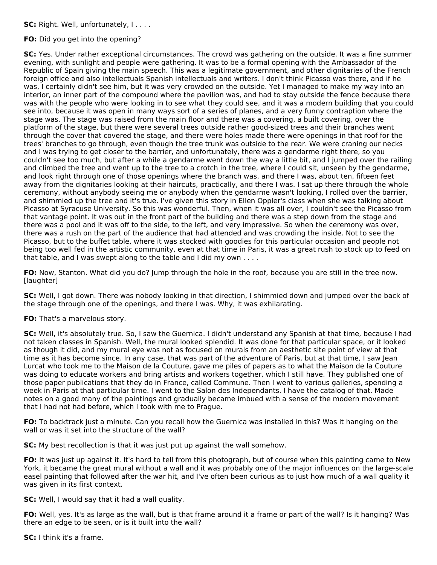**SC:** Right. Well, unfortunately, I....

## **FO:** Did you get into the opening?

**SC:** Yes. Under rather exceptional circumstances. The crowd was gathering on the outside. It was a fine summer evening, with sunlight and people were gathering. It was to be a formal opening with the Ambassador of the Republic of Spain giving the main speech. This was a legitimate government, and other dignitaries of the French foreign office and also intellectuals Spanish intellectuals and writers. I don't think Picasso was there, and if he was, I certainly didn't see him, but it was very crowded on the outside. Yet I managed to make my way into an interior, an inner part of the compound where the pavilion was, and had to stay outside the fence because there was with the people who were looking in to see what they could see, and it was a modern building that you could see into, because it was open in many ways sort of a series of planes, and a very funny contraption where the stage was. The stage was raised from the main floor and there was a covering, a built covering, over the platform of the stage, but there were several trees outside rather good-sized trees and their branches went through the cover that covered the stage, and there were holes made there were openings in that roof for the trees' branches to go through, even though the tree trunk was outside to the rear. We were craning our necks and I was trying to get closer to the barrier, and unfortunately, there was a gendarme right there, so you couldn't see too much, but after a while a gendarme went down the way a little bit, and I jumped over the railing and climbed the tree and went up to the tree to a crotch in the tree, where I could sit, unseen by the gendarme, and look right through one of those openings where the branch was, and there I was, about ten, fifteen feet away from the dignitaries looking at their haircuts, practically, and there I was. I sat up there through the whole ceremony, without anybody seeing me or anybody when the gendarme wasn't looking, I rolled over the barrier, and shimmied up the tree and it's true. I've given this story in Ellen Oppler's class when she was talking about Picasso at Syracuse University. So this was wonderful. Then, when it was all over, I couldn't see the Picasso from that vantage point. It was out in the front part of the building and there was a step down from the stage and there was a pool and it was off to the side, to the left, and very impressive. So when the ceremony was over, there was a rush on the part of the audience that had attended and was crowding the inside. Not to see the Picasso, but to the buffet table, where it was stocked with goodies for this particular occasion and people not being too well fed in the artistic community, even at that time in Paris, it was a great rush to stock up to feed on that table, and I was swept along to the table and I did my own . . . .

**FO:** Now, Stanton. What did you do? Jump through the hole in the roof, because you are still in the tree now. [laughter]

**SC:** Well, I got down. There was nobody looking in that direction, I shimmied down and jumped over the back of the stage through one of the openings, and there I was. Why, it was exhilarating.

**FO:** That's a marvelous story.

**SC:** Well, it's absolutely true. So, I saw the Guernica. I didn't understand any Spanish at that time, because I had not taken classes in Spanish. Well, the mural looked splendid. It was done for that particular space, or it looked as though it did, and my mural eye was not as focused on murals from an aesthetic site point of view at that time as it has become since. In any case, that was part of the adventure of Paris, but at that time, I saw Jean Lurcat who took me to the Maison de la Couture, gave me piles of papers as to what the Maison de la Couture was doing to educate workers and bring artists and workers together, which I still have. They published one of those paper publications that they do in France, called Commune. Then I went to various galleries, spending a week in Paris at that particular time. I went to the Salon des Independants. I have the catalog of that. Made notes on a good many of the paintings and gradually became imbued with a sense of the modern movement that I had not had before, which I took with me to Prague.

**FO:** To backtrack just a minute. Can you recall how the Guernica was installed in this? Was it hanging on the wall or was it set into the structure of the wall?

**SC:** My best recollection is that it was just put up against the wall somehow.

**FO:** It was just up against it. It's hard to tell from this photograph, but of course when this painting came to New York, it became the great mural without a wall and it was probably one of the major influences on the large-scale easel painting that followed after the war hit, and I've often been curious as to just how much of a wall quality it was given in its first context.

**SC:** Well, I would say that it had a wall quality.

**FO:** Well, yes. It's as large as the wall, but is that frame around it a frame or part of the wall? Is it hanging? Was there an edge to be seen, or is it built into the wall?

**SC:** I think it's a frame.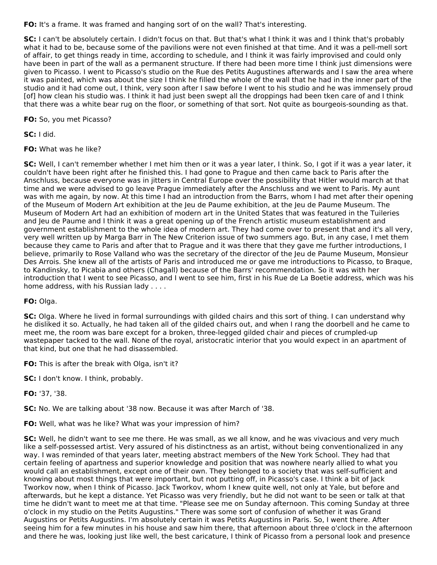**FO:** It's a frame. It was framed and hanging sort of on the wall? That's interesting.

**SC:** I can't be absolutely certain. I didn't focus on that. But that's what I think it was and I think that's probably what it had to be, because some of the pavilions were not even finished at that time. And it was a pell-mell sort of affair, to get things ready in time, according to schedule, and I think it was fairly improvised and could only have been in part of the wall as a permanent structure. If there had been more time I think just dimensions were given to Picasso. I went to Picasso's studio on the Rue des Petits Augustines afterwards and I saw the area where it was painted, which was about the size I think he filled the whole of the wall that he had in the inner part of the studio and it had come out, I think, very soon after I saw before I went to his studio and he was immensely proud [of] how clean his studio was. I think it had just been swept all the droppings had been tken care of and I think that there was a white bear rug on the floor, or something of that sort. Not quite as bourgeois-sounding as that.

**FO:** So, you met Picasso?

**SC:** I did.

**FO:** What was he like?

**SC:** Well, I can't remember whether I met him then or it was a year later, I think. So, I got if it was a year later, it couldn't have been right after he finished this. I had gone to Prague and then came back to Paris after the Anschluss, because everyone was in jitters in Central Europe over the possibility that Hitler would march at that time and we were advised to go leave Prague immediately after the Anschluss and we went to Paris. My aunt was with me again, by now. At this time I had an introduction from the Barrs, whom I had met after their opening of the Museum of Modern Art exhibition at the Jeu de Paume exhibition, at the Jeu de Paume Museum. The Museum of Modern Art had an exhibition of modern art in the United States that was featured in the Tuileries and Jeu de Paume and I think it was a great opening up of the French artistic museum establishment and government establishment to the whole idea of modern art. They had come over to present that and it's all very, very well written up by Marga Barr in The New Criterion issue of two summers ago. But, in any case, I met them because they came to Paris and after that to Prague and it was there that they gave me further introductions, I believe, primarily to Rose Valland who was the secretary of the director of the Jeu de Paume Museum, Monsieur Des Arrois. She knew all of the artists of Paris and introduced me or gave me introductions to Picasso, to Braque, to Kandinsky, to Picabia and others (Chagall) because of the Barrs' recommendation. So it was with her introduction that I went to see Picasso, and I went to see him, first in his Rue de La Boetie address, which was his home address, with his Russian lady . . . .

## **FO:** Olga.

**SC:** Olga. Where he lived in formal surroundings with gilded chairs and this sort of thing. I can understand why he disliked it so. Actually, he had taken all of the gilded chairs out, and when I rang the doorbell and he came to meet me, the room was bare except for a broken, three-legged gilded chair and pieces of crumpled-up wastepaper tacked to the wall. None of the royal, aristocratic interior that you would expect in an apartment of that kind, but one that he had disassembled.

**FO:** This is after the break with Olga, isn't it?

**SC:** I don't know. I think, probably.

**FO:** '37, '38.

**SC:** No. We are talking about '38 now. Because it was after March of '38.

**FO:** Well, what was he like? What was your impression of him?

**SC:** Well, he didn't want to see me there. He was small, as we all know, and he was vivacious and very much like a self-possessed artist. Very assured of his distinctness as an artist, without being conventionalized in any way. I was reminded of that years later, meeting abstract members of the New York School. They had that certain feeling of apartness and superior knowledge and position that was nowhere nearly allied to what you would call an establishment, except one of their own. They belonged to a society that was self-sufficient and knowing about most things that were important, but not putting off, in Picasso's case. I think a bit of Jack Tworkov now, when I think of Picasso. Jack Tworkov, whom I knew quite well, not only at Yale, but before and afterwards, but he kept a distance. Yet Picasso was very friendly, but he did not want to be seen or talk at that time he didn't want to meet me at that time. "Please see me on Sunday afternoon. This coming Sunday at three o'clock in my studio on the Petits Augustins." There was some sort of confusion of whether it was Grand Augustins or Petits Augustins. I'm absolutely certain it was Petits Augustins in Paris. So, I went there. After seeing him for a few minutes in his house and saw him there, that afternoon about three o'clock in the afternoon and there he was, looking just like well, the best caricature, I think of Picasso from a personal look and presence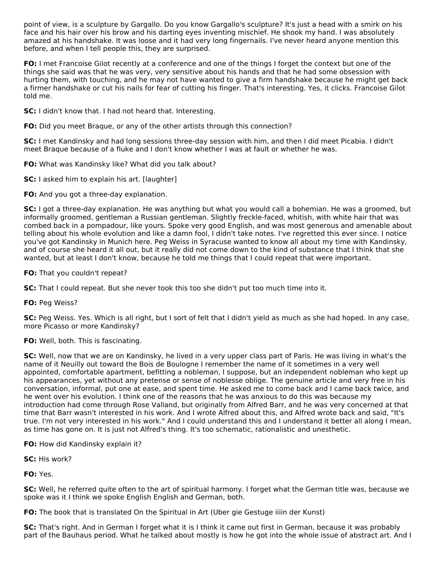point of view, is a sculpture by Gargallo. Do you know Gargallo's sculpture? It's just a head with a smirk on his face and his hair over his brow and his darting eyes inventing mischief. He shook my hand. I was absolutely amazed at his handshake. It was loose and it had very long fingernails. I've never heard anyone mention this before, and when I tell people this, they are surprised.

**FO:** I met Francoise Gilot recently at a conference and one of the things I forget the context but one of the things she said was that he was very, very sensitive about his hands and that he had some obsession with hurting them, with touching, and he may not have wanted to give a firm handshake because he might get back a firmer handshake or cut his nails for fear of cutting his finger. That's interesting. Yes, it clicks. Francoise Gilot told me.

**SC:** I didn't know that. I had not heard that. Interesting.

**FO:** Did you meet Braque, or any of the other artists through this connection?

**SC:** I met Kandinsky and had long sessions three-day session with him, and then I did meet Picabia. I didn't meet Braque because of a fluke and I don't know whether I was at fault or whether he was.

**FO:** What was Kandinsky like? What did you talk about?

**SC:** I asked him to explain his art. [laughter]

**FO:** And you got a three-day explanation.

**SC:** I got a three-day explanation. He was anything but what you would call a bohemian. He was a groomed, but informally groomed, gentleman a Russian gentleman. Slightly freckle-faced, whitish, with white hair that was combed back in a pompadour, like yours. Spoke very good English, and was most generous and amenable about telling about his whole evolution and like a damn fool, I didn't take notes. I've regretted this ever since. I notice you've got Kandinsky in Munich here. Peg Weiss in Syracuse wanted to know all about my time with Kandinsky, and of course she heard it all out, but it really did not come down to the kind of substance that I think that she wanted, but at least I don't know, because he told me things that I could repeat that were important.

## **FO:** That you couldn't repeat?

**SC:** That I could repeat. But she never took this too she didn't put too much time into it.

**FO:** Peg Weiss?

**SC:** Peg Weiss. Yes. Which is all right, but I sort of felt that I didn't yield as much as she had hoped. In any case, more Picasso or more Kandinsky?

**FO:** Well, both. This is fascinating.

**SC:** Well, now that we are on Kandinsky, he lived in a very upper class part of Paris. He was living in what's the name of it Neuilly out toward the Bois de Boulogne I remember the name of it sometimes in a very well appointed, comfortable apartment, befitting a nobleman, I suppose, but an independent nobleman who kept up his appearances, yet without any pretense or sense of noblesse oblige. The genuine article and very free in his conversation, informal, put one at ease, and spent time. He asked me to come back and I came back twice, and he went over his evolution. I think one of the reasons that he was anxious to do this was because my introduction had come through Rose Valland, but originally from Alfred Barr, and he was very concerned at that time that Barr wasn't interested in his work. And I wrote Alfred about this, and Alfred wrote back and said, "It's true. I'm not very interested in his work." And I could understand this and I understand it better all along I mean, as time has gone on. It is just not Alfred's thing. It's too schematic, rationalistic and unesthetic.

**FO:** How did Kandinsky explain it?

**SC:** His work?

**FO:** Yes.

**SC:** Well, he referred quite often to the art of spiritual harmony. I forget what the German title was, because we spoke was it I think we spoke English English and German, both.

**FO:** The book that is translated On the Spiritual in Art (Uber gie Gestuge iiiin der Kunst)

**SC:** That's right. And in German I forget what it is I think it came out first in German, because it was probably part of the Bauhaus period. What he talked about mostly is how he got into the whole issue of abstract art. And I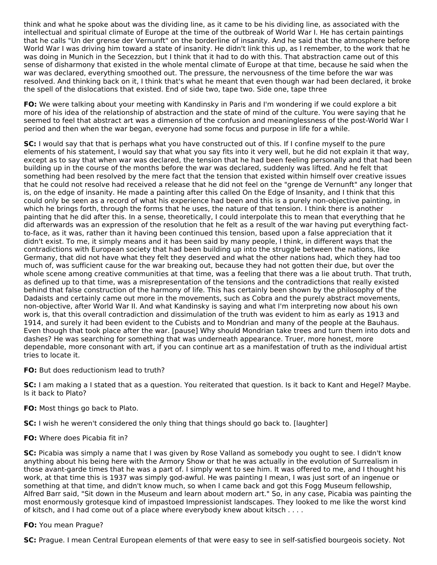think and what he spoke about was the dividing line, as it came to be his dividing line, as associated with the intellectual and spiritual climate of Europe at the time of the outbreak of World War I. He has certain paintings that he calls "Un der grense der Vernunft" on the borderline of insanity. And he said that the atmosphere before World War I was driving him toward a state of insanity. He didn't link this up, as I remember, to the work that he was doing in Munich in the Secezzion, but I think that it had to do with this. That abstraction came out of this sense of disharmony that existed in the whole mental climate of Europe at that time, because he said when the war was declared, everything smoothed out. The pressure, the nervousness of the time before the war was resolved. And thinking back on it, I think that's what he meant that even though war had been declared, it broke the spell of the dislocations that existed. End of side two, tape two. Side one, tape three

**FO:** We were talking about your meeting with Kandinsky in Paris and I'm wondering if we could explore a bit more of his idea of the relationship of abstraction and the state of mind of the culture. You were saying that he seemed to feel that abstract art was a dimension of the confusion and meaninglessness of the post-World War I period and then when the war began, everyone had some focus and purpose in life for a while.

**SC:** I would say that that is perhaps what you have constructed out of this. If I confine myself to the pure elements of his statement, I would say that what you say fits into it very well, but he did not explain it that way, except as to say that when war was declared, the tension that he had been feeling personally and that had been building up in the course of the months before the war was declared, suddenly was lifted. And he felt that something had been resolved by the mere fact that the tension that existed within himself over creative issues that he could not resolve had received a release that he did not feel on the "grenge de Vernunft" any longer that is, on the edge of insanity. He made a painting after this called On the Edge of Insanity, and I think that this could only be seen as a record of what his experience had been and this is a purely non-objective painting, in which he brings forth, through the forms that he uses, the nature of that tension. I think there is another painting that he did after this. In a sense, theoretically, I could interpolate this to mean that everything that he did afterwards was an expression of the resolution that he felt as a result of the war having put everything factto-face, as it was, rather than it having been continued this tension, based upon a false appreciation that it didn't exist. To me, it simply means and it has been said by many people, I think, in different ways that the contradictions with European society that had been building up into the struggle between the nations, like Germany, that did not have what they felt they deserved and what the other nations had, which they had too much of, was sufficient cause for the war breaking out, because they had not gotten their due, but over the whole scene among creative communities at that time, was a feeling that there was a lie about truth. That truth, as defined up to that time, was a misrepresentation of the tensions and the contradictions that really existed behind that false construction of the harmony of life. This has certainly been shown by the philosophy of the Dadaists and certainly came out more in the movements, such as Cobra and the purely abstract movements, non-objective, after World War II. And what Kandinsky is saying and what I'm interpreting now about his own work is, that this overall contradiction and dissimulation of the truth was evident to him as early as 1913 and 1914, and surely it had been evident to the Cubists and to Mondrian and many of the people at the Bauhaus. Even though that took place after the war. [pause] Why should Mondrian take trees and turn them into dots and dashes? He was searching for something that was underneath appearance. Truer, more honest, more dependable, more consonant with art, if you can continue art as a manifestation of truth as the individual artist tries to locate it.

## **FO:** But does reductionism lead to truth?

**SC:** I am making a I stated that as a question. You reiterated that question. Is it back to Kant and Hegel? Maybe. Is it back to Plato?

**FO:** Most things go back to Plato.

**SC:** I wish he weren't considered the only thing that things should go back to. [laughter]

## **FO:** Where does Picabia fit in?

**SC:** Picabia was simply a name that I was given by Rose Valland as somebody you ought to see. I didn't know anything about his being here with the Armory Show or that he was actually in the evolution of Surrealism in those avant-garde times that he was a part of. I simply went to see him. It was offered to me, and I thought his work, at that time this is 1937 was simply god-awful. He was painting I mean, I was just sort of an ingenue or something at that time, and didn't know much, so when I came back and got this Fogg Museum fellowship, Alfred Barr said, "Sit down in the Museum and learn about modern art." So, in any case, Picabia was painting the most enormously grotesque kind of impastoed Impressionist landscapes. They looked to me like the worst kind of kitsch, and I had come out of a place where everybody knew about kitsch . . . .

## **FO:** You mean Prague?

**SC:** Prague. I mean Central European elements of that were easy to see in self-satisfied bourgeois society. Not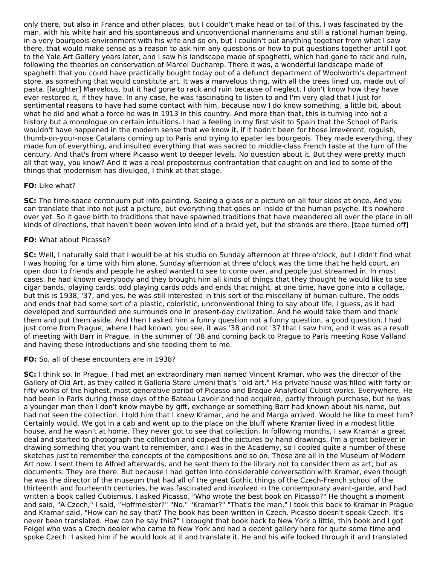only there, but also in France and other places, but I couldn't make head or tail of this. I was fascinated by the man, with his white hair and his spontaneous and unconventional mannerisms and still a rational human being, in a very bourgeois environment with his wife and so on, but I couldn't put anything together from what I saw there, that would make sense as a reason to ask him any questions or how to put questions together until I got to the Yale Art Gallery years later, and I saw his landscape made of spaghetti, which had gone to rack and ruin, following the theories on conservation of Marcel Duchamp. There it was, a wonderful landscape made of spaghetti that you could have practically bought today out of a defunct department of Woolworth's department store, as something that would constitute art. It was a marvelous thing, with all the trees lined up, made out of pasta. [laughter] Marvelous, but it had gone to rack and ruin because of neglect. I don't know how they have ever restored it, if they have. In any case, he was fascinating to listen to and I'm very glad that I just for sentimental reasons to have had some contact with him, because now I do know something, a little bit, about what he did and what a force he was in 1913 in this country. And more than that, this is turning into not a history but a monologue on certain intuitions. I had a feeling in my first visit to Spain that the School of Paris wouldn't have happened in the modern sense that we know it, if it hadn't been for those irreverent, roguish, thumb-on-your-nose Catalans coming up to Paris and trying to epater les bourgeois. They made everything, they made fun of everything, and insulted everything that was sacred to middle-class French taste at the turn of the century. And that's from where Picasso went to deeper levels. No question about it. But they were pretty much all that way, you know? And it was a real preposterous confrontation that caught on and led to some of the things that modernism has divulged, I think at that stage.

## **FO:** Like what?

**SC:** The time-space continuum put into painting. Seeing a glass or a picture on all four sides at once. And you can translate that into not just a picture, but everything that goes on inside of the human psyche. It's nowhere over yet. So it gave birth to traditions that have spawned traditions that have meandered all over the place in all kinds of directions, that haven't been woven into kind of a braid yet, but the strands are there. [tape turned off]

## **FO:** What about Picasso?

**SC:** Well, I naturally said that I would be at his studio on Sunday afternoon at three o'clock, but I didn't find what I was hoping for a time with him alone. Sunday afternoon at three o'clock was the time that he held court, an open door to friends and people he asked wanted to see to come over, and people just streamed in. In most cases, he had known everybody and they brought him all kinds of things that they thought he would like to see cigar bands, playing cards, odd playing cards odds and ends that might, at one time, have gone into a collage, but this is 1938, '37, and yes, he was still interested in this sort of the miscellany of human culture. The odds and ends that had some sort of a plastic, coloristic, unconventional thing to say about life, I guess, as it had developed and surrounded one surrounds one in present-day civilization. And he would take them and thank them and put them aside. And then I asked him a funny question not a funny question, a good question. I had just come from Prague, where I had known, you see, it was '38 and not '37 that I saw him, and it was as a result of meeting with Barr in Prague, in the summer of '38 and coming back to Prague to Paris meeting Rose Valland and having these introductions and she feeding them to me.

#### **FO:** So, all of these encounters are in 1938?

**SC:** I think so. In Prague, I had met an extraordinary man named Vincent Kramar, who was the director of the Gallery of Old Art, as they called it Galleria Stare Umeni that's "old art." His private house was filled with forty or fifty works of the highest, most generative period of Picasso and Braque Analytical Cubist works. Everywhere. He had been in Paris during those days of the Bateau Lavoir and had acquired, partly through purchase, but he was a younger man then I don't know maybe by gift, exchange or something Barr had known about his name, but had not seen the collection. I told him that I knew Kramar, and he and Marga arrived. Would he like to meet him? Certainly would. We got in a cab and went up to the place on the bluff where Kramar lived in a modest little house, and he wasn't at home. They never got to see that collection. In following months, I saw Kramar a great deal and started to photograph the collection and copied the pictures by hand drawings. I'm a great believer in drawing something that you want to remember, and I was in the Academy, so I copied quite a number of these sketches just to remember the concepts of the compositions and so on. Those are all in the Museum of Modern Art now. I sent them to Alfred afterwards, and he sent them to the library not to consider them as art, but as documents. They are there. But because I had gotten into considerable conversation with Kramar, even though he was the director of the museum that had all of the great Gothic things of the Czech-French school of the thirteenth and fourteenth centuries, he was fascinated and involved in the contemporary avant-garde, and had written a book called Cubismus. I asked Picasso, "Who wrote the best book on Picasso?" He thought a moment and said, "A Czech," I said, "Hoffmeister?" "No." "Kramar?" "That's the man." I took this back to Kramar in Prague and Kramar said, "How can he say that? The book has been written in Czech. Picasso doesn't speak Czech. It's never been translated. How can he say this?" I brought that book back to New York a little, thin book and I got Feigel who was a Czech dealer who came to New York and had a decent gallery here for quite some time and spoke Czech. I asked him if he would look at it and translate it. He and his wife looked through it and translated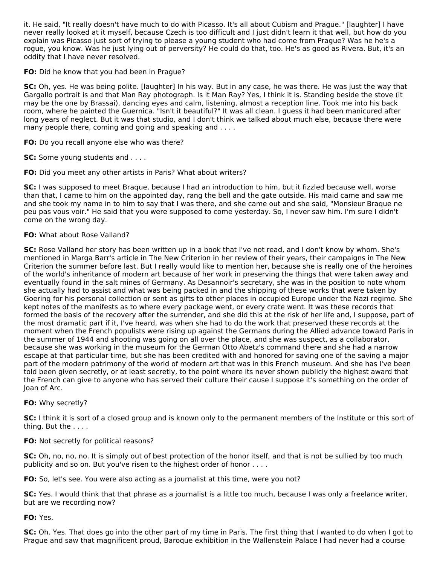it. He said, "It really doesn't have much to do with Picasso. It's all about Cubism and Prague." [laughter] I have never really looked at it myself, because Czech is too difficult and I just didn't learn it that well, but how do you explain was Picasso just sort of trying to please a young student who had come from Prague? Was he he's a rogue, you know. Was he just lying out of perversity? He could do that, too. He's as good as Rivera. But, it's an oddity that I have never resolved.

**FO:** Did he know that you had been in Prague?

**SC:** Oh, yes. He was being polite. [laughter] In his way. But in any case, he was there. He was just the way that Gargallo portrait is and that Man Ray photograph. Is it Man Ray? Yes, I think it is. Standing beside the stove (it may be the one by Brassai), dancing eyes and calm, listening, almost a reception line. Took me into his back room, where he painted the Guernica. "Isn't it beautiful?" It was all clean. I guess it had been manicured after long years of neglect. But it was that studio, and I don't think we talked about much else, because there were many people there, coming and going and speaking and ....

**FO:** Do you recall anyone else who was there?

**SC:** Some young students and . . . .

**FO:** Did you meet any other artists in Paris? What about writers?

**SC:** I was supposed to meet Braque, because I had an introduction to him, but it fizzled because well, worse than that, I came to him on the appointed day, rang the bell and the gate outside. His maid came and saw me and she took my name in to him to say that I was there, and she came out and she said, "Monsieur Braque ne peu pas vous voir." He said that you were supposed to come yesterday. So, I never saw him. I'm sure I didn't come on the wrong day.

## **FO:** What about Rose Valland?

**SC:** Rose Valland her story has been written up in a book that I've not read, and I don't know by whom. She's mentioned in Marga Barr's article in The New Criterion in her review of their years, their campaigns in The New Criterion the summer before last. But I really would like to mention her, because she is really one of the heroines of the world's inheritance of modern art because of her work in preserving the things that were taken away and eventually found in the salt mines of Germany. As Desannoir's secretary, she was in the position to note whom she actually had to assist and what was being packed in and the shipping of these works that were taken by Goering for his personal collection or sent as gifts to other places in occupied Europe under the Nazi regime. She kept notes of the manifests as to where every package went, or every crate went. It was these records that formed the basis of the recovery after the surrender, and she did this at the risk of her life and, I suppose, part of the most dramatic part if it, I've heard, was when she had to do the work that preserved these records at the moment when the French populists were rising up against the Germans during the Allied advance toward Paris in the summer of 1944 and shooting was going on all over the place, and she was suspect, as a collaborator, because she was working in the museum for the German Otto Abetz's command there and she had a narrow escape at that particular time, but she has been credited with and honored for saving one of the saving a major part of the modern patrimony of the world of modern art that was in this French museum. And she has I've been told been given secretly, or at least secretly, to the point where its never shown publicly the highest award that the French can give to anyone who has served their culture their cause I suppose it's something on the order of Joan of Arc.

#### **FO:** Why secretly?

**SC:** I think it is sort of a closed group and is known only to the permanent members of the Institute or this sort of thing. But the . . . .

#### **FO:** Not secretly for political reasons?

**SC:** Oh, no, no, no. It is simply out of best protection of the honor itself, and that is not be sullied by too much publicity and so on. But you've risen to the highest order of honor . . . .

**FO:** So, let's see. You were also acting as a journalist at this time, were you not?

**SC:** Yes. I would think that that phrase as a journalist is a little too much, because I was only a freelance writer, but are we recording now?

#### **FO:** Yes.

**SC:** Oh. Yes. That does go into the other part of my time in Paris. The first thing that I wanted to do when I got to Prague and saw that magnificent proud, Baroque exhibition in the Wallenstein Palace I had never had a course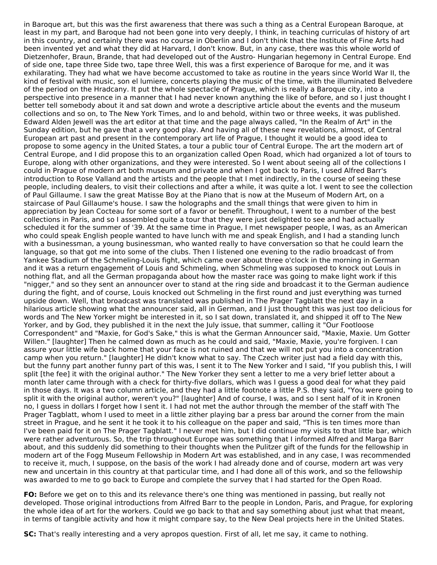in Baroque art, but this was the first awareness that there was such a thing as a Central European Baroque, at least in my part, and Baroque had not been gone into very deeply, I think, in teaching curriculas of history of art in this country, and certainly there was no course in Oberlin and I don't think that the Institute of Fine Arts had been invented yet and what they did at Harvard, I don't know. But, in any case, there was this whole world of Dietzenhofer, Braun, Brande, that had developed out of the Austro- Hungarian hegemony in Central Europe. End of side one, tape three Side two, tape three Well, this was a first experience of Baroque for me, and it was exhilarating. They had what we have become accustomed to take as routine in the years since World War II, the kind of festival with music, son el lumiere, concerts playing the music of the time, with the illuminated Belvedere of the period on the Hradcany. It put the whole spectacle of Prague, which is really a Baroque city, into a perspective into presence in a manner that I had never known anything the like of before, and so I just thought I better tell somebody about it and sat down and wrote a descriptive article about the events and the museum collections and so on, to The New York Times, and lo and behold, within two or three weeks, it was published. Edward Alden Jewell was the art editor at that time and the page always called, "In the Realm of Art" in the Sunday edition, but he gave that a very good play. And having all of these new revelations, almost, of Central European art past and present in the contemporary art life of Prague, I thought it would be a good idea to propose to some agency in the United States, a tour a public tour of Central Europe. The art the modern art of Central Europe, and I did propose this to an organization called Open Road, which had organized a lot of tours to Europe, along with other organizations, and they were interested. So I went about seeing all of the collections I could in Prague of modern art both museum and private and when I got back to Paris, I used Alfred Barr's introduction to Rose Valland and the artists and the people that I met indirectly, in the course of seeing these people, including dealers, to visit their collections and after a while, it was quite a lot. I went to see the collection of Paul Gillaume. I saw the great Matisse Boy at the Piano that is now at the Museum of Modern Art, on a staircase of Paul Gillaume's house. I saw the holographs and the small things that were given to him in appreciation by Jean Cocteau for some sort of a favor or benefit. Throughout, I went to a number of the best collections in Paris, and so I assembled quite a tour that they were just delighted to see and had actually scheduled it for the summer of '39. At the same time in Prague, I met newspaper people, I was, as an American who could speak English people wanted to have lunch with me and speak English, and I had a standing lunch with a businessman, a young businessman, who wanted really to have conversation so that he could learn the language, so that got me into some of the clubs. Then I listened one evening to the radio broadcast of from Yankee Stadium of the Schmeling-Louis fight, which came over about three o'clock in the morning in German and it was a return engagement of Louis and Schmeling, when Schmeling was supposed to knock out Louis in nothing flat, and all the German propaganda about how the master race was going to make light work if this "nigger," and so they sent an announcer over to stand at the ring side and broadcast it to the German audience during the fight, and of course, Louis knocked out Schmeling in the first round and just everything was turned upside down. Well, that broadcast was translated was published in The Prager Tagblatt the next day in a hilarious article showing what the announcer said, all in German, and I just thought this was just too delicious for words and The New Yorker might be interested in it, so I sat down, translated it, and shipped it off to The New Yorker, and by God, they published it in the next the July issue, that summer, calling it "Our Footloose Correspondent" and "Maxie, for God's Sake," this is what the German Announcer said, "Maxie, Maxie. Um Gotter Willen." [laughter] Then he calmed down as much as he could and said, "Maxie, Maxie, you're forgiven. I can assure your little wife back home that your face is not ruined and that we will not put you into a concentration camp when you return." [laughter] He didn't know what to say. The Czech writer just had a field day with this, but the funny part another funny part of this was, I sent it to The New Yorker and I said, "If you publish this, I will split [the fee] it with the original author." The New Yorker they sent a letter to me a very brief letter about a month later came through with a check for thirty-five dollars, which was I guess a good deal for what they paid in those days. It was a two column article, and they had a little footnote a little P.S. they said, "You were going to split it with the original author, weren't you?" [laughter] And of course, I was, and so I sent half of it in Kronen no, I guess in dollars I forget how I sent it. I had not met the author through the member of the staff with The Prager Tagblatt, whom I used to meet in a little zither playing bar a press bar around the corner from the main street in Prague, and he sent it he took it to his colleague on the paper and said, "This is ten times more than I've been paid for it on The Prager Tagblatt." I never met him, but I did continue my visits to that little bar, which were rather adventurous. So, the trip throughout Europe was something that I informed Alfred and Marga Barr about, and this suddenly did something to their thoughts when the Pulitzer gift of the funds for the fellowship in modern art of the Fogg Museum Fellowship in Modern Art was established, and in any case, I was recommended to receive it, much, I suppose, on the basis of the work I had already done and of course, modern art was very new and uncertain in this country at that particular time, and I had done all of this work, and so the fellowship was awarded to me to go back to Europe and complete the survey that I had started for the Open Road.

**FO:** Before we get on to this and its relevance there's one thing was mentioned in passing, but really not developed. Those original introductions from Alfred Barr to the people in London, Paris, and Prague, for exploring the whole idea of art for the workers. Could we go back to that and say something about just what that meant, in terms of tangible activity and how it might compare say, to the New Deal projects here in the United States.

**SC:** That's really interesting and a very apropos question. First of all, let me say, it came to nothing.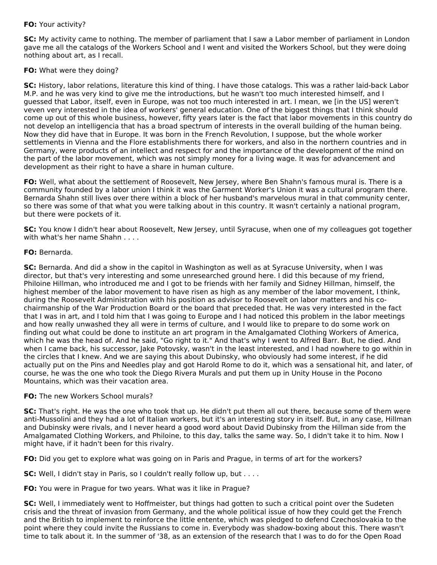## **FO:** Your activity?

**SC:** My activity came to nothing. The member of parliament that I saw a Labor member of parliament in London gave me all the catalogs of the Workers School and I went and visited the Workers School, but they were doing nothing about art, as I recall.

## **FO:** What were they doing?

**SC:** History, labor relations, literature this kind of thing. I have those catalogs. This was a rather laid-back Labor M.P. and he was very kind to give me the introductions, but he wasn't too much interested himself, and I guessed that Labor, itself, even in Europe, was not too much interested in art. I mean, we [in the US] weren't veven very interested in the idea of workers' general education. One of the biggest things that I think should come up out of this whole business, however, fifty years later is the fact that labor movements in this country do not develop an intelligencia that has a broad spectrum of interests in the overall building of the human being. Now they did have that in Europe. It was born in the French Revolution, I suppose, but the whole worker settlements in Vienna and the Flore establishments there for workers, and also in the northern countries and in Germany, were products of an intellect and respect for and the importance of the development of the mind on the part of the labor movement, which was not simply money for a living wage. It was for advancement and development as their right to have a share in human culture.

**FO:** Well, what about the settlement of Roosevelt, New Jersey, where Ben Shahn's famous mural is. There is a community founded by a labor union I think it was the Garment Worker's Union it was a cultural program there. Bernarda Shahn still lives over there within a block of her husband's marvelous mural in that community center, so there was some of that what you were talking about in this country. It wasn't certainly a national program, but there were pockets of it.

**SC:** You know I didn't hear about Roosevelt, New Jersey, until Syracuse, when one of my colleagues got together with what's her name Shahn

## **FO:** Bernarda.

**SC:** Bernarda. And did a show in the capitol in Washington as well as at Syracuse University, when I was director, but that's very interesting and some unresearched ground here. I did this because of my friend, Philoine Hillman, who introduced me and I got to be friends with her family and Sidney Hillman, himself, the highest member of the labor movement to have risen as high as any member of the labor movement, I think, during the Roosevelt Administration with his position as advisor to Roosevelt on labor matters and his cochairmanship of the War Production Board or the board that preceded that. He was very interested in the fact that I was in art, and I told him that I was going to Europe and I had noticed this problem in the labor meetings and how really unwashed they all were in terms of culture, and I would like to prepare to do some work on finding out what could be done to institute an art program in the Amalgamated Clothing Workers of America, which he was the head of. And he said, "Go right to it." And that's why I went to Alfred Barr. But, he died. And when I came back, his successor, Jake Potovsky, wasn't in the least interested, and I had nowhere to go within in the circles that I knew. And we are saying this about Dubinsky, who obviously had some interest, if he did actually put on the Pins and Needles play and got Harold Rome to do it, which was a sensational hit, and later, of course, he was the one who took the Diego Rivera Murals and put them up in Unity House in the Pocono Mountains, which was their vacation area.

#### **FO:** The new Workers School murals?

**SC:** That's right. He was the one who took that up. He didn't put them all out there, because some of them were anti-Mussolini and they had a lot of Italian workers, but it's an interesting story in itself. But, in any case, Hillman and Dubinsky were rivals, and I never heard a good word about David Dubinsky from the Hillman side from the Amalgamated Clothing Workers, and Philoine, to this day, talks the same way. So, I didn't take it to him. Now I might have, if it hadn't been for this rivalry.

**FO:** Did you get to explore what was going on in Paris and Prague, in terms of art for the workers?

**SC:** Well, I didn't stay in Paris, so I couldn't really follow up, but . . . .

**FO:** You were in Prague for two years. What was it like in Prague?

**SC:** Well, I immediately went to Hoffmeister, but things had gotten to such a critical point over the Sudeten crisis and the threat of invasion from Germany, and the whole political issue of how they could get the French and the British to implement to reinforce the little entente, which was pledged to defend Czechoslovakia to the point where they could invite the Russians to come in. Everybody was shadow-boxing about this. There wasn't time to talk about it. In the summer of '38, as an extension of the research that I was to do for the Open Road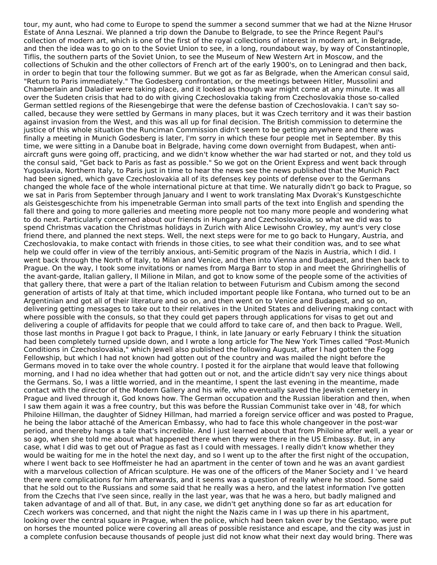tour, my aunt, who had come to Europe to spend the summer a second summer that we had at the Nizne Hrusor Estate of Anna Lesznai. We planned a trip down the Danube to Belgrade, to see the Prince Regent Paul's collection of modern art, which is one of the first of the royal collections of interest in modern art, in Belgrade, and then the idea was to go on to the Soviet Union to see, in a long, roundabout way, by way of Constantinople, Tiflis, the southern parts of the Soviet Union, to see the Museum of New Western Art in Moscow, and the collections of Schukin and the other collectors of French art of the early 1900's, on to Leningrad and then back, in order to begin that tour the following summer. But we got as far as Belgrade, when the American consul said, "Return to Paris immediately." The Godesberg confrontation, or the meetings between Hitler, Mussolini and Chamberlain and Daladier were taking place, and it looked as though war might come at any minute. It was all over the Sudeten crisis that had to do with giving Czechoslovakia taking from Czechoslovakia those so-called German settled regions of the Riesengebirge that were the defense bastion of Czechoslovakia. I can't say socalled, because they were settled by Germans in many places, but it was Czech territory and it was their bastion against invasion from the West, and this was all up for final decision. The British commission to determine the justice of this whole situation the Runciman Commission didn't seem to be getting anywhere and there was finally a meeting in Munich Godesberg is later, I'm sorry in which these four people met in September. By this time, we were sitting in a Danube boat in Belgrade, having come down overnight from Budapest, when antiaircraft guns were going off, practicing, and we didn't know whether the war had started or not, and they told us the consul said, "Get back to Paris as fast as possible." So we got on the Orient Express and went back through Yugoslavia, Northern Italy, to Paris just in time to hear the news see the news published that the Munich Pact had been signed, which gave Czechoslovakia all of its defenses key points of defense over to the Germans changed the whole face of the whole international picture at that time. We naturally didn't go back to Prague, so we sat in Paris from September through January and I went to work translating Max Dvorak's Kunstgeschichte als Geistesgeschichte from his impenetrable German into small parts of the text into English and spending the fall there and going to more galleries and meeting more people not too many more people and wondering what to do next. Particularly concerned about our friends in Hungary and Czechoslovakia, so what we did was to spend Christmas vacation the Christmas holidays in Zurich with Alice Lewisohn Crowley, my aunt's very close friend there, and planned the next steps. Well, the next steps were for me to go back to Hungary, Austria, and Czechoslovakia, to make contact with friends in those cities, to see what their condition was, and to see what help we could offer in view of the terribly anxious, anti-Semitic program of the Nazis in Austria, which I did. I went back through the North of Italy, to Milan and Venice, and then into Vienna and Budapest, and then back to Prague. On the way, I took some invitations or names from Marga Barr to stop in and meet the Ghriringhellis of the avant-garde, Italian gallery, Il Milione in Milan, and got to know some of the people some of the activities of that gallery there, that were a part of the Italian relation to between Futurism and Cubism among the second generation of artists of Italy at that time, which included important people like Fontana, who turned out to be an Argentinian and got all of their literature and so on, and then went on to Venice and Budapest, and so on, delivering getting messages to take out to their relatives in the United States and delivering making contact with where possible with the consuls, so that they could get papers through applications for visas to get out and delivering a couple of affidavits for people that we could afford to take care of, and then back to Prague. Well, those last months in Prague I got back to Prague, I think, in late January or early February I think the situation had been completely turned upside down, and I wrote a long article for The New York Times called "Post-Munich Conditions in Czechoslovakia," which Jewell also published the following August, after I had gotten the Fogg Fellowship, but which I had not known had gotten out of the country and was mailed the night before the Germans moved in to take over the whole country. I posted it for the airplane that would leave that following morning, and I had no idea whether that had gotten out or not, and the article didn't say very nice things about the Germans. So, I was a little worried, and in the meantime, I spent the last evening in the meantime, made contact with the director of the Modern Gallery and his wife, who eventually saved the Jewish cemetery in Prague and lived through it, God knows how. The German occupation and the Russian liberation and then, when I saw them again it was a free country, but this was before the Russian Communist take over in '48, for which Philoine Hillman, the daughter of Sidney Hillman, had married a foreign service officer and was posted to Prague, he being the labor attaché of the American Embassy, who had to face this whole changeover in the post-war period, and thereby hangs a tale that's incredible. And I just learned about that from Philoine after well, a year or so ago, when she told me about what happened there when they were there in the US Embassy. But, in any case, what I did was to get out of Prague as fast as I could with messages. I really didn't know whether they would be waiting for me in the hotel the next day, and so I went up to the after the first night of the occupation, where I went back to see Hoffmeister he had an apartment in the center of town and he was an avant gardiest with a marvelous collection of African sculpture. He was one of the officers of the Maner Society and I 've heard there were complications for him afterwards, and it seems was a question of really where he stood. Some said that he sold out to the Russians and some said that he really was a hero, and the latest information I've gotten from the Czechs that I've seen since, really in the last year, was that he was a hero, but badly maligned and taken advantage of and all of that. But, in any case, we didn't get anything done so far as art education for Czech workers was concerned, and that night the night the Nazis came in I was up there in his apartment, looking over the central square in Prague, when the police, which had been taken over by the Gestapo, were put on horses the mounted police were covering all areas of possible resistance and escape, and the city was just in a complete confusion because thousands of people just did not know what their next day would bring. There was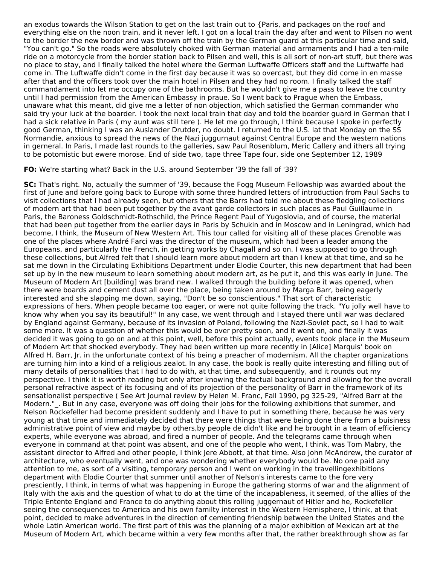an exodus towards the Wilson Station to get on the last train out to {Paris, and packages on the roof and everything else on the noon train, and it never left. I got on a local train the day after and went to Pilsen no went to the border the new border and was thrown off the train by the German guard at this particular time and said, "You can't go." So the roads were absolutely choked with German material and armaments and I had a ten-mile ride on a motorcycle from the border station back to Pilsen and well, this is all sort of non-art stuff, but there was no place to stay, and I finally talked the hotel where the German Luftwaffe Officers staff and the Luftwaffe had come in. The Luftwaffe didn't come in the first day because it was so overcast, but they did come in en masse after that and the officers took over the main hotel in Pilsen and they had no room. I finally talked the staff commandament into let me occupy one of the bathrooms. But he wouldn't give me a pass to leave the country until I had permission from the American Embassy in praue. So I went back to Prague when the Embass, unaware what this meant, did give me a letter of non objection, which satisfied the German commander who said try your luck at the boarder. I took the next local train that day and told the boarder guard in German that I had a sick relative in Paris (my aunt was still tere). He let me go through, I think because I spoke in perfectly good German, thinking I was an Auslander Drutder, no doubt. I returned to the U.S. lat that Monday on the SS Normandie, anxious to spread the news of the Nazi juggurnaut against Central Europe and the western nations in gerneral. In Paris, I made last rounds to the galleries, saw Paul Rosenblum, Meric Callery and ithers all trying to be potomistic but ewere morose. End of side two, tape three Tape four, side one September 12, 1989

#### **FO:** We're starting what? Back in the U.S. around September '39 the fall of '39?

**SC:** That's right. No, actually the summer of '39, because the Fogg Museum Fellowship was awarded about the first of June and before going back to Europe with some three hundred letters of introduction from Paul Sachs to visit collections that I had already seen, but others that the Barrs had told me about these fledgling collections of modern art that had been put together by the avant garde collectors in such places as Paul Guillaume in Paris, the Baroness Goldschmidt-Rothschild, the Prince Regent Paul of Yugoslovia, and of course, the material that had been put together from the earlier days in Paris by Schukin and in Moscow and in Leningrad, which had become, I think, the Museum of New Western Art. This tour called for visiting all of these places Grenoble was one of the places where André Farci was the director of the museum, which had been a leader among the Europeans, and particularly the French, in getting works by Chagall and so on. I was supposed to go through these collections, but Alfred felt that I should learn more about modern art than I knew at that time, and so he sat me down in the Circulating Exhibitions Department under Elodie Courter, this new department that had been set up by in the new museum to learn something about modern art, as he put it, and this was early in June. The Museum of Modern Art [building] was brand new. I walked through the building before it was opened, when there were boards and cement dust all over the place, being taken around by Marga Barr, being eagerly interested and she slapping me down, saying, "Don't be so conscientious." That sort of characteristic expressions of hers. When people became too eager, or were not quite following the track. "Yu jolly well have to know why when you say its beautiful!" In any case, we went through and I stayed there until war was declared by England against Germany, because of its invasion of Poland, following the Nazi-Soviet pact, so I had to wait some more. It was a question of whether this would be over pretty soon, and it went on, and finally it was decided it was going to go on and at this point, well, before this point actually, events took place in the Museum of Modern Art that shocked everybody. They had been written up more recently in [Alice] Marquis' book on Alfred H. Barr, Jr. in the unfortunate context of his being a preacher of modernism. All the chapter organizations are turning him into a kind of a religious zealot. In any case, the book is really quite interesting and filling out of many details of personalities that I had to do with, at that time, and subsequently, and it rounds out my perspective. I think it is worth reading but only after knowing the factual background and allowing for the overall personal refractive aspect of its focusing and of its projection of the personality of Barr in the framework of its sensationalist perspective ( See Art Journal review by Helen M. Franc, Fall 1990, pg 325-29, "Alfred Barr at the Modern." . But in any case, everyone was off doing their jobs for the following exhibitions that summer, and Nelson Rockefeller had become president suddenly and I have to put in something there, because he was very young at that time and immediately decided that there were things that were being done there from a buisiness administrative point of view and maybe by others,by people de didn't like and he brought in a team of efficiency experts, while everyone was abroad, and fired a number of people. And the telegrams came through when everyone in command at that point was absent, and one of the people who went, I think, was Tom Mabry, the assistant director to Alfred and other people, I think Jere Abbott, at that time. Also John McAndrew, the curator of architecture, who eventually went, and one was wondering whether everybody would be. No one paid any attention to me, as sort of a visiting, temporary person and I went on working in the travellingexhibitions department with Elodie Courter that summer until another of Nelson's interests came to the fore very presciently, I think, in terms of what was happening in Europe the gathering storms of war and the alignment of Italy with the axis and the question of what to do at the time of the incapableness, it seemed, of the allies of the Triple Entente England and France to do anything about this rolling juggernaut of Hitler and he, Rockefeller seeing the consequences to America and his own familty interest in the Western Hemisphere, I think, at that point, decided to make adventures in the direction of cementing friendship between the United States and the whole Latin American world. The first part of this was the planning of a major exhibition of Mexican art at the Museum of Modern Art, which became within a very few months after that, the rather breakthrough show as far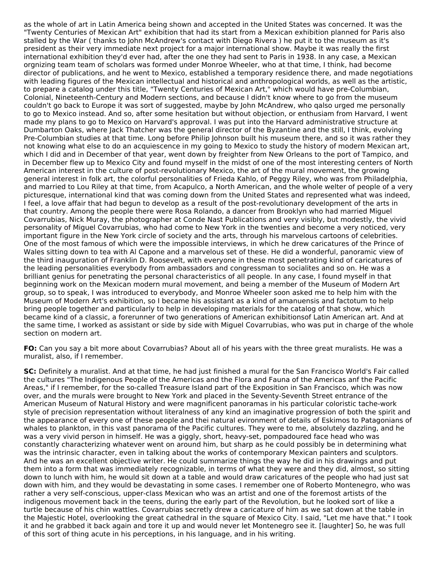as the whole of art in Latin America being shown and accepted in the United States was concerned. It was the "Twenty Centuries of Mexican Art" exhibition that had its start from a Mexican exhibition planned for Paris also stalled by the War ( thanks to John McAndrew's contact with Diego Rivera ) he put it to the museum as it's president as their very immediate next project for a major international show. Maybe it was really the first international exhibition they'd ever had, after the one they had sent to Paris in 1938. In any case, a Mexican orgnizing team team of scholars was formed under Monroe Wheeler, who at that time, I think, had become director of publications, and he went to Mexico, established a temporary residence there, and made negotiations with leading figures of the Mexican intellectual and historical and anthropological worlds, as well as the artistic, to prepare a catalog under this title, "Twenty Centuries of Mexican Art," which would have pre-Columbian, Colonial, Nineteenth-Century and Modern sections, and because I didn't know where to go from the museum couldn't go back to Europe it was sort of suggested, maybe by John McAndrew, who qalso urged me personally to go to Mexico instead. And so, after some hesitation but without objection, or enthusiam from Harvard, I went made my plans to go to Mexico on Harvard's approval. I was put into the Harvard administrative structure at Dumbarton Oaks, where Jack Thatcher was the general director of the Byzantine and the still, I think, evolving Pre-Columbian studies at that time. Long before Philip Johnson built his museum there, and so it was rather they not knowing what else to do an acquiescence in my going to Mexico to study the history of modern Mexican art, which I did and in December of that year, went down by freighter from New Orleans to the port of Tampico, and in December flew up to Mexico City and found myself in the midst of one of the most interesting centers of North American interest in the culture of post-revolutionary Mexico, the art of the mural movement, the growing general interest in folk art, the colorful personalities of Frieda Kahlo, of Peggy Riley, who was from Philadelphia, and married to Lou Riley at that time, from Acapulco, a North American, and the whole welter of people of a very picturesque, international kind that was coming down from the United States and represented what was indeed, I feel, a love affair that had begun to develop as a result of the post-revolutionary development of the arts in that country. Among the people there were Rosa Rolando, a dancer from Brooklyn who had married Miguel Covarrubias, Nick Muray, the photographer at Conde Nast Publications and very visibly, but modestly, the vivid personality of Miguel Covarrubias, who had come to New York in the twenties and become a very noticed, very important figure in the New York circle of society and the arts, through his marvelous cartoons of celebrities. One of the most famous of which were the impossible interviews, in which he drew caricatures of the Prince of Wales sitting down to tea with Al Capone and a marvelous set of these. He did a wonderful, panoramic view of the third inauguration of Franklin D. Roosevelt, with everyone in these most penetrating kind of caricatures of the leading personalities everybody from ambassadors and congressman to socialites and so on. He was a brilliant genius for penetrating the personal characteristics of all people. In any case, I found myself in that beginning work on the Mexican modern mural movement, and being a member of the Museum of Modern Art group, so to speak, I was introduced to everybody, and Monroe Wheeler soon asked me to help him with the Museum of Modern Art's exhibition, so I became his assistant as a kind of amanuensis and factotum to help bring people together and particularly to help in developing materials for the catalog of that show, which became kind of a classic, a forerunner of two generations of American exhibitionsof Latin American art. And at the same time, I worked as assistant or side by side with Miguel Covarrubias, who was put in charge of the whole section on modern art.

**FO:** Can you say a bit more about Covarrubias? About all of his years with the three great muralists. He was a muralist, also, if I remember.

**SC:** Definitely a muralist. And at that time, he had just finished a mural for the San Francisco World's Fair called the cultures "The Indigenous People of the Americas and the Flora and Fauna of the Americas anf the Pacific Areas," if I remember, for the so-called Treasure Island part of the Exposition in San Francisco, which was now over, and the murals were brought to New York and placed in the Seventy-Seventh Street entrance of the American Museum of Natural History and were magnificent panoramas in his particular coloristic tache-work style of precision representation without literalness of any kind an imaginative progression of both the spirit and the appearance of every one of these people and thei natural evironment of details of Eskimos to Patagonians of whales to plankton, in this vast panorama of the Pacific cultures. They were to me, absolutely dazzling, and he was a very vivid person in himself. He was a giggly, short, heavy-set, pompadoured face head who was constantly characterizing whatever went on around him, but sharp as he could possibly be in determining what was the intrinsic character, even in talking about the works of contemporary Mexican painters and sculptors. And he was an excellent objective writer. He could summarize things the way he did in his drawings and put them into a form that was immediately recognizable, in terms of what they were and they did, almost, so sitting down to lunch with him, he would sit down at a table and would draw caricatures of the people who had just sat down with him, and they would be devastating in some cases. I remember one of Roberto Montenegro, who was rather a very self-conscious, upper-class Mexican who was an artist and one of the foremost artists of the indigenous movement back in the teens, during the early part of the Revolution, but he looked sort of like a turtle because of his chin wattles. Covarrubias secretly drew a caricature of him as we sat down at the table in the Majestic Hotel, overlooking the great cathedral in the square of Mexico City. I said, "Let me have that." I took it and he grabbed it back again and tore it up and would never let Montenegro see it. [laughter] So, he was full of this sort of thing acute in his perceptions, in his language, and in his writing.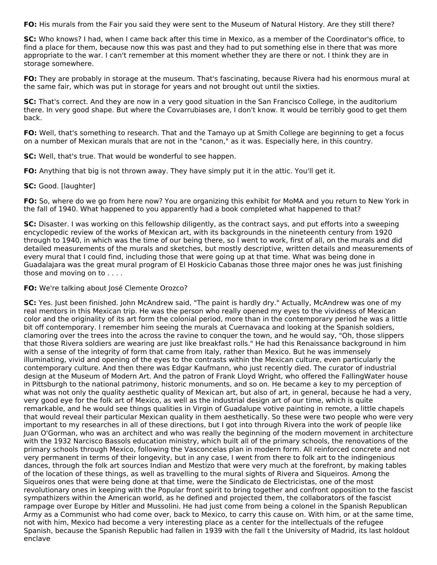**FO:** His murals from the Fair you said they were sent to the Museum of Natural History. Are they still there?

**SC:** Who knows? I had, when I came back after this time in Mexico, as a member of the Coordinator's office, to find a place for them, because now this was past and they had to put something else in there that was more appropriate to the war. I can't remember at this moment whether they are there or not. I think they are in storage somewhere.

**FO:** They are probably in storage at the museum. That's fascinating, because Rivera had his enormous mural at the same fair, which was put in storage for years and not brought out until the sixties.

**SC:** That's correct. And they are now in a very good situation in the San Francisco College, in the auditorium there. In very good shape. But where the Covarrubiases are, I don't know. It would be terribly good to get them back.

**FO:** Well, that's something to research. That and the Tamayo up at Smith College are beginning to get a focus on a number of Mexican murals that are not in the "canon," as it was. Especially here, in this country.

**SC:** Well, that's true. That would be wonderful to see happen.

**FO:** Anything that big is not thrown away. They have simply put it in the attic. You'll get it.

#### **SC:** Good. [laughter]

**FO:** So, where do we go from here now? You are organizing this exhibit for MoMA and you return to New York in the fall of 1940. What happened to you apparently had a book completed what happened to that?

**SC:** Disaster. I was working on this fellowship diligently, as the contract says, and put efforts into a sweeping encyclopedic review of the works of Mexican art, with its backgrounds in the nineteenth century from 1920 through to 1940, in which was the time of our being there, so I went to work, first of all, on the murals and did detailed measurements of the murals and sketches, but mostly descriptive, written details and measurements of every mural that I could find, including those that were going up at that time. What was being done in Guadalajara was the great mural program of El Hoskicio Cabanas those three major ones he was just finishing those and moving on to . . . .

#### **FO:** We're talking about José Clemente Orozco?

**SC:** Yes. Just been finished. John McAndrew said, "The paint is hardly dry." Actually, McAndrew was one of my real mentors in this Mexican trip. He was the person who really opened my eyes to the vividness of Mexican color and the originality of its art form the colonial period, more than in the contemporary period he was a little bit off contemporary. I remember him seeing the murals at Cuernavaca and looking at the Spanish soldiers, clamoring over the trees into the across the ravine to conquer the town, and he would say, "Oh, those slippers that those Rivera soldiers are wearing are just like breakfast rolls." He had this Renaissance background in him with a sense of the integrity of form that came from Italy, rather than Mexico. But he was immensely illuminating, vivid and opening of the eyes to the contrasts within the Mexican culture, even particularly the contemporary culture. And then there was Edgar Kaufmann, who just recently died. The curator of industrial design at the Museum of Modern Art. And the patron of Frank Lloyd Wright, who offered the FallingWater house in Pittsburgh to the national patrimony, historic monuments, and so on. He became a key to my perception of what was not only the quality aesthetic quality of Mexican art, but also of art, in general, because he had a very, very good eye for the folk art of Mexico, as well as the industrial design art of our time, which is quite remarkable, and he would see things qualities in Virgin of Guadalupe votive painting in remote, a little chapels that would reveal their particular Mexican quality in them aesthetically. So these were two people who were very important to my researches in all of these directions, but I got into through Rivera into the work of people like Juan O'Gorman, who was an architect and who was really the beginning of the modern movement in architecture with the 1932 Narcisco Bassols education ministry, which built all of the primary schools, the renovations of the primary schools through Mexico, following the Vasconcelas plan in modern form. All reinforced concrete and not very permanent in terms of their longevity, but in any case, I went from there to folk art to the indingenious dances, through the folk art sources Indian and Mestizo that were very much at the forefront, by making tables of the location of these things, as well as travelling to the mural sights of Rivera and Siqueiros. Among the Siqueiros ones that were being done at that time, were the Sindicato de Electricistas, one of the most revolutionary ones in keeping with the Popular front spirit to bring together and confront opposition to the fascist sympathizers within the American world, as he defined and projected them, the collaborators of the fascist rampage over Europe by Hitler and Mussolini. He had just come from being a colonel in the Spanish Republican Army as a Communist who had come over, back to Mexico, to carry this cause on. With him, or at the same time, not with him, Mexico had become a very interesting place as a center for the intellectuals of the refugee Spanish, because the Spanish Republic had fallen in 1939 with the fall t the University of Madrid, its last holdout enclave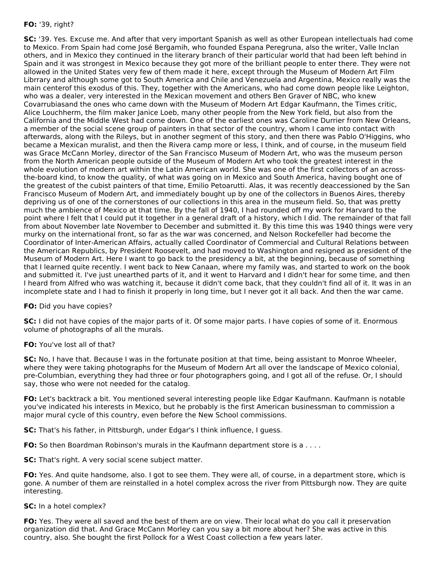## **FO:** '39, right?

**SC:** '39. Yes. Excuse me. And after that very important Spanish as well as other European intellectuals had come to Mexico. From Spain had come José Bergamih, who founded Espana Peregruna, also the writer, Valle Inclan others, and in Mexico they continued in the literary branch of their particular world that had been left behind in Spain and it was strongest in Mexico because they got more of the brilliant people to enter there. They were not allowed in the United States very few of them made it here, except through the Museum of Modern Art Film Librrary and although some got to South America and Chile and Venezuela and Argentina, Mexico really was the main centerof this exodus of this. They, together with the Americans, who had come down people like Leighton, who was a dealer, very interested in the Mexican movement and others Ben Graver of NBC, who knew Covarrubiasand the ones who came down with the Museum of Modern Art Edgar Kaufmann, the Times critic, Alice Louchherm, the film maker Janice Loeb, many other people from the New York field, but also from the California and the Middle West had come down. One of the earliest ones was Caroline Durrier from New Orleans, a member of the social scene group of painters in that sector of the country, whom I came into contact with afterwards, along with the Rileys, but in another segment of this story, and then there was Pablo O'Higgins, who became a Mexican muralist, and then the Rivera camp more or less, I think, and of course, in the museum field was Grace McCann Morley, director of the San Francisco Museum of Modern Art, who was the museum person from the North American people outside of the Museum of Modern Art who took the greatest interest in the whole evolution of modern art within the Latin American world. She was one of the first collectors of an acrossthe-board kind, to know the quality, of what was going on in Mexico and South America, having bought one of the greatest of the cubist painters of that time, Emilio Petoarutti. Alas, it was recently deaccessioned by the San Francisco Museum of Modern Art, and immediately bought up by one of the collectors in Buenos Aires, thereby depriving us of one of the cornerstones of our collections in this area in the museum field. So, that was pretty much the ambience of Mexico at that time. By the fall of 1940, I had rounded off my work for Harvard to the point where I felt that I could put it together in a general draft of a history, which I did. The remainder of that fall from about November late November to December and submitted it. By this time this was 1940 things were very murky on the international front, so far as the war was concerned, and Nelson Rockefeller had become the Coordinator of Inter-American Affairs, actually called Coordinator of Commercial and Cultural Relations between the American Republics, by President Roosevelt, and had moved to Washington and resigned as president of the Museum of Modern Art. Here I want to go back to the presidency a bit, at the beginning, because of something that I learned quite recently. I went back to New Canaan, where my family was, and started to work on the book and submitted it. I've just unearthed parts of it, and it went to Harvard and I didn't hear for some time, and then I heard from Alfred who was watching it, because it didn't come back, that they couldn't find all of it. It was in an incomplete state and I had to finish it properly in long time, but I never got it all back. And then the war came.

#### **FO:** Did you have copies?

**SC:** I did not have copies of the major parts of it. Of some major parts. I have copies of some of it. Enormous volume of photographs of all the murals.

#### **FO:** You've lost all of that?

**SC:** No, I have that. Because I was in the fortunate position at that time, being assistant to Monroe Wheeler, where they were taking photographs for the Museum of Modern Art all over the landscape of Mexico colonial, pre-Columbian, everything they had three or four photographers going, and I got all of the refuse. Or, I should say, those who were not needed for the catalog.

**FO:** Let's backtrack a bit. You mentioned several interesting people like Edgar Kaufmann. Kaufmann is notable you've indicated his interests in Mexico, but he probably is the first American businessman to commission a major mural cycle of this country, even before the New School commissions.

**SC:** That's his father, in Pittsburgh, under Edgar's I think influence, I guess.

**FO:** So then Boardman Robinson's murals in the Kaufmann department store is a . . . .

**SC:** That's right. A very social scene subject matter.

**FO:** Yes. And quite handsome, also. I got to see them. They were all, of course, in a department store, which is gone. A number of them are reinstalled in a hotel complex across the river from Pittsburgh now. They are quite interesting.

## **SC:** In a hotel complex?

**FO:** Yes. They were all saved and the best of them are on view. Their local what do you call it preservation organization did that. And Grace McCann Morley can you say a bit more about her? She was active in this country, also. She bought the first Pollock for a West Coast collection a few years later.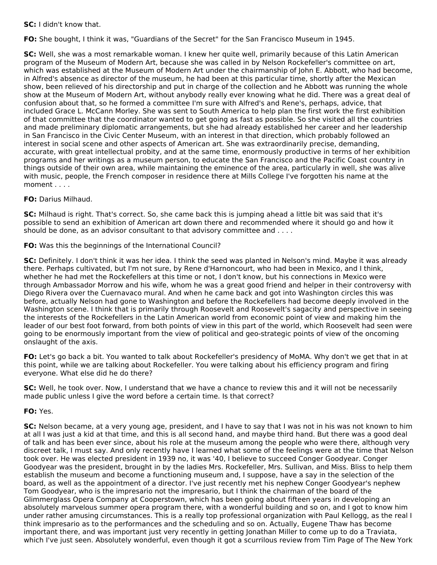**SC:** I didn't know that.

**FO:** She bought, I think it was, "Guardians of the Secret" for the San Francisco Museum in 1945.

**SC:** Well, she was a most remarkable woman. I knew her quite well, primarily because of this Latin American program of the Museum of Modern Art, because she was called in by Nelson Rockefeller's committee on art, which was established at the Museum of Modern Art under the chairmanship of John E. Abbott, who had become, in Alfred's absence as director of the museum, he had been at this particular time, shortly after the Mexican show, been relieved of his directorship and put in charge of the collection and he Abbott was running the whole show at the Museum of Modern Art, without anybody really ever knowing what he did. There was a great deal of confusion about that, so he formed a committee I'm sure with Alfred's and Rene's, perhaps, advice, that included Grace L. McCann Morley. She was sent to South America to help plan the first work the first exhibition of that committee that the coordinator wanted to get going as fast as possible. So she visited all the countries and made preliminary diplomatic arrangements, but she had already established her career and her leadership in San Francisco in the Civic Center Museum, with an interest in that direction, which probably followed an interest in social scene and other aspects of American art. She was extraordinarily precise, demanding, accurate, with great intellectual probity, and at the same time, enormously productive in terms of her exhibition programs and her writings as a museum person, to educate the San Francisco and the Pacific Coast country in things outside of their own area, while maintaining the eminence of the area, particularly in well, she was alive with music, people, the French composer in residence there at Mills College I've forgotten his name at the moment . . . .

## **FO:** Darius Milhaud.

**SC:** Milhaud is right. That's correct. So, she came back this is jumping ahead a little bit was said that it's possible to send an exhibition of American art down there and recommended where it should go and how it should be done, as an advisor consultant to that advisory committee and . . . .

## **FO:** Was this the beginnings of the International Council?

**SC:** Definitely. I don't think it was her idea. I think the seed was planted in Nelson's mind. Maybe it was already there. Perhaps cultivated, but I'm not sure, by Rene d'Harnoncourt, who had been in Mexico, and I think, whether he had met the Rockefellers at this time or not, I don't know, but his connections in Mexico were through Ambassador Morrow and his wife, whom he was a great good friend and helper in their controversy with Diego Rivera over the Cuernavaco mural. And when he came back and got into Washington circles this was before, actually Nelson had gone to Washington and before the Rockefellers had become deeply involved in the Washington scene. I think that is primarily through Roosevelt and Roosevelt's sagacity and perspective in seeing the interests of the Rockefellers in the Latin American world from economic point of view and making him the leader of our best foot forward, from both points of view in this part of the world, which Roosevelt had seen were going to be enormously important from the view of political and geo-strategic points of view of the oncoming onslaught of the axis.

**FO:** Let's go back a bit. You wanted to talk about Rockefeller's presidency of MoMA. Why don't we get that in at this point, while we are talking about Rockefeller. You were talking about his efficiency program and firing everyone. What else did he do there?

**SC:** Well, he took over. Now, I understand that we have a chance to review this and it will not be necessarily made public unless I give the word before a certain time. Is that correct?

#### **FO:** Yes.

**SC:** Nelson became, at a very young age, president, and I have to say that I was not in his was not known to him at all I was just a kid at that time, and this is all second hand, and maybe third hand. But there was a good deal of talk and has been ever since, about his role at the museum among the people who were there, although very discreet talk, I must say. And only recently have I learned what some of the feelings were at the time that Nelson took over. He was elected president in 1939 no, it was '40, I believe to succeed Conger Goodyear. Conger Goodyear was the president, brought in by the ladies Mrs. Rockefeller, Mrs. Sullivan, and Miss. Bliss to help them establish the museum and become a functioning museum and, I suppose, have a say in the selection of the board, as well as the appointment of a director. I've just recently met his nephew Conger Goodyear's nephew Tom Goodyear, who is the impresario not the impresario, but I think the chairman of the board of the Glimmerglass Opera Company at Cooperstown, which has been going about fifteen years in developing an absolutely marvelous summer opera program there, with a wonderful building and so on, and I got to know him under rather amusing circumstances. This is a really top professional organization with Paul Kellogg, as the real I think impresario as to the performances and the scheduling and so on. Actually, Eugene Thaw has become important there, and was important just very recently in getting Jonathan Miller to come up to do a Traviata, which I've just seen. Absolutely wonderful, even though it got a scurrilous review from Tim Page of The New York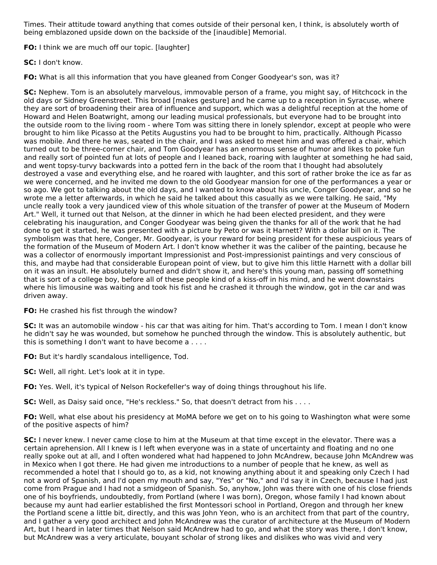Times. Their attitude toward anything that comes outside of their personal ken, I think, is absolutely worth of being emblazoned upside down on the backside of the [inaudible] Memorial.

**FO:** I think we are much off our topic. [laughter]

**SC:** I don't know.

**FO:** What is all this information that you have gleaned from Conger Goodyear's son, was it?

**SC:** Nephew. Tom is an absolutely marvelous, immovable person of a frame, you might say, of Hitchcock in the old days or Sidney Greenstreet. This broad [makes gesture] and he came up to a reception in Syracuse, where they are sort of broadening their area of influence and support, which was a delightful reception at the home of Howard and Helen Boatwright, among our leading musical professionals, but everyone had to be brought into the outside room to the living room - where Tom was sitting there in lonely splendor, except at people who were brought to him like Picasso at the Petits Augustins you had to be brought to him, practically. Although Picasso was mobile. And there he was, seated in the chair, and I was asked to meet him and was offered a chair, which turned out to be three-corner chair, and Tom Goodyear has an enormous sense of humor and likes to poke fun and really sort of pointed fun at lots of people and I leaned back, roaring with laughter at something he had said, and went topsy-turvy backwards into a potted fern in the back of the room that I thought had absolutely destroyed a vase and everything else, and he roared with laughter, and this sort of rather broke the ice as far as we were concerned, and he invited me down to the old Goodyear mansion for one of the performances a year or so ago. We got to talking about the old days, and I wanted to know about his uncle, Conger Goodyear, and so he wrote me a letter afterwards, in which he said he talked about this casually as we were talking. He said, "My uncle really took a very jaundiced view of this whole situation of the transfer of power at the Museum of Modern Art." Well, it turned out that Nelson, at the dinner in which he had been elected president, and they were celebrating his inauguration, and Conger Goodyear was being given the thanks for all of the work that he had done to get it started, he was presented with a picture by Peto or was it Harnett? With a dollar bill on it. The symbolism was that here, Conger, Mr. Goodyear, is your reward for being president for these auspicious years of the formation of the Museum of Modern Art. I don't know whether it was the caliber of the painting, because he was a collector of enormously important Impressionist and Post-impressionist paintings and very conscious of this, and maybe had that considerable European point of view, but to give him this little Harnett with a dollar bill on it was an insult. He absolutely burned and didn't show it, and here's this young man, passing off something that is sort of a college boy, before all of these people kind of a kiss-off in his mind, and he went downstairs where his limousine was waiting and took his fist and he crashed it through the window, got in the car and was driven away.

**FO:** He crashed his fist through the window?

**SC:** It was an automobile window - his car that was aiting for him. That's according to Tom. I mean I don't know he didn't say he was wounded, but somehow he punched through the window. This is absolutely authentic, but this is something I don't want to have become a . . . .

**FO:** But it's hardly scandalous intelligence, Tod.

**SC:** Well, all right. Let's look at it in type.

**FO:** Yes. Well, it's typical of Nelson Rockefeller's way of doing things throughout his life.

**SC:** Well, as Daisy said once, "He's reckless." So, that doesn't detract from his . . . .

**FO:** Well, what else about his presidency at MoMA before we get on to his going to Washington what were some of the positive aspects of him?

**SC:** I never knew. I never came close to him at the Museum at that time except in the elevator. There was a certain aprehension. All I knew is I left when everyone was in a state of uncertainty and floating and no one really spoke out at all, and I often wondered what had happened to John McAndrew, because John McAndrew was in Mexico when I got there. He had given me introductions to a number of people that he knew, as well as recommended a hotel that I should go to, as a kid, not knowing anything about it and speaking only Czech I had not a word of Spanish, and I'd open my mouth and say, "Yes" or "No," and I'd say it in Czech, because I had just come from Prague and I had not a smidgeon of Spanish. So, anyhow, John was there with one of his close friends one of his boyfriends, undoubtedly, from Portland (where I was born), Oregon, whose family I had known about because my aunt had earlier established the first Montessori school in Portland, Oregon and through her knew the Portland scene a little bit, directly, and this was John Yeon, who is an architect from that part of the country, and I gather a very good architect and John McAndrew was the curator of architecture at the Museum of Modern Art, but I heard in later times that Nelson said McAndrew had to go, and what the story was there, I don't know, but McAndrew was a very articulate, bouyant scholar of strong likes and dislikes who was vivid and very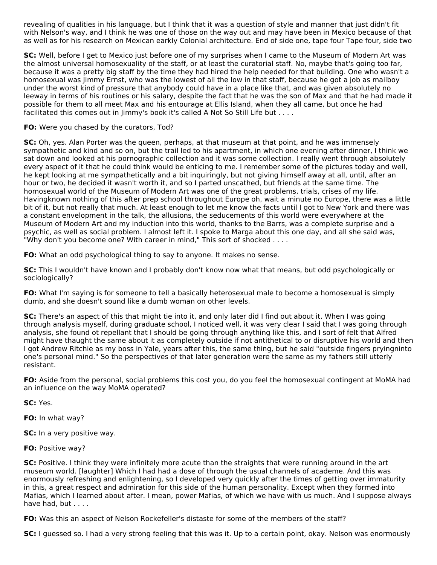revealing of qualities in his language, but I think that it was a question of style and manner that just didn't fit with Nelson's way, and I think he was one of those on the way out and may have been in Mexico because of that as well as for his research on Mexican earkly Colonial architecture. End of side one, tape four Tape four, side two

**SC:** Well, before I get to Mexico just before one of my surprises when I came to the Museum of Modern Art was the almost universal homosexuality of the staff, or at least the curatorial staff. No, maybe that's going too far, because it was a pretty big staff by the time they had hired the help needed for that building. One who wasn't a homosexual was Jimmy Ernst, who was the lowest of all the low in that staff, because he got a job as mailboy under the worst kind of pressure that anybody could have in a place like that, and was given absolutely no leeway in terms of his routines or his salary, despite the fact that he was the son of Max and that he had made it possible for them to all meet Max and his entourage at Ellis Island, when they all came, but once he had facilitated this comes out in Jimmy's book it's called A Not So Still Life but . . . .

## **FO:** Were you chased by the curators, Tod?

**SC:** Oh, yes. Alan Porter was the queen, perhaps, at that museum at that point, and he was immensely sympathetic and kind and so on, but the trail led to his apartment, in which one evening after dinner, I think we sat down and looked at his pornographic collection and it was some collection. I really went through absolutely every aspect of it that he could think would be enticing to me. I remember some of the pictures today and well, he kept looking at me sympathetically and a bit inquiringly, but not giving himself away at all, until, after an hour or two, he decided it wasn't worth it, and so I parted unscathed, but friends at the same time. The homosexual world of the Museum of Modern Art was one of the great problems, trials, crises of my life. Havingknown nothing of this after prep school throughout Europe oh, wait a minute no Europe, there was a little bit of it, but not really that much. At least enough to let me know the facts until I got to New York and there was a constant envelopment in the talk, the allusions, the seducements of this world were everywhere at the Museum of Modern Art and my induction into this world, thanks to the Barrs, was a complete surprise and a psychic, as well as social problem. I almost left it. I spoke to Marga about this one day, and all she said was, "Why don't you become one? With career in mind," This sort of shocked . . . .

**FO:** What an odd psychological thing to say to anyone. It makes no sense.

**SC:** This I wouldn't have known and I probably don't know now what that means, but odd psychologically or sociologically?

**FO:** What I'm saying is for someone to tell a basically heterosexual male to become a homosexual is simply dumb, and she doesn't sound like a dumb woman on other levels.

**SC:** There's an aspect of this that might tie into it, and only later did I find out about it. When I was going through analysis myself, during graduate school, I noticed well, it was very clear I said that I was going through analysis, she found ot repellant that I should be going through anything like this, and I sort of felt that Alfred might have thaught the same about it as completely outside if not antithetical to or disruptive his world and then I got Andrew Ritchie as my boss in Yale, years after this, the same thing, but he said "outside fingers pryingninto one's personal mind." So the perspectives of that later generation were the same as my fathers still utterly resistant.

**FO:** Aside from the personal, social problems this cost you, do you feel the homosexual contingent at MoMA had an influence on the way MoMA operated?

**SC:** Yes.

**FO:** In what way?

**SC:** In a very positive way.

**FO:** Positive way?

**SC:** Positive. I think they were infinitely more acute than the straights that were running around in the art museum world. [laughter] Which I had had a dose of through the usual channels of academe. And this was enormously refreshing and enlightening, so I developed very quickly after the times of getting over immaturity in this, a great respect and admiration for this side of the human personality. Except when they formed into Mafias, which I learned about after. I mean, power Mafias, of which we have with us much. And I suppose always have had, but . . . .

**FO:** Was this an aspect of Nelson Rockefeller's distaste for some of the members of the staff?

**SC:** I guessed so. I had a very strong feeling that this was it. Up to a certain point, okay. Nelson was enormously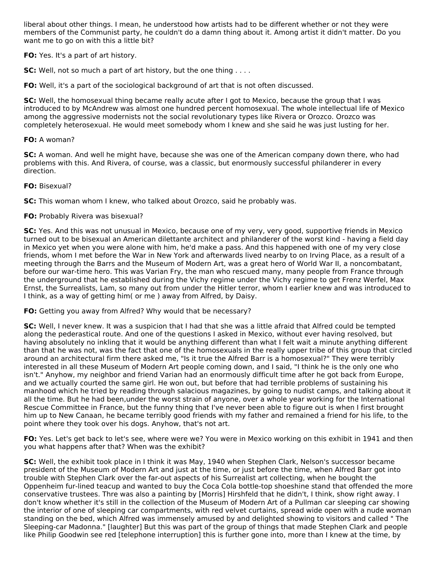liberal about other things. I mean, he understood how artists had to be different whether or not they were members of the Communist party, he couldn't do a damn thing about it. Among artist it didn't matter. Do you want me to go on with this a little bit?

**FO:** Yes. It's a part of art history.

**SC:** Well, not so much a part of art history, but the one thing . . . .

**FO:** Well, it's a part of the sociological background of art that is not often discussed.

**SC:** Well, the homosexual thing became really acute after I got to Mexico, because the group that I was introduced to by McAndrew was almost one hundred percent homosexual. The whole intellectual life of Mexico among the aggressive modernists not the social revolutionary types like Rivera or Orozco. Orozco was completely heterosexual. He would meet somebody whom I knew and she said he was just lusting for her.

#### **FO:** A woman?

**SC:** A woman. And well he might have, because she was one of the American company down there, who had problems with this. And Rivera, of course, was a classic, but enormously successful philanderer in every direction.

## **FO:** Bisexual?

**SC:** This woman whom I knew, who talked about Orozco, said he probably was.

## **FO:** Probably Rivera was bisexual?

**SC:** Yes. And this was not unusual in Mexico, because one of my very, very good, supportive friends in Mexico turned out to be bisexual an American dilettante architect and philanderer of the worst kind - having a field day in Mexico yet when you were alone with him, he'd make a pass. And this happened with one of my very close friends, whom I met before the War in New York and afterwards lived nearby to on Irving Place, as a result of a meeting through the Barrs and the Museum of Modern Art, was a great hero of World War II, a noncombatant, before our war-time hero. This was Varian Fry, the man who rescued many, many people from France through the underground that he established during the Vichy regime under the Vichy regime to get Frenz Werfel, Max Ernst, the Surrealists, Lam, so many out from under the Hitler terror, whom I earlier knew and was introduced to I think, as a way of getting him( or me ) away from Alfred, by Daisy.

#### **FO:** Getting you away from Alfred? Why would that be necessary?

**SC:** Well, I never knew. It was a suspicion that I had that she was a little afraid that Alfred could be tempted along the pederastical route. And one of the questions I asked in Mexico, without ever having resolved, but having absolutely no inkling that it would be anything different than what I felt wait a minute anything different than that he was not, was the fact that one of the homosexuals in the really upper tribe of this group that circled around an architectural firm there asked me, "Is it true the Alfred Barr is a homosexual?" They were terribly interested in all these Museum of Modern Art people coming down, and I said, "I think he is the only one who isn't." Anyhow, my neighbor and friend Varian had an enormously difficult time after he got back from Europe, and we actually courted the same girl. He won out, but before that had terrible problems of sustaining his manhood which he tried by reading through salacious magazines, by going to nudist camps, and talking about it all the time. But he had been,under the worst strain of anyone, over a whole year working for the International Rescue Committee in France, but the funny thing that I've never been able to figure out is when I first brought him up to New Canaan, he became terribly good friends with my father and remained a friend for his life, to the point where they took over his dogs. Anyhow, that's not art.

**FO:** Yes. Let's get back to let's see, where were we? You were in Mexico working on this exhibit in 1941 and then you what happens after that? When was the exhibit?

**SC:** Well, the exhibit took place in I think it was May, 1940 when Stephen Clark, Nelson's successor became president of the Museum of Modern Art and just at the time, or just before the time, when Alfred Barr got into trouble with Stephen Clark over the far-out aspects of his Surrealist art collecting, when he bought the Oppenheim fur-lined teacup and wanted to buy the Coca Cola bottle-top shoeshine stand that offended the more conservative trustees. Thre was also a painting by [Morris] Hirshfeld that he didn't, I think, show right away. I don't know whether it's still in the collection of the Museum of Modern Art of a Pullman car sleeping car showing the interior of one of sleeping car compartments, with red velvet curtains, spread wide open with a nude woman standing on the bed, which Alfred was immensely amused by and delighted showing to visitors and called " The Sleeping-car Madonna." [laughter] But this was part of the group of things that made Stephen Clark and people like Philip Goodwin see red [telephone interruption] this is further gone into, more than I knew at the time, by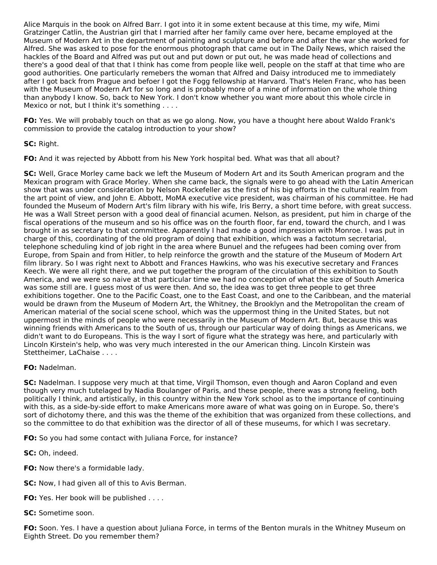Alice Marquis in the book on Alfred Barr. I got into it in some extent because at this time, my wife, Mimi Gratzinger Catlin, the Austrian girl that I married after her family came over here, became employed at the Museum of Modern Art in the department of painting and sculpture and before and after the war she worked for Alfred. She was asked to pose for the enormous photograph that came out in The Daily News, which raised the hackles of the Board and Alfred was put out and put down or put out, he was made head of collections and there's a good deal of that that I think has come from people like well, people on the staff at that time who are good authorities. One particularly remebers the woman that Alfred and Daisy introduced me to immediately after I got back from Prague and befoer I got the Fogg fellowship at Harvard. That's Helen Franc, who has been with the Museum of Modern Art for so long and is probably more of a mine of information on the whole thing than anybody I know. So, back to New York. I don't know whether you want more about this whole circle in Mexico or not, but I think it's something . . . .

**FO:** Yes. We will probably touch on that as we go along. Now, you have a thought here about Waldo Frank's commission to provide the catalog introduction to your show?

**SC:** Right.

**FO:** And it was rejected by Abbott from his New York hospital bed. What was that all about?

**SC:** Well, Grace Morley came back we left the Museum of Modern Art and its South American program and the Mexican program with Grace Morley. When she came back, the signals were to go ahead with the Latin American show that was under consideration by Nelson Rockefeller as the first of his big efforts in the cultural realm from the art point of view, and John E. Abbott, MoMA executive vice president, was chairman of his committee. He had founded the Museum of Modern Art's film library with his wife, Iris Berry, a short time before, with great success. He was a Wall Street person with a good deal of financial acumen. Nelson, as president, put him in charge of the fiscal operations of the museum and so his office was on the fourth floor, far end, toward the church, and I was brought in as secretary to that committee. Apparently I had made a good impression with Monroe. I was put in charge of this, coordinating of the old program of doing that exhibition, which was a factotum secretarial, telephone scheduling kind of job right in the area where Bunuel and the refugees had been coming over from Europe, from Spain and from Hitler, to help reinforce the growth and the stature of the Museum of Modern Art film library. So I was right next to Abbott and Frances Hawkins, who was his executive secretary and Frances Keech. We were all right there, and we put together the program of the circulation of this exhibition to South America, and we were so naive at that particular time we had no conception of what the size of South America was some still are. I guess most of us were then. And so, the idea was to get three people to get three exhibitions together. One to the Pacific Coast, one to the East Coast, and one to the Caribbean, and the material would be drawn from the Museum of Modern Art, the Whitney, the Brooklyn and the Metropolitan the cream of American material of the social scene school, which was the uppermost thing in the United States, but not uppermost in the minds of people who were necessarily in the Museum of Modern Art. But, because this was winning friends with Americans to the South of us, through our particular way of doing things as Americans, we didn't want to do Europeans. This is the way I sort of figure what the strategy was here, and particularly with Lincoln Kirstein's help, who was very much interested in the our American thing. Lincoln Kirstein was Stettheimer, LaChaise . . . .

# **FO:** Nadelman.

**SC:** Nadelman. I suppose very much at that time, Virgil Thomson, even though and Aaron Copland and even though very much tutelaged by Nadia Boulanger of Paris, and these people, there was a strong feeling, both politically I think, and artistically, in this country within the New York school as to the importance of continuing with this, as a side-by-side effort to make Americans more aware of what was going on in Europe. So, there's sort of dichotomy there, and this was the theme of the exhibition that was organized from these collections, and so the committee to do that exhibition was the director of all of these museums, for which I was secretary.

**FO:** So you had some contact with Juliana Force, for instance?

**SC:** Oh, indeed.

- **FO:** Now there's a formidable lady.
- **SC:** Now, I had given all of this to Avis Berman.
- **FO:** Yes. Her book will be published . . . .

**SC:** Sometime soon.

**FO:** Soon. Yes. I have a question about Juliana Force, in terms of the Benton murals in the Whitney Museum on Eighth Street. Do you remember them?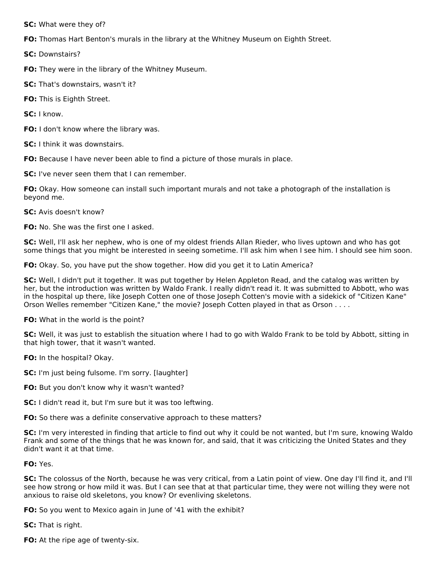**SC:** What were they of?

**FO:** Thomas Hart Benton's murals in the library at the Whitney Museum on Eighth Street.

**SC:** Downstairs?

**FO:** They were in the library of the Whitney Museum.

**SC:** That's downstairs, wasn't it?

**FO:** This is Eighth Street.

**SC:** I know.

**FO:** I don't know where the library was.

**SC:** I think it was downstairs.

**FO:** Because I have never been able to find a picture of those murals in place.

**SC:** I've never seen them that I can remember.

**FO:** Okay. How someone can install such important murals and not take a photograph of the installation is beyond me.

**SC:** Avis doesn't know?

**FO:** No. She was the first one I asked.

**SC:** Well, I'll ask her nephew, who is one of my oldest friends Allan Rieder, who lives uptown and who has got some things that you might be interested in seeing sometime. I'll ask him when I see him. I should see him soon.

**FO:** Okay. So, you have put the show together. How did you get it to Latin America?

**SC:** Well, I didn't put it together. It was put together by Helen Appleton Read, and the catalog was written by her, but the introduction was written by Waldo Frank. I really didn't read it. It was submitted to Abbott, who was in the hospital up there, like Joseph Cotten one of those Joseph Cotten's movie with a sidekick of "Citizen Kane" Orson Welles remember "Citizen Kane," the movie? Joseph Cotten played in that as Orson . . . .

**FO:** What in the world is the point?

**SC:** Well, it was just to establish the situation where I had to go with Waldo Frank to be told by Abbott, sitting in that high tower, that it wasn't wanted.

**FO:** In the hospital? Okay.

**SC:** I'm just being fulsome. I'm sorry. [laughter]

**FO:** But you don't know why it wasn't wanted?

**SC:** I didn't read it, but I'm sure but it was too leftwing.

**FO:** So there was a definite conservative approach to these matters?

**SC:** I'm very interested in finding that article to find out why it could be not wanted, but I'm sure, knowing Waldo Frank and some of the things that he was known for, and said, that it was criticizing the United States and they didn't want it at that time.

**FO:** Yes.

**SC:** The colossus of the North, because he was very critical, from a Latin point of view. One day I'll find it, and I'll see how strong or how mild it was. But I can see that at that particular time, they were not willing they were not anxious to raise old skeletons, you know? Or evenliving skeletons.

**FO:** So you went to Mexico again in June of '41 with the exhibit?

**SC:** That is right.

**FO:** At the ripe age of twenty-six.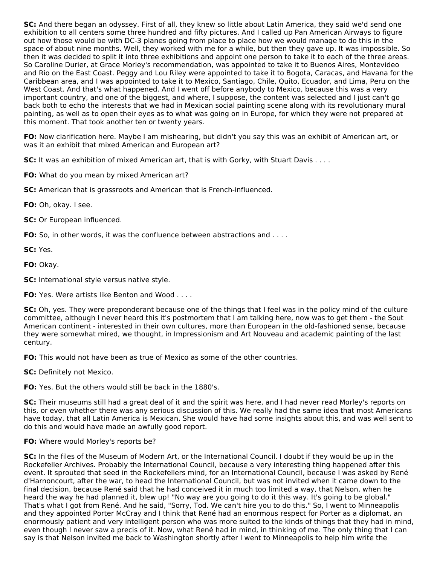**SC:** And there began an odyssey. First of all, they knew so little about Latin America, they said we'd send one exhibition to all centers some three hundred and fifty pictures. And I called up Pan American Airways to figure out how those would be with DC-3 planes going from place to place how we would manage to do this in the space of about nine months. Well, they worked with me for a while, but then they gave up. It was impossible. So then it was decided to split it into three exhibitions and appoint one person to take it to each of the three areas. So Caroline Durier, at Grace Morley's recommendation, was appointed to take it to Buenos Aires, Montevideo and Rio on the East Coast. Peggy and Lou Riley were appointed to take it to Bogota, Caracas, and Havana for the Caribbean area, and I was appointed to take it to Mexico, Santiago, Chile, Quito, Ecuador, and Lima, Peru on the West Coast. And that's what happened. And I went off before anybody to Mexico, because this was a very important country, and one of the biggest, and where, I suppose, the content was selected and I just can't go back both to echo the interests that we had in Mexican social painting scene along with its revolutionary mural painting, as well as to open their eyes as to what was going on in Europe, for which they were not prepared at this moment. That took another ten or twenty years.

**FO:** Now clarification here. Maybe I am mishearing, but didn't you say this was an exhibit of American art, or was it an exhibit that mixed American and European art?

**SC:** It was an exhibition of mixed American art, that is with Gorky, with Stuart Davis . . . .

**FO:** What do you mean by mixed American art?

**SC:** American that is grassroots and American that is French-influenced.

**FO:** Oh, okay. I see.

**SC:** Or European influenced.

**FO:** So, in other words, it was the confluence between abstractions and . . . .

**SC:** Yes.

**FO:** Okay.

**SC:** International style versus native style.

**FO:** Yes. Were artists like Benton and Wood . . . .

**SC:** Oh, yes. They were preponderant because one of the things that I feel was in the policy mind of the culture committee, although I never heard this it's postmortem that I am talking here, now was to get them - the Sout American continent - interested in their own cultures, more than European in the old-fashioned sense, because they were somewhat mired, we thought, in Impressionism and Art Nouveau and academic painting of the last century.

**FO:** This would not have been as true of Mexico as some of the other countries.

**SC:** Definitely not Mexico.

**FO:** Yes. But the others would still be back in the 1880's.

**SC:** Their museums still had a great deal of it and the spirit was here, and I had never read Morley's reports on this, or even whether there was any serious discussion of this. We really had the same idea that most Americans have today, that all Latin America is Mexican. She would have had some insights about this, and was well sent to do this and would have made an awfully good report.

#### **FO:** Where would Morley's reports be?

**SC:** In the files of the Museum of Modern Art, or the International Council. I doubt if they would be up in the Rockefeller Archives. Probably the International Council, because a very interesting thing happened after this event. It sprouted that seed in the Rockefellers mind, for an International Council, because I was asked by René d'Harnoncourt, after the war, to head the International Council, but was not invited when it came down to the final decision, because René said that he had conceived it in much too limited a way, that Nelson, when he heard the way he had planned it, blew up! "No way are you going to do it this way. It's going to be global." That's what I got from René. And he said, "Sorry, Tod. We can't hire you to do this." So, I went to Minneapolis and they appointed Porter McCray and I think that René had an enormous respect for Porter as a diplomat, an enormously patient and very intelligent person who was more suited to the kinds of things that they had in mind, even though I never saw a precis of it. Now, what René had in mind, in thinking of me. The only thing that I can say is that Nelson invited me back to Washington shortly after I went to Minneapolis to help him write the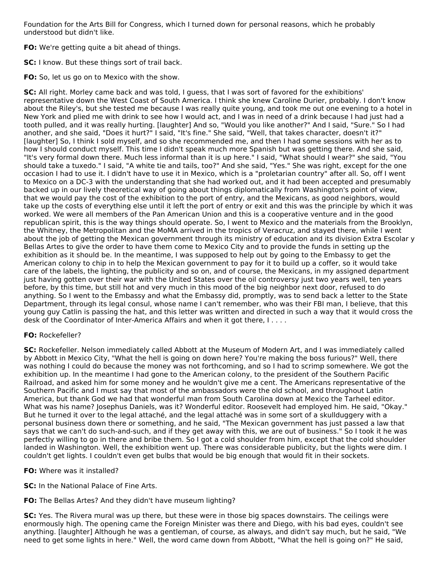Foundation for the Arts Bill for Congress, which I turned down for personal reasons, which he probably understood but didn't like.

**FO:** We're getting quite a bit ahead of things.

**SC:** I know. But these things sort of trail back.

**FO:** So, let us go on to Mexico with the show.

**SC:** All right. Morley came back and was told, I guess, that I was sort of favored for the exhibitions' representative down the West Coast of South America. I think she knew Caroline Durier, probably. I don't know about the Riley's, but she tested me because I was really quite young, and took me out one evening to a hotel in New York and plied me with drink to see how I would act, and I was in need of a drink because I had just had a tooth pulled, and it was really hurting. [laughter] And so, "Would you like another?" And I said, "Sure." So I had another, and she said, "Does it hurt?" I said, "It's fine." She said, "Well, that takes character, doesn't it?" [laughter] So, I think I sold myself, and so she recommended me, and then I had some sessions with her as to how I should conduct myself. This time I didn't speak much more Spanish but was getting there. And she said, "It's very formal down there. Much less informal than it is up here." I said, "What should I wear?" she said, "You should take a tuxedo." I said, "A white tie and tails, too?" And she said, "Yes." She was right, except for the one occasion I had to use it. I didn't have to use it in Mexico, which is a "proletarian country" after all. So, off I went to Mexico on a DC-3 with the understanding that she had worked out, and it had been accepted and presumably backed up in our lively theoretical way of going about things diplomatically from Washington's point of view, that we would pay the cost of the exhibition to the port of entry, and the Mexicans, as good neighbors, would take up the costs of everything else until it left the port of entry or exit and this was the principle by which it was worked. We were all members of the Pan American Union and this is a cooperative venture and in the good republican spirit, this is the way things should operate. So, I went to Mexico and the materials from the Brooklyn, the Whitney, the Metropolitan and the MoMA arrived in the tropics of Veracruz, and stayed there, while I went about the job of getting the Mexican government through its ministry of education and its division Extra Escolar y Bellas Artes to give the order to have them come to Mexico City and to provide the funds in setting up the exhibition as it should be. In the meantime, I was supposed to help out by going to the Embassy to get the American colony to chip in to help the Mexican government to pay for it to build up a coffer, so it would take care of the labels, the lighting, the publicity and so on, and of course, the Mexicans, in my assigned department just having gotten over their war with the United States over the oil controversy just two years well, ten years before, by this time, but still hot and very much in this mood of the big neighbor next door, refused to do anything. So I went to the Embassy and what the Embassy did, promptly, was to send back a letter to the State Department, through its legal consul, whose name I can't remember, who was their FBI man, I believe, that this young guy Catlin is passing the hat, and this letter was written and directed in such a way that it would cross the desk of the Coordinator of Inter-America Affairs and when it got there, I....

# **FO:** Rockefeller?

**SC:** Rockefeller. Nelson immediately called Abbott at the Museum of Modern Art, and I was immediately called by Abbott in Mexico City, "What the hell is going on down here? You're making the boss furious?" Well, there was nothing I could do because the money was not forthcoming, and so I had to scrimp somewhere. We got the exhibition up. In the meantime I had gone to the American colony, to the president of the Southern Pacific Railroad, and asked him for some money and he wouldn't give me a cent. The Americans representative of the Southern Pacific and I must say that most of the ambassadors were the old school, and throughout Latin America, but thank God we had that wonderful man from South Carolina down at Mexico the Tarheel editor. What was his name? Josephus Daniels, was it? Wonderful editor. Roosevelt had employed him. He said, "Okay." But he turned it over to the legal attaché, and the legal attaché was in some sort of a skullduggery with a personal business down there or something, and he said, "The Mexican government has just passed a law that says that we can't do such-and-such, and if they get away with this, we are out of business." So I took it he was perfectly willing to go in there and bribe them. So I got a cold shoulder from him, except that the cold shoulder landed in Washington. Well, the exhibition went up. There was considerable publicity, but the lights were dim. I couldn't get lights. I couldn't even get bulbs that would be big enough that would fit in their sockets.

# **FO:** Where was it installed?

**SC:** In the National Palace of Fine Arts.

**FO:** The Bellas Artes? And they didn't have museum lighting?

**SC:** Yes. The Rivera mural was up there, but these were in those big spaces downstairs. The ceilings were enormously high. The opening came the Foreign Minister was there and Diego, with his bad eyes, couldn't see anything. [laughter] Although he was a gentleman, of course, as always, and didn't say much, but he said, "We need to get some lights in here." Well, the word came down from Abbott, "What the hell is going on?" He said,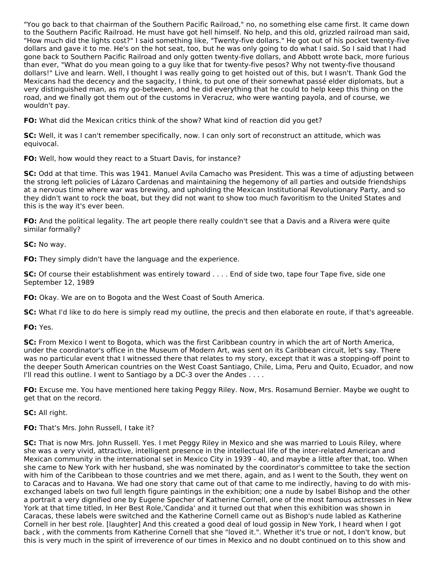"You go back to that chairman of the Southern Pacific Railroad," no, no something else came first. It came down to the Southern Pacific Railroad. He must have got hell himself. No help, and this old, grizzled railroad man said, "How much did the lights cost?" I said something like, "Twenty-five dollars." He got out of his pocket twenty-five dollars and gave it to me. He's on the hot seat, too, but he was only going to do what I said. So I said that I had gone back to Southern Pacific Railroad and only gotten twenty-five dollars, and Abbott wrote back, more furious than ever, "What do you mean going to a guy like that for twenty-five pesos? Why not twenty-five thousand dollars!" Live and learn. Well, I thought I was really going to get hoisted out of this, but I wasn't. Thank God the Mexicans had the decency and the sagacity, I think, to put one of their somewhat passé elder diplomats, but a very distinguished man, as my go-between, and he did everything that he could to help keep this thing on the road, and we finally got them out of the customs in Veracruz, who were wanting payola, and of course, we wouldn't pay.

**FO:** What did the Mexican critics think of the show? What kind of reaction did you get?

**SC:** Well, it was I can't remember specifically, now. I can only sort of reconstruct an attitude, which was equivocal.

**FO:** Well, how would they react to a Stuart Davis, for instance?

**SC:** Odd at that time. This was 1941. Manuel Avila Camacho was President. This was a time of adjusting between the strong left policies of Lázaro Cardenas and maintaining the hegemony of all parties and outside friendships at a nervous time where war was brewing, and upholding the Mexican Institutional Revolutionary Party, and so they didn't want to rock the boat, but they did not want to show too much favoritism to the United States and this is the way it's ever been.

**FO:** And the political legality. The art people there really couldn't see that a Davis and a Rivera were quite similar formally?

**SC:** No way.

**FO:** They simply didn't have the language and the experience.

**SC:** Of course their establishment was entirely toward . . . . End of side two, tape four Tape five, side one September 12, 1989

**FO:** Okay. We are on to Bogota and the West Coast of South America.

**SC:** What I'd like to do here is simply read my outline, the precis and then elaborate en route, if that's agreeable.

**FO:** Yes.

**SC:** From Mexico I went to Bogota, which was the first Caribbean country in which the art of North America, under the coordinator's office in the Museum of Modern Art, was sent on its Caribbean circuit, let's say. There was no particular event that I witnessed there that relates to my story, except that it was a stopping-off point to the deeper South American countries on the West Coast Santiago, Chile, Lima, Peru and Quito, Ecuador, and now I'll read this outline. I went to Santiago by a DC-3 over the Andes . . . .

**FO:** Excuse me. You have mentioned here taking Peggy Riley. Now, Mrs. Rosamund Bernier. Maybe we ought to get that on the record.

**SC:** All right.

**FO:** That's Mrs. John Russell, I take it?

**SC:** That is now Mrs. John Russell. Yes. I met Peggy Riley in Mexico and she was married to Louis Riley, where she was a very vivid, attractive, intelligent presence in the intellectual life of the inter-related American and Mexican community in the international set in Mexico City in 1939 - 40, and maybe a little after that, too. When she came to New York with her husband, she was nominated by the coordinator's committee to take the section with him of the Caribbean to those countries and we met there, again, and as I went to the South, they went on to Caracas and to Havana. We had one story that came out of that came to me indirectly, having to do with misexchanged labels on two full length figure paintings in the exhibition; one a nude by Isabel Bishop and the other a portrait a very dignified one by Eugene Specher of Katherine Cornell, one of the most famous actresses in New York at that time titled, In Her Best Role,'Candida' and it turned out that when this exhibition was shown in Caracas, these labels were switched and the Katherine Cornell came out as Bishop's nude labled as Katherine Cornell in her best role. [laughter] And this created a good deal of loud gossip in New York, I heard when I got back , with the comments from Katherine Cornell that she "loved it.". Whether it's true or not, I don't know, but this is very much in the spirit of irreverence of our times in Mexico and no doubt continued on to this show and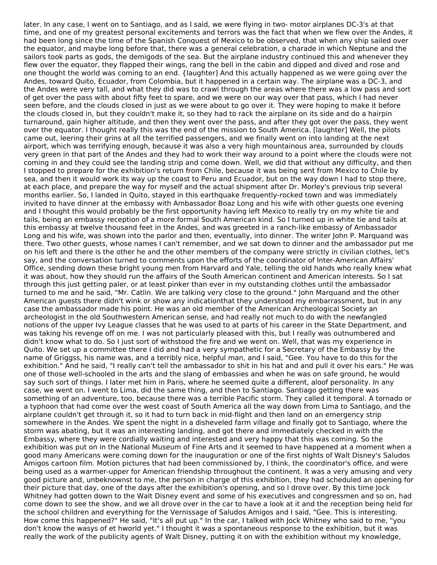later. In any case, I went on to Santiago, and as I said, we were flying in two- motor airplanes DC-3's at that time, and one of my greatest personal excitements and terrors was the fact that when we flew over the Andes, it had been long since the time of the Spanish Conquest of Mexico to be observed, that when any ship sailed over the equator, and maybe long before that, there was a general celebration, a charade in which Neptune and the sailors took parts as gods, the demigods of the sea. But the airplane industry continued this and whenever they flew over the equator, they flapped their wings, rang the bell in the cabin and dipped and dived and rose and one thought the world was coming to an end. {laughter] And this actually happened as we were going over the Andes, toward Quito, Ecuador, from Colombia, but it happened in a certain way. The airplane was a DC-3, and the Andes were very tall, and what they did was to crawl through the areas where there was a low pass and sort of get over the pass with about fifty feet to spare, and we were on our way over that pass, which I had never seen before, and the clouds closed in just as we were about to go over it. They were hoping to make it before the clouds closed in, but they couldn't make it, so they had to rack the airplane on its side and do a hairpin turnaround, gain higher altitude, and then they went over the pass, and after they got over the pass, they went over the equator. I thought really this was the end of the mission to South America. [laughter] Well, the pilots came out, leering their grins at all the terrified passengers, and we finally went on into landing at the next airport, which was terrifying enough, because it was also a very high mountainous area, surrounded by clouds very green in that part of the Andes and they had to work their way around to a point where the clouds were not coming in and they could see the landing strip and come down. Well, we did that without any difficulty, and then I stopped to prepare for the exhibition's return from Chile, because it was being sent from Mexico to Chile by sea, and then it would work its way up the coast to Peru and Ecuador, but on the way down I had to stop there, at each place, and prepare the way for myself and the actual shipment after Dr. Morley's previous trip several months earlier. So, I landed in Quito, stayed in this earthquake frequently-rocked town and was immediately invited to have dinner at the embassy with Ambassador Boaz Long and his wife with other guests one evening and I thought this would probably be the first opportunity having left Mexico to really try on my white tie and tails, being an embassy reception of a more formal South American kind. So I turned up in white tie and tails at this embassy at twelve thousand feet in the Andes, and was greeted in a ranch-like embassy of Ambassador Long and his wife, was shown into the parlor and then, eventually, into dinner. The writer John P. Marquand was there. Two other guests, whose names I can't remember, and we sat down to dinner and the ambassador put me on his left and there is the other he and the other members of the company were strictly in civilian clothes, let's say, and the conversation turned to comments upon the efforts of the coordinator of Inter-American Affairs' Office, sending down these bright young men from Harvard and Yale, telling the old hands who really knew what it was about, how they should run the affairs of the South American continent and American interests. So I sat through this just getting paler, or at least pinker than ever in my outstanding clothes until the ambassador turned to me and he said, "Mr. Catlin. We are talking very close to the ground." John Marquand and the other American guests there didn't wink or show any indicationthat they understood my embarrassment, but in any case the ambassador made his point. He was an old member of the American Archeological Society an archeologist in the old Southwestern American sense, and had really not much to do with the newfangled notions of the upper Ivy League classes that he was used to at parts of his career in the State Department, and was taking his revenge off on me. I was not particularly pleased with this, but I really was outnumbered and didn't know what to do. So I just sort of withstood the fire and we went on. Well, that was my experience in Quito. We set up a committee there I did and had a very sympathetic for a Secretary of the Embassy by the name of Griggss, his name was, and a terribly nice, helpful man, and I said, "Gee. You have to do this for the exhibition." And he said, "I really can't tell the ambassador to shit in his hat and and pull it over his ears." He was one of those well-schooled in the arts and the slang of embassies and when he was on safe ground, he would say such sort of things. I later met him in Paris, where he seemed quite a different, aloof personality. In any case, we went on. I went to Lima, did the same thing, and then to Santiago. Santiago getting there was something of an adventure, too, because there was a terrible Pacific storm. They called it temporal. A tornado or a typhoon that had come over the west coast of South America all the way down from Lima to Santiago, and the airplane couldn't get through it, so it had to turn back in mid-flight and then land on an emergency strip somewhere in the Andes. We spent the night in a disheveled farm village and finally got to Santiago, where the storm was abating, but it was an interesting landing, and got there and immediately checked in with the Embassy, where they were cordially waiting and interested and very happy that this was coming. So the exhibition was put on in the National Museum of Fine Arts and it seemed to have happened at a moment when a good many Americans were coming down for the inauguration or one of the first nights of Walt Disney's Saludos Amigos cartoon film. Motion pictures that had been commissioned by, I think, the coordinator's office, and were being used as a warmer-upper for American friendship throughout the continent. It was a very amusing and very good picture and, unbeknownst to me, the person in charge of this exhibition, they had scheduled an opening for their picture that day, one of the days after the exhibition's opening, and so I drove over. By this time Jock Whitney had gotten down to the Walt Disney event and some of his executives and congressmen and so on, had come down to see the show, and we all drove over in the car to have a look at it and the reception being held for the school children and everything for the Vernissage of Saludos Amigos and I said, "Gee. This is interesting. How come this happened?" He said, "It's all put up." In the car, I talked with Jock Whitney who said to me, "you don't know the wasys of et hworld yet." I thought it was a spontaneous response to the exhibition, but it was really the work of the publicity agents of Walt Disney, putting it on with the exhibition without my knowledge,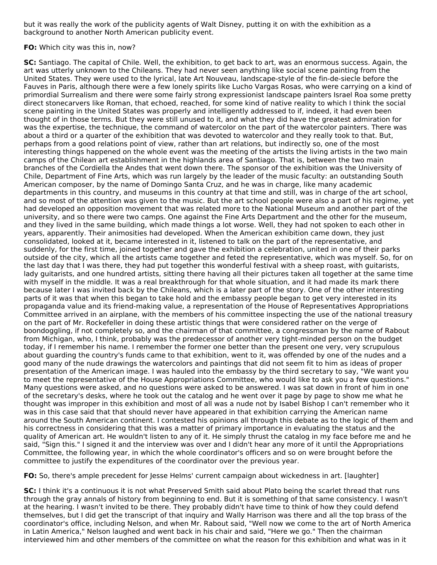but it was really the work of the publicity agents of Walt Disney, putting it on with the exhibition as a background to another North American publicity event.

#### **FO:** Which city was this in, now?

**SC:** Santiago. The capital of Chile. Well, the exhibition, to get back to art, was an enormous success. Again, the art was utterly unknown to the Chileans. They had never seen anything like social scene painting from the United States. They were used to the lyrical, late Art Nouveau, landscape-style of the fin-de-siecle before the Fauves in Paris, although there were a few lonely spirits like Lucho Vargas Rosas, who were carrying on a kind of primordial Surrealism and there were some fairly strong expressionist landscape painters Israel Roa some pretty direct stonecarvers like Roman, that echoed, reached, for some kind of native reality to which I think the social scene painting in the United States was properly and intelligently addressed to if, indeed, it had even been thought of in those terms. But they were still unused to it, and what they did have the greatest admiration for was the expertise, the technique, the command of watercolor on the part of the watercolor painters. There was about a third or a quarter of the exhibition that was devoted to watercolor and they really took to that. But, perhaps from a good relations point of view, rather than art relations, but indirectly so, one of the most interesting things happened on the whole event was the meeting of the artists the living artists in the two main camps of the Chilean art establishment in the highlands area of Santiago. That is, between the two main branches of the Cordiella the Andes that went down there. The sponsor of the exhibition was the University of Chile, Department of Fine Arts, which was run largely by the leader of the music faculty: an outstanding South American composer, by the name of Domingo Santa Cruz, and he was in charge, like many academic departments in this country, and museums in this country at that time and still, was in charge of the art school, and so most of the attention was given to the music. But the art school people were also a part of his regime, yet had developed an opposition movement that was related more to the National Museum and another part of the university, and so there were two camps. One against the Fine Arts Department and the other for the museum, and they lived in the same building, which made things a lot worse. Well, they had not spoken to each other in years, apparently. Their animosities had developed. When the American exhibition came down, they just consolidated, looked at it, became interested in it, listened to talk on the part of the representative, and suddenly, for the first time, joined together and gave the exhibition a celebration, united in one of their parks outside of the city, which all the artists came together and feted the representative, which was myself. So, for on the last day that I was there, they had put together this wonderful festival with a sheep roast, with guitarists, lady guitarists, and one hundred artists, sitting there having all their pictures taken all together at the same time with myself in the middle. It was a real breakthrough for that whole situation, and it had made its mark there because later I was invited back by the Chileans, which is a later part of the story. One of the other interesting parts of it was that when this began to take hold and the embassy people began to get very interested in its propaganda value and its friend-making value, a representation of the House of Representatives Appropriations Committee arrived in an airplane, with the members of his committee inspecting the use of the national treasury on the part of Mr. Rockefeller in doing these artistic things that were considered rather on the verge of boondoggling, if not completely so, and the chairman of that committee, a congressman by the name of Rabout from Michigan, who, I think, probably was the predecessor of another very tight-minded person on the budget today, if I remember his name. I remember the former one better than the present one very, very scrupulous about guarding the country's funds came to that exhibition, went to it, was offended by one of the nudes and a good many of the nude drawings the watercolors and paintings that did not seem fit to him as ideas of proper presentation of the American image. I was hauled into the embassy by the third secretary to say, "We want you to meet the representative of the House Appropriations Committee, who would like to ask you a few questions." Many questions were asked, and no questions were asked to be answered. I was sat down in front of him in one of the secretary's desks, where he took out the catalog and he went over it page by page to show me what he thought was improper in this exhibition and most of all was a nude not by Isabel Bishop I can't remember who it was in this case said that that should never have appeared in that exhibition carrying the American name around the South American continent. I contested his opinions all through this debate as to the logic of them and his correctness in considering that this was a matter of primary importance in evaluating the status and the quality of American art. He wouldn't listen to any of it. He simply thrust the catalog in my face before me and he said, "Sign this." I signed it and the interview was over and I didn't hear any more of it until the Appropriations Committee, the following year, in which the whole coordinator's officers and so on were brought before the committee to justify the expenditures of the coordinator over the previous year.

**FO:** So, there's ample precedent for Jesse Helms' current campaign about wickedness in art. [laughter]

**SC:** I think it's a continuous it is not what Preserved Smith said about Plato being the scarlet thread that runs through the gray annals of history from beginning to end. But it is something of that same consistency. I wasn't at the hearing. I wasn't invited to be there. They probably didn't have time to think of how they could defend themselves, but I did get the transcript of that inquiry and Wally Harrison was there and all the top brass of the coordinator's office, including Nelson, and when Mr. Rabout said, "Well now we come to the art of North America in Latin America," Nelson laughed and went back in his chair and said, "Here we go." Then the chairman interviewed him and other members of the committee on what the reason for this exhibition and what was in it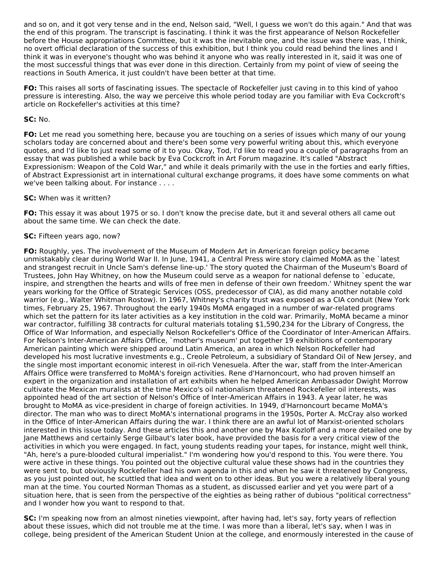and so on, and it got very tense and in the end, Nelson said, "Well, I guess we won't do this again." And that was the end of this program. The transcript is fascinating. I think it was the first appearance of Nelson Rockefeller before the House appropriations Committee, but it was the inevitable one, and the issue was there was, I think, no overt official declaration of the success of this exhibition, but I think you could read behind the lines and I think it was in everyone's thought who was behind it anyone who was really interested in it, said it was one of the most successful things that was ever done in this direction. Certainly from my point of view of seeing the reactions in South America, it just couldn't have been better at that time.

**FO:** This raises all sorts of fascinating issues. The spectacle of Rockefeller just caving in to this kind of yahoo pressure is interesting. Also, the way we perceive this whole period today are you familiar with Eva Cockcroft's article on Rockefeller's activities at this time?

#### **SC:** No.

**FO:** Let me read you something here, because you are touching on a series of issues which many of our young scholars today are concerned about and there's been some very powerful writing about this, which everyone quotes, and I'd like to just read some of it to you. Okay, Tod, I'd like to read you a couple of paragraphs from an essay that was published a while back by Eva Cockcroft in Art Forum magazine. It's called "Abstract Expressionism: Weapon of the Cold War," and while it deals primarily with the use in the forties and early fifties, of Abstract Expressionist art in international cultural exchange programs, it does have some comments on what we've been talking about. For instance . . . .

### **SC:** When was it written?

**FO:** This essay it was about 1975 or so. I don't know the precise date, but it and several others all came out about the same time. We can check the date.

### **SC:** Fifteen years ago, now?

**FO:** Roughly, yes. The involvement of the Museum of Modern Art in American foreign policy became unmistakably clear during World War II. In June, 1941, a Central Press wire story claimed MoMA as the `latest and strangest recruit in Uncle Sam's defense line-up.' The story quoted the Chairman of the Museum's Board of Trustees, John Hay Whitney, on how the Museum could serve as a weapon for national defense to `educate, inspire, and strengthen the hearts and wills of free men in defense of their own freedom.' Whitney spent the war years working for the Office of Strategic Services (OSS, predecessor of CIA), as did many another notable cold warrior (e.g., Walter Whitman Rostow). In 1967, Whitney's charity trust was exposed as a CIA conduit (New York times, February 25, 1967. Throughout the early 1940s MoMA engaged in a number of war-related programs which set the pattern for its later activities as a key institution in the cold war. Primarily, MoMA became a minor war contractor, fulfilling 38 contracts for cultural materials totaling \$1,590,234 for the Library of Congress, the Office of War Information, and especially Nelson Rockefeller's Office of the Coordinator of Inter-American Affairs. For Nelson's Inter-American Affairs Office, `mother's museum' put together 19 exhibitions of contemporary American painting which were shipped around Latin America, an area in which Nelson Rockefeller had developed his most lucrative investments e.g., Creole Petroleum, a subsidiary of Standard Oil of New Jersey, and the single most important economic interest in oil-rich Venesuela. After the war, staff from the Inter-American Affairs Office were transferred to MoMA's foreign activities. Rene d'Harnoncourt, who had proven himself an expert in the organization and installation of art exhibits when he helped American Ambassador Dwight Morrow cultivate the Mexican muralists at the time Mexico's oil nationalism threatened Rockefeller oil interests, was appointed head of the art section of Nelson's Office of Inter-American Affairs in 1943. A year later, he was brought to MoMA as vice-president in charge of foreign activities. In 1949, d'Harnoncourt became MoMA's director. The man who was to direct MoMA's international programs in the 1950s, Porter A. McCray also worked in the Office of Inter-American Affairs during the war. I think there are an awful lot of Marxist-oriented scholars interested in this issue today. And these articles this and another one by Max Kozloff and a more detailed one by Jane Matthews and certainly Serge Gilbaut's later book, have provided the basis for a very critical view of the activities in which you were engaged. In fact, young students reading your tapes, for instance, might well think, "Ah, here's a pure-blooded cultural imperialist." I'm wondering how you'd respond to this. You were there. You were active in these things. You pointed out the objective cultural value these shows had in the countries they were sent to, but obviously Rockefeller had his own agenda in this and when he saw it threatened by Congress, as you just pointed out, he scuttled that idea and went on to other ideas. But you were a relatively liberal young man at the time. You courted Norman Thomas as a student, as discussed earlier and yet you were part of a situation here, that is seen from the perspective of the eighties as being rather of dubious "political correctness" and I wonder how you want to respond to that.

**SC:** I'm speaking now from an almost nineties viewpoint, after having had, let's say, forty years of reflection about these issues, which did not trouble me at the time. I was more than a liberal, let's say, when I was in college, being president of the American Student Union at the college, and enormously interested in the cause of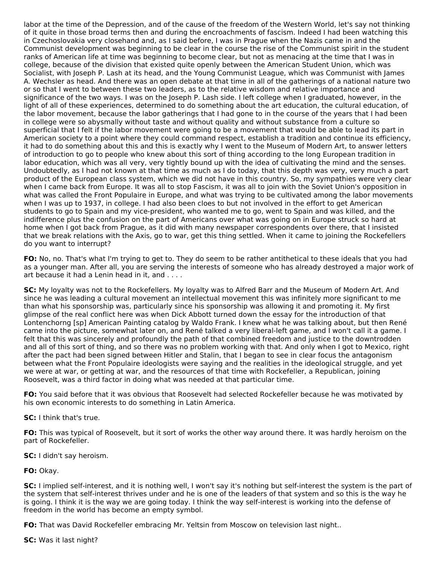labor at the time of the Depression, and of the cause of the freedom of the Western World, let's say not thinking of it quite in those broad terms then and during the encroachments of fascism. Indeed I had been watching this in Czechoslovakia very closehand and, as I said before, I was in Prague when the Nazis came in and the Communist development was beginning to be clear in the course the rise of the Communist spirit in the student ranks of American life at time was beginning to become clear, but not as menacing at the time that I was in college, because of the division that existed quite openly between the American Student Union, which was Socialist, with Joseph P. Lash at its head, and the Young Communist League, which was Communist with James A. Wechsler as head. And there was an open debate at that time in all of the gatherings of a national nature two or so that I went to between these two leaders, as to the relative wisdom and relative importance and significance of the two ways. I was on the Joseph P. Lash side. I left college when I graduated, however, in the light of all of these experiences, determined to do something about the art education, the cultural education, of the labor movement, because the labor gatherings that I had gone to in the course of the years that I had been in college were so abysmally without taste and without quality and without substance from a culture so superficial that I felt if the labor movement were going to be a movement that would be able to lead its part in American society to a point where they could command respect, establish a tradition and continue its efficiency, it had to do something about this and this is exactly why I went to the Museum of Modern Art, to answer letters of introduction to go to people who knew about this sort of thing according to the long European tradition in labor education, which was all very, very tightly bound up with the idea of cultivating the mind and the senses. Undoubtedly, as I had not known at that time as much as I do today, that this depth was very, very much a part product of the European class system, which we did not have in this country. So, my sympathies were very clear when I came back from Europe. It was all to stop Fascism, it was all to join with the Soviet Union's opposition in what was called the Front Populaire in Europe, and what was trying to be cultivated among the labor movements when I was up to 1937, in college. I had also been cloes to but not involved in the effort to get American students to go to Spain and my vice-president, who wanted me to go, went to Spain and was killed, and the indifference plus the confusion on the part of Americans over what was going on in Europe struck so hard at home when I got back from Prague, as it did with many newspaper correspondents over there, that I insisted that we break relations with the Axis, go to war, get this thing settled. When it came to joining the Rockefellers do you want to interrupt?

**FO:** No, no. That's what I'm trying to get to. They do seem to be rather antithetical to these ideals that you had as a younger man. After all, you are serving the interests of someone who has already destroyed a major work of art because it had a Lenin head in it, and . . . .

**SC:** My loyalty was not to the Rockefellers. My loyalty was to Alfred Barr and the Museum of Modern Art. And since he was leading a cultural movement an intellectual movement this was infinitely more significant to me than what his sponsorship was, particularly since his sponsorship was allowing it and promoting it. My first glimpse of the real conflict here was when Dick Abbott turned down the essay for the introduction of that Lontenchorng [sp] American Painting catalog by Waldo Frank. I knew what he was talking about, but then René came into the picture, somewhat later on, and René talked a very liberal-left game, and I won't call it a game. I felt that this was sincerely and profoundly the path of that combined freedom and justice to the downtrodden and all of this sort of thing, and so there was no problem working with that. And only when I got to Mexico, right after the pact had been signed between Hitler and Stalin, that I began to see in clear focus the antagonism between what the Front Populaire ideologists were saying and the realities in the ideological struggle, and yet we were at war, or getting at war, and the resources of that time with Rockefeller, a Republican, joining Roosevelt, was a third factor in doing what was needed at that particular time.

**FO:** You said before that it was obvious that Roosevelt had selected Rockefeller because he was motivated by his own economic interests to do something in Latin America.

**SC:** I think that's true.

**FO:** This was typical of Roosevelt, but it sort of works the other way around there. It was hardly heroism on the part of Rockefeller.

**SC:** I didn't say heroism.

**FO:** Okay.

**SC:** I implied self-interest, and it is nothing well, I won't say it's nothing but self-interest the system is the part of the system that self-interest thrives under and he is one of the leaders of that system and so this is the way he is going. I think it is the way we are going today. I think the way self-interest is working into the defense of freedom in the world has become an empty symbol.

**FO:** That was David Rockefeller embracing Mr. Yeltsin from Moscow on television last night..

**SC:** Was it last night?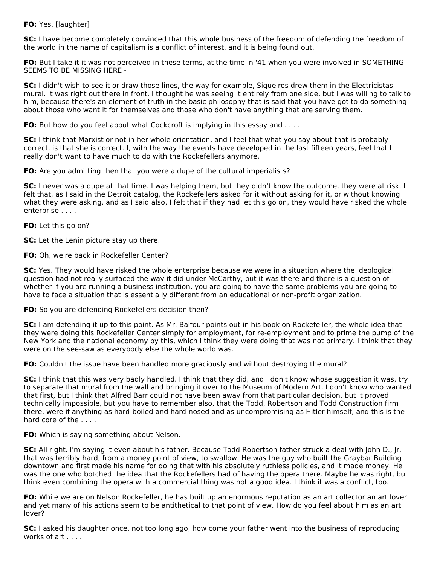# **FO:** Yes. [laughter]

**SC:** I have become completely convinced that this whole business of the freedom of defending the freedom of the world in the name of capitalism is a conflict of interest, and it is being found out.

**FO:** But I take it it was not perceived in these terms, at the time in '41 when you were involved in SOMETHING SEEMS TO BE MISSING HERE -

**SC:** I didn't wish to see it or draw those lines, the way for example, Siqueiros drew them in the Electricistas mural. It was right out there in front. I thought he was seeing it entirely from one side, but I was willing to talk to him, because there's an element of truth in the basic philosophy that is said that you have got to do something about those who want it for themselves and those who don't have anything that are serving them.

**FO:** But how do you feel about what Cockcroft is implying in this essay and . . . .

**SC:** I think that Marxist or not in her whole orientation, and I feel that what you say about that is probably correct, is that she is correct. I, with the way the events have developed in the last fifteen years, feel that I really don't want to have much to do with the Rockefellers anymore.

**FO:** Are you admitting then that you were a dupe of the cultural imperialists?

**SC:** I never was a dupe at that time. I was helping them, but they didn't know the outcome, they were at risk. I felt that, as I said in the Detroit catalog, the Rockefellers asked for it without asking for it, or without knowing what they were asking, and as I said also, I felt that if they had let this go on, they would have risked the whole enterprise . . . .

#### **FO:** Let this go on?

**SC:** Let the Lenin picture stay up there.

**FO:** Oh, we're back in Rockefeller Center?

**SC:** Yes. They would have risked the whole enterprise because we were in a situation where the ideological question had not really surfaced the way it did under McCarthy, but it was there and there is a question of whether if you are running a business institution, you are going to have the same problems you are going to have to face a situation that is essentially different from an educational or non-profit organization.

**FO:** So you are defending Rockefellers decision then?

**SC:** I am defending it up to this point. As Mr. Balfour points out in his book on Rockefeller, the whole idea that they were doing this Rockefeller Center simply for employment, for re-employment and to prime the pump of the New York and the national economy by this, which I think they were doing that was not primary. I think that they were on the see-saw as everybody else the whole world was.

**FO:** Couldn't the issue have been handled more graciously and without destroying the mural?

**SC:** I think that this was very badly handled. I think that they did, and I don't know whose suggestion it was, try to separate that mural from the wall and bringing it over to the Museum of Modern Art. I don't know who wanted that first, but I think that Alfred Barr could not have been away from that particular decision, but it proved technically impossible, but you have to remember also, that the Todd, Robertson and Todd Construction firm there, were if anything as hard-boiled and hard-nosed and as uncompromising as Hitler himself, and this is the hard core of the . . . .

**FO:** Which is saying something about Nelson.

**SC:** All right. I'm saying it even about his father. Because Todd Robertson father struck a deal with John D., Jr. that was terribly hard, from a money point of view, to swallow. He was the guy who built the Graybar Building downtown and first made his name for doing that with his absolutely ruthless policies, and it made money. He was the one who botched the idea that the Rockefellers had of having the opera there. Maybe he was right, but I think even combining the opera with a commercial thing was not a good idea. I think it was a conflict, too.

**FO:** While we are on Nelson Rockefeller, he has built up an enormous reputation as an art collector an art lover and yet many of his actions seem to be antithetical to that point of view. How do you feel about him as an art lover?

**SC:** I asked his daughter once, not too long ago, how come your father went into the business of reproducing works of art . . . .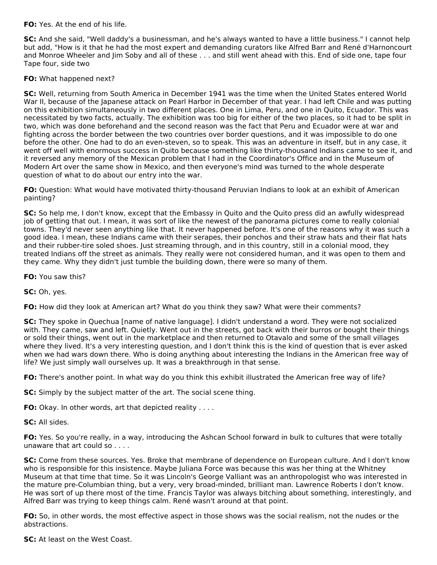**FO:** Yes. At the end of his life.

**SC:** And she said, "Well daddy's a businessman, and he's always wanted to have a little business." I cannot help but add, "How is it that he had the most expert and demanding curators like Alfred Barr and René d'Harnoncourt and Monroe Wheeler and Jim Soby and all of these . . . and still went ahead with this. End of side one, tape four Tape four, side two

### **FO:** What happened next?

**SC:** Well, returning from South America in December 1941 was the time when the United States entered World War II, because of the Japanese attack on Pearl Harbor in December of that year. I had left Chile and was putting on this exhibition simultaneously in two different places. One in Lima, Peru, and one in Quito, Ecuador. This was necessitated by two facts, actually. The exhibition was too big for either of the two places, so it had to be split in two, which was done beforehand and the second reason was the fact that Peru and Ecuador were at war and fighting across the border between the two countries over border questions, and it was impossible to do one before the other. One had to do an even-steven, so to speak. This was an adventure in itself, but in any case, it went off well with enormous success in Quito because something like thirty-thousand Indians came to see it, and it reversed any memory of the Mexican problem that I had in the Coordinator's Office and in the Museum of Modern Art over the same show in Mexico, and then everyone's mind was turned to the whole desperate question of what to do about our entry into the war.

**FO:** Question: What would have motivated thirty-thousand Peruvian Indians to look at an exhibit of American painting?

**SC:** So help me, I don't know, except that the Embassy in Quito and the Quito press did an awfully widespread job of getting that out. I mean, it was sort of like the newest of the panorama pictures come to really colonial towns. They'd never seen anything like that. It never happened before. It's one of the reasons why it was such a good idea. I mean, these Indians came with their serapes, their ponchos and their straw hats and their flat hats and their rubber-tire soled shoes. Just streaming through, and in this country, still in a colonial mood, they treated Indians off the street as animals. They really were not considered human, and it was open to them and they came. Why they didn't just tumble the building down, there were so many of them.

**FO:** You saw this?

**SC:** Oh, yes.

**FO:** How did they look at American art? What do you think they saw? What were their comments?

**SC:** They spoke in Quechua [name of native language]. I didn't understand a word. They were not socialized with. They came, saw and left. Quietly. Went out in the streets, got back with their burros or bought their things or sold their things, went out in the marketplace and then returned to Otavalo and some of the small villages where they lived. It's a very interesting question, and I don't think this is the kind of question that is ever asked when we had wars down there. Who is doing anything about interesting the Indians in the American free way of life? We just simply wall ourselves up. It was a breakthrough in that sense.

**FO:** There's another point. In what way do you think this exhibit illustrated the American free way of life?

**SC:** Simply by the subject matter of the art. The social scene thing.

**FO:** Okay. In other words, art that depicted reality . . . .

**SC:** All sides.

**FO:** Yes. So you're really, in a way, introducing the Ashcan School forward in bulk to cultures that were totally unaware that art could so . . . .

**SC:** Come from these sources. Yes. Broke that membrane of dependence on European culture. And I don't know who is responsible for this insistence. Maybe Juliana Force was because this was her thing at the Whitney Museum at that time that time. So it was Lincoln's George Valliant was an anthropologist who was interested in the mature pre-Columbian thing, but a very, very broad-minded, brilliant man. Lawrence Roberts I don't know. He was sort of up there most of the time. Francis Taylor was always bitching about something, interestingly, and Alfred Barr was trying to keep things calm. René wasn't around at that point.

**FO:** So, in other words, the most effective aspect in those shows was the social realism, not the nudes or the abstractions.

**SC:** At least on the West Coast.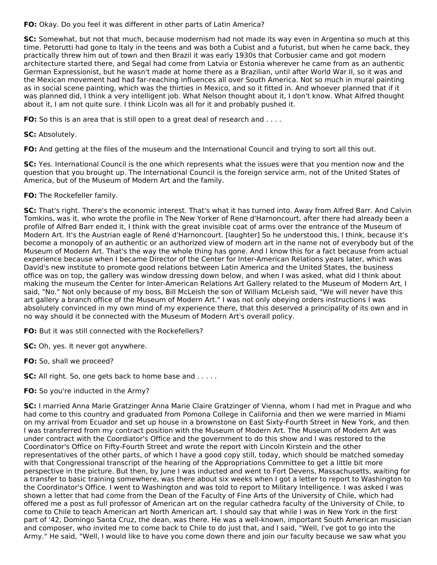**FO:** Okay. Do you feel it was different in other parts of Latin America?

**SC:** Somewhat, but not that much, because modernism had not made its way even in Argentina so much at this time. Petorutti had gone to Italy in the teens and was both a Cubist and a futurist, but when he came back, they practically threw him out of town and then Brazil it was early 1930s that Corbusier came and got modern architecture started there, and Segal had come from Latvia or Estonia wherever he came from as an authentic German Expressionist, but he wasn't made at home there as a Brazilian, until after World War II, so it was and the Mexican movement had had far-reaching influences all over South America. Not so much in mural painting as in social scene painting, which was the thirties in Mexico, and so it fitted in. And whoever planned that if it was planned did, I think a very intelligent job. What Nelson thought about it, I don't know. What Alfred thought about it, I am not quite sure. I think Licoln was all for it and probably pushed it.

**FO:** So this is an area that is still open to a great deal of research and . . . .

**SC:** Absolutely.

**FO:** And getting at the files of the museum and the International Council and trying to sort all this out.

**SC:** Yes. International Council is the one which represents what the issues were that you mention now and the question that you brought up. The International Council is the foreign service arm, not of the United States of America, but of the Museum of Modern Art and the family.

### **FO:** The Rockefeller family.

**SC:** That's right. There's the economic interest. That's what it has turned into. Away from Alfred Barr. And Calvin Tomkins, was it, who wrote the profile in The New Yorker of Rene d'Harnoncourt, after there had already been a profile of Alfred Barr ended it, I think with the great invisible coat of arms over the entrance of the Museum of Modern Art. It's the Austrian eagle of René d'Harnoncourt. [laughter] So he understood this, I think, because it's become a monopoly of an authentic or an authorized view of modern art in the name not of everybody but of the Museum of Modern Art. That's the way the whole thing has gone. And I know this for a fact because from actual experience because when I became Director of the Center for Inter-American Relations years later, which was David's new institute to promote good relations between Latin America and the United States, the business office was on top, the gallery was window dressing down below, and when I was asked, what did I think about making the museum the Center for Inter-American Relations Art Gallery related to the Museum of Modern Art, I said, "No." Not only because of my boss, Bill McLeish the son of William McLeish said, "We will never have this art gallery a branch office of the Museum of Modern Art." I was not only obeying orders instructions I was absolutely convinced in my own mind of my experience there, that this deserved a principality of its own and in no way should it be connected with the Museum of Modern Art's overall policy.

**FO:** But it was still connected with the Rockefellers?

**SC:** Oh, yes. It never got anywhere.

**FO:** So, shall we proceed?

**SC:** All right. So, one gets back to home base and . . . . .

# **FO:** So you're inducted in the Army?

**SC:** I married Anna Marie Gratzinger Anna Marie Claire Gratzinger of Vienna, whom I had met in Prague and who had come to this country and graduated from Pomona College in California and then we were married in Miami on my arrival from Ecuador and set up house in a brownstone on East Sixty-Fourth Street in New York, and then I was transferred from my contract position with the Museum of Modern Art. The Museum of Modern Art was under contract with the Coordiator's Office and the government to do this show and I was restored to the Coordinator's Office on Fifty-Fourth Street and wrote the report with Lincoln Kirstein and the other representatives of the other parts, of which I have a good copy still, today, which should be matched someday with that Congressional transcript of the hearing of the Appropriations Committee to get a little bit more perspective in the picture. But then, by June I was inducted and went to Fort Devens, Massachusetts, waiting for a transfer to basic training somewhere, was there about six weeks when I got a letter to report to Washington to the Coordinator's Office. I went to Washington and was told to report to Military Intelligence. I was asked I was shown a letter that had come from the Dean of the Faculty of Fine Arts of the University of Chile, which had offered me a post as full professor of American art on the regular cathedra faculty of the University of Chile, to come to Chile to teach American art North American art. I should say that while I was in New York in the first part of '42, Domingo Santa Cruz, the dean, was there. He was a well-known, important South American musician and composer, who invited me to come back to Chile to do just that, and I said, "Well, I've got to go into the Army." He said, "Well, I would like to have you come down there and join our faculty because we saw what you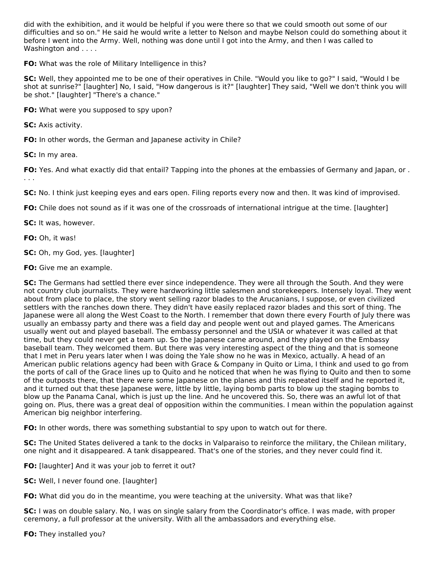did with the exhibition, and it would be helpful if you were there so that we could smooth out some of our difficulties and so on." He said he would write a letter to Nelson and maybe Nelson could do something about it before I went into the Army. Well, nothing was done until I got into the Army, and then I was called to Washington and . . . .

**FO:** What was the role of Military Intelligence in this?

**SC:** Well, they appointed me to be one of their operatives in Chile. "Would you like to go?" I said, "Would I be shot at sunrise?" [laughter] No, I said, "How dangerous is it?" [laughter] They said, "Well we don't think you will be shot." [laughter] "There's a chance."

**FO:** What were you supposed to spy upon?

**SC:** Axis activity.

**FO:** In other words, the German and Japanese activity in Chile?

**SC:** In my area.

**FO:** Yes. And what exactly did that entail? Tapping into the phones at the embassies of Germany and Japan, or . . . .

**SC:** No. I think just keeping eyes and ears open. Filing reports every now and then. It was kind of improvised.

**FO:** Chile does not sound as if it was one of the crossroads of international intrigue at the time. [laughter]

**SC:** It was, however.

**FO:** Oh, it was!

**SC:** Oh, my God, yes. [laughter]

**FO:** Give me an example.

**SC:** The Germans had settled there ever since independence. They were all through the South. And they were not country club journalists. They were hardworking little salesmen and storekeepers. Intensely loyal. They went about from place to place, the story went selling razor blades to the Arucanians, I suppose, or even civilized settlers with the ranches down there. They didn't have easily replaced razor blades and this sort of thing. The Japanese were all along the West Coast to the North. I remember that down there every Fourth of July there was usually an embassy party and there was a field day and people went out and played games. The Americans usually went out and played baseball. The embassy personnel and the USIA or whatever it was called at that time, but they could never get a team up. So the Japanese came around, and they played on the Embassy baseball team. They welcomed them. But there was very interesting aspect of the thing and that is someone that I met in Peru years later when I was doing the Yale show no he was in Mexico, actually. A head of an American public relations agency had been with Grace & Company in Quito or Lima, I think and used to go from the ports of call of the Grace lines up to Quito and he noticed that when he was flying to Quito and then to some of the outposts there, that there were some Japanese on the planes and this repeated itself and he reported it, and it turned out that these Japanese were, little by little, laying bomb parts to blow up the staging bombs to blow up the Panama Canal, which is just up the line. And he uncovered this. So, there was an awful lot of that going on. Plus, there was a great deal of opposition within the communities. I mean within the population against American big neighbor interfering.

**FO:** In other words, there was something substantial to spy upon to watch out for there.

**SC:** The United States delivered a tank to the docks in Valparaiso to reinforce the military, the Chilean military, one night and it disappeared. A tank disappeared. That's one of the stories, and they never could find it.

**FO:** [laughter] And it was your job to ferret it out?

**SC:** Well, I never found one. [laughter]

**FO:** What did you do in the meantime, you were teaching at the university. What was that like?

**SC:** I was on double salary. No, I was on single salary from the Coordinator's office. I was made, with proper ceremony, a full professor at the university. With all the ambassadors and everything else.

**FO:** They installed you?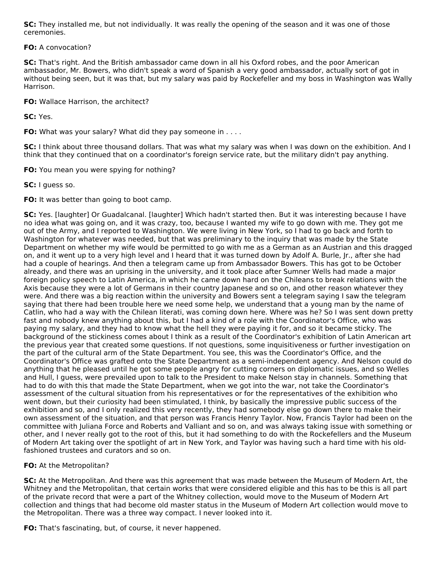**SC:** They installed me, but not individually. It was really the opening of the season and it was one of those ceremonies.

**FO:** A convocation?

**SC:** That's right. And the British ambassador came down in all his Oxford robes, and the poor American ambassador, Mr. Bowers, who didn't speak a word of Spanish a very good ambassador, actually sort of got in without being seen, but it was that, but my salary was paid by Rockefeller and my boss in Washington was Wally Harrison.

**FO:** Wallace Harrison, the architect?

**SC:** Yes.

**FO:** What was your salary? What did they pay someone in . . . .

**SC:** I think about three thousand dollars. That was what my salary was when I was down on the exhibition. And I think that they continued that on a coordinator's foreign service rate, but the military didn't pay anything.

**FO:** You mean you were spying for nothing?

**SC:** I guess so.

**FO:** It was better than going to boot camp.

**SC:** Yes. [laughter] Or Guadalcanal. [laughter] Which hadn't started then. But it was interesting because I have no idea what was going on, and it was crazy, too, because I wanted my wife to go down with me. They got me out of the Army, and I reported to Washington. We were living in New York, so I had to go back and forth to Washington for whatever was needed, but that was preliminary to the inquiry that was made by the State Department on whether my wife would be permitted to go with me as a German as an Austrian and this dragged on, and it went up to a very high level and I heard that it was turned down by Adolf A. Burle, Jr., after she had had a couple of hearings. And then a telegram came up from Ambassador Bowers. This has got to be October already, and there was an uprising in the university, and it took place after Sumner Wells had made a major foreign policy speech to Latin America, in which he came down hard on the Chileans to break relations with the Axis because they were a lot of Germans in their country Japanese and so on, and other reason whatever they were. And there was a big reaction within the university and Bowers sent a telegram saying I saw the telegram saying that there had been trouble here we need some help, we understand that a young man by the name of Catlin, who had a way with the Chilean literati, was coming down here. Where was he? So I was sent down pretty fast and nobody knew anything about this, but I had a kind of a role with the Coordinator's Office, who was paying my salary, and they had to know what the hell they were paying it for, and so it became sticky. The background of the stickiness comes about I think as a result of the Coordinator's exhibition of Latin American art the previous year that created some questions. If not questions, some inquisitiveness or further investigation on the part of the cultural arm of the State Department. You see, this was the Coordinator's Office, and the Coordinator's Office was grafted onto the State Department as a semi-independent agency. And Nelson could do anything that he pleased until he got some people angry for cutting corners on diplomatic issues, and so Welles and Hull, I guess, were prevailed upon to talk to the President to make Nelson stay in channels. Something that had to do with this that made the State Department, when we got into the war, not take the Coordinator's assessment of the cultural situation from his representatives or for the representatives of the exhibition who went down, but their curiosity had been stimulated, I think, by basically the impressive public success of the exhibition and so, and I only realized this very recently, they had somebody else go down there to make their own assessment of the situation, and that person was Francis Henry Taylor. Now, Francis Taylor had been on the committee with Juliana Force and Roberts and Valliant and so on, and was always taking issue with something or other, and I never really got to the root of this, but it had something to do with the Rockefellers and the Museum of Modern Art taking over the spotlight of art in New York, and Taylor was having such a hard time with his oldfashioned trustees and curators and so on.

**FO:** At the Metropolitan?

**SC:** At the Metropolitan. And there was this agreement that was made between the Museum of Modern Art, the Whitney and the Metropolitan, that certain works that were considered eligible and this has to be this is all part of the private record that were a part of the Whitney collection, would move to the Museum of Modern Art collection and things that had become old master status in the Museum of Modern Art collection would move to the Metropolitan. There was a three way compact. I never looked into it.

**FO:** That's fascinating, but, of course, it never happened.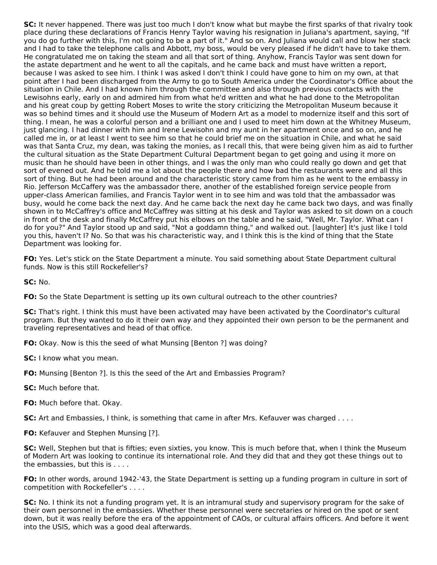**SC:** It never happened. There was just too much I don't know what but maybe the first sparks of that rivalry took place during these declarations of Francis Henry Taylor waving his resignation in Juliana's apartment, saying, "If you do go further with this, I'm not going to be a part of it." And so on. And Juliana would call and blow her stack and I had to take the telephone calls and Abbott, my boss, would be very pleased if he didn't have to take them. He congratulated me on taking the steam and all that sort of thing. Anyhow, Francis Taylor was sent down for the astate department and he went to all the capitals, and he came back and must have written a report, because I was asked to see him. I think I was asked I don't think I could have gone to him on my own, at that point after I had been discharged from the Army to go to South America under the Coordinator's Office about the situation in Chile. And I had known him through the committee and also through previous contacts with the Lewisohns early, early on and admired him from what he'd written and what he had done to the Metropolitan and his great coup by getting Robert Moses to write the story criticizing the Metropolitan Museum because it was so behind times and it should use the Museum of Modern Art as a model to modernize itself and this sort of thing. I mean, he was a colorful person and a brilliant one and I used to meet him down at the Whitney Museum, just glancing. I had dinner with him and Irene Lewisohn and my aunt in her apartment once and so on, and he called me in, or at least I went to see him so that he could brief me on the situation in Chile, and what he said was that Santa Cruz, my dean, was taking the monies, as I recall this, that were being given him as aid to further the cultural situation as the State Department Cultural Department began to get going and using it more on music than he should have been in other things, and I was the only man who could really go down and get that sort of evened out. And he told me a lot about the people there and how bad the restaurants were and all this sort of thing. But he had been around and the characteristic story came from him as he went to the embassy in Rio. Jefferson McCaffery was the ambassador there, another of the established foreign service people from upper-class American families, and Francis Taylor went in to see him and was told that the ambassador was busy, would he come back the next day. And he came back the next day he came back two days, and was finally shown in to McCaffrey's office and McCaffrey was sitting at his desk and Taylor was asked to sit down on a couch in front of the desk and finally McCaffrey put his elbows on the table and he said, "Well, Mr. Taylor. What can I do for you?" And Taylor stood up and said, "Not a goddamn thing," and walked out. [laughter] It's just like I told you this, haven't I? No. So that was his characteristic way, and I think this is the kind of thing that the State Department was looking for.

**FO:** Yes. Let's stick on the State Department a minute. You said something about State Department cultural funds. Now is this still Rockefeller's?

**SC:** No.

**FO:** So the State Department is setting up its own cultural outreach to the other countries?

**SC:** That's right. I think this must have been activated may have been activated by the Coordinator's cultural program. But they wanted to do it their own way and they appointed their own person to be the permanent and traveling representatives and head of that office.

**FO:** Okay. Now is this the seed of what Munsing [Benton ?] was doing?

**SC:** I know what you mean.

**FO:** Munsing [Benton ?]. Is this the seed of the Art and Embassies Program?

**SC:** Much before that.

**FO:** Much before that. Okay.

**SC:** Art and Embassies, I think, is something that came in after Mrs. Kefauver was charged . . . .

**FO:** Kefauver and Stephen Munsing [?].

**SC:** Well, Stephen but that is fifties; even sixties, you know. This is much before that, when I think the Museum of Modern Art was looking to continue its international role. And they did that and they got these things out to the embassies, but this is . . . .

**FO:** In other words, around 1942-'43, the State Department is setting up a funding program in culture in sort of competition with Rockefeller's . . . .

**SC:** No. I think its not a funding program yet. It is an intramural study and supervisory program for the sake of their own personnel in the embassies. Whether these personnel were secretaries or hired on the spot or sent down, but it was really before the era of the appointment of CAOs, or cultural affairs officers. And before it went into the USIS, which was a good deal afterwards.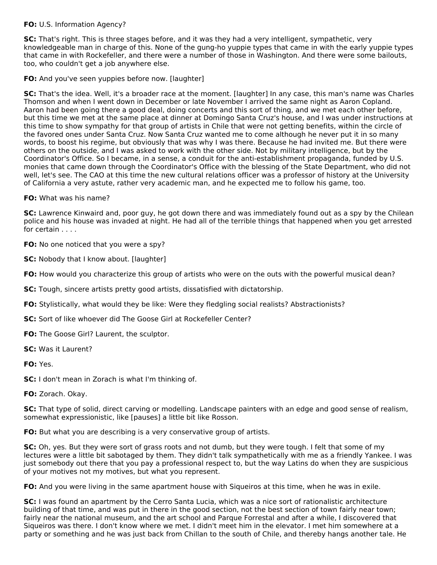# **FO:** U.S. Information Agency?

**SC:** That's right. This is three stages before, and it was they had a very intelligent, sympathetic, very knowledgeable man in charge of this. None of the gung-ho yuppie types that came in with the early yuppie types that came in with Rockefeller, and there were a number of those in Washington. And there were some bailouts, too, who couldn't get a job anywhere else.

### **FO:** And you've seen yuppies before now. [laughter]

**SC:** That's the idea. Well, it's a broader race at the moment. [laughter] In any case, this man's name was Charles Thomson and when I went down in December or late November I arrived the same night as Aaron Copland. Aaron had been going there a good deal, doing concerts and this sort of thing, and we met each other before, but this time we met at the same place at dinner at Domingo Santa Cruz's house, and I was under instructions at this time to show sympathy for that group of artists in Chile that were not getting benefits, within the circle of the favored ones under Santa Cruz. Now Santa Cruz wanted me to come although he never put it in so many words, to boost his regime, but obviously that was why I was there. Because he had invited me. But there were others on the outside, and I was asked to work with the other side. Not by military intelligence, but by the Coordinator's Office. So I became, in a sense, a conduit for the anti-establishment propaganda, funded by U.S. monies that came down through the Coordinator's Office with the blessing of the State Department, who did not well, let's see. The CAO at this time the new cultural relations officer was a professor of history at the University of California a very astute, rather very academic man, and he expected me to follow his game, too.

### **FO:** What was his name?

**SC:** Lawrence Kinwaird and, poor guy, he got down there and was immediately found out as a spy by the Chilean police and his house was invaded at night. He had all of the terrible things that happened when you get arrested for certain . . . .

**FO:** No one noticed that you were a spy?

**SC:** Nobody that I know about. [laughter]

**FO:** How would you characterize this group of artists who were on the outs with the powerful musical dean?

- **SC:** Tough, sincere artists pretty good artists, dissatisfied with dictatorship.
- **FO:** Stylistically, what would they be like: Were they fledgling social realists? Abstractionists?
- **SC:** Sort of like whoever did The Goose Girl at Rockefeller Center?
- **FO:** The Goose Girl? Laurent, the sculptor.
- **SC:** Was it Laurent?

**FO:** Yes.

**SC:** I don't mean in Zorach is what I'm thinking of.

**FO:** Zorach. Okay.

**SC:** That type of solid, direct carving or modelling. Landscape painters with an edge and good sense of realism, somewhat expressionistic, like [pauses] a little bit like Rosson.

**FO:** But what you are describing is a very conservative group of artists.

**SC:** Oh, yes. But they were sort of grass roots and not dumb, but they were tough. I felt that some of my lectures were a little bit sabotaged by them. They didn't talk sympathetically with me as a friendly Yankee. I was just somebody out there that you pay a professional respect to, but the way Latins do when they are suspicious of your motives not my motives, but what you represent.

**FO:** And you were living in the same apartment house with Siqueiros at this time, when he was in exile.

**SC:** I was found an apartment by the Cerro Santa Lucia, which was a nice sort of rationalistic architecture building of that time, and was put in there in the good section, not the best section of town fairly near town; fairly near the national museum, and the art school and Parque Forrestal and after a while, I discovered that Siqueiros was there. I don't know where we met. I didn't meet him in the elevator. I met him somewhere at a party or something and he was just back from Chillan to the south of Chile, and thereby hangs another tale. He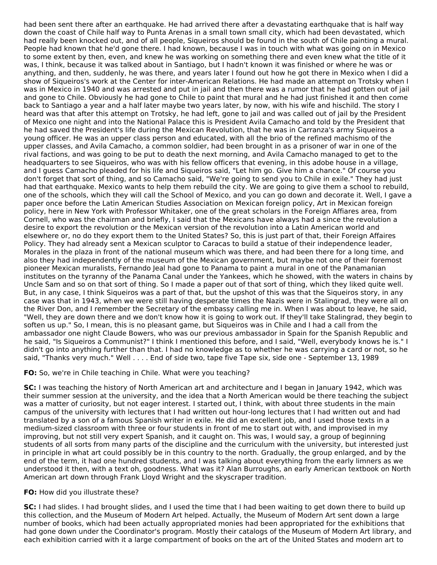had been sent there after an earthquake. He had arrived there after a devastating earthquake that is half way down the coast of Chile half way to Punta Arenas in a small town small city, which had been devastated, which had really been knocked out, and of all people, Siqueiros should be found in the south of Chile painting a mural. People had known that he'd gone there. I had known, because I was in touch with what was going on in Mexico to some extent by then, even, and knew he was working on something there and even knew what the title of it was, I think, because it was talked about in Santiago, but I hadn't known it was finished or where he was or anything, and then, suddenly, he was there, and years later I found out how he got there in Mexico when I did a show of Siqueiros's work at the Center for inter-American Relations. He had made an attempt on Trotsky when I was in Mexico in 1940 and was arrested and put in jail and then there was a rumor that he had gotten out of jail and gone to Chile. Obviously he had gone to Chile to paint that mural and he had just finished it and then come back to Santiago a year and a half later maybe two years later, by now, with his wife and hischild. The story I heard was that after this attempt on Trotsky, he had left, gone to jail and was called out of jail by the President of Mexico one night and into the National Palace this is President Avila Camacho and told by the President that he had saved the President's life during the Mexican Revolution, that he was in Carranza's army Siqueiros a young officer. He was an upper class person and educated, with all the brio of the refined machismo of the upper classes, and Avila Camacho, a common soldier, had been brought in as a prisoner of war in one of the rival factions, and was going to be put to death the next morning, and Avila Camacho managed to get to the headquarters to see Siqueiros, who was with his fellow officers that evening, in this adobe house in a village, and I guess Camacho pleaded for his life and Siqueiros said, "Let him go. Give him a chance." Of course you don't forget that sort of thing, and so Camacho said, "We're going to send you to Chile in exile." They had just had that earthquake. Mexico wants to help them rebuild the city. We are going to give them a school to rebuild, one of the schools, which they will call the School of Mexico, and you can go down and decorate it. Well, I gave a paper once before the Latin American Studies Association on Mexican foreign policy, Art in Mexican foreign policy, here in New York with Professor Whitaker, one of the great scholars in the Foreign Affiares area, from Cornell, who was the chairman and briefly, I said that the Mexicans have always had a since the revolution a desire to export the revolution or the Mexican version of the revolution into a Latin American world and elsewhere or, no do they export them to the United States? So, this is just part of that, their Foreign Affaires Policy. They had already sent a Mexican sculptor to Caracas to build a statue of their independence leader, Morales in the plaza in front of the national museum which was there, and had been there for a long time, and also they had independently of the museum of the Mexican government, but maybe not one of their foremost pioneer Mexican muralists, Fernando Jeal had gone to Panama to paint a mural in one of the Panamanian institutes on the tyranny of the Panama Canal under the Yankees, which he showed, with the waters in chains by Uncle Sam and so on that sort of thing. So I made a paper out of that sort of thing, which they liked quite well. But, in any case, I think Siqueiros was a part of that, but the upshot of this was that the Siqueiros story, in any case was that in 1943, when we were still having desperate times the Nazis were in Stalingrad, they were all on the River Don, and I remember the Secretary of the embassy calling me in. When I was about to leave, he said, "Well, they are down there and we don't know how it is going to work out. If they'll take Stalingrad, they begin to soften us up." So, I mean, this is no pleasant game, but Siqueiros was in Chile and I had a call from the ambassador one night Claude Bowers, who was our previous ambassador in Spain for the Spanish Republic and he said, "Is Siqueiros a Communist?" I think I mentioned this before, and I said, "Well, everybody knows he is." I didn't go into anything further than that. I had no knowledge as to whether he was carrying a card or not, so he said, "Thanks very much." Well . . . . End of side two, tape five Tape six, side one - September 13, 1989

### **FO:** So, we're in Chile teaching in Chile. What were you teaching?

**SC:** I was teaching the history of North American art and architecture and I began in January 1942, which was their summer session at the university, and the idea that a North American would be there teaching the subject was a matter of curiosity, but not eager interest. I started out, I think, with about three students in the main campus of the university with lectures that I had written out hour-long lectures that I had written out and had translated by a son of a famous Spanish writer in exile. He did an excellent job, and I used those texts in a medium-sized classroom with three or four students in front of me to start out with, and improvised in my improving, but not still very expert Spanish, and it caught on. This was, I would say, a group of beginning students of all sorts from many parts of the discipline and the curriculum with the university, but interested just in principle in what art could possibly be in this country to the north. Gradually, the group enlarged, and by the end of the term, it had one hundred students, and I was talking about everything from the early limners as we understood it then, with a text oh, goodness. What was it? Alan Burroughs, an early American textbook on North American art down through Frank Lloyd Wright and the skyscraper tradition.

#### **FO:** How did you illustrate these?

**SC:** I had slides. I had brought slides, and I used the time that I had been waiting to get down there to build up this collection, and the Museum of Modern Art helped. Actually, the Museum of Modern Art sent down a large number of books, which had been actually appropriated monies had been appropriated for the exhibitions that had gone down under the Coordinator's program. Mostly their catalogs of the Museum of Modern Art library, and each exhibition carried with it a large compartment of books on the art of the United States and modern art to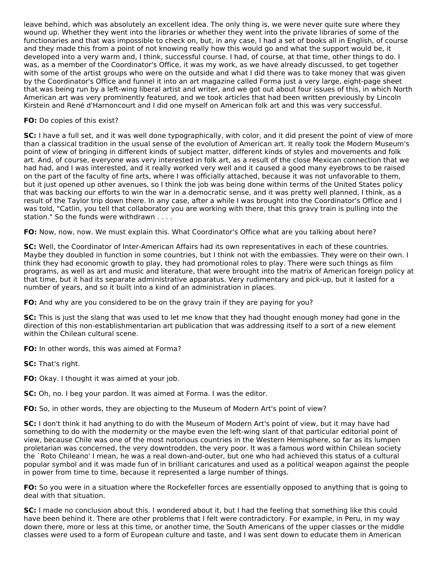leave behind, which was absolutely an excellent idea. The only thing is, we were never quite sure where they wound up. Whether they went into the libraries or whether they went into the private libraries of some of the functionaries and that was impossible to check on, but, in any case, I had a set of books all in English, of course and they made this from a point of not knowing really how this would go and what the support would be, it developed into a very warm and, I think, successful course. I had, of course, at that time, other things to do. I was, as a member of the Coordinator's Office, it was my work, as we have already discussed, to get together with some of the artist groups who were on the outside and what I did there was to take money that was given by the Coordinator's Office and funnel it into an art magazine called Forma just a very large, eight-page sheet that was being run by a left-wing liberal artist and writer, and we got out about four issues of this, in which North American art was very prominently featured, and we took articles that had been written previously by Lincoln Kirstein and René d'Harnoncourt and I did one myself on American folk art and this was very successful.

#### **FO:** Do copies of this exist?

**SC:** I have a full set, and it was well done typographically, with color, and it did present the point of view of more than a classical tradition in the usual sense of the evolution of American art. It really took the Modern Museum's point of view of bringing in different kinds of subject matter, different kinds of styles and movements and folk art. And, of course, everyone was very interested in folk art, as a result of the close Mexican connection that we had had, and I was interested, and it really worked very well and it caused a good many eyebrows to be raised on the part of the faculty of fine arts, where I was officially attached, because it was not unfavorable to them, but it just opened up other avenues, so I think the job was being done within terms of the United States policy that was backing our efforts to win the war in a democratic sense, and it was pretty well planned, I think, as a result of the Taylor trip down there. In any case, after a while I was brought into the Coordinator's Office and I was told, "Catlin, you tell that collaborator you are working with there, that this gravy train is pulling into the station." So the funds were withdrawn . . . .

**FO:** Now, now, now. We must explain this. What Coordinator's Office what are you talking about here?

**SC:** Well, the Coordinator of Inter-American Affairs had its own representatives in each of these countries. Maybe they doubled in function in some countries, but I think not with the embassies. They were on their own. I think they had economic growth to play, they had promotional roles to play. There were such things as film programs, as well as art and music and literature, that were brought into the matrix of American foreign policy at that time, but it had its separate administrative apparatus. Very rudimentary and pick-up, but it lasted for a number of years, and so it built into a kind of an administration in places.

**FO:** And why are you considered to be on the gravy train if they are paying for you?

**SC:** This is just the slang that was used to let me know that they had thought enough money had gone in the direction of this non-establishmentarian art publication that was addressing itself to a sort of a new element within the Chilean cultural scene.

**FO:** In other words, this was aimed at Forma?

**SC:** That's right.

**FO:** Okay. I thought it was aimed at your job.

**SC:** Oh, no. I beg your pardon. It was aimed at Forma. I was the editor.

**FO:** So, in other words, they are objecting to the Museum of Modern Art's point of view?

**SC:** I don't think it had anything to do with the Museum of Modern Art's point of view, but it may have had something to do with the modernity or the maybe even the left-wing slant of that particular editorial point of view, because Chile was one of the most notorious countries in the Western Hemisphere, so far as its lumpen proletarian was concerned, the very downtrodden, the very poor. It was a famous word within Chilean society the `Roto Chileano' I mean, he was a real down-and-outer, but one who had achieved this status of a cultural popular symbol and it was made fun of in brilliant caricatures and used as a political weapon against the people in power from time to time, because it represented a large number of things.

**FO:** So you were in a situation where the Rockefeller forces are essentially opposed to anything that is going to deal with that situation.

**SC:** I made no conclusion about this. I wondered about it, but I had the feeling that something like this could have been behind it. There are other problems that I felt were contradictory. For example, in Peru, in my way down there, more or less at this time, or another time, the South Americans of the upper classes or the middle classes were used to a form of European culture and taste, and I was sent down to educate them in American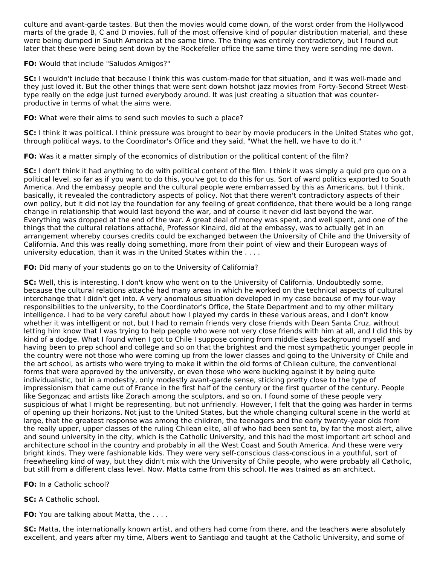culture and avant-garde tastes. But then the movies would come down, of the worst order from the Hollywood marts of the grade B, C and D movies, full of the most offensive kind of popular distribution material, and these were being dumped in South America at the same time. The thing was entirely contradictory, but I found out later that these were being sent down by the Rockefeller office the same time they were sending me down.

### **FO:** Would that include "Saludos Amigos?"

**SC:** I wouldn't include that because I think this was custom-made for that situation, and it was well-made and they just loved it. But the other things that were sent down hotshot jazz movies from Forty-Second Street Westtype really on the edge just turned everybody around. It was just creating a situation that was counterproductive in terms of what the aims were.

# **FO:** What were their aims to send such movies to such a place?

**SC:** I think it was political. I think pressure was brought to bear by movie producers in the United States who got, through political ways, to the Coordinator's Office and they said, "What the hell, we have to do it."

**FO:** Was it a matter simply of the economics of distribution or the political content of the film?

**SC:** I don't think it had anything to do with political content of the film. I think it was simply a quid pro quo on a political level, so far as if you want to do this, you've got to do this for us. Sort of ward politics exported to South America. And the embassy people and the cultural people were embarrassed by this as Americans, but I think, basically, it revealed the contradictory aspects of policy. Not that there weren't contradictory aspects of their own policy, but it did not lay the foundation for any feeling of great confidence, that there would be a long range change in relationship that would last beyond the war, and of course it never did last beyond the war. Everything was dropped at the end of the war. A great deal of money was spent, and well spent, and one of the things that the cultural relations attaché, Professor Kinaird, did at the embassy, was to actually get in an arrangement whereby courses credits could be exchanged between the University of Chile and the University of California. And this was really doing something, more from their point of view and their European ways of university education, than it was in the United States within the . . . .

### **FO:** Did many of your students go on to the University of California?

**SC:** Well, this is interesting. I don't know who went on to the University of California. Undoubtedly some, because the cultural relations attaché had many areas in which he worked on the technical aspects of cultural interchange that I didn't get into. A very anomalous situation developed in my case because of my four-way responsibilities to the university, to the Coordinator's Office, the State Department and to my other military intelligence. I had to be very careful about how I played my cards in these various areas, and I don't know whether it was intelligent or not, but I had to remain friends very close friends with Dean Santa Cruz, without letting him know that I was trying to help people who were not very close friends with him at all, and I did this by kind of a dodge. What I found when I got to Chile I suppose coming from middle class background myself and having been to prep school and college and so on that the brightest and the most sympathetic younger people in the country were not those who were coming up from the lower classes and going to the University of Chile and the art school, as artists who were trying to make it within the old forms of Chilean culture, the conventional forms that were approved by the university, or even those who were bucking against it by being quite individualistic, but in a modestly, only modestly avant-garde sense, sticking pretty close to the type of impressionism that came out of France in the first half of the century or the first quarter of the century. People like Segonzac and artists like Zorach among the sculptors, and so on. I found some of these people very suspicious of what I might be representing, but not unfriendly. However, I felt that the going was harder in terms of opening up their horizons. Not just to the United States, but the whole changing cultural scene in the world at large, that the greatest response was among the children, the teenagers and the early twenty-year olds from the really upper, upper classes of the ruling Chilean elite, all of who had been sent to, by far the most alert, alive and sound university in the city, which is the Catholic University, and this had the most important art school and architecture school in the country and probably in all the West Coast and South America. And these were very bright kinds. They were fashionable kids. They were very self-conscious class-conscious in a youthful, sort of freewheeling kind of way, but they didn't mix with the University of Chile people, who were probably all Catholic, but still from a different class level. Now, Matta came from this school. He was trained as an architect.

# **FO:** In a Catholic school?

# **SC:** A Catholic school.

**FO:** You are talking about Matta, the . . . .

**SC:** Matta, the internationally known artist, and others had come from there, and the teachers were absolutely excellent, and years after my time, Albers went to Santiago and taught at the Catholic University, and some of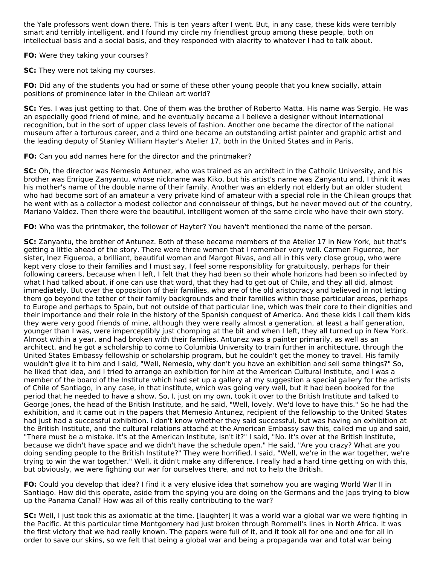the Yale professors went down there. This is ten years after I went. But, in any case, these kids were terribly smart and terribly intelligent, and I found my circle my friendliest group among these people, both on intellectual basis and a social basis, and they responded with alacrity to whatever I had to talk about.

**FO:** Were they taking your courses?

**SC:** They were not taking my courses.

**FO:** Did any of the students you had or some of these other young people that you knew socially, attain positions of prominence later in the Chilean art world?

**SC:** Yes. I was just getting to that. One of them was the brother of Roberto Matta. His name was Sergio. He was an especially good friend of mine, and he eventually became a I believe a designer without international recognition, but in the sort of upper class levels of fashion. Another one became the director of the national museum after a torturous career, and a third one became an outstanding artist painter and graphic artist and the leading deputy of Stanley William Hayter's Atelier 17, both in the United States and in Paris.

**FO:** Can you add names here for the director and the printmaker?

**SC:** Oh, the director was Nemesio Antunez, who was trained as an architect in the Catholic University, and his brother was Enrique Zanyantu, whose nickname was Kiko, but his artist's name was Zanyantu and, I think it was his mother's name of the double name of their family. Another was an elderly not elderly but an older student who had become sort of an amateur a very private kind of amateur with a special role in the Chilean groups that he went with as a collector a modest collector and connoisseur of things, but he never moved out of the country, Mariano Valdez. Then there were the beautiful, intelligent women of the same circle who have their own story.

**FO:** Who was the printmaker, the follower of Hayter? You haven't mentioned the name of the person.

**SC:** Zanyantu, the brother of Antunez. Both of these became members of the Atelier 17 in New York, but that's getting a little ahead of the story. There were three women that I remember very well. Carmen Figueroa, her sister, Inez Figueroa, a brilliant, beautiful woman and Margot Rivas, and all in this very close group, who were kept very close to their families and I must say, I feel some responsiblity for gratuitously, perhaps for their following careers, because when I left, I felt that they had been so their whole horizons had been so infected by what I had talked about, if one can use that word, that they had to get out of Chile, and they all did, almost immediately. But over the opposition of their families, who are of the old aristocracy and believed in not letting them go beyond the tether of their family backgrounds and their families within those particular areas, perhaps to Europe and perhaps to Spain, but not outside of that particular line, which was their core to their dignities and their importance and their role in the history of the Spanish conquest of America. And these kids I call them kids they were very good friends of mine, although they were really almost a generation, at least a half generation, younger than I was, were imperceptibly just chomping at the bit and when I left, they all turned up in New York. Almost within a year, and had broken with their families. Antunez was a painter primarily, as well as an architect, and he got a scholarship to come to Columbia University to train further in architecture, through the United States Embassy fellowship or scholarship program, but he couldn't get the money to travel. His family wouldn't give it to him and I said, "Well, Nemesio, why don't you have an exhibition and sell some things?" So, he liked that idea, and I tried to arrange an exhibition for him at the American Cultural Institute, and I was a member of the board of the Institute which had set up a gallery at my suggestion a special gallery for the artists of Chile of Santiago, in any case, in that institute, which was going very well, but it had been booked for the period that he needed to have a show. So, I, just on my own, took it over to the British Institute and talked to George Jones, the head of the British Institute, and he said, "Well, lovely. We'd love to have this." So he had the exhibition, and it came out in the papers that Memesio Antunez, recipient of the fellowship to the United States had just had a successful exhibition. I don't know whether they said successful, but was having an exhibition at the British Institute, and the cultural relations attaché at the American Embassy saw this, called me up and said, "There must be a mistake. It's at the American Institute, isn't it?" I said, "No. It's over at the British Institute, because we didn't have space and we didn't have the schedule open." He said, "Are you crazy? What are you doing sending people to the British Institute?" They were horrified. I said, "Well, we're in the war together, we're trying to win the war together." Well, it didn't make any difference. I really had a hard time getting on with this, but obviously, we were fighting our war for ourselves there, and not to help the British.

**FO:** Could you develop that idea? I find it a very elusive idea that somehow you are waging World War II in Santiago. How did this operate, aside from the spying you are doing on the Germans and the Japs trying to blow up the Panama Canal? How was all of this really contributing to the war?

**SC:** Well, I just took this as axiomatic at the time. [laughter] It was a world war a global war we were fighting in the Pacific. At this particular time Montgomery had just broken through Rommell's lines in North Africa. It was the first victory that we had really known. The papers were full of it, and it took all for one and one for all in order to save our skins, so we felt that being a global war and being a propaganda war and total war being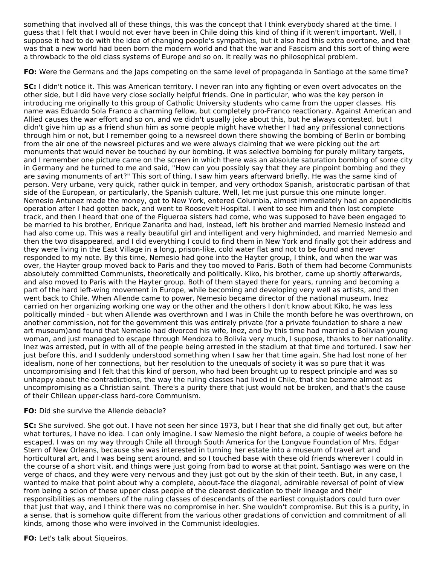something that involved all of these things, this was the concept that I think everybody shared at the time. I guess that I felt that I would not ever have been in Chile doing this kind of thing if it weren't important. Well, I suppose it had to do with the idea of changing people's sympathies, but it also had this extra overtone, and that was that a new world had been born the modern world and that the war and Fascism and this sort of thing were a throwback to the old class systems of Europe and so on. It really was no philosophical problem.

**FO:** Were the Germans and the Japs competing on the same level of propaganda in Santiago at the same time?

**SC:** I didn't notice it. This was American territory. I never ran into any fighting or even overt advocates on the other side, but I did have very close socially helpful friends. One in particular, who was the key person in introducing me originally to this group of Catholic University students who came from the upper classes. His name was Eduardo Sola Franco a charming fellow, but completely pro-Franco reactionary. Against American and Allied causes the war effort and so on, and we didn't usually joke about this, but he always contested, but I didn't give him up as a friend shun him as some people might have whether I had any prifessional connections through him or not, but I remember going to a newsreel down there showing the bombing of Berlin or bombing from the air one of the newsreel pictures and we were always claiming that we were picking out the art monuments that would never be touched by our bombing. It was selective bombing for purely military targets, and I remember one picture came on the screen in which there was an absolute saturation bombing of some city in Germany and he turned to me and said, "How can you possibly say that they are pinpoint bombing and they are saving monuments of art?" This sort of thing. I saw him years afterward briefly. He was the same kind of person. Very urbane, very quick, rather quick in temper, and very orthodox Spanish, aristocratic partisan of that side of the European, or particularly, the Spanish culture. Well, let me just pursue this one minute longer. Nemesio Antunez made the money, got to New York, entered Columbia, almost immediately had an appendicitis operation after I had gotten back, and went to Roosevelt Hospital. I went to see him and then lost complete track, and then I heard that one of the Figueroa sisters had come, who was supposed to have been engaged to be married to his brother, Enrique Zanarita and had, instead, left his brother and married Nemesio instead and had also come up. This was a really beautiful girl and intelligent and very highminded, and married Nemesio and then the two disappeared, and I did everything I could to find them in New York and finally got their address and they were living in the East Village in a long, prison-like, cold water flat and not to be found and never responded to my note. By this time, Nemesio had gone into the Hayter group, I think, and when the war was over, the Hayter group moved back to Paris and they too moved to Paris. Both of them had become Communists absolutely committed Communists, theoretically and politically. Kiko, his brother, came up shortly afterwards, and also moved to Paris with the Hayter group. Both of them stayed there for years, running and becoming a part of the hard left-wing movement in Europe, while becoming and developing very well as artists, and then went back to Chile. When Allende came to power, Nemesio became director of the national museum. Inez carried on her organizing working one way or the other and the others I don't know about Kiko, he was less politically minded - but when Allende was overthrown and I was in Chile the month before he was overthrown, on another commission, not for the government this was entirely private (for a private foundation to share a new art museum)and found that Nemesio had divorced his wife, Inez, and by this time had married a Bolivian young woman, and just managed to escape through Mendoza to Bolivia very much, I suppose, thanks to her nationality. Inez was arrested, put in with all of the people being arrested in the stadium at that time and tortured. I saw her just before this, and I suddenly understood something when I saw her that time again. She had lost none of her idealism, none of her connections, but her resolution to the unequals of society it was so pure that it was uncompromising and I felt that this kind of person, who had been brought up to respect principle and was so unhappy about the contradictions, the way the ruling classes had lived in Chile, that she became almost as uncompromising as a Christian saint. There's a purity there that just would not be broken, and that's the cause of their Chilean upper-class hard-core Communism.

# **FO:** Did she survive the Allende debacle?

**SC:** She survived. She got out. I have not seen her since 1973, but I hear that she did finally get out, but after what tortures, I have no idea. I can only imagine. I saw Nemesio the night before, a couple of weeks before he escaped. I was on my way through Chile all through South America for the Longvue Foundation of Mrs. Edgar Stern of New Orleans, because she was interested in turning her estate into a museum of travel art and horticultural art, and I was being sent around, and so I touched base with these old friends wherever I could in the course of a short visit, and things were just going from bad to worse at that point. Santiago was were on the verge of chaos, and they were very nervous and they just got out by the skin of their teeth. But, in any case, I wanted to make that point about why a complete, about-face the diagonal, admirable reversal of point of view from being a scion of these upper class people of the clearest dedication to their lineage and their responsibilities as members of the ruling classes of descendants of the earliest conquistadors could turn over that just that way, and I think there was no compromise in her. She wouldn't compromise. But this is a purity, in a sense, that is somehow quite different from the various other gradations of conviction and commitment of all kinds, among those who were involved in the Communist ideologies.

**FO:** Let's talk about Siqueiros.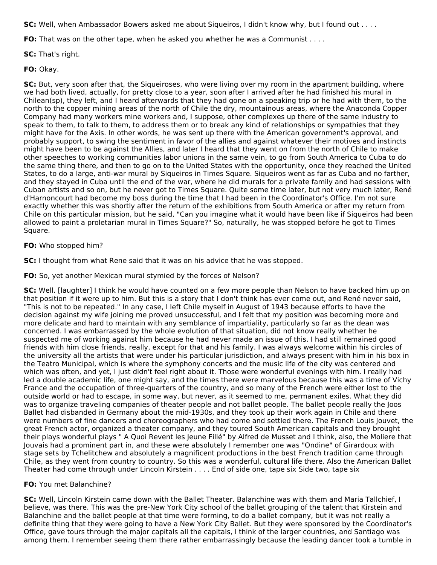**SC:** Well, when Ambassador Bowers asked me about Siqueiros, I didn't know why, but I found out . . . .

**FO:** That was on the other tape, when he asked you whether he was a Communist . . . .

**SC:** That's right.

**FO:** Okay.

**SC:** But, very soon after that, the Siqueiroses, who were living over my room in the apartment building, where we had both lived, actually, for pretty close to a year, soon after I arrived after he had finished his mural in Chilean(sp), they left, and I heard afterwards that they had gone on a speaking trip or he had with them, to the north to the copper mining areas of the north of Chile the dry, mountainous areas, where the Anaconda Copper Company had many workers mine workers and, I suppose, other complexes up there of the same industry to speak to them, to talk to them, to address them or to break any kind of relationships or sympathies that they might have for the Axis. In other words, he was sent up there with the American government's approval, and probably support, to swing the sentiment in favor of the allies and against whatever their motives and instincts might have been to be against the Allies, and later I heard that they went on from the north of Chile to make other speeches to working communities labor unions in the same vein, to go from South America to Cuba to do the same thing there, and then to go on to the United States with the opportunity, once they reached the United States, to do a large, anti-war mural by Siqueiros in Times Square. Siqueiros went as far as Cuba and no farther, and they stayed in Cuba until the end of the war, where he did murals for a private family and had sessions with Cuban artists and so on, but he never got to Times Square. Quite some time later, but not very much later, René d'Harnoncourt had become my boss during the time that I had been in the Coordinator's Office. I'm not sure exactly whether this was shortly after the return of the exhibitions from South America or after my return from Chile on this particular mission, but he said, "Can you imagine what it would have been like if Siqueiros had been allowed to paint a proletarian mural in Times Square?" So, naturally, he was stopped before he got to Times Square.

# **FO:** Who stopped him?

**SC:** I thought from what Rene said that it was on his advice that he was stopped.

**FO:** So, yet another Mexican mural stymied by the forces of Nelson?

**SC:** Well. [laughter] I think he would have counted on a few more people than Nelson to have backed him up on that position if it were up to him. But this is a story that I don't think has ever come out, and René never said, "This is not to be repeated." In any case, I left Chile myself in August of 1943 because efforts to have the decision against my wife joining me proved unsuccessful, and I felt that my position was becoming more and more delicate and hard to maintain with any semblance of impartiality, particularly so far as the dean was concerned. I was embarrassed by the whole evolution of that situation, did not know really whether he suspected me of working against him because he had never made an issue of this. I had still remained good friends with him close friends, really, except for that and his family. I was always welcome within his circles of the university all the artists that were under his particular jurisdiction, and always present with him in his box in the Teatro Municipal, which is where the symphony concerts and the music life of the city was centered and which was often, and yet, I just didn't feel right about it. Those were wonderful evenings with him. I really had led a double academic life, one might say, and the times there were marvelous because this was a time of Vichy France and the occupation of three-quarters of the country, and so many of the French were either lost to the outside world or had to escape, in some way, but never, as it seemed to me, permanent exiles. What they did was to organize traveling companies of theater people and not ballet people. The ballet people really the Joos Ballet had disbanded in Germany about the mid-1930s, and they took up their work again in Chile and there were numbers of fine dancers and choreographers who had come and settled there. The French Louis Jouvet, the great French actor, organized a theater company, and they toured South American capitals and they brought their plays wonderful plays " A Quoi Revent les Jeune Fillé" by Alfred de Musset and I think, also, the Moliere that Jouvais had a prominent part in, and these were absolutely I remember one was "Ondine" of Girardoux with stage sets by Tchelitchew and absolutely a magnificent productions in the best French tradition came through Chile, as they went from country to country. So this was a wonderful, cultural life there. Also the American Ballet Theater had come through under Lincoln Kirstein . . . . End of side one, tape six Side two, tape six

# **FO:** You met Balanchine?

**SC:** Well, Lincoln Kirstein came down with the Ballet Theater. Balanchine was with them and Maria Tallchief, I believe, was there. This was the pre-New York City school of the ballet grouping of the talent that Kirstein and Balanchine and the ballet people at that time were forming, to do a ballet company, but it was not really a definite thing that they were going to have a New York City Ballet. But they were sponsored by the Coordinator's Office, gave tours through the major capitals all the capitals, I think of the larger countries, and Santiago was among them. I remember seeing them there rather embarrassingly because the leading dancer took a tumble in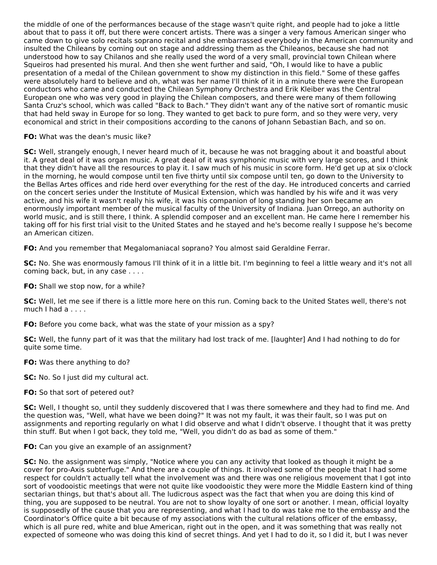the middle of one of the performances because of the stage wasn't quite right, and people had to joke a little about that to pass it off, but there were concert artists. There was a singer a very famous American singer who came down to give solo recitals soprano recital and she embarrassed everybody in the American community and insulted the Chileans by coming out on stage and addressing them as the Chileanos, because she had not understood how to say Chilanos and she really used the word of a very small, provincial town Chilean where Squeiros had presented his mural. And then she went further and said, "Oh, I would like to have a public presentation of a medal of the Chilean government to show my distinction in this field." Some of these gaffes were absolutely hard to believe and oh, what was her name I'll think of it in a minute there were the European conductors who came and conducted the Chilean Symphony Orchestra and Erik Kleiber was the Central European one who was very good in playing the Chilean composers, and there were many of them following Santa Cruz's school, which was called "Back to Bach." They didn't want any of the native sort of romantic music that had held sway in Europe for so long. They wanted to get back to pure form, and so they were very, very economical and strict in their compositions according to the canons of Johann Sebastian Bach, and so on.

#### **FO:** What was the dean's music like?

**SC:** Well, strangely enough, I never heard much of it, because he was not bragging about it and boastful about it. A great deal of it was organ music. A great deal of it was symphonic music with very large scores, and I think that they didn't have all the resources to play it. I saw much of his music in score form. He'd get up at six o'clock in the morning, he would compose until ten five thirty until six compose until ten, go down to the University to the Bellas Artes offices and ride herd over everything for the rest of the day. He introduced concerts and carried on the concert series under the Institute of Musical Extension, which was handled by his wife and it was very active, and his wife it wasn't really his wife, it was his companion of long standing her son became an enormously important member of the musical faculty of the University of Indiana. Juan Orrego, an authority on world music, and is still there, I think. A splendid composer and an excellent man. He came here I remember his taking off for his first trial visit to the United States and he stayed and he's become really I suppose he's become an American citizen.

**FO:** And you remember that Megalomaniacal soprano? You almost said Geraldine Ferrar.

**SC:** No. She was enormously famous I'll think of it in a little bit. I'm beginning to feel a little weary and it's not all coming back, but, in any case . . . .

**FO:** Shall we stop now, for a while?

**SC:** Well, let me see if there is a little more here on this run. Coming back to the United States well, there's not much I had a . . . .

**FO:** Before you come back, what was the state of your mission as a spy?

**SC:** Well, the funny part of it was that the military had lost track of me. [laughter] And I had nothing to do for quite some time.

**FO:** Was there anything to do?

**SC:** No. So I just did my cultural act.

# **FO:** So that sort of petered out?

**SC:** Well, I thought so, until they suddenly discovered that I was there somewhere and they had to find me. And the question was, "Well, what have we been doing?" It was not my fault, it was their fault, so I was put on assignments and reporting regularly on what I did observe and what I didn't observe. I thought that it was pretty thin stuff. But when I got back, they told me, "Well, you didn't do as bad as some of them."

# **FO:** Can you give an example of an assignment?

**SC:** No. the assignment was simply, "Notice where you can any activity that looked as though it might be a cover for pro-Axis subterfuge." And there are a couple of things. It involved some of the people that I had some respect for couldn't actually tell what the involvement was and there was one religious movement that I got into sort of voodooistic meetings that were not quite like voodooistic they were more the Middle Eastern kind of thing sectarian things, but that's about all. The ludicrous aspect was the fact that when you are doing this kind of thing, you are supposed to be neutral. You are not to show loyalty of one sort or another. I mean, official loyalty is supposedly of the cause that you are representing, and what I had to do was take me to the embassy and the Coordinator's Office quite a bit because of my associations with the cultural relations officer of the embassy, which is all pure red, white and blue American, right out in the open, and it was something that was really not expected of someone who was doing this kind of secret things. And yet I had to do it, so I did it, but I was never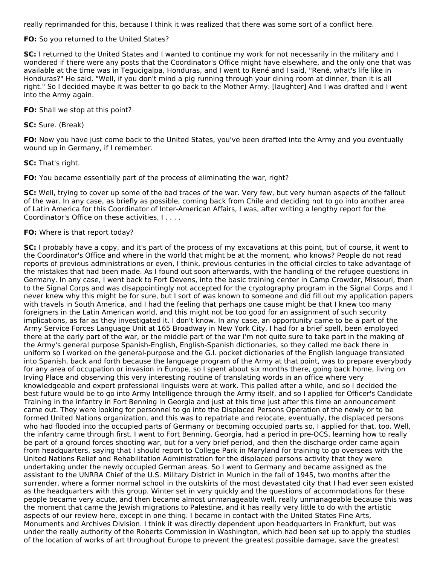really reprimanded for this, because I think it was realized that there was some sort of a conflict here.

### **FO:** So you returned to the United States?

**SC:** I returned to the United States and I wanted to continue my work for not necessarily in the military and I wondered if there were any posts that the Coordinator's Office might have elsewhere, and the only one that was available at the time was in Tegucigalpa, Honduras, and I went to René and I said, "René, what's life like in Honduras?" He said, "Well, if you don't mind a pig running through your dining room at dinner, then it is all right." So I decided maybe it was better to go back to the Mother Army. [laughter] And I was drafted and I went into the Army again.

**FO:** Shall we stop at this point?

**SC:** Sure. (Break)

**FO:** Now you have just come back to the United States, you've been drafted into the Army and you eventually wound up in Germany, if I remember.

#### **SC:** That's right.

**FO:** You became essentially part of the process of eliminating the war, right?

**SC:** Well, trying to cover up some of the bad traces of the war. Very few, but very human aspects of the fallout of the war. In any case, as briefly as possible, coming back from Chile and deciding not to go into another area of Latin America for this Coordinator of Inter-American Affairs, I was, after writing a lengthy report for the Coordinator's Office on these activities, I . . . .

### **FO:** Where is that report today?

**SC:** I probably have a copy, and it's part of the process of my excavations at this point, but of course, it went to the Coordinator's Office and where in the world that might be at the moment, who knows? People do not read reports of previous administrations or even, I think, previous centuries in the official circles to take advantage of the mistakes that had been made. As I found out soon afterwards, with the handling of the refugee questions in Germany. In any case, I went back to Fort Devens, into the basic training center in Camp Crowder, Missouri, then to the Signal Corps and was disappointingly not accepted for the cryptography program in the Signal Corps and I never knew why this might be for sure, but I sort of was known to someone and did fill out my application papers with travels in South America, and I had the feeling that perhaps one cause might be that I knew too many foreigners in the Latin American world, and this might not be too good for an assignment of such security implications, as far as they investigated it. I don't know. In any case, an opportunity came to be a part of the Army Service Forces Language Unit at 165 Broadway in New York City. I had for a brief spell, been employed there at the early part of the war, or the middle part of the war I'm not quite sure to take part in the making of the Army's general purpose Spanish-English, English-Spanish dictionaries, so they called me back there in uniform so I worked on the general-purpose and the G.I. pocket dictionaries of the English language translated into Spanish, back and forth because the language program of the Army at that point, was to prepare everybody for any area of occupation or invasion in Europe, so I spent about six months there, going back home, living on Irving Place and observing this very interesting routine of translating words in an office where very knowledgeable and expert professional linguists were at work. This palled after a while, and so I decided the best future would be to go into Army Intelligence through the Army itself, and so I applied for Officer's Candidate Training in the infantry in Fort Benning in Georgia and just at this time just after this time an announcement came out. They were looking for personnel to go into the Displaced Persons Operation of the newly or to be formed United Nations organization, and this was to repatriate and relocate, eventually, the displaced persons who had flooded into the occupied parts of Germany or becoming occupied parts so, I applied for that, too. Well, the infantry came through first. I went to Fort Benning, Georgia, had a period in pre-OCS, learning how to really be part of a ground forces shooting war, but for a very brief period, and then the discharge order came again from headquarters, saying that I should report to College Park in Maryland for training to go overseas with the United Nations Relief and Rehabilitation Administration for the displaced persons activity that they were undertaking under the newly occupied German areas. So I went to Germany and became assigned as the assistant to the UNRRA Chief of the U.S. Military District in Munich in the fall of 1945, two months after the surrender, where a former normal school in the outskirts of the most devastated city that I had ever seen existed as the headquarters with this group. Winter set in very quickly and the questions of accommodations for these people became very acute, and then became almost unmanageable well, really unmanageable because this was the moment that came the Jewish migrations to Palestine, and it has really very little to do with the artistic aspects of our review here, except in one thing. I became in contact with the United States Fine Arts, Monuments and Archives Division. I think it was directly dependent upon headquarters in Frankfurt, but was under the really authority of the Roberts Commission in Washington, which had been set up to apply the studies of the location of works of art throughout Europe to prevent the greatest possible damage, save the greatest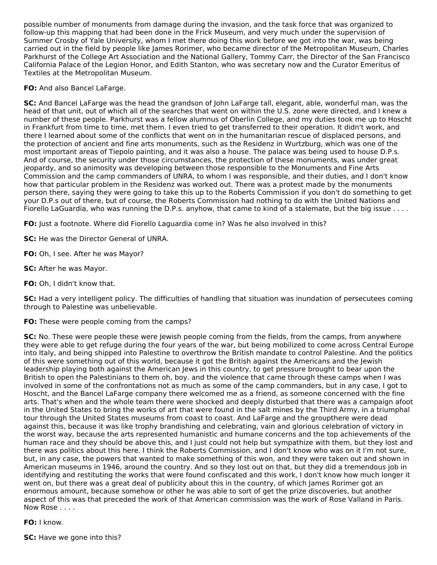possible number of monuments from damage during the invasion, and the task force that was organized to follow-up this mapping that had been done in the Frick Museum, and very much under the supervision of Summer Crosby of Yale University, whom I met there doing this work before we got into the war, was being carried out in the field by people like James Rorimer, who became director of the Metropolitan Museum, Charles Parkhurst of the College Art Association and the National Gallery, Tommy Carr, the Director of the San Francisco California Palace of the Legion Honor, and Edith Stanton, who was secretary now and the Curator Emeritus of Textiles at the Metropolitan Museum.

**FO:** And also Bancel LaFarge.

**SC:** And Bancel LaFarge was the head the grandson of John LaFarge tall, elegant, able, wonderful man, was the head of that unit, out of which all of the searches that went on within the U.S. zone were directed, and I knew a number of these people. Parkhurst was a fellow alumnus of Oberlin College, and my duties took me up to Hoscht in Frankfurt from time to time, met them. I even tried to get transferred to their operation. It didn't work, and there I learned about some of the conflicts that went on in the humanitarian rescue of displaced persons, and the protection of ancient and fine arts monuments, such as the Residenz in Wurtzburg, which was one of the most important areas of Tiepolo painting, and it was also a house. The palace was being used to house D.P.s. And of course, the security under those circumstances, the protection of these monuments, was under great jeopardy, and so animosity was developing between those responsible to the Monuments and Fine Arts Commission and the camp commanders of UNRA, to whom I was responsible, and their duties, and I don't know how that particular problem in the Residenz was worked out. There was a protest made by the monuments person there, saying they were going to take this up to the Roberts Commission if you don't do something to get your D.P.s out of there, but of course, the Roberts Commission had nothing to do with the United Nations and Fiorello LaGuardia, who was running the D.P.s. anyhow, that came to kind of a stalemate, but the big issue . . . .

**FO:** Just a footnote. Where did Fiorello Laguardia come in? Was he also involved in this?

**SC:** He was the Director General of UNRA.

**FO:** Oh, I see. After he was Mayor?

**SC:** After he was Mayor.

**FO:** Oh, I didn't know that.

**SC:** Had a very intelligent policy. The difficulties of handling that situation was inundation of persecutees coming through to Palestine was unbelievable.

**FO:** These were people coming from the camps?

**SC:** No. These were people these were Jewish people coming from the fields, from the camps, from anywhere they were able to get refuge during the four years of the war, but being mobilized to come across Central Europe into Italy, and being shipped into Palestine to overthrow the British mandate to control Palestine. And the politics of this were something out of this world, because it got the British against the Americans and the Jewish leadership playing both against the American Jews in this country, to get pressure brought to bear upon the British to open the Palestinians to them oh, boy. and the violence that came through these camps when I was involved in some of the confrontations not as much as some of the camp commanders, but in any case, I got to Hoscht, and the Bancel LaFarge company there welcomed me as a friend, as someone concerned with the fine arts. That's when and the whole team there were shocked and deeply disturbed that there was a campaign afoot in the United States to bring the works of art that were found in the salt mines by the Third Army, in a triumphal tour through the United States museums from coast to coast. And LaFarge and the groupthere were dead against this, because it was like trophy brandishing and celebrating, vain and glorious celebration of victory in the worst way, because the arts represented humanistic and humane concerns and the top achievements of the human race and they should be above this, and I just could not help but sympathize with them, but they lost and there was politics about this here. I think the Roberts Commission, and I don't know who was on it I'm not sure, but, in any case, the powers that wanted to make something of this won, and they were taken out and shown in American museums in 1946, around the country. And so they lost out on that, but they did a tremendous job in identifying and restituting the works that were found confiscated and this work, I don't know how much longer it went on, but there was a great deal of publicity about this in the country, of which James Rorimer got an enormous amount, because somehow or other he was able to sort of get the prize discoveries, but another aspect of this was that preceded the work of that American commission was the work of Rose Valland in Paris. Now Rose . . . .

**FO:** I know.

**SC:** Have we gone into this?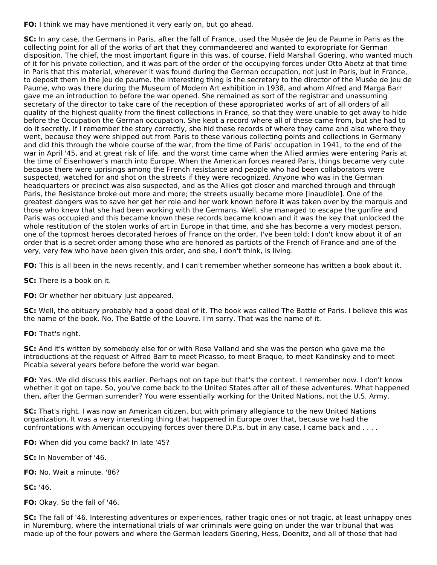**FO:** I think we may have mentioned it very early on, but go ahead.

**SC:** In any case, the Germans in Paris, after the fall of France, used the Musée de Jeu de Paume in Paris as the collecting point for all of the works of art that they commandeered and wanted to expropriate for German disposition. The chief, the most important figure in this was, of course, Field Marshall Goering, who wanted much of it for his private collection, and it was part of the order of the occupying forces under Otto Abetz at that time in Paris that this material, wherever it was found during the German occupation, not just in Paris, but in France, to deposit them in the Jeu de paume. the interesting thing is the secretary to the director of the Musée de Jeu de Paume, who was there during the Museum of Modern Art exhibition in 1938, and whom Alfred and Marga Barr gave me an introduction to before the war opened. She remained as sort of the registrar and unassuming secretary of the director to take care of the reception of these appropriated works of art of all orders of all quality of the highest quality from the finest collections in France, so that they were unable to get away to hide before the Occupation the German occupation. She kept a record where all of these came from, but she had to do it secretly. If I remember the story correctly, she hid these records of where they came and also where they went, because they were shipped out from Paris to these various collecting points and collections in Germany and did this through the whole course of the war, from the time of Paris' occupation in 1941, to the end of the war in April '45, and at great risk of life, and the worst time came when the Allied armies were entering Paris at the time of Eisenhower's march into Europe. When the American forces neared Paris, things became very cute because there were uprisings among the French resistance and people who had been collaborators were suspected, watched for and shot on the streets if they were recognized. Anyone who was in the German headquarters or precinct was also suspected, and as the Allies got closer and marched through and through Paris, the Resistance broke out more and more; the streets usually became more [inaudible]. One of the greatest dangers was to save her get her role and her work known before it was taken over by the marquis and those who knew that she had been working with the Germans. Well, she managed to escape the gunfire and Paris was occupied and this became known these records became known and it was the key that unlocked the whole restitution of the stolen works of art in Europe in that time, and she has become a very modest person, one of the topmost heroes decorated heroes of France on the order, I've been told; I don't know about it of an order that is a secret order among those who are honored as partiots of the French of France and one of the very, very few who have been given this order, and she, I don't think, is living.

**FO:** This is all been in the news recently, and I can't remember whether someone has written a book about it.

**SC:** There is a book on it.

**FO:** Or whether her obituary just appeared.

**SC:** Well, the obituary probably had a good deal of it. The book was called The Battle of Paris. I believe this was the name of the book. No, The Battle of the Louvre. I'm sorry. That was the name of it.

**FO:** That's right.

**SC:** And it's written by somebody else for or with Rose Valland and she was the person who gave me the introductions at the request of Alfred Barr to meet Picasso, to meet Braque, to meet Kandinsky and to meet Picabia several years before before the world war began.

**FO:** Yes. We did discuss this earlier. Perhaps not on tape but that's the context. I remember now. I don't know whether it got on tape. So, you've come back to the United States after all of these adventures. What happened then, after the German surrender? You were essentially working for the United Nations, not the U.S. Army.

**SC:** That's right. I was now an American citizen, but with primary allegiance to the new United Nations organization. It was a very interesting thing that happened in Europe over that, because we had the confrontations with American occupying forces over there D.P.s. but in any case, I came back and . . . .

**FO:** When did you come back? In late '45?

**SC:** In November of '46.

**FO:** No. Wait a minute. '86?

**SC:** '46.

**FO:** Okay. So the fall of '46.

**SC:** The fall of '46. Interesting adventures or experiences, rather tragic ones or not tragic, at least unhappy ones in Nuremburg, where the international trials of war criminals were going on under the war tribunal that was made up of the four powers and where the German leaders Goering, Hess, Doenitz, and all of those that had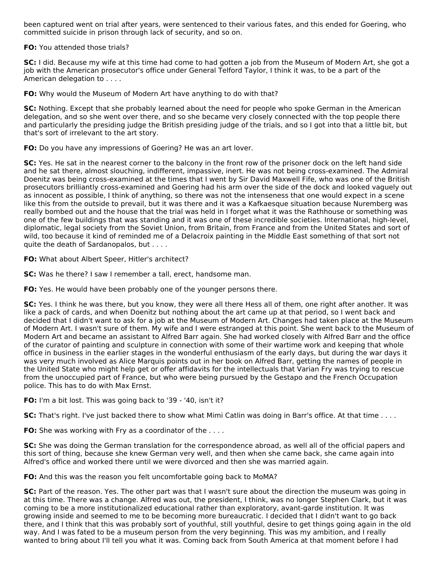been captured went on trial after years, were sentenced to their various fates, and this ended for Goering, who committed suicide in prison through lack of security, and so on.

**FO:** You attended those trials?

**SC:** I did. Because my wife at this time had come to had gotten a job from the Museum of Modern Art, she got a job with the American prosecutor's office under General Telford Taylor, I think it was, to be a part of the American delegation to . . . .

**FO:** Why would the Museum of Modern Art have anything to do with that?

**SC:** Nothing. Except that she probably learned about the need for people who spoke German in the American delegation, and so she went over there, and so she became very closely connected with the top people there and particularly the presiding judge the British presiding judge of the trials, and so I got into that a little bit, but that's sort of irrelevant to the art story.

**FO:** Do you have any impressions of Goering? He was an art lover.

**SC:** Yes. He sat in the nearest corner to the balcony in the front row of the prisoner dock on the left hand side and he sat there, almost slouching, indifferent, impassive, inert. He was not being cross-examined. The Admiral Doenitz was being cross-examined at the times that I went by Sir David Maxwell Fife, who was one of the British prosecutors brilliantly cross-examined and Goering had his arm over the side of the dock and looked vaguely out as innocent as possible, I think of anything, so there was not the intenseness that one would expect in a scene like this from the outside to prevail, but it was there and it was a Kafkaesque situation because Nuremberg was really bombed out and the house that the trial was held in I forget what it was the Rathhouse or something was one of the few buildings that was standing and it was one of these incredible societies. International, high-level, diplomatic, legal society from the Soviet Union, from Britain, from France and from the United States and sort of wild, too because it kind of reminded me of a Delacroix painting in the Middle East something of that sort not quite the death of Sardanopalos, but . . . .

**FO:** What about Albert Speer, Hitler's architect?

**SC:** Was he there? I saw I remember a tall, erect, handsome man.

**FO:** Yes. He would have been probably one of the younger persons there.

**SC:** Yes. I think he was there, but you know, they were all there Hess all of them, one right after another. It was like a pack of cards, and when Doenitz but nothing about the art came up at that period, so I went back and decided that I didn't want to ask for a job at the Museum of Modern Art. Changes had taken place at the Museum of Modern Art. I wasn't sure of them. My wife and I were estranged at this point. She went back to the Museum of Modern Art and became an assistant to Alfred Barr again. She had worked closely with Alfred Barr and the office of the curator of painting and sculpture in connection with some of their wartime work and keeping that whole office in business in the earlier stages in the wonderful enthusiasm of the early days, but during the war days it was very much involved as Alice Marquis points out in her book on Alfred Barr, getting the names of people in the United State who might help get or offer affidavits for the intellectuals that Varian Fry was trying to rescue from the unoccupied part of France, but who were being pursued by the Gestapo and the French Occupation police. This has to do with Max Ernst.

**FO:** I'm a bit lost. This was going back to '39 - '40, isn't it?

**SC:** That's right. I've just backed there to show what Mimi Catlin was doing in Barr's office. At that time . . . .

**FO:** She was working with Fry as a coordinator of the ....

**SC:** She was doing the German translation for the correspondence abroad, as well all of the official papers and this sort of thing, because she knew German very well, and then when she came back, she came again into Alfred's office and worked there until we were divorced and then she was married again.

**FO:** And this was the reason you felt uncomfortable going back to MoMA?

**SC:** Part of the reason. Yes. The other part was that I wasn't sure about the direction the museum was going in at this time. There was a change. Alfred was out, the president, I think, was no longer Stephen Clark, but it was coming to be a more institutionalized educational rather than exploratory, avant-garde institution. It was growing inside and seemed to me to be becoming more bureaucratic. I decided that I didn't want to go back there, and I think that this was probably sort of youthful, still youthful, desire to get things going again in the old way. And I was fated to be a museum person from the very beginning. This was my ambition, and I really wanted to bring about I'll tell you what it was. Coming back from South America at that moment before I had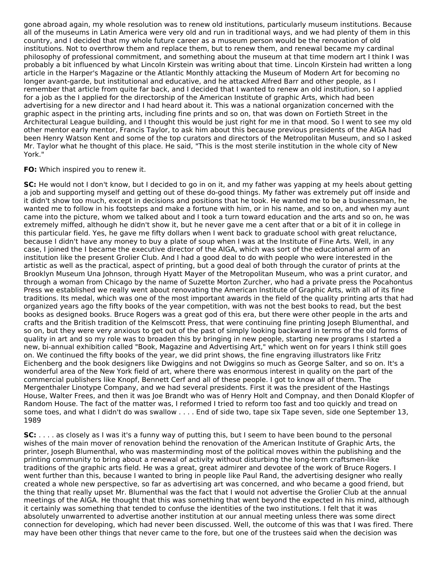gone abroad again, my whole resolution was to renew old institutions, particularly museum institutions. Because all of the museums in Latin America were very old and run in traditional ways, and we had plenty of them in this country, and I decided that my whole future career as a museum person would be the renovation of old institutions. Not to overthrow them and replace them, but to renew them, and renewal became my cardinal philosophy of professional commitment, and something about the museum at that time modern art I think I was probably a bit influenced by what Lincoln Kirstein was writing about that time. Lincoln Kirstein had written a long article in the Harper's Magazine or the Atlantic Monthly attacking the Museum of Modern Art for becoming no longer avant-garde, but institutional and educative, and he attacked Alfred Barr and other people, as I remember that article from quite far back, and I decided that I wanted to renew an old institution, so I applied for a job as the I applied for the directorship of the American Institute of graphic Arts, which had been advertising for a new director and I had heard about it. This was a national organization concerned with the graphic aspect in the printing arts, including fine prints and so on, that was down on Fortieth Street in the Architectural League building, and I thought this would be just right for me in that mood. So I went to see my old other mentor early mentor, Francis Taylor, to ask him about this because previous presidents of the AIGA had been Henry Watson Kent and some of the top curators and directors of the Metropolitan Museum, and so I asked Mr. Taylor what he thought of this place. He said, "This is the most sterile institution in the whole city of New York."

### **FO:** Which inspired you to renew it.

**SC:** He would not I don't know, but I decided to go in on it, and my father was yapping at my heels about getting a job and supporting myself and getting out of these do-good things. My father was extremely put off inside and it didn't show too much, except in decisions and positions that he took. He wanted me to be a businessman, he wanted me to follow in his footsteps and make a fortune with him, or in his name, and so on, and when my aunt came into the picture, whom we talked about and I took a turn toward education and the arts and so on, he was extremely miffed, although he didn't show it, but he never gave me a cent after that or a bit of it in college in this particular field. Yes, he gave me fifty dollars when I went back to graduate school with great reluctance, because I didn't have any money to buy a plate of soup when I was at the Institute of Fine Arts. Well, in any case, I joined the I became the executive director of the AIGA, which was sort of the educational arm of an institution like the present Grolier Club. And I had a good deal to do with people who were interested in the artistic as well as the practical, aspect of printing, but a good deal of both through the curator of prints at the Brooklyn Museum Una Johnson, through Hyatt Mayer of the Metropolitan Museum, who was a print curator, and through a woman from Chicago by the name of Suzette Morton Zurcher, who had a private press the Pocahontus Press we established we really went about renovating the American Institute of Graphic Arts, with all of its fine traditions. Its medal, which was one of the most important awards in the field of the quality printing arts that had organized years ago the fifty books of the year competition, with was not the best books to read, but the best books as designed books. Bruce Rogers was a great god of this era, but there were other people in the arts and crafts and the British tradition of the Kelmscott Press, that were continuing fine printing Joseph Blumenthal, and so on, but they were very anxious to get out of the past of simply looking backward in terms of the old forms of quality in art and so my role was to broaden this by bringing in new people, starting new programs I started a new, bi-annual exhibition called "Book, Magazine and Advertising Art," which went on for years I think still goes on. We continued the fifty books of the year, we did print shows, the fine engraving illustrators like Fritz Eichenberg and the book designers like Dwiggins and not Dwiggins so much as George Salter, and so on. It's a wonderful area of the New York field of art, where there was enormous interest in quality on the part of the commercial publishers like Knopf, Bennett Cerf and all of these people. I got to know all of them. The Mergenthaler Linotype Company, and we had several presidents. First it was the president of the Hastings House, Walter Frees, and then it was Joe Brandt who was of Henry Holt and Compnay, and then Donald Klopfer of Random House. The fact of the matter was, I reformed I tried to reform too fast and too quickly and tread on some toes, and what I didn't do was swallow . . . . End of side two, tape six Tape seven, side one September 13, 1989

**SC:** . . . . as closely as I was it's a funny way of putting this, but I seem to have been bound to the personal wishes of the main mover of renovation behind the renovation of the American Institute of Graphic Arts, the printer, Joseph Blumenthal, who was masterminding most of the political moves within the publishing and the printing community to bring about a renewal of activity without disturbing the long-term craftsmen-like traditions of the graphic arts field. He was a great, great admirer and devotee of the work of Bruce Rogers. I went further than this, because I wanted to bring in people like Paul Rand, the advertising designer who really created a whole new perspective, so far as advertising art was concerned, and who became a good friend, but the thing that really upset Mr. Blumenthal was the fact that I would not advertise the Grolier Club at the annual meetings of the AIGA. He thought that this was something that went beyond the expected in his mind, although it certainly was something that tended to confuse the identities of the two institutions. I felt that it was absolutely unwarrented to advertise another institution at our annual meeting unless there was some direct connection for developing, which had never been discussed. Well, the outcome of this was that I was fired. There may have been other things that never came to the fore, but one of the trustees said when the decision was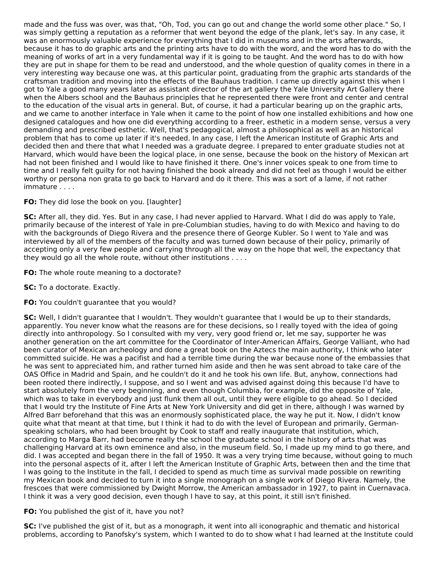made and the fuss was over, was that, "Oh, Tod, you can go out and change the world some other place." So, I was simply getting a reputation as a reformer that went beyond the edge of the plank, let's say. In any case, it was an enormously valuable experience for everything that I did in museums and in the arts afterwards, because it has to do graphic arts and the printing arts have to do with the word, and the word has to do with the meaning of works of art in a very fundamental way if it is going to be taught. And the word has to do with how they are put in shape for them to be read and understood, and the whole question of quality comes in there in a very interesting way because one was, at this particular point, graduating from the graphic arts standards of the craftsman tradition and moving into the effects of the Bauhaus tradition. I came up directly against this when I got to Yale a good many years later as assistant director of the art gallery the Yale University Art Gallery there when the Albers school and the Bauhaus principles that he represented there were front and center and central to the education of the visual arts in general. But, of course, it had a particular bearing up on the graphic arts, and we came to another interface in Yale when it came to the point of how one installed exhibitions and how one designed catalogues and how one did everything according to a freer, esthetic in a modern sense, versus a very demanding and prescribed esthetic. Well, that's pedagogical, almost a philosophical as well as an historical problem that has to come up later if it's needed. In any case, I left the American Institute of Graphic Arts and decided then and there that what I needed was a graduate degree. I prepared to enter graduate studies not at Harvard, which would have been the logical place, in one sense, because the book on the history of Mexican art had not been finished and I would like to have finished it there. One's inner voices speak to one from time to time and I really felt guilty for not having finished the book already and did not feel as though I would be either worthy or persona non grata to go back to Harvard and do it there. This was a sort of a lame, if not rather immature . . . .

# **FO:** They did lose the book on you. [laughter]

**SC:** After all, they did. Yes. But in any case, I had never applied to Harvard. What I did do was apply to Yale, primarily because of the interest of Yale in pre-Columbian studies, having to do with Mexico and having to do with the backgrounds of Diego Rivera and the presence there of George Kubler. So I went to Yale and was interviewed by all of the members of the faculty and was turned down because of their policy, primarily of accepting only a very few people and carrying through all the way on the hope that well, the expectancy that they would go all the whole route, without other institutions . . . .

**FO:** The whole route meaning to a doctorate?

- **SC:** To a doctorate. Exactly.
- **FO:** You couldn't guarantee that you would?

**SC:** Well, I didn't guarantee that I wouldn't. They wouldn't guarantee that I would be up to their standards, apparently. You never know what the reasons are for these decisions, so I really toyed with the idea of going directly into anthropology. So I consulted with my very, very good friend or, let me say, supporter he was another generation on the art committee for the Coordinator of Inter-American Affairs, George Valliant, who had been curator of Mexican archeology and done a great book on the Aztecs the main authority, I think who later committed suicide. He was a pacifist and had a terrible time during the war because none of the embassies that he was sent to appreciated him, and rather turned him aside and then he was sent abroad to take care of the OAS Office in Madrid and Spain, and he couldn't do it and he took his own life. But, anyhow, connections had been rooted there indirectly, I suppose, and so I went and was advised against doing this because I'd have to start absolutely from the very beginning, and even though Columbia, for example, did the opposite of Yale, which was to take in everybody and just flunk them all out, until they were eligible to go ahead. So I decided that I would try the Institute of Fine Arts at New York University and did get in there, although I was warned by Alfred Barr beforehand that this was an enormously sophisticated place, the way he put it. Now, I didn't know quite what that meant at that time, but I think it had to do with the level of European and primarily, Germanspeaking scholars, who had been brought by Cook to staff and really inaugurate that institution, which, according to Marga Barr, had become really the school the graduate school in the history of arts that was challenging Harvard at its own eminence and also, in the museum field. So, I made up my mind to go there, and did. I was accepted and began there in the fall of 1950. It was a very trying time because, without going to much into the personal aspects of it, after I left the American Institute of Graphic Arts, between then and the time that I was going to the Institute in the fall, I decided to spend as much time as survival made possible on rewriting my Mexican book and decided to turn it into a single monograph on a single work of Diego Rivera. Namely, the frescoes that were commissioned by Dwight Morrow, the American ambassador in 1927, to paint in Cuernavaca. I think it was a very good decision, even though I have to say, at this point, it still isn't finished.

# **FO:** You published the gist of it, have you not?

**SC:** I've published the gist of it, but as a monograph, it went into all iconographic and thematic and historical problems, according to Panofsky's system, which I wanted to do to show what I had learned at the Institute could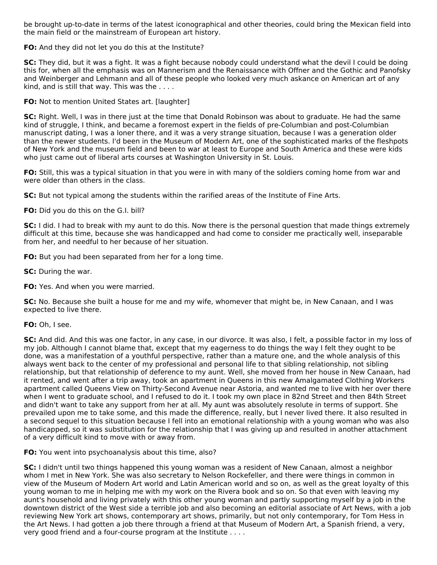be brought up-to-date in terms of the latest iconographical and other theories, could bring the Mexican field into the main field or the mainstream of European art history.

**FO:** And they did not let you do this at the Institute?

**SC:** They did, but it was a fight. It was a fight because nobody could understand what the devil I could be doing this for, when all the emphasis was on Mannerism and the Renaissance with Offner and the Gothic and Panofsky and Weinberger and Lehmann and all of these people who looked very much askance on American art of any kind, and is still that way. This was the . . . .

**FO:** Not to mention United States art. [laughter]

**SC:** Right. Well, I was in there just at the time that Donald Robinson was about to graduate. He had the same kind of struggle, I think, and became a foremost expert in the fields of pre-Columbian and post-Columbian manuscript dating, I was a loner there, and it was a very strange situation, because I was a generation older than the newer students. I'd been in the Museum of Modern Art, one of the sophisticated marks of the fleshpots of New York and the museum field and been to war at least to Europe and South America and these were kids who just came out of liberal arts courses at Washington University in St. Louis.

**FO:** Still, this was a typical situation in that you were in with many of the soldiers coming home from war and were older than others in the class.

**SC:** But not typical among the students within the rarified areas of the Institute of Fine Arts.

**FO:** Did you do this on the G.I. bill?

**SC:** I did. I had to break with my aunt to do this. Now there is the personal question that made things extremely difficult at this time, because she was handicapped and had come to consider me practically well, inseparable from her, and needful to her because of her situation.

**FO:** But you had been separated from her for a long time.

**SC:** During the war.

**FO:** Yes. And when you were married.

**SC:** No. Because she built a house for me and my wife, whomever that might be, in New Canaan, and I was expected to live there.

#### **FO:** Oh, I see.

**SC:** And did. And this was one factor, in any case, in our divorce. It was also, I felt, a possible factor in my loss of my job. Although I cannot blame that, except that my eagerness to do things the way I felt they ought to be done, was a manifestation of a youthful perspective, rather than a mature one, and the whole analysis of this always went back to the center of my professional and personal life to that sibling relationship, not sibling relationship, but that relationship of deference to my aunt. Well, she moved from her house in New Canaan, had it rented, and went after a trip away, took an apartment in Queens in this new Amalgamated Clothing Workers apartment called Queens View on Thirty-Second Avenue near Astoria, and wanted me to live with her over there when I went to graduate school, and I refused to do it. I took my own place in 82nd Street and then 84th Street and didn't want to take any support from her at all. My aunt was absolutely resolute in terms of support. She prevailed upon me to take some, and this made the difference, really, but I never lived there. It also resulted in a second sequel to this situation because I fell into an emotional relationship with a young woman who was also handicapped, so it was substitution for the relationship that I was giving up and resulted in another attachment of a very difficult kind to move with or away from.

**FO:** You went into psychoanalysis about this time, also?

**SC:** I didn't until two things happened this young woman was a resident of New Canaan, almost a neighbor whom I met in New York. She was also secretary to Nelson Rockefeller, and there were things in common in view of the Museum of Modern Art world and Latin American world and so on, as well as the great loyalty of this young woman to me in helping me with my work on the Rivera book and so on. So that even with leaving my aunt's household and living privately with this other young woman and partly supporting myself by a job in the downtown district of the West side a terrible job and also becoming an editorial associate of Art News, with a job reviewing New York art shows, contemporary art shows, primarily, but not only contemporary, for Tom Hess in the Art News. I had gotten a job there through a friend at that Museum of Modern Art, a Spanish friend, a very, very good friend and a four-course program at the Institute . . . .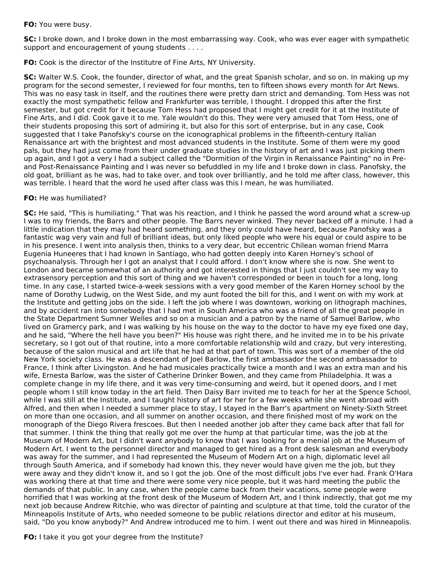### **FO:** You were busy.

**SC:** I broke down, and I broke down in the most embarrassing way. Cook, who was ever eager with sympathetic support and encouragement of young students . . . .

**FO:** Cook is the director of the Institutre of Fine Arts, NY University.

**SC:** Walter W.S. Cook, the founder, director of what, and the great Spanish scholar, and so on. In making up my program for the second semester, I reviewed for four months, ten to fifteen shows every month for Art News. This was no easy task in itself, and the routines there were pretty darn strict and demanding. Tom Hess was not exactly the most sympathetic fellow and Frankfurter was terrible, I thought. I dropped this after the first semester, but got credit for it because Tom Hess had proposed that I might get credit for it at the Institute of Fine Arts, and I did. Cook gave it to me. Yale wouldn't do this. They were very amused that Tom Hess, one of their students proposing this sort of admiring it, but also for this sort of enterprise, but in any case, Cook suggested that I take Panofsky's course on the iconographical problems in the fifteenth-century Italian Renaissance art with the brightest and most advanced students in the Institute. Some of them were my good pals, but they had just come from their under graduate studies in the history of art and I was just picking them up again, and I got a very I had a subject called the "Dormition of the Virgin in Renaissance Painting" no in Preand Post-Renaissance Painting and I was never so befuddled in my life and I broke down in class. Panofsky, the old goat, brilliant as he was, had to take over, and took over brilliantly, and he told me after class, however, this was terrible. I heard that the word he used after class was this I mean, he was humiliated.

### **FO:** He was humiliated?

**SC:** He said, "This is humiliating." That was his reaction, and I think he passed the word around what a screw-up I was to my friends, the Barrs and other people. The Barrs never winked. They never backed off a minute. I had a little indication that they may had heard something, and they only could have heard, because Panofsky was a fantastic wag very vain and full of brilliant ideas, but only liked people who were his equal or could aspire to be in his presence. I went into analysis then, thinks to a very dear, but eccentric Chilean woman friend Marra Eugenia Huneeres that I had known in Santiago, who had gotten deeply into Karen Horney's school of psychoanalysis. Through her I got an analyst that I could afford. I don't know where she is now. She went to London and became somewhat of an authority and got interested in things that I just couldn't see my way to extrasensory perception and this sort of thing and we haven't corresponded or been in touch for a long, long time. In any case, I started twice-a-week sessions with a very good member of the Karen Horney school by the name of Dorothy Ludwig, on the West Side, and my aunt footed the bill for this, and I went on with my work at the Institute and getting jobs on the side. I left the job where I was downtown, working on lithograph machines, and by accident ran into somebody that I had met in South America who was a friend of all the great people in the State Department Sumner Welles and so on a musician and a patron by the name of Samuel Barlow, who lived on Gramercy park, and I was walking by his house on the way to the doctor to have my eye fixed one day, and he said, "Where the hell have you been?" His house was right there, and he invited me in to be his private secretary, so I got out of that routine, into a more comfortable relationship wild and crazy, but very interesting, because of the salon musical and art life that he had at that part of town. This was sort of a member of the old New York society class. He was a descendant of Joel Barlow, the first ambassador the second ambassador to France, I think after Livingston. And he had musicales practically twice a month and I was an extra man and his wife, Ernesta Barlow, was the sister of Catherine Drinker Bowen, and they came from Philadelphia. It was a complete change in my life there, and it was very time-consuming and weird, but it opened doors, and I met people whom I still know today in the art field. Then Daisy Barr invited me to teach for her at the Spence School, while I was still at the Institute, and I taught history of art for her for a few weeks while she went abroad with Alfred, and then when I needed a summer place to stay, I stayed in the Barr's apartment on Ninety-Sixth Street on more than one occasion, and all summer on another occasion, and there finished most of my work on the monograph of the Diego Rivera frescoes. But then I needed another job after they came back after that fall for that summer. I think the thing that really got me over the hump at that particular time, was the job at the Museum of Modern Art, but I didn't want anybody to know that I was looking for a menial job at the Museum of Modern Art. I went to the personnel director and managed to get hired as a front desk salesman and everybody was away for the summer, and I had represented the Museum of Modern Art on a high, diplomatic level all through South America, and if somebody had known this, they never would have given me the job, but they were away and they didn't know it, and so I got the job. One of the most difficult jobs I've ever had. Frank O'Hara was working there at that time and there were some very nice people, but it was hard meeting the public the demands of that public. In any case, when the people came back from their vacations, some people were horrified that I was working at the front desk of the Museum of Modern Art, and I think indirectly, that got me my next job because Andrew Ritchie, who was director of painting and sculpture at that time, told the curator of the Minneapolis Institute of Arts, who needed someone to be public relations director and editor at his museum, said, "Do you know anybody?" And Andrew introduced me to him. I went out there and was hired in Minneapolis.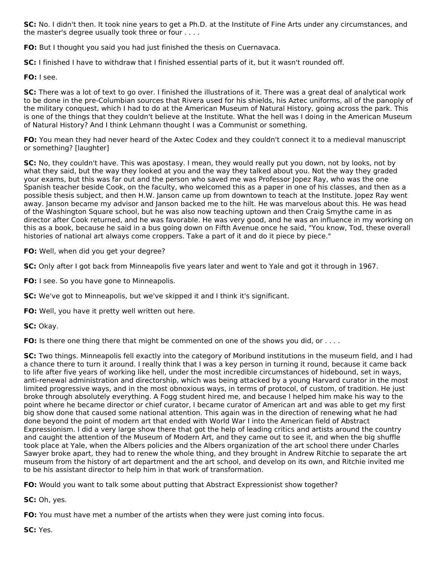**SC:** No. I didn't then. It took nine years to get a Ph.D. at the Institute of Fine Arts under any circumstances, and the master's degree usually took three or four . . . .

**FO:** But I thought you said you had just finished the thesis on Cuernavaca.

**SC:** I finished I have to withdraw that I finished essential parts of it, but it wasn't rounded off.

**FO:** I see.

**SC:** There was a lot of text to go over. I finished the illustrations of it. There was a great deal of analytical work to be done in the pre-Columbian sources that Rivera used for his shields, his Aztec uniforms, all of the panoply of the military conquest, which I had to do at the American Museum of Natural History, going across the park. This is one of the things that they couldn't believe at the Institute. What the hell was I doing in the American Museum of Natural History? And I think Lehmann thought I was a Communist or something.

**FO:** You mean they had never heard of the Axtec Codex and they couldn't connect it to a medieval manuscript or something? [laughter]

**SC:** No, they couldn't have. This was apostasy. I mean, they would really put you down, not by looks, not by what they said, but the way they looked at you and the way they talked about you. Not the way they graded your exams, but this was far out and the person who saved me was Professor Jopez Ray, who was the one Spanish teacher beside Cook, on the faculty, who welcomed this as a paper in one of his classes, and then as a possible thesis subject, and then H.W. Janson came up from downtown to teach at the Institute. Jopez Ray went away. Janson became my advisor and Janson backed me to the hilt. He was marvelous about this. He was head of the Washington Square school, but he was also now teaching uptown and then Craig Smythe came in as director after Cook returned, and he was favorable. He was very good, and he was an influence in my working on this as a book, because he said in a bus going down on Fifth Avenue once he said, "You know, Tod, these overall histories of national art always come croppers. Take a part of it and do it piece by piece."

**FO:** Well, when did you get your degree?

**SC:** Only after I got back from Minneapolis five years later and went to Yale and got it through in 1967.

**FO:** I see. So you have gone to Minneapolis.

**SC:** We've got to Minneapolis, but we've skipped it and I think it's significant.

**FO:** Well, you have it pretty well written out here.

**SC:** Okay.

**FO:** Is there one thing there that might be commented on one of the shows you did, or . . . .

**SC:** Two things. Minneapolis fell exactly into the category of Moribund institutions in the museum field, and I had a chance there to turn it around. I really think that I was a key person in turning it round, because it came back to life after five years of working like hell, under the most incredible circumstances of hidebound, set in ways, anti-renewal administration and directorship, which was being attacked by a young Harvard curator in the most limited progressive ways, and in the most obnoxious ways, in terms of protocol, of custom, of tradition. He just broke through absolutely everything. A Fogg student hired me, and because I helped him make his way to the point where he became director or chief curator, I became curator of American art and was able to get my first big show done that caused some national attention. This again was in the direction of renewing what he had done beyond the point of modern art that ended with World War I into the American field of Abstract Expressionism. I did a very large show there that got the help of leading critics and artists around the country and caught the attention of the Museum of Modern Art, and they came out to see it, and when the big shuffle took place at Yale, when the Albers policies and the Albers organization of the art school there under Charles Sawyer broke apart, they had to renew the whole thing, and they brought in Andrew Ritchie to separate the art museum from the history of art department and the art school, and develop on its own, and Ritchie invited me to be his assistant director to help him in that work of transformation.

**FO:** Would you want to talk some about putting that Abstract Expressionist show together?

**SC:** Oh, yes.

**FO:** You must have met a number of the artists when they were just coming into focus.

**SC:** Yes.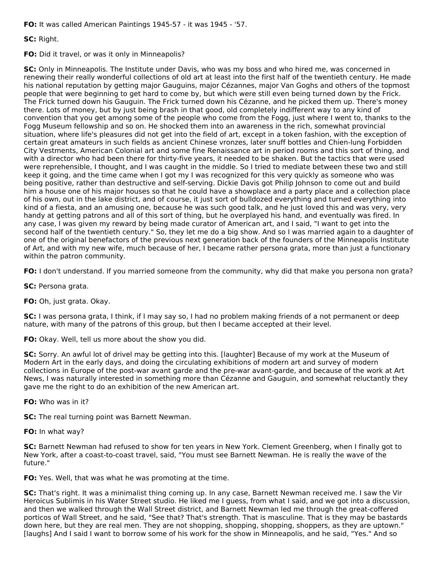**FO:** It was called American Paintings 1945-57 - it was 1945 - '57.

**SC:** Right.

**FO:** Did it travel, or was it only in Minneapolis?

**SC:** Only in Minneapolis. The Institute under Davis, who was my boss and who hired me, was concerned in renewing their really wonderful collections of old art at least into the first half of the twentieth century. He made his national reputation by getting major Gauguins, major Cézannes, major Van Goghs and others of the topmost people that were beginning to get hard to come by, but which were still even being turned down by the Frick. The Frick turned down his Gauguin. The Frick turned down his Cézanne, and he picked them up. There's money there. Lots of money, but by just being brash in that good, old completely indifferent way to any kind of convention that you get among some of the people who come from the Fogg, just where I went to, thanks to the Fogg Museum fellowship and so on. He shocked them into an awareness in the rich, somewhat provincial situation, where life's pleasures did not get into the field of art, except in a token fashion, with the exception of certain great amateurs in such fields as ancient Chinese vronzes, later snuff bottles and Chien-lung Forbidden City Vestments, American Colonial art and some fine Renaissance art in period rooms and this sort of thing, and with a director who had been there for thirty-five years, it needed to be shaken. But the tactics that were used were reprehensible, I thought, and I was caught in the middle. So I tried to mediate between these two and still keep it going, and the time came when I got my I was recognized for this very quickly as someone who was being positive, rather than destructive and self-serving. Dickie Davis got Philip Johnson to come out and build him a house one of his major houses so that he could have a showplace and a party place and a collection place of his own, out in the lake district, and of course, it just sort of bulldozed everything and turned everything into kind of a fiesta, and an amusing one, because he was such good talk, and he just loved this and was very, very handy at getting patrons and all of this sort of thing, but he overplayed his hand, and eventually was fired. In any case, I was given my reward by being made curator of American art, and I said, "I want to get into the second half of the twentieth century." So, they let me do a big show. And so I was married again to a daughter of one of the original benefactors of the previous next generation back of the founders of the Minneapolis Institute of Art, and with my new wife, much because of her, I became rather persona grata, more than just a functionary within the patron community.

**FO:** I don't understand. If you married someone from the community, why did that make you persona non grata?

**SC:** Persona grata.

**FO:** Oh, just grata. Okay.

**SC:** I was persona grata, I think, if I may say so, I had no problem making friends of a not permanent or deep nature, with many of the patrons of this group, but then I became accepted at their level.

**FO:** Okay. Well, tell us more about the show you did.

**SC:** Sorry. An awful lot of drivel may be getting into this. [laughter] Because of my work at the Museum of Modern Art in the early days, and doing the circulating exhibitions of modern art and survey of modern collections in Europe of the post-war avant garde and the pre-war avant-garde, and because of the work at Art News, I was naturally interested in something more than Cézanne and Gauguin, and somewhat reluctantly they gave me the right to do an exhibition of the new American art.

**FO:** Who was in it?

**SC:** The real turning point was Barnett Newman.

**FO:** In what way?

**SC:** Barnett Newman had refused to show for ten years in New York. Clement Greenberg, when I finally got to New York, after a coast-to-coast travel, said, "You must see Barnett Newman. He is really the wave of the future."

**FO:** Yes. Well, that was what he was promoting at the time.

**SC:** That's right. It was a minimalist thing coming up. In any case, Barnett Newman received me. I saw the Vir Heroicus Sublimis in his Water Street studio. He liked me I guess, from what I said, and we got into a discussion, and then we walked through the Wall Street district, and Barnett Newman led me through the great-coffered porticos of Wall Street, and he said, "See that? That's strength. That is masculine. That is they may be bastards down here, but they are real men. They are not shopping, shopping, shopping, shoppers, as they are uptown." [laughs] And I said I want to borrow some of his work for the show in Minneapolis, and he said, "Yes." And so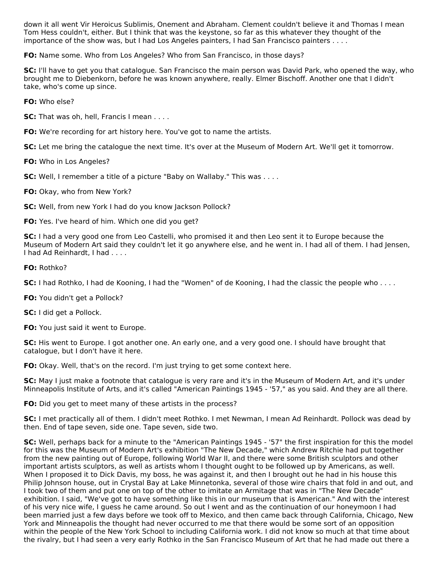down it all went Vir Heroicus Sublimis, Onement and Abraham. Clement couldn't believe it and Thomas I mean Tom Hess couldn't, either. But I think that was the keystone, so far as this whatever they thought of the importance of the show was, but I had Los Angeles painters, I had San Francisco painters . . . .

**FO:** Name some. Who from Los Angeles? Who from San Francisco, in those days?

**SC:** I'll have to get you that catalogue. San Francisco the main person was David Park, who opened the way, who brought me to Diebenkorn, before he was known anywhere, really. Elmer Bischoff. Another one that I didn't take, who's come up since.

**FO:** Who else?

**SC:** That was oh, hell, Francis I mean . . . .

**FO:** We're recording for art history here. You've got to name the artists.

**SC:** Let me bring the catalogue the next time. It's over at the Museum of Modern Art. We'll get it tomorrow.

**FO:** Who in Los Angeles?

**SC:** Well, I remember a title of a picture "Baby on Wallaby." This was . . . .

**FO:** Okay, who from New York?

**SC:** Well, from new York I had do you know Jackson Pollock?

**FO:** Yes. I've heard of him. Which one did you get?

**SC:** I had a very good one from Leo Castelli, who promised it and then Leo sent it to Europe because the Museum of Modern Art said they couldn't let it go anywhere else, and he went in. I had all of them. I had Jensen, I had Ad Reinhardt, I had . . . .

**FO:** Rothko?

**SC:** I had Rothko, I had de Kooning, I had the "Women" of de Kooning, I had the classic the people who . . . .

**FO:** You didn't get a Pollock?

**SC:** I did get a Pollock.

**FO:** You just said it went to Europe.

**SC:** His went to Europe. I got another one. An early one, and a very good one. I should have brought that catalogue, but I don't have it here.

**FO:** Okay. Well, that's on the record. I'm just trying to get some context here.

**SC:** May I just make a footnote that catalogue is very rare and it's in the Museum of Modern Art, and it's under Minneapolis Institute of Arts, and it's called "American Paintings 1945 - '57," as you said. And they are all there.

**FO:** Did you get to meet many of these artists in the process?

**SC:** I met practically all of them. I didn't meet Rothko. I met Newman, I mean Ad Reinhardt. Pollock was dead by then. End of tape seven, side one. Tape seven, side two.

**SC:** Well, perhaps back for a minute to the "American Paintings 1945 - '57" the first inspiration for this the model for this was the Museum of Modern Art's exhibition "The New Decade," which Andrew Ritchie had put together from the new painting out of Europe, following World War II, and there were some British sculptors and other important artists sculptors, as well as artists whom I thought ought to be followed up by Americans, as well. When I proposed it to Dick Davis, my boss, he was against it, and then I brought out he had in his house this Philip Johnson house, out in Crystal Bay at Lake Minnetonka, several of those wire chairs that fold in and out, and I took two of them and put one on top of the other to imitate an Armitage that was in "The New Decade" exhibition. I said, "We've got to have something like this in our museum that is American." And with the interest of his very nice wife, I guess he came around. So out I went and as the continuation of our honeymoon I had been married just a few days before we took off to Mexico, and then came back through California, Chicago, New York and Minneapolis the thought had never occurred to me that there would be some sort of an opposition within the people of the New York School to including California work. I did not know so much at that time about the rivalry, but I had seen a very early Rothko in the San Francisco Museum of Art that he had made out there a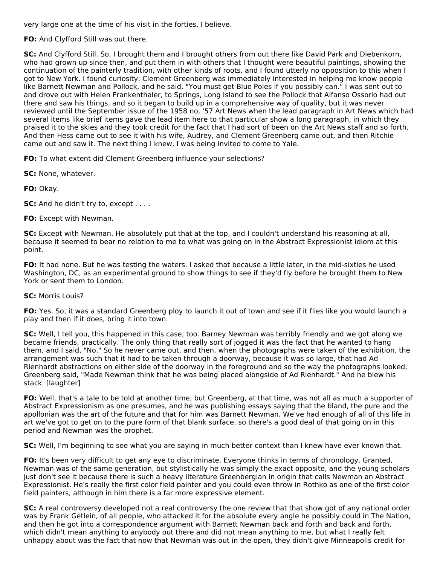very large one at the time of his visit in the forties, I believe.

**FO:** And Clyfford Still was out there.

**SC:** And Clyfford Still. So, I brought them and I brought others from out there like David Park and Diebenkorn, who had grown up since then, and put them in with others that I thought were beautiful paintings, showing the continuation of the painterly tradition, with other kinds of roots, and I found utterly no opposition to this when I got to New York. I found curiosity: Clement Greenberg was immediately interested in helping me know people like Barnett Newman and Pollock, and he said, "You must get Blue Poles if you possibly can." I was sent out to and drove out with Helen Frankenthaler, to Springs, Long Island to see the Pollock that Alfanso Ossorio had out there and saw his things, and so it began to build up in a comprehensive way of quality, but it was never reviewed until the September issue of the 1958 no, '57 Art News when the lead paragraph in Art News which had several items like brief items gave the lead item here to that particular show a long paragraph, in which they praised it to the skies and they took credit for the fact that I had sort of been on the Art News staff and so forth. And then Hess came out to see it with his wife, Audrey, and Clement Greenberg came out, and then Ritchie came out and saw it. The next thing I knew, I was being invited to come to Yale.

**FO:** To what extent did Clement Greenberg influence your selections?

**SC:** None, whatever.

**FO:** Okay.

**SC:** And he didn't try to, except . . . .

**FO:** Except with Newman.

**SC:** Except with Newman. He absolutely put that at the top, and I couldn't understand his reasoning at all, because it seemed to bear no relation to me to what was going on in the Abstract Expressionist idiom at this point.

**FO:** It had none. But he was testing the waters. I asked that because a little later, in the mid-sixties he used Washington, DC, as an experimental ground to show things to see if they'd fly before he brought them to New York or sent them to London.

#### **SC:** Morris Louis?

**FO:** Yes. So, it was a standard Greenberg ploy to launch it out of town and see if it flies like you would launch a play and then if it does, bring it into town.

**SC:** Well, I tell you, this happened in this case, too. Barney Newman was terribly friendly and we got along we became friends, practically. The only thing that really sort of jogged it was the fact that he wanted to hang them, and I said, "No." So he never came out, and then, when the photographs were taken of the exhibition, the arrangement was such that it had to be taken through a doorway, because it was so large, that had Ad Rienhardt abstractions on either side of the doorway in the foreground and so the way the photographs looked, Greenberg said, "Made Newman think that he was being placed alongside of Ad Rienhardt." And he blew his stack. [laughter]

**FO:** Well, that's a tale to be told at another time, but Greenberg, at that time, was not all as much a supporter of Abstract Expressionism as one presumes, and he was publishing essays saying that the bland, the pure and the apollonian was the art of the future and that for him was Barnett Newman. We've had enough of all of this life in art we've got to get on to the pure form of that blank surface, so there's a good deal of that going on in this period and Newman was the prophet.

**SC:** Well, I'm beginning to see what you are saying in much better context than I knew have ever known that.

**FO:** It's been very difficult to get any eye to discriminate. Everyone thinks in terms of chronology. Granted, Newman was of the same generation, but stylistically he was simply the exact opposite, and the young scholars just don't see it because there is such a heavy literature Greenbergian in origin that calls Newman an Abstract Expressionist. He's really the first color field painter and you could even throw in Rothko as one of the first color field painters, although in him there is a far more expressive element.

**SC:** A real controversy developed not a real controversy the one review that that show got of any national order was by Frank Getlein, of all people, who attacked it for the absolute every angle he possibly could in The Nation, and then he got into a correspondence argument with Barnett Newman back and forth and back and forth, which didn't mean anything to anybody out there and did not mean anything to me, but what I really felt unhappy about was the fact that now that Newman was out in the open, they didn't give Minneapolis credit for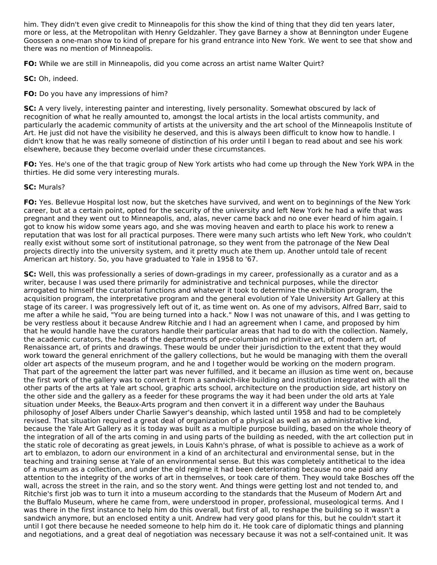him. They didn't even give credit to Minneapolis for this show the kind of thing that they did ten years later, more or less, at the Metropolitan with Henry Geldzahler. They gave Barney a show at Bennington under Eugene Goossen a one-man show to kind of prepare for his grand entrance into New York. We went to see that show and there was no mention of Minneapolis.

**FO:** While we are still in Minneapolis, did you come across an artist name Walter Quirt?

**SC:** Oh, indeed.

**FO:** Do you have any impressions of him?

**SC:** A very lively, interesting painter and interesting, lively personality. Somewhat obscured by lack of recognition of what he really amounted to, amongst the local artists in the local artists community, and particularly the academic community of artists at the university and the art school of the Minneapolis Institute of Art. He just did not have the visibility he deserved, and this is always been difficult to know how to handle. I didn't know that he was really someone of distinction of his order until I began to read about and see his work elsewhere, because they become overlaid under these circumstances.

**FO:** Yes. He's one of the that tragic group of New York artists who had come up through the New York WPA in the thirties. He did some very interesting murals.

### **SC:** Murals?

**FO:** Yes. Bellevue Hospital lost now, but the sketches have survived, and went on to beginnings of the New York career, but at a certain point, opted for the security of the university and left New York he had a wife that was pregnant and they went out to Minneapolis, and, alas, never came back and no one ever heard of him again. I got to know his widow some years ago, and she was moving heaven and earth to place his work to renew a reputation that was lost for all practical purposes. There were many such artists who left New York, who couldn't really exist without some sort of institutional patronage, so they went from the patronage of the New Deal projects directly into the university system, and it pretty much ate them up. Another untold tale of recent American art history. So, you have graduated to Yale in 1958 to '67.

**SC:** Well, this was professionally a series of down-gradings in my career, professionally as a curator and as a writer, because I was used there primarily for administrative and technical purposes, while the director arrogated to himself the curatorial functions and whatever it took to determine the exhibition program, the acquisition program, the interpretative program and the general evolution of Yale University Art Gallery at this stage of its career. I was progressively left out of it, as time went on. As one of my advisors, Alfred Barr, said to me after a while he said, "You are being turned into a hack." Now I was not unaware of this, and I was getting to be very restless about it because Andrew Ritchie and I had an agreement when I came, and proposed by him that he would handle have the curators handle their particular areas that had to do with the collection. Namely, the academic curators, the heads of the departments of pre-columbian nd primitive art, of modern art, of Renaissance art, of prints and drawings. These would be under their jurisdiction to the extent that they would work toward the general enrichment of the gallery collections, but he would be managing with them the overall older art aspects of the museum program, and he and I together would be working on the modern program. That part of the agreement the latter part was never fulfilled, and it became an illusion as time went on, because the first work of the gallery was to convert it from a sandwich-like building and institution integrated with all the other parts of the arts at Yale art school, graphic arts school, architecture on the production side, art history on the other side and the gallery as a feeder for these programs the way it had been under the old arts at Yale situation under Meeks, the Beaux-Arts program and then convert it in a different way under the Bauhaus philosophy of Josef Albers under Charlie Sawyer's deanship, which lasted until 1958 and had to be completely revised. That situation required a great deal of organization of a physical as well as an administrative kind, because the Yale Art Gallery as it is today was built as a multiple purpose building, based on the whole theory of the integration of all of the arts coming in and using parts of the building as needed, with the art collection put in the static role of decorating as great jewels, in Louis Kahn's phrase, of what is possible to achieve as a work of art to emblazon, to adorn our environment in a kind of an architectural and environmental sense, but in the teaching and training sense at Yale of an environmental sense. But this was completely antithetical to the idea of a museum as a collection, and under the old regime it had been deteriorating because no one paid any attention to the integrity of the works of art in themselves, or took care of them. They would take Bosches off the wall, across the street in the rain, and so the story went. And things were getting lost and not tended to, and Ritchie's first job was to turn it into a museum according to the standards that the Museum of Modern Art and the Buffalo Museum, where he came from, were understood in proper, professional, museological terms. And I was there in the first instance to help him do this overall, but first of all, to reshape the building so it wasn't a sandwich anymore, but an enclosed entity a unit. Andrew had very good plans for this, but he couldn't start it until I got there because he needed someone to help him do it. He took care of diplomatic things and planning and negotiations, and a great deal of negotiation was necessary because it was not a self-contained unit. It was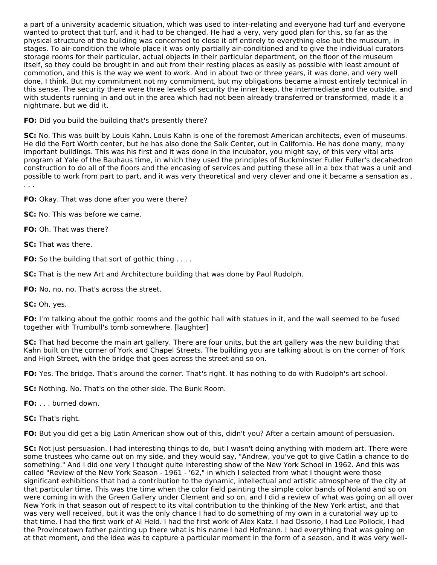a part of a university academic situation, which was used to inter-relating and everyone had turf and everyone wanted to protect that turf, and it had to be changed. He had a very, very good plan for this, so far as the physical structure of the building was concerned to close it off entirely to everything else but the museum, in stages. To air-condition the whole place it was only partially air-conditioned and to give the individual curators storage rooms for their particular, actual objects in their particular department, on the floor of the museum itself, so they could be brought in and out from their resting places as easily as possible with least amount of commotion, and this is the way we went to work. And in about two or three years, it was done, and very well done, I think. But my commitment not my commitment, but my obligations became almost entirely technical in this sense. The security there were three levels of security the inner keep, the intermediate and the outside, and with students running in and out in the area which had not been already transferred or transformed, made it a nightmare, but we did it.

### **FO:** Did you build the building that's presently there?

**SC:** No. This was built by Louis Kahn. Louis Kahn is one of the foremost American architects, even of museums. He did the Fort Worth center, but he has also done the Salk Center, out in California. He has done many, many important buildings. This was his first and it was done in the incubator, you might say, of this very vital arts program at Yale of the Bauhaus time, in which they used the principles of Buckminster Fuller Fuller's decahedron construction to do all of the floors and the encasing of services and putting these all in a box that was a unit and possible to work from part to part, and it was very theoretical and very clever and one it became a sensation as . . . .

**FO:** Okay. That was done after you were there?

**SC:** No. This was before we came.

**FO:** Oh. That was there?

**SC:** That was there.

**FO:** So the building that sort of gothic thing . . . .

**SC:** That is the new Art and Architecture building that was done by Paul Rudolph.

**FO:** No, no, no. That's across the street.

**SC:** Oh, yes.

**FO:** I'm talking about the gothic rooms and the gothic hall with statues in it, and the wall seemed to be fused together with Trumbull's tomb somewhere. [laughter]

**SC:** That had become the main art gallery. There are four units, but the art gallery was the new building that Kahn built on the corner of York and Chapel Streets. The building you are talking about is on the corner of York and High Street, with the bridge that goes across the street and so on.

**FO:** Yes. The bridge. That's around the corner. That's right. It has nothing to do with Rudolph's art school.

**SC:** Nothing. No. That's on the other side. The Bunk Room.

**FO:** . . . burned down.

**SC:** That's right.

**FO:** But you did get a big Latin American show out of this, didn't you? After a certain amount of persuasion.

**SC:** Not just persuasion. I had interesting things to do, but I wasn't doing anything with modern art. There were some trustees who came out on my side, and they would say, "Andrew, you've got to give Catlin a chance to do something." And I did one very I thought quite interesting show of the New York School in 1962. And this was called "Review of the New York Season - 1961 - '62," in which I selected from what I thought were those significant exhibitions that had a contribution to the dynamic, intellectual and artistic atmosphere of the city at that particular time. This was the time when the color field painting the simple color bands of Noland and so on were coming in with the Green Gallery under Clement and so on, and I did a review of what was going on all over New York in that season out of respect to its vital contribution to the thinking of the New York artist, and that was very well received, but it was the only chance I had to do something of my own in a curatorial way up to that time. I had the first work of Al Held. I had the first work of Alex Katz. I had Ossorio, I had Lee Pollock, I had the Provincetown father painting up there what is his name I had Hofmann. I had everything that was going on at that moment, and the idea was to capture a particular moment in the form of a season, and it was very well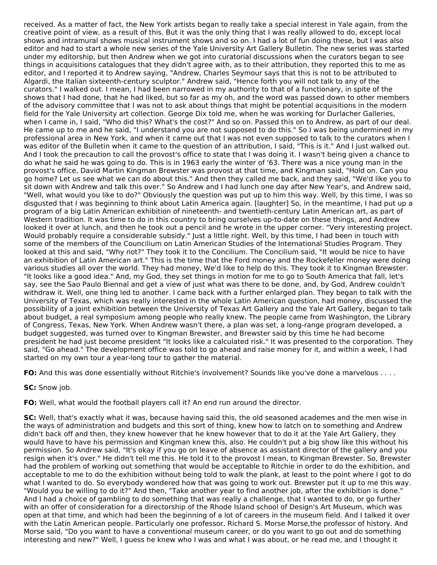received. As a matter of fact, the New York artists began to really take a special interest in Yale again, from the creative point of view, as a result of this. But it was the only thing that I was really allowed to do, except local shows and intramural shows musical instrument shows and so on. I had a lot of fun doing these, but I was also editor and had to start a whole new series of the Yale University Art Gallery Bulletin. The new series was started under my editorship, but then Andrew when we got into curatorial discussions when the curators began to see things in acquisitions catalogues that they didn't agree with, as to their attribution, they reported this to me as editor, and I reported it to Andrew saying, "Andrew, Charles Seymour says that this is not to be attributed to Algardi, the Italian sixteenth-century sculptor." Andrew said, "Hence forth you will not talk to any of the curators." I walked out. I mean, I had been narrowed in my authority to that of a functionary, in spite of the shows that I had done, that he had liked, but so far as my oh, and the word was passed down to other members of the advisory committee that I was not to ask about things that might be potential acquisitions in the modern field for the Yale University art collection. George Dix told me, when he was working for Durlacher Galleries, when I came in, I said, "Who did this? What's the cost?" And so on. Passed this on to Andrew, as part of our deal. He came up to me and he said, "I understand you are not supposed to do this." So I was being undermined in my professional area in New York, and when it came out that I was not even supposed to talk to the curators when I was editor of the Bulletin when it came to the question of an attribution, I said, "This is it." And I just walked out. And I took the precaution to call the provost's office to state that I was doing it. I wasn't being given a chance to do what he said he was going to do. This is in 1963 early the winter of '63. There was a nice young man in the provost's office, David Martin Kingman Brewster was provost at that time, and Kingman said, "Hold on. Can you go home? Let us see what we can do about this." And then they called me back, and they said, "We'd like you to sit down with Andrew and talk this over." So Andrew and I had lunch one day after New Year's, and Andrew said, "Well, what would you like to do?" Obviously the question was put up to him this way. Well, by this time, I was so disgusted that I was beginning to think about Latin America again. [laughter] So, in the meantime, I had put up a program of a big Latin American exhibition of nineteenth- and twentieth-century Latin American art, as part of Western tradition. It was time to do in this country to bring ourselves up-to-date on these things, and Andrew looked it over at lunch, and then he took out a pencil and he wrote in the upper corner. "Very interesting project. Would probably require a considerable subsidy." Just a little right. Well, by this time, I had been in touch with some of the members of the Councilium on Latin American Studies of the International Studies Program. They looked at this and said, "Why not?" They took it to the Concilium. The Concilium said, "It would be nice to have an exhibition of Latin American art." This is the time that the Ford money and the Rockefeller money were doing various studies all over the world. They had money, We'd like to help do this. They took it to Kingman Brewster. "It looks like a good idea." And, my God, they set things in motion for me to go to South America that fall, let's say, see the Sao Paulo Biennal and get a view of just what was there to be done, and, by God, Andrew couldn't withdraw it. Well, one thing led to another. I came back with a further enlarged plan. They began to talk with the University of Texas, which was really interested in the whole Latin American question, had money, discussed the possibility of a joint exhibition between the University of Texas Art Gallery and the Yale Art Gallery, began to talk about budget, a real symposium among people who really knew. The people came from Washington, the Library of Congress, Texas, New York. When Andrew wasn't there, a plan was set, a long-range program developed, a budget suggested, was turned over to Kingman Brewster, and Brewster said by this time he had become president he had just become president "It looks like a calculated risk." It was presented to the corporation. They said, "Go ahead." The development office was told to go ahead and raise money for it, and within a week, I had started on my own tour a year-long tour to gather the material.

**FO:** And this was done essentially without Ritchie's involvement? Sounds like you've done a marvelous . . . .

**SC:** Snow job.

**FO:** Well, what would the football players call it? An end run around the director.

**SC:** Well, that's exactly what it was, because having said this, the old seasoned academes and the men wise in the ways of administration and budgets and this sort of thing, knew how to latch on to something and Andrew didn't back off and then, they knew however that he knew however that to do it at the Yale Art Gallery, they would have to have his permission and Kingman knew this, also. He couldn't put a big show like this without his permission. So Andrew said, "It's okay if you go on leave of absence as assistant director of the gallery and you resign when it's over." He didn't tell me this. He told it to the provost I mean, to Kingman Brewster. So, Brewster had the problem of working out something that would be acceptable to Ritchie in order to do the exhibition, and acceptable to me to do the exhibition without being told to walk the plank, at least to the point where I got to do what I wanted to do. So everybody wondered how that was going to work out. Brewster put it up to me this way. "Would you be willing to do it?" And then, "Take another year to find another job, after the exhibition is done." And I had a choice of gambling to do something that was really a challenge, that I wanted to do, or go further with an offer of consideration for a directorship of the Rhode Island school of Design's Art Museum, which was open at that time, and which had been the beginning of a lot of careers in the museum field. And I talked it over with the Latin American people. Particularly one professor, Richard S. Morse Morse,the professor of history. And Morse said, "Do you want to have a conventional museum career, or do you want to go out and do something interesting and new?" Well, I guess he knew who I was and what I was about, or he read me, and I thought it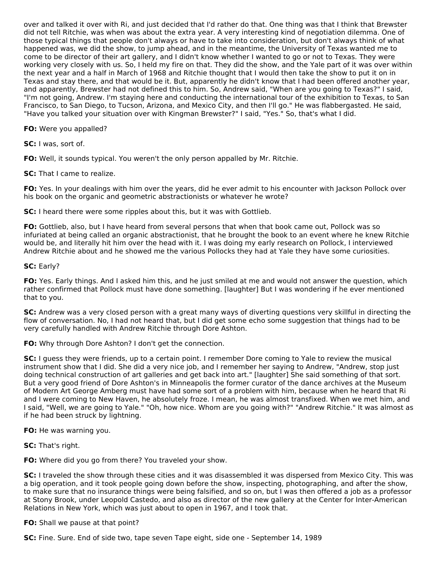over and talked it over with Ri, and just decided that I'd rather do that. One thing was that I think that Brewster did not tell Ritchie, was when was about the extra year. A very interesting kind of negotiation dilemma. One of those typical things that people don't always or have to take into consideration, but don't always think of what happened was, we did the show, to jump ahead, and in the meantime, the University of Texas wanted me to come to be director of their art gallery, and I didn't know whether I wanted to go or not to Texas. They were working very closely with us. So, I held my fire on that. They did the show, and the Yale part of it was over within the next year and a half in March of 1968 and Ritchie thought that I would then take the show to put it on in Texas and stay there, and that would be it. But, apparently he didn't know that I had been offered another year, and apparently, Brewster had not defined this to him. So, Andrew said, "When are you going to Texas?" I said, "I'm not going, Andrew. I'm staying here and conducting the international tour of the exhibition to Texas, to San Francisco, to San Diego, to Tucson, Arizona, and Mexico City, and then I'll go." He was flabbergasted. He said, "Have you talked your situation over with Kingman Brewster?" I said, "Yes." So, that's what I did.

#### **FO:** Were you appalled?

**SC:** I was, sort of.

**FO:** Well, it sounds typical. You weren't the only person appalled by Mr. Ritchie.

### **SC:** That I came to realize.

**FO:** Yes. In your dealings with him over the years, did he ever admit to his encounter with Jackson Pollock over his book on the organic and geometric abstractionists or whatever he wrote?

**SC:** I heard there were some ripples about this, but it was with Gottlieb.

**FO:** Gottlieb, also, but I have heard from several persons that when that book came out, Pollock was so infuriated at being called an organic abstractionist, that he brought the book to an event where he knew Ritchie would be, and literally hit him over the head with it. I was doing my early research on Pollock, I interviewed Andrew Ritchie about and he showed me the various Pollocks they had at Yale they have some curiosities.

### **SC:** Early?

**FO:** Yes. Early things. And I asked him this, and he just smiled at me and would not answer the question, which rather confirmed that Pollock must have done something. [laughter] But I was wondering if he ever mentioned that to you.

**SC:** Andrew was a very closed person with a great many ways of diverting questions very skillful in directing the flow of conversation. No, I had not heard that, but I did get some echo some suggestion that things had to be very carefully handled with Andrew Ritchie through Dore Ashton.

**FO:** Why through Dore Ashton? I don't get the connection.

**SC:** I guess they were friends, up to a certain point. I remember Dore coming to Yale to review the musical instrument show that I did. She did a very nice job, and I remember her saying to Andrew, "Andrew, stop just doing technical construction of art galleries and get back into art." [laughter] She said something of that sort. But a very good friend of Dore Ashton's in Minneapolis the former curator of the dance archives at the Museum of Modern Art George Amberg must have had some sort of a problem with him, because when he heard that Ri and I were coming to New Haven, he absolutely froze. I mean, he was almost transfixed. When we met him, and I said, "Well, we are going to Yale." "Oh, how nice. Whom are you going with?" "Andrew Ritchie." It was almost as if he had been struck by lightning.

**FO:** He was warning you.

**SC:** That's right.

**FO:** Where did you go from there? You traveled your show.

**SC:** I traveled the show through these cities and it was disassembled it was dispersed from Mexico City. This was a big operation, and it took people going down before the show, inspecting, photographing, and after the show, to make sure that no insurance things were being falsified, and so on, but I was then offered a job as a professor at Stony Brook, under Leopold Castedo, and also as director of the new gallery at the Center for Inter-American Relations in New York, which was just about to open in 1967, and I took that.

**FO:** Shall we pause at that point?

**SC:** Fine. Sure. End of side two, tape seven Tape eight, side one - September 14, 1989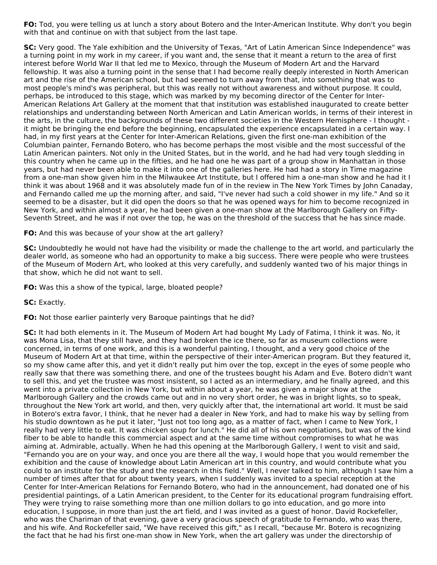**FO:** Tod, you were telling us at lunch a story about Botero and the Inter-American Institute. Why don't you begin with that and continue on with that subject from the last tape.

**SC:** Very good. The Yale exhibition and the University of Texas, "Art of Latin American Since Independence" was a turning point in my work in my career, if you want and, the sense that it meant a return to the area of first interest before World War II that led me to Mexico, through the Museum of Modern Art and the Harvard fellowship. It was also a turning point in the sense that I had become really deeply interested in North American art and the rise of the American school, but had seemed to turn away from that, into something that was to most people's mind's was peripheral, but this was really not without awareness and without purpose. It could, perhaps, be introduced to this stage, which was marked by my becoming director of the Center for Inter-American Relations Art Gallery at the moment that that institution was established inaugurated to create better relationships and understanding between North American and Latin American worlds, in terms of their interest in the arts, in the culture, the backgrounds of these two different societies in the Western Hemisphere - I thought it might be bringing the end before the beginning, encapsulated the experience encapsulated in a certain way. I had, in my first years at the Center for Inter-American Relations, given the first one-man exhibition of the Columbian painter, Fernando Botero, who has become perhaps the most visible and the most successful of the Latin American painters. Not only in the United States, but in the world, and he had had very tough sledding in this country when he came up in the fifties, and he had one he was part of a group show in Manhattan in those years, but had never been able to make it into one of the galleries here. He had had a story in Time magazine from a one-man show given him in the Milwaukee Art Institute, but I offered him a one-man show and he had it I think it was about 1968 and it was absolutely made fun of in the review in The New York Times by John Canaday, and Fernando called me up the morning after, and said, "I've never had such a cold shower in my life." And so it seemed to be a disaster, but it did open the doors so that he was opened ways for him to become recognized in New York, and within almost a year, he had been given a one-man show at the Marlborough Gallery on Fifty-Seventh Street, and he was if not over the top, he was on the threshold of the success that he has since made.

**FO:** And this was because of your show at the art gallery?

**SC:** Undoubtedly he would not have had the visibility or made the challenge to the art world, and particularly the dealer world, as someone who had an opportunity to make a big success. There were people who were trustees of the Museum of Modern Art, who looked at this very carefully, and suddenly wanted two of his major things in that show, which he did not want to sell.

**FO:** Was this a show of the typical, large, bloated people?

**SC:** Exactly.

**FO:** Not those earlier painterly very Baroque paintings that he did?

**SC:** It had both elements in it. The Museum of Modern Art had bought My Lady of Fatima, I think it was. No, it was Mona Lisa, that they still have, and they had broken the ice there, so far as museum collections were concerned, in terms of one work, and this is a wonderful painting, I thought, and a very good choice of the Museum of Modern Art at that time, within the perspective of their inter-American program. But they featured it, so my show came after this, and yet it didn't really put him over the top, except in the eyes of some people who really saw that there was something there, and one of the trustees bought his Adam and Eve. Botero didn't want to sell this, and yet the trustee was most insistent, so I acted as an intermediary, and he finally agreed, and this went into a private collection in New York, but within about a year, he was given a major show at the Marlborough Gallery and the crowds came out and in no very short order, he was in bright lights, so to speak, throughout the New York art world, and then, very quickly after that, the international art world. It must be said in Botero's extra favor, I think, that he never had a dealer in New York, and had to make his way by selling from his studio downtown as he put it later, "Just not too long ago, as a matter of fact, when I came to New York, I really had very little to eat. It was chicken soup for lunch." He did all of his own negotiations, but was of the kind fiber to be able to handle this commercial aspect and at the same time without compromises to what he was aiming at. Admirable, actually. When he had this opening at the Marlborough Gallery, I went to visit and said, "Fernando you are on your way, and once you are there all the way, I would hope that you would remember the exhibition and the cause of knowledge about Latin American art in this country, and would contribute what you could to an institute for the study and the research in this field." Well, I never talked to him, although I saw him a number of times after that for about twenty years, when I suddenly was invited to a special reception at the Center for Inter-American Relations for Fernando Botero, who had in the announcement, had donated one of his presidential paintings, of a Latin American president, to the Center for its educational program fundraising effort. They were trying to raise something more than one million dollars to go into education, and go more into education, I suppose, in more than just the art field, and I was invited as a guest of honor. David Rockefeller, who was the Chariman of that evening, gave a very gracious speech of gratitude to Fernando, who was there, and his wife. And Rockefeller said, "We have received this gift," as I recall, "because Mr. Botero is recognizing the fact that he had his first one-man show in New York, when the art gallery was under the directorship of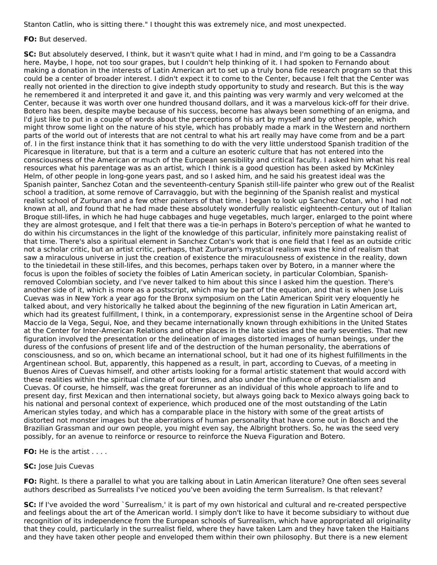Stanton Catlin, who is sitting there." I thought this was extremely nice, and most unexpected.

#### **FO:** But deserved.

**SC:** But absolutely deserved, I think, but it wasn't quite what I had in mind, and I'm going to be a Cassandra here. Maybe, I hope, not too sour grapes, but I couldn't help thinking of it. I had spoken to Fernando about making a donation in the interests of Latin American art to set up a truly bona fide research program so that this could be a center of broader interest. I didn't expect it to come to the Center, because I felt that the Center was really not oriented in the direction to give indepth study opportunity to study and research. But this is the way he remembered it and interpreted it and gave it, and this painting was very warmly and very welcomed at the Center, because it was worth over one hundred thousand dollars, and it was a marvelous kick-off for their drive. Botero has been, despite maybe because of his success, become has always been something of an enigma, and I'd just like to put in a couple of words about the perceptions of his art by myself and by other people, which might throw some light on the nature of his style, which has probably made a mark in the Western and northern parts of the world out of interests that are not central to what his art really may have come from and be a part of. I in the first instance think that it has something to do with the very little understood Spanish tradition of the Picaresque in literature, but that is a term and a culture an esoteric culture that has not entered into the consciousness of the American or much of the European sensibility and critical faculty. I asked him what his real resources what his parentage was as an artist, which I think is a good question has been asked by McKinley Helm, of other people in long-gone years past, and so I asked him, and he said his greatest ideal was the Spanish painter, Sanchez Cotan and the seventeenth-century Spanish still-life painter who grew out of the Realist school a tradition, at some remove of Carravaggio, but with the beginning of the Spanish realist and mystical realist school of Zurburan and a few other painters of that time. I began to look up Sanchez Cotan, who I had not known at all, and found that he had made these absolutely wonderfully realistic eighteenth-century out of Italian Broque still-lifes, in which he had huge cabbages and huge vegetables, much larger, enlarged to the point where they are almost grotesque, and I felt that there was a tie-in perhaps in Botero's perception of what he wanted to do within his circumstances in the light of the knowledge of this particular, infinitely more painstaking realist of that time. There's also a spiritual element in Sanchez Cotan's work that is one field that I feel as an outside critic not a scholar critic, but an artist critic, perhaps, that Zurburan's mystical realism was the kind of realism that saw a miraculous universe in just the creation of existence the miraculousness of existence in the reality, down to the tiniedetail in these still-lifes, and this becomes, perhaps taken over by Botero, in a manner where the focus is upon the foibles of society the foibles of Latin American society, in particular Colombian, Spanishremoved Colombian society, and I've never talked to him about this since I asked him the question. There's another side of it, which is more as a postscript, which may be part of the equation, and that is when Jose Luis Cuevas was in New York a year ago for the Bronx symposium on the Latin American Spirit very eloquently he talked about, and very historically he talked about the beginning of the new figuration in Latin American art, which had its greatest fulfillment, I think, in a contemporary, expressionist sense in the Argentine school of Deira Maccio de la Vega, Segui, Noe, and they became internationally known through exhibitions in the United States at the Center for Inter-American Relations and other places in the late sixties and the early seventies. That new figuration involved the presentation or the delineation of images distorted images of human beings, under the duress of the confusions of present life and of the destruction of the human personality, the aberrations of consciousness, and so on, which became an international school, but it had one of its highest fulfillments in the Argentinean school. But, apparently, this happened as a result, in part, according to Cuevas, of a meeting in Buenos Aires of Cuevas himself, and other artists looking for a formal artistic statement that would accord with these realities within the spiritual climate of our times, and also under the influence of existentialism and Cuevas. Of course, he himself, was the great forerunner as an individual of this whole approach to life and to present day, first Mexican and then international society, but always going back to Mexico always going back to his national and personal context of experience, which produced one of the most outstanding of the Latin American styles today, and which has a comparable place in the history with some of the great artists of distorted not monster images but the aberrations of human personality that have come out in Bosch and the Brazilian Grassman and our own people, you might even say, the Albright brothers. So, he was the seed very possibly, for an avenue to reinforce or resource to reinforce the Nueva Figuration and Botero.

**FO:** He is the artist . . . .

## **SC:** Jose Juis Cuevas

**FO:** Right. Is there a parallel to what you are talking about in Latin American literature? One often sees several authors described as Surrealists I've noticed you've been avoiding the term Surrealism. Is that relevant?

**SC:** If I've avoided the word `Surrealism,' it is part of my own historical and cultural and re-created perspective and feelings about the art of the American world. I simply don't like to have it become subsidiary to without due recognition of its independence from the European schools of Surrealism, which have appropriated all originality that they could, particularly in the surrealist field, where they have taken Lam and they have taken the Haitians and they have taken other people and enveloped them within their own philosophy. But there is a new element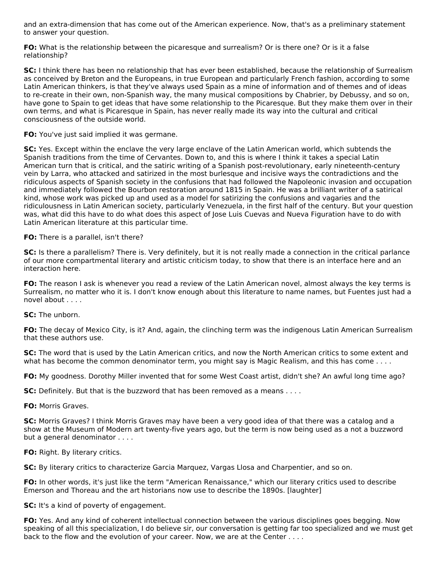and an extra-dimension that has come out of the American experience. Now, that's as a preliminary statement to answer your question.

**FO:** What is the relationship between the picaresque and surrealism? Or is there one? Or is it a false relationship?

**SC:** I think there has been no relationship that has ever been established, because the relationship of Surrealism as conceived by Breton and the Europeans, in true European and particularly French fashion, according to some Latin American thinkers, is that they've always used Spain as a mine of information and of themes and of ideas to re-create in their own, non-Spanish way, the many musical compositions by Chabrier, by Debussy, and so on, have gone to Spain to get ideas that have some relationship to the Picaresque. But they make them over in their own terms, and what is Picaresque in Spain, has never really made its way into the cultural and critical consciousness of the outside world.

**FO:** You've just said implied it was germane.

**SC:** Yes. Except within the enclave the very large enclave of the Latin American world, which subtends the Spanish traditions from the time of Cervantes. Down to, and this is where I think it takes a special Latin American turn that is critical, and the satiric writing of a Spanish post-revolutionary, early nineteenth-century vein by Larra, who attacked and satirized in the most burlesque and incisive ways the contradictions and the ridiculous aspects of Spanish society in the confusions that had followed the Napoleonic invasion and occupation and immediately followed the Bourbon restoration around 1815 in Spain. He was a brilliant writer of a satirical kind, whose work was picked up and used as a model for satirizing the confusions and vagaries and the ridiculousness in Latin American society, particularly Venezuela, in the first half of the century. But your question was, what did this have to do what does this aspect of Jose Luis Cuevas and Nueva Figuration have to do with Latin American literature at this particular time.

#### **FO:** There is a parallel, isn't there?

**SC:** Is there a parallelism? There is. Very definitely, but it is not really made a connection in the critical parlance of our more compartmental literary and artistic criticism today, to show that there is an interface here and an interaction here.

**FO:** The reason I ask is whenever you read a review of the Latin American novel, almost always the key terms is Surrealism, no matter who it is. I don't know enough about this literature to name names, but Fuentes just had a novel about . . . .

**SC:** The unborn.

**FO:** The decay of Mexico City, is it? And, again, the clinching term was the indigenous Latin American Surrealism that these authors use.

**SC:** The word that is used by the Latin American critics, and now the North American critics to some extent and what has become the common denominator term, you might say is Magic Realism, and this has come . . . .

**FO:** My goodness. Dorothy Miller invented that for some West Coast artist, didn't she? An awful long time ago?

**SC:** Definitely. But that is the buzzword that has been removed as a means . . . .

**FO:** Morris Graves.

**SC:** Morris Graves? I think Morris Graves may have been a very good idea of that there was a catalog and a show at the Museum of Modern art twenty-five years ago, but the term is now being used as a not a buzzword but a general denominator . . . .

**FO:** Right. By literary critics.

**SC:** By literary critics to characterize Garcia Marquez, Vargas Llosa and Charpentier, and so on.

**FO:** In other words, it's just like the term "American Renaissance," which our literary critics used to describe Emerson and Thoreau and the art historians now use to describe the 1890s. [laughter]

**SC:** It's a kind of poverty of engagement.

**FO:** Yes. And any kind of coherent intellectual connection between the various disciplines goes begging. Now speaking of all this specialization, I do believe sir, our conversation is getting far too specialized and we must get back to the flow and the evolution of your career. Now, we are at the Center . . . .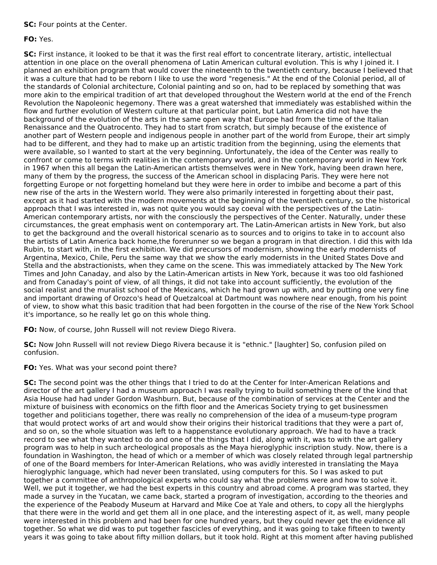**SC:** Four points at the Center.

### **FO:** Yes.

**SC:** First instance, it looked to be that it was the first real effort to concentrate literary, artistic, intellectual attention in one place on the overall phenomena of Latin American cultural evolution. This is why I joined it. I planned an exhibition program that would cover the nineteenth to the twentieth century, because I believed that it was a culture that had to be reborn I like to use the word "regenesis." At the end of the Colonial period, all of the standards of Colonial architecture, Colonial painting and so on, had to be replaced by something that was more akin to the empirical tradition of art that developed throughout the Western world at the end of the French Revolution the Napoleonic hegemony. There was a great watershed that immediately was established within the flow and further evolution of Western culture at that particular point, but Latin America did not have the background of the evolution of the arts in the same open way that Europe had from the time of the Italian Renaissance and the Quatrocento. They had to start from scratch, but simply because of the existence of another part of Western people and indigenous people in another part of the world from Europe, their art simply had to be different, and they had to make up an artistic tradition from the beginning, using the elements that were available, so I wanted to start at the very beginning. Unfortunately, the idea of the Center was really to confront or come to terms with realities in the contemporary world, and in the contemporary world in New York in 1967 when this all began the Latin-American artists themselves were in New York, having been drawn here, many of them by the progress, the success of the American school in displacing Paris. They were here not forgetting Europe or not forgetting homeland but they were here in order to imbibe and become a part of this new rise of the arts in the Western world. They were also primarily interested in forgetting about their past, except as it had started with the modern movements at the beginning of the twentieth century, so the historical approach that I was interested in, was not quite you would say coeval with the perspectives of the Latin-American contemporary artists, nor with the consciously the perspectives of the Center. Naturally, under these circumstances, the great emphasis went on contemporary art. The Latin-American artists in New York, but also to get the background and the overall historical scenario as to sources and to origins to take in to account also the artists of Latin America back home,the forerunner so we began a program in that direction. I did this with Ida Rubin, to start with, in the first exhibition. We did precursors of modernism, showing the early modernists of Argentina, Mexico, Chile, Peru the same way that we show the early modernists in the United States Dove and Stella and the abstractionists, when they came on the scene. This was immediately attacked by The New York Times and John Canaday, and also by the Latin-American artists in New York, because it was too old fashioned and from Canaday's point of view, of all things, it did not take into account sufficiently, the evolution of the social realist and the muralist school of the Mexicans, which he had grown up with, and by putting one very fine and important drawing of Orozco's head of Quetzalcoal at Dartmount was nowhere near enough, from his point of view, to show what this basic tradition that had been forgotten in the course of the rise of the New York School it's importance, so he really let go on this whole thing.

**FO:** Now, of course, John Russell will not review Diego Rivera.

**SC:** Now John Russell will not review Diego Rivera because it is "ethnic." [laughter] So, confusion piled on confusion.

## **FO:** Yes. What was your second point there?

**SC:** The second point was the other things that I tried to do at the Center for Inter-American Relations and director of the art gallery I had a museum approach I was really trying to build something there of the kind that Asia House had had under Gordon Washburn. But, because of the combination of services at the Center and the mixture of buisiness with economics on the fifth floor and the Americas Society trying to get businessmen together and politicians together, there was really no comprehension of the idea of a museum-type program that would protect works of art and would show their origins their historical traditions that they were a part of, and so on, so the whole situation was left to a happenstance evolutionary approach. We had to have a track record to see what they wanted to do and one of the things that I did, along with it, was to with the art gallery program was to help in such archeological proposals as the Maya hieroglyphic inscription study. Now, there is a foundation in Washington, the head of which or a member of which was closely related through legal partnership of one of the Board members for Inter-American Relations, who was avidly interested in translating the Maya hieroglyphic language, which had never been translated, using computers for this. So I was asked to put together a committee of anthropological experts who could say what the problems were and how to solve it. Well, we put it together, we had the best experts in this country and abroad come. A program was started, they made a survey in the Yucatan, we came back, started a program of investigation, according to the theories and the experience of the Peabody Museum at Harvard and Mike Coe at Yale and others, to copy all the hierglyphs that there were in the world and get them all in one place, and the interesting aspect of it, as well, many people were interested in this problem and had been for one hundred years, but they could never get the evidence all together. So what we did was to put together fascicles of everything, and it was going to take fifteen to twenty years it was going to take about fifty million dollars, but it took hold. Right at this moment after having published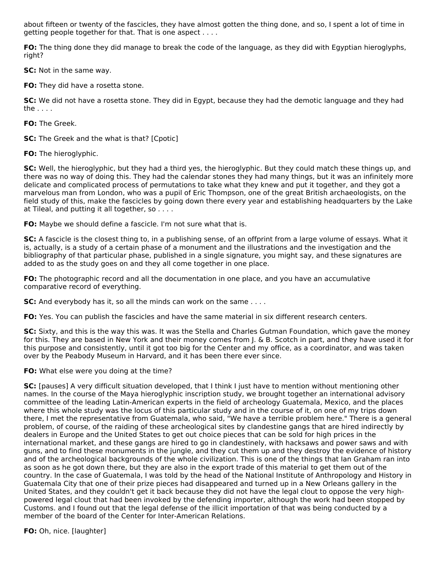about fifteen or twenty of the fascicles, they have almost gotten the thing done, and so, I spent a lot of time in getting people together for that. That is one aspect . . . .

**FO:** The thing done they did manage to break the code of the language, as they did with Egyptian hieroglyphs, right?

**SC:** Not in the same way.

**FO:** They did have a rosetta stone.

**SC:** We did not have a rosetta stone. They did in Egypt, because they had the demotic language and they had the . . . .

**FO:** The Greek.

**SC:** The Greek and the what is that? [Cpotic]

**FO:** The hieroglyphic.

**SC:** Well, the hieroglyphic, but they had a third yes, the hieroglyphic. But they could match these things up, and there was no way of doing this. They had the calendar stones they had many things, but it was an infinitely more delicate and complicated process of permutations to take what they knew and put it together, and they got a marvelous man from London, who was a pupil of Eric Thompson, one of the great British archaeologists, on the field study of this, make the fascicles by going down there every year and establishing headquarters by the Lake at Tileal, and putting it all together, so . . . .

**FO:** Maybe we should define a fascicle. I'm not sure what that is.

**SC:** A fascicle is the closest thing to, in a publishing sense, of an offprint from a large volume of essays. What it is, actually, is a study of a certain phase of a monument and the illustrations and the investigation and the bibliography of that particular phase, published in a single signature, you might say, and these signatures are added to as the study goes on and they all come together in one place.

**FO:** The photographic record and all the documentation in one place, and you have an accumulative comparative record of everything.

**SC:** And everybody has it, so all the minds can work on the same . . . .

**FO:** Yes. You can publish the fascicles and have the same material in six different research centers.

**SC:** Sixty, and this is the way this was. It was the Stella and Charles Gutman Foundation, which gave the money for this. They are based in New York and their money comes from J. & B. Scotch in part, and they have used it for this purpose and consistently, until it got too big for the Center and my office, as a coordinator, and was taken over by the Peabody Museum in Harvard, and it has been there ever since.

**FO:** What else were you doing at the time?

**SC:** [pauses] A very difficult situation developed, that I think I just have to mention without mentioning other names. In the course of the Maya hieroglyphic inscription study, we brought together an international advisory committee of the leading Latin-American experts in the field of archeology Guatemala, Mexico, and the places where this whole study was the locus of this particular study and in the course of it, on one of my trips down there, I met the representative from Guatemala, who said, "We have a terrible problem here." There is a general problem, of course, of the raiding of these archeological sites by clandestine gangs that are hired indirectly by dealers in Europe and the United States to get out choice pieces that can be sold for high prices in the international market, and these gangs are hired to go in clandestinely, with hacksaws and power saws and with guns, and to find these monuments in the jungle, and they cut them up and they destroy the evidence of history and of the archeological backgrounds of the whole civilization. This is one of the things that Ian Graham ran into as soon as he got down there, but they are also in the export trade of this material to get them out of the country. In the case of Guatemala, I was told by the head of the National Institute of Anthropology and History in Guatemala City that one of their prize pieces had disappeared and turned up in a New Orleans gallery in the United States, and they couldn't get it back because they did not have the legal clout to oppose the very highpowered legal clout that had been invoked by the defending importer, although the work had been stopped by Customs. and I found out that the legal defense of the illicit importation of that was being conducted by a member of the board of the Center for Inter-American Relations.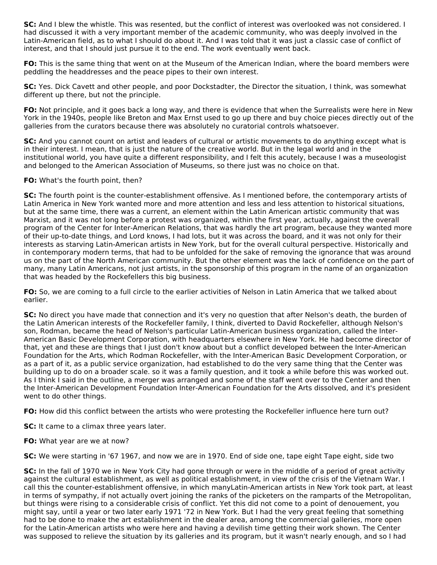**SC:** And I blew the whistle. This was resented, but the conflict of interest was overlooked was not considered. I had discussed it with a very important member of the academic community, who was deeply involved in the Latin-American field, as to what I should do about it. And I was told that it was just a classic case of conflict of interest, and that I should just pursue it to the end. The work eventually went back.

**FO:** This is the same thing that went on at the Museum of the American Indian, where the board members were peddling the headdresses and the peace pipes to their own interest.

**SC:** Yes. Dick Cavett and other people, and poor Dockstadter, the Director the situation, I think, was somewhat different up there, but not the principle.

**FO:** Not principle, and it goes back a long way, and there is evidence that when the Surrealists were here in New York in the 1940s, people like Breton and Max Ernst used to go up there and buy choice pieces directly out of the galleries from the curators because there was absolutely no curatorial controls whatsoever.

**SC:** And you cannot count on artist and leaders of cultural or artistic movements to do anything except what is in their interest. I mean, that is just the nature of the creative world. But in the legal world and in the institutional world, you have quite a different responsibility, and I felt this acutely, because I was a museologist and belonged to the American Association of Museums, so there just was no choice on that.

### **FO:** What's the fourth point, then?

**SC:** The fourth point is the counter-establishment offensive. As I mentioned before, the contemporary artists of Latin America in New York wanted more and more attention and less and less attention to historical situations, but at the same time, there was a current, an element within the Latin American artistic community that was Marxist, and it was not long before a protest was organized, within the first year, actually, against the overall program of the Center for Inter-American Relations, that was hardly the art program, because they wanted more of their up-to-date things, and Lord knows, I had lots, but it was across the board, and it was not only for their interests as starving Latin-American artists in New York, but for the overall cultural perspective. Historically and in contemporary modern terms, that had to be unfolded for the sake of removing the ignorance that was around us on the part of the North American community. But the other element was the lack of confidence on the part of many, many Latin Americans, not just artists, in the sponsorship of this program in the name of an organization that was headed by the Rockefellers this big business.

**FO:** So, we are coming to a full circle to the earlier activities of Nelson in Latin America that we talked about earlier.

**SC:** No direct you have made that connection and it's very no question that after Nelson's death, the burden of the Latin American interests of the Rockefeller family, I think, diverted to David Rockefeller, although Nelson's son, Rodman, became the head of Nelson's particular Latin-American business organization, called the Inter-American Basic Development Corporation, with headquarters elsewhere in New York. He had become director of that, yet and these are things that I just don't know about but a conflict developed between the Inter-American Foundation for the Arts, which Rodman Rockefeller, with the Inter-American Basic Development Corporation, or as a part of it, as a public service organization, had established to do the very same thing that the Center was building up to do on a broader scale. so it was a family question, and it took a while before this was worked out. As I think I said in the outline, a merger was arranged and some of the staff went over to the Center and then the Inter-American Development Foundation Inter-American Foundation for the Arts dissolved, and it's president went to do other things.

**FO:** How did this conflict between the artists who were protesting the Rockefeller influence here turn out?

**SC:** It came to a climax three years later.

**FO:** What year are we at now?

**SC:** We were starting in '67 1967, and now we are in 1970. End of side one, tape eight Tape eight, side two

**SC:** In the fall of 1970 we in New York City had gone through or were in the middle of a period of great activity against the cultural establishment, as well as political establishment, in view of the crisis of the Vietnam War. I call this the counter-establishment offensive, in which manyLatin-American artists in New York took part, at least in terms of sympathy, if not actually overt joining the ranks of the picketers on the ramparts of the Metropolitan, but things were rising to a considerable crisis of conflict. Yet this did not come to a point of denouement, you might say, until a year or two later early 1971 '72 in New York. But I had the very great feeling that something had to be done to make the art establishment in the dealer area, among the commercial galleries, more open for the Latin-American artists who were here and having a devilish time getting their work shown. The Center was supposed to relieve the situation by its galleries and its program, but it wasn't nearly enough, and so I had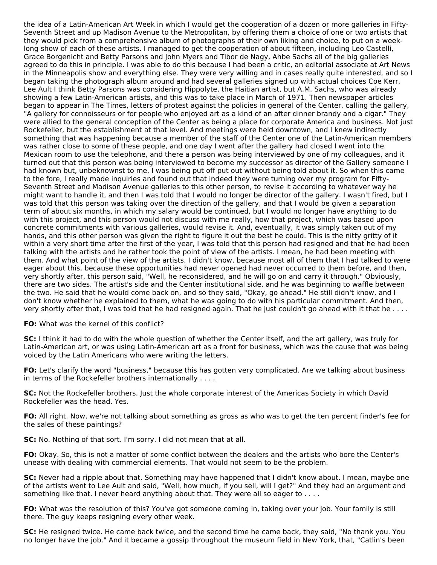the idea of a Latin-American Art Week in which I would get the cooperation of a dozen or more galleries in Fifty-Seventh Street and up Madison Avenue to the Metropolitan, by offering them a choice of one or two artists that they would pick from a comprehensive album of photographs of their own liking and choice, to put on a weeklong show of each of these artists. I managed to get the cooperation of about fifteen, including Leo Castelli, Grace Borgenicht and Betty Parsons and John Myers and Tibor de Nagy, Ahbe Sachs all of the big galleries agreed to do this in principle. I was able to do this because I had been a critic, an editorial associate at Art News in the Minneapolis show and everything else. They were very willing and in cases really quite interested, and so I began taking the photograph album around and had several galleries signed up with actual choices Coe Kerr, Lee Ault I think Betty Parsons was considering Hippolyte, the Haitian artist, but A.M. Sachs, who was already showing a few Latin-American artists, and this was to take place in March of 1971. Then newspaper articles began to appear in The Times, letters of protest against the policies in general of the Center, calling the gallery, "A gallery for connoisseurs or for people who enjoyed art as a kind of an after dinner brandy and a cigar." They were allied to the general conception of the Center as being a place for corporate America and business. Not just Rockefeller, but the establishment at that level. And meetings were held downtown, and I knew indirectly something that was happening because a member of the staff of the Center one of the Latin-American members was rather close to some of these people, and one day I went after the gallery had closed I went into the Mexican room to use the telephone, and there a person was being interviewed by one of my colleagues, and it turned out that this person was being interviewed to become my successor as director of the Gallery someone I had known but, unbeknownst to me, I was being put off put out without being told about it. So when this came to the fore, I really made inquiries and found out that indeed they were turning over my program for Fifty-Seventh Street and Madison Avenue galleries to this other person, to revise it according to whatever way he might want to handle it, and then I was told that I would no longer be director of the gallery. I wasn't fired, but I was told that this person was taking over the direction of the gallery, and that I would be given a separation term of about six months, in which my salary would be continued, but I would no longer have anything to do with this project, and this person would not discuss with me really, how that project, which was based upon concrete commitments with various galleries, would revise it. And, eventually, it was simply taken out of my hands, and this other person was given the right to figure it out the best he could. This is the nitty gritty of it within a very short time after the first of the year, I was told that this person had resigned and that he had been talking with the artists and he rather took the point of view of the artists. I mean, he had been meeting with them. And what point of the view of the artists, I didn't know, because most all of them that I had talked to were eager about this, because these opportunities had never opened had never occurred to them before, and then, very shortly after, this person said, "Well, he reconsidered, and he will go on and carry it through." Obviously, there are two sides. The artist's side and the Center institutional side, and he was beginning to waffle between the two. He said that he would come back on, and so they said, "Okay, go ahead." He still didn't know, and I don't know whether he explained to them, what he was going to do with his particular commitment. And then, very shortly after that, I was told that he had resigned again. That he just couldn't go ahead with it that he . . . .

**FO:** What was the kernel of this conflict?

**SC:** I think it had to do with the whole question of whether the Center itself, and the art gallery, was truly for Latin-American art, or was using Latin-American art as a front for business, which was the cause that was being voiced by the Latin Americans who were writing the letters.

**FO:** Let's clarify the word "business," because this has gotten very complicated. Are we talking about business in terms of the Rockefeller brothers internationally . . . .

**SC:** Not the Rockefeller brothers. Just the whole corporate interest of the Americas Society in which David Rockefeller was the head. Yes.

**FO:** All right. Now, we're not talking about something as gross as who was to get the ten percent finder's fee for the sales of these paintings?

**SC:** No. Nothing of that sort. I'm sorry. I did not mean that at all.

**FO:** Okay. So, this is not a matter of some conflict between the dealers and the artists who bore the Center's unease with dealing with commercial elements. That would not seem to be the problem.

**SC:** Never had a ripple about that. Something may have happened that I didn't know about. I mean, maybe one of the artists went to Lee Ault and said, "Well, how much, if you sell, will I get?" And they had an argument and something like that. I never heard anything about that. They were all so eager to . . . .

**FO:** What was the resolution of this? You've got someone coming in, taking over your job. Your family is still there. The guy keeps resigning every other week.

**SC:** He resigned twice. He came back twice, and the second time he came back, they said, "No thank you. You no longer have the job." And it became a gossip throughout the museum field in New York, that, "Catlin's been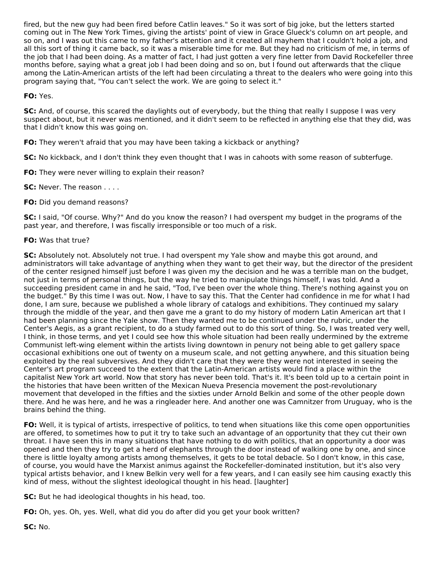fired, but the new guy had been fired before Catlin leaves." So it was sort of big joke, but the letters started coming out in The New York Times, giving the artists' point of view in Grace Glueck's column on art people, and so on, and I was out this came to my father's attention and it created all mayhem that I couldn't hold a job, and all this sort of thing it came back, so it was a miserable time for me. But they had no criticism of me, in terms of the job that I had been doing. As a matter of fact, I had just gotten a very fine letter from David Rockefeller three months before, saying what a great job I had been doing and so on, but I found out afterwards that the clique among the Latin-American artists of the left had been circulating a threat to the dealers who were going into this program saying that, "You can't select the work. We are going to select it."

## **FO:** Yes.

**SC:** And, of course, this scared the daylights out of everybody, but the thing that really I suppose I was very suspect about, but it never was mentioned, and it didn't seem to be reflected in anything else that they did, was that I didn't know this was going on.

**FO:** They weren't afraid that you may have been taking a kickback or anything?

**SC:** No kickback, and I don't think they even thought that I was in cahoots with some reason of subterfuge.

**FO:** They were never willing to explain their reason?

**SC: Never. The reason . . . .** 

## **FO:** Did you demand reasons?

**SC:** I said, "Of course. Why?" And do you know the reason? I had overspent my budget in the programs of the past year, and therefore, I was fiscally irresponsible or too much of a risk.

### **FO:** Was that true?

**SC:** Absolutely not. Absolutely not true. I had overspent my Yale show and maybe this got around, and administrators will take advantage of anything when they want to get their way, but the director of the president of the center resigned himself just before I was given my the decision and he was a terrible man on the budget, not just in terms of personal things, but the way he tried to manipulate things himself, I was told. And a succeeding president came in and he said, "Tod, I've been over the whole thing. There's nothing against you on the budget." By this time I was out. Now, I have to say this. That the Center had confidence in me for what I had done, I am sure, because we published a whole library of catalogs and exhibitions. They continued my salary through the middle of the year, and then gave me a grant to do my history of modern Latin American art that I had been planning since the Yale show. Then they wanted me to be continued under the rubric, under the Center's Aegis, as a grant recipient, to do a study farmed out to do this sort of thing. So, I was treated very well, I think, in those terms, and yet I could see how this whole situation had been really undermined by the extreme Communist left-wing element within the artists living downtown in penury not being able to get gallery space occasional exhibitions one out of twenty on a museum scale, and not getting anywhere, and this situation being exploited by the real subversives. And they didn't care that they were they were not interested in seeing the Center's art program succeed to the extent that the Latin-American artists would find a place within the capitalist New York art world. Now that story has never been told. That's it. It's been told up to a certain point in the histories that have been written of the Mexican Nueva Presencia movement the post-revolutionary movement that developed in the fifties and the sixties under Arnold Belkin and some of the other people down there. And he was here, and he was a ringleader here. And another one was Camnitzer from Uruguay, who is the brains behind the thing.

**FO:** Well, it is typical of artists, irrespective of politics, to tend when situations like this come open opportunities are offered, to sometimes how to put it try to take such an advantage of an opportunity that they cut their own throat. I have seen this in many situations that have nothing to do with politics, that an opportunity a door was opened and then they try to get a herd of elephants through the door instead of walking one by one, and since there is little loyalty among artists among themselves, it gets to be total debacle. So I don't know, in this case, of course, you would have the Marxist animus against the Rockefeller-dominated institution, but it's also very typical artists behavior, and I knew Belkin very well for a few years, and I can easily see him causing exactly this kind of mess, without the slightest ideological thought in his head. [laughter]

**SC:** But he had ideological thoughts in his head, too.

**FO:** Oh, yes. Oh, yes. Well, what did you do after did you get your book written?

**SC:** No.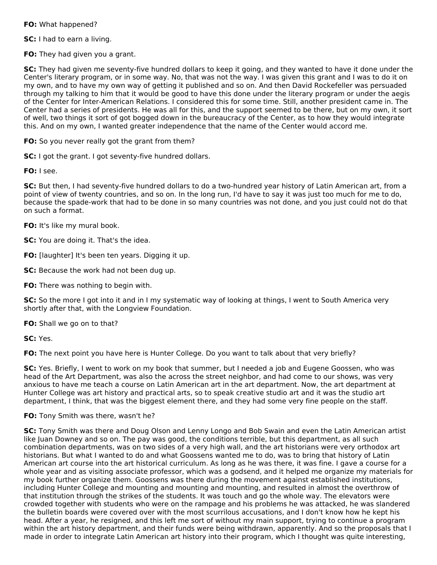**FO:** What happened?

**SC:** I had to earn a living.

**FO:** They had given you a grant.

**SC:** They had given me seventy-five hundred dollars to keep it going, and they wanted to have it done under the Center's literary program, or in some way. No, that was not the way. I was given this grant and I was to do it on my own, and to have my own way of getting it published and so on. And then David Rockefeller was persuaded through my talking to him that it would be good to have this done under the literary program or under the aegis of the Center for Inter-American Relations. I considered this for some time. Still, another president came in. The Center had a series of presidents. He was all for this, and the support seemed to be there, but on my own, it sort of well, two things it sort of got bogged down in the bureaucracy of the Center, as to how they would integrate this. And on my own, I wanted greater independence that the name of the Center would accord me.

**FO:** So you never really got the grant from them?

**SC:** I got the grant. I got seventy-five hundred dollars.

**FO:** I see.

**SC:** But then, I had seventy-five hundred dollars to do a two-hundred year history of Latin American art, from a point of view of twenty countries, and so on. In the long run, I'd have to say it was just too much for me to do, because the spade-work that had to be done in so many countries was not done, and you just could not do that on such a format.

**FO:** It's like my mural book.

**SC:** You are doing it. That's the idea.

**FO:** [laughter] It's been ten years. Digging it up.

**SC:** Because the work had not been dug up.

**FO:** There was nothing to begin with.

**SC:** So the more I got into it and in I my systematic way of looking at things, I went to South America very shortly after that, with the Longview Foundation.

**FO:** Shall we go on to that?

**SC:** Yes.

**FO:** The next point you have here is Hunter College. Do you want to talk about that very briefly?

**SC:** Yes. Briefly, I went to work on my book that summer, but I needed a job and Eugene Goossen, who was head of the Art Department, was also the across the street neighbor, and had come to our shows, was very anxious to have me teach a course on Latin American art in the art department. Now, the art department at Hunter College was art history and practical arts, so to speak creative studio art and it was the studio art department, I think, that was the biggest element there, and they had some very fine people on the staff.

**FO:** Tony Smith was there, wasn't he?

**SC:** Tony Smith was there and Doug Olson and Lenny Longo and Bob Swain and even the Latin American artist like Juan Downey and so on. The pay was good, the conditions terrible, but this department, as all such combination departments, was on two sides of a very high wall, and the art historians were very orthodox art historians. But what I wanted to do and what Goossens wanted me to do, was to bring that history of Latin American art course into the art historical curriculum. As long as he was there, it was fine. I gave a course for a whole year and as visiting associate professor, which was a godsend, and it helped me organize my materials for my book further organize them. Goossens was there during the movement against established institutions, including Hunter College and mounting and mounting and mounting, and resulted in almost the overthrow of that institution through the strikes of the students. It was touch and go the whole way. The elevators were crowded together with students who were on the rampage and his problems he was attacked, he was slandered the bulletin boards were covered over with the most scurrilous accusations, and I don't know how he kept his head. After a year, he resigned, and this left me sort of without my main support, trying to continue a program within the art history department, and their funds were being withdrawn, apparently. And so the proposals that I made in order to integrate Latin American art history into their program, which I thought was quite interesting,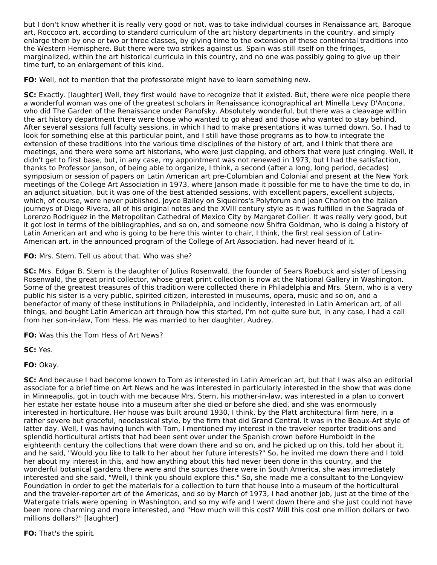but I don't know whether it is really very good or not, was to take individual courses in Renaissance art, Baroque art, Roccoco art, according to standard curriculum of the art history departments in the country, and simply enlarge them by one or two or three classes, by giving time to the extension of these continental traditions into the Western Hemisphere. But there were two strikes against us. Spain was still itself on the fringes, marginalized, within the art historical curricula in this country, and no one was possibly going to give up their time turf, to an enlargement of this kind.

**FO:** Well, not to mention that the professorate might have to learn something new.

**SC:** Exactly. [laughter] Well, they first would have to recognize that it existed. But, there were nice people there a wonderful woman was one of the greatest scholars in Renaissance iconographical art Minella Levy D'Ancona, who did The Garden of the Renaissance under Panofsky. Absolutely wonderful, but there was a cleavage within the art history department there were those who wanted to go ahead and those who wanted to stay behind. After several sessions full faculty sessions, in which I had to make presentations it was turned down. So, I had to look for something else at this particular point, and I still have those programs as to how to integrate the extension of these traditions into the various time disciplines of the history of art, and I think that there are meetings, and there were some art historians, who were just clapping, and others that were just cringing. Well, it didn't get to first base, but, in any case, my appointment was not renewed in 1973, but I had the satisfaction, thanks to Professor Janson, of being able to organize, I think, a second (after a long, long period, decades) symposium or session of papers on Latin American art pre-Columbian and Colonial and present at the New York meetings of the College Art Association in 1973, where Janson made it possible for me to have the time to do, in an adjunct situation, but it was one of the best attended sessions, with excellent papers, excellent subjects, which, of course, were never published. Joyce Bailey on Siqueiros's Polyforum and Jean Charlot on the Italian journeys of Diego Rivera, all of his original notes and the XVIII century style as it was fulfilled in the Sagrada of Lorenzo Rodriguez in the Metropolitan Cathedral of Mexico City by Margaret Collier. It was really very good, but it got lost in terms of the bibliographies, and so on, and someone now Shifra Goldman, who is doing a history of Latin American art and who is going to be here this winter to chair, I think, the first real session of Latin-American art, in the announced program of the College of Art Association, had never heard of it.

**FO:** Mrs. Stern. Tell us about that. Who was she?

**SC:** Mrs. Edgar B. Stern is the daughter of Julius Rosenwald, the founder of Sears Roebuck and sister of Lessing Rosenwald, the great print collector, whose great print collection is now at the National Gallery in Washington. Some of the greatest treasures of this tradition were collected there in Philadelphia and Mrs. Stern, who is a very public his sister is a very public, spirited citizen, interested in museums, opera, music and so on, and a benefactor of many of these institutions in Philadelphia, and incidently, interested in Latin American art, of all things, and bought Latin American art through how this started, I'm not quite sure but, in any case, I had a call from her son-in-law, Tom Hess. He was married to her daughter, Audrey.

**FO:** Was this the Tom Hess of Art News?

**SC:** Yes.

**FO:** Okay.

**SC:** And because I had become known to Tom as interested in Latin American art, but that I was also an editorial associate for a brief time on Art News and he was interested in particularly interested in the show that was done in Minneapolis, got in touch with me because Mrs. Stern, his mother-in-law, was interested in a plan to convert her estate her estate house into a museum after she died or before she died, and she was enormously interested in horticulture. Her house was built around 1930, I think, by the Platt architectural firm here, in a rather severe but graceful, neoclassical style, by the firm that did Grand Central. It was in the Beaux-Art style of latter day. Well, I was having lunch with Tom, I mentioned my interest in the traveler reporter traditions and splendid horticultural artists that had been sent over under the Spanish crown before Humboldt in the eighteenth century the collections that were down there and so on, and he picked up on this, told her about it, and he said, "Would you like to talk to her about her future interests?" So, he invited me down there and I told her about my interest in this, and how anything about this had never been done in this country, and the wonderful botanical gardens there were and the sources there were in South America, she was immediately interested and she said, "Well, I think you should explore this." So, she made me a consultant to the Longview Foundation in order to get the materials for a collection to turn that house into a museum of the horticultural and the traveler-reporter art of the Americas, and so by March of 1973, I had another job, just at the time of the Watergate trials were opening in Washington, and so my wife and I went down there and she just could not have been more charming and more interested, and "How much will this cost? Will this cost one million dollars or two millions dollars?" [laughter]

**FO:** That's the spirit.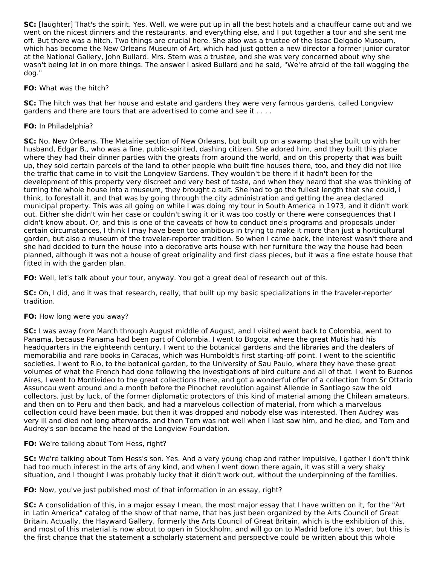**SC:** [laughter] That's the spirit. Yes. Well, we were put up in all the best hotels and a chauffeur came out and we went on the nicest dinners and the restaurants, and everything else, and I put together a tour and she sent me off. But there was a hitch. Two things are crucial here. She also was a trustee of the Issac Delgado Museum, which has become the New Orleans Museum of Art, which had just gotten a new director a former junior curator at the National Gallery, John Bullard. Mrs. Stern was a trustee, and she was very concerned about why she wasn't being let in on more things. The answer I asked Bullard and he said, "We're afraid of the tail wagging the dog."

### **FO:** What was the hitch?

**SC:** The hitch was that her house and estate and gardens they were very famous gardens, called Longview gardens and there are tours that are advertised to come and see it  $\dots$ .

### **FO:** In Philadelphia?

**SC:** No. New Orleans. The Metairie section of New Orleans, but built up on a swamp that she built up with her husband, Edgar B., who was a fine, public-spirited, dashing citizen. She adored him, and they built this place where they had their dinner parties with the greats from around the world, and on this property that was built up, they sold certain parcels of the land to other people who built fine houses there, too, and they did not like the traffic that came in to visit the Longview Gardens. They wouldn't be there if it hadn't been for the development of this property very discreet and very best of taste, and when they heard that she was thinking of turning the whole house into a museum, they brought a suit. She had to go the fullest length that she could, I think, to forestall it, and that was by going through the city administration and getting the area declared municipal property. This was all going on while I was doing my tour in South America in 1973, and it didn't work out. Either she didn't win her case or couldn't swing it or it was too costly or there were consequences that I didn't know about. Or, and this is one of the caveats of how to conduct one's programs and proposals under certain circumstances, I think I may have been too ambitious in trying to make it more than just a horticultural garden, but also a museum of the traveler-reporter tradition. So when I came back, the interest wasn't there and she had decided to turn the house into a decorative arts house with her furniture the way the house had been planned, although it was not a house of great originality and first class pieces, but it was a fine estate house that fitted in with the garden plan.

**FO:** Well, let's talk about your tour, anyway. You got a great deal of research out of this.

**SC:** Oh, I did, and it was that research, really, that built up my basic specializations in the traveler-reporter tradition.

#### **FO:** How long were you away?

**SC:** I was away from March through August middle of August, and I visited went back to Colombia, went to Panama, because Panama had been part of Colombia. I went to Bogota, where the great Mutis had his headquarters in the eighteenth century. I went to the botanical gardens and the libraries and the dealers of memorabilia and rare books in Caracas, which was Humboldt's first starting-off point. I went to the scientific societies. I went to Rio, to the botanical garden, to the University of Sau Paulo, where they have these great volumes of what the French had done following the investigations of bird culture and all of that. I went to Buenos Aires, I went to Montivideo to the great collections there, and got a wonderful offer of a collection from Sr Ottario Assuncau went around and a month before the Pinochet revolution against Allende in Santiago saw the old collectors, just by luck, of the former diplomatic protectors of this kind of material among the Chilean amateurs, and then on to Peru and then back, and had a marvelous collection of material, from which a marvelous collection could have been made, but then it was dropped and nobody else was interested. Then Audrey was very ill and died not long afterwards, and then Tom was not well when I last saw him, and he died, and Tom and Audrey's son became the head of the Longview Foundation.

## **FO:** We're talking about Tom Hess, right?

**SC:** We're talking about Tom Hess's son. Yes. And a very young chap and rather impulsive, I gather I don't think had too much interest in the arts of any kind, and when I went down there again, it was still a very shaky situation, and I thought I was probably lucky that it didn't work out, without the underpinning of the families.

**FO:** Now, you've just published most of that information in an essay, right?

**SC:** A consolidation of this, in a major essay I mean, the most major essay that I have written on it, for the "Art in Latin America" catalog of the show of that name, that has just been organized by the Arts Council of Great Britain. Actually, the Hayward Gallery, formerly the Arts Council of Great Britain, which is the exhibition of this, and most of this material is now about to open in Stockholm, and will go on to Madrid before it's over, but this is the first chance that the statement a scholarly statement and perspective could be written about this whole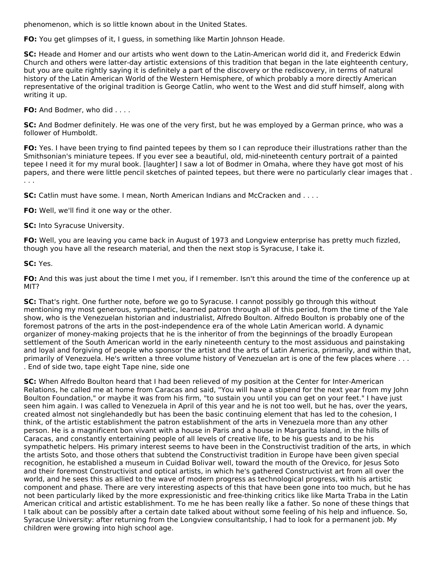phenomenon, which is so little known about in the United States.

**FO:** You get glimpses of it, I guess, in something like Martin Johnson Heade.

**SC:** Heade and Homer and our artists who went down to the Latin-American world did it, and Frederick Edwin Church and others were latter-day artistic extensions of this tradition that began in the late eighteenth century, but you are quite rightly saying it is definitely a part of the discovery or the rediscovery, in terms of natural history of the Latin American World of the Western Hemisphere, of which probably a more directly American representative of the original tradition is George Catlin, who went to the West and did stuff himself, along with writing it up.

**FO:** And Bodmer, who did . . . .

**SC:** And Bodmer definitely. He was one of the very first, but he was employed by a German prince, who was a follower of Humboldt.

**FO:** Yes. I have been trying to find painted tepees by them so I can reproduce their illustrations rather than the Smithsonian's miniature tepees. If you ever see a beautiful, old, mid-nineteenth century portrait of a painted tepee I need it for my mural book. [laughter] I saw a lot of Bodmer in Omaha, where they have got most of his papers, and there were little pencil sketches of painted tepees, but there were no particularly clear images that . . . .

**SC:** Catlin must have some. I mean, North American Indians and McCracken and . . . .

**FO:** Well, we'll find it one way or the other.

**SC:** Into Syracuse University.

**FO:** Well, you are leaving you came back in August of 1973 and Longview enterprise has pretty much fizzled, though you have all the research material, and then the next stop is Syracuse, I take it.

**SC:** Yes.

**FO:** And this was just about the time I met you, if I remember. Isn't this around the time of the conference up at MIT?

**SC:** That's right. One further note, before we go to Syracuse. I cannot possibly go through this without mentioning my most generous, sympathetic, learned patron through all of this period, from the time of the Yale show, who is the Venezuelan historian and industrialist, Alfredo Boulton. Alfredo Boulton is probably one of the foremost patrons of the arts in the post-independence era of the whole Latin American world. A dynamic organizer of money-making projects that he is the inheritor of from the beginnings of the broadly European settlement of the South American world in the early nineteenth century to the most assiduous and painstaking and loyal and forgiving of people who sponsor the artist and the arts of Latin America, primarily, and within that, primarily of Venezuela. He's written a three volume history of Venezuelan art is one of the few places where . . . . End of side two, tape eight Tape nine, side one

**SC:** When Alfredo Boulton heard that I had been relieved of my position at the Center for Inter-American Relations, he called me at home from Caracas and said, "You will have a stipend for the next year from my John Boulton Foundation," or maybe it was from his firm, "to sustain you until you can get on your feet." I have just seen him again. I was called to Venezuela in April of this year and he is not too well, but he has, over the years, created almost not singlehandedly but has been the basic continuing element that has led to the cohesion, I think, of the artistic establishment the patron establishment of the arts in Venezuela more than any other person. He is a magnificent bon vivant with a house in Paris and a house in Margarita Island, in the hills of Caracas, and constantly entertaining people of all levels of creative life, to be his guests and to be his sympathetic helpers. His primary interest seems to have been in the Constructivist tradition of the arts, in which the artists Soto, and those others that subtend the Constructivist tradition in Europe have been given special recognition, he established a museum in Cuidad Bolivar well, toward the mouth of the Orevico, for Jesus Soto and their foremost Constructivist and optical artists, in which he's gathered Constructivist art from all over the world, and he sees this as allied to the wave of modern progress as technological progress, with his artistic component and phase. There are very interesting aspects of this that have been gone into too much, but he has not been particularly liked by the more expressionistic and free-thinking critics like like Marta Traba in the Latin American critical and artistic establishment. To me he has been really like a father. So none of these things that I talk about can be possibly after a certain date talked about without some feeling of his help and influence. So, Syracuse University: after returning from the Longview consultantship, I had to look for a permanent job. My children were growing into high school age.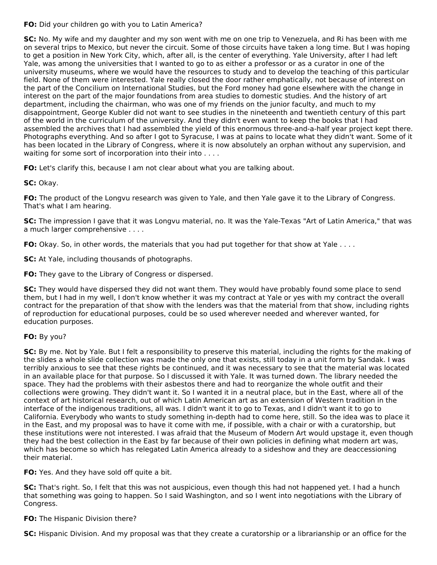**FO:** Did your children go with you to Latin America?

**SC:** No. My wife and my daughter and my son went with me on one trip to Venezuela, and Ri has been with me on several trips to Mexico, but never the circuit. Some of those circuits have taken a long time. But I was hoping to get a position in New York City, which, after all, is the center of everything. Yale University, after I had left Yale, was among the universities that I wanted to go to as either a professor or as a curator in one of the university museums, where we would have the resources to study and to develop the teaching of this particular field. None of them were interested. Yale really closed the door rather emphatically, not because of interest on the part of the Concilium on International Studies, but the Ford money had gone elsewhere with the change in interest on the part of the major foundations from area studies to domestic studies. And the history of art department, including the chairman, who was one of my friends on the junior faculty, and much to my disappointment, George Kubler did not want to see studies in the nineteenth and twentieth century of this part of the world in the curriculum of the university. And they didn't even want to keep the books that I had assembled the archives that I had assembled the yield of this enormous three-and-a-half year project kept there. Photographs everything. And so after I got to Syracuse, I was at pains to locate what they didn't want. Some of it has been located in the Library of Congress, where it is now absolutely an orphan without any supervision, and waiting for some sort of incorporation into their into . . . .

**FO:** Let's clarify this, because I am not clear about what you are talking about.

**SC:** Okay.

**FO:** The product of the Longvu research was given to Yale, and then Yale gave it to the Library of Congress. That's what I am hearing.

**SC:** The impression I gave that it was Longvu material, no. It was the Yale-Texas "Art of Latin America," that was a much larger comprehensive . . . .

**FO:** Okay. So, in other words, the materials that you had put together for that show at Yale . . . .

**SC:** At Yale, including thousands of photographs.

**FO:** They gave to the Library of Congress or dispersed.

**SC:** They would have dispersed they did not want them. They would have probably found some place to send them, but I had in my well, I don't know whether it was my contract at Yale or yes with my contract the overall contract for the preparation of that show with the lenders was that the material from that show, including rights of reproduction for educational purposes, could be so used wherever needed and wherever wanted, for education purposes.

# **FO:** By you?

**SC:** By me. Not by Yale. But I felt a responsibility to preserve this material, including the rights for the making of the slides a whole slide collection was made the only one that exists, still today in a unit form by Sandak. I was terribly anxious to see that these rights be continued, and it was necessary to see that the material was located in an available place for that purpose. So I discussed it with Yale. It was turned down. The library needed the space. They had the problems with their asbestos there and had to reorganize the whole outfit and their collections were growing. They didn't want it. So I wanted it in a neutral place, but in the East, where all of the context of art historical research, out of which Latin American art as an extension of Western tradition in the interface of the indigenous traditions, all was. I didn't want it to go to Texas, and I didn't want it to go to California. Everybody who wants to study something in-depth had to come here, still. So the idea was to place it in the East, and my proposal was to have it come with me, if possible, with a chair or with a curatorship, but these institutions were not interested. I was afraid that the Museum of Modern Art would upstage it, even though they had the best collection in the East by far because of their own policies in defining what modern art was, which has become so which has relegated Latin America already to a sideshow and they are deaccessioning their material.

**FO:** Yes. And they have sold off quite a bit.

**SC:** That's right. So, I felt that this was not auspicious, even though this had not happened yet. I had a hunch that something was going to happen. So I said Washington, and so I went into negotiations with the Library of Congress.

## **FO:** The Hispanic Division there?

**SC:** Hispanic Division. And my proposal was that they create a curatorship or a librarianship or an office for the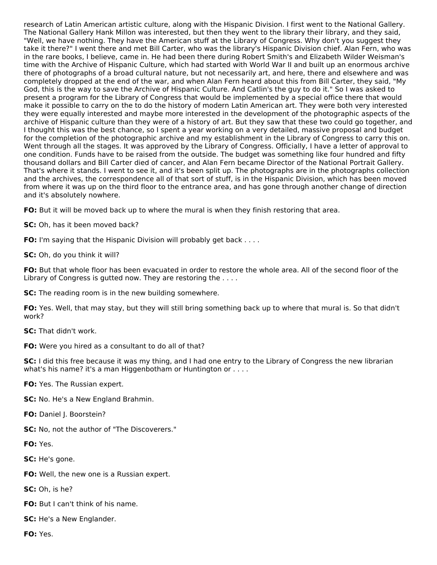research of Latin American artistic culture, along with the Hispanic Division. I first went to the National Gallery. The National Gallery Hank Millon was interested, but then they went to the library their library, and they said, "Well, we have nothing. They have the American stuff at the Library of Congress. Why don't you suggest they take it there?" I went there and met Bill Carter, who was the library's Hispanic Division chief. Alan Fern, who was in the rare books, I believe, came in. He had been there during Robert Smith's and Elizabeth Wilder Weisman's time with the Archive of Hispanic Culture, which had started with World War II and built up an enormous archive there of photographs of a broad cultural nature, but not necessarily art, and here, there and elsewhere and was completely dropped at the end of the war, and when Alan Fern heard about this from Bill Carter, they said, "My God, this is the way to save the Archive of Hispanic Culture. And Catlin's the guy to do it." So I was asked to present a program for the Library of Congress that would be implemented by a special office there that would make it possible to carry on the to do the history of modern Latin American art. They were both very interested they were equally interested and maybe more interested in the development of the photographic aspects of the archive of Hispanic culture than they were of a history of art. But they saw that these two could go together, and I thought this was the best chance, so I spent a year working on a very detailed, massive proposal and budget for the completion of the photographic archive and my establishment in the Library of Congress to carry this on. Went through all the stages. It was approved by the Library of Congress. Officially, I have a letter of approval to one condition. Funds have to be raised from the outside. The budget was something like four hundred and fifty thousand dollars and Bill Carter died of cancer, and Alan Fern became Director of the National Portrait Gallery. That's where it stands. I went to see it, and it's been split up. The photographs are in the photographs collection and the archives, the correspondence all of that sort of stuff, is in the Hispanic Division, which has been moved from where it was up on the third floor to the entrance area, and has gone through another change of direction and it's absolutely nowhere.

**FO:** But it will be moved back up to where the mural is when they finish restoring that area.

**SC:** Oh, has it been moved back?

**FO:** I'm saying that the Hispanic Division will probably get back . . . .

**SC:** Oh, do you think it will?

**FO:** But that whole floor has been evacuated in order to restore the whole area. All of the second floor of the Library of Congress is gutted now. They are restoring the ....

**SC:** The reading room is in the new building somewhere.

**FO:** Yes. Well, that may stay, but they will still bring something back up to where that mural is. So that didn't work?

**SC:** That didn't work.

**FO:** Were you hired as a consultant to do all of that?

**SC:** I did this free because it was my thing, and I had one entry to the Library of Congress the new librarian what's his name? it's a man Higgenbotham or Huntington or . . . .

**FO:** Yes. The Russian expert.

**SC:** No. He's a New England Brahmin.

**FO:** Daniel J. Boorstein?

**SC:** No, not the author of "The Discoverers."

**FO:** Yes.

**SC:** He's gone.

**FO:** Well, the new one is a Russian expert.

**SC:** Oh, is he?

**FO:** But I can't think of his name.

**SC:** He's a New Englander.

**FO:** Yes.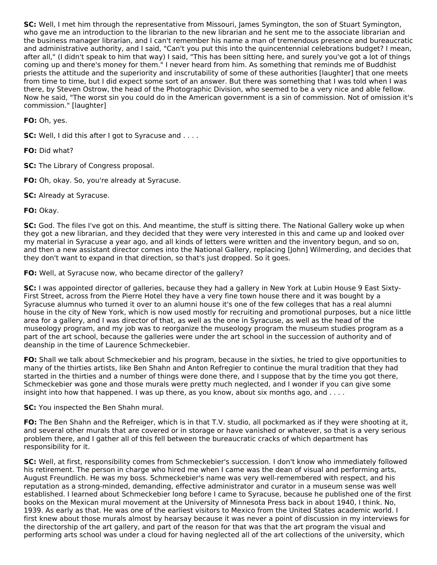**SC:** Well, I met him through the representative from Missouri, James Symington, the son of Stuart Symington, who gave me an introduction to the librarian to the new librarian and he sent me to the associate librarian and the business manager librarian, and I can't remember his name a man of tremendous presence and bureaucratic and administrative authority, and I said, "Can't you put this into the quincentennial celebrations budget? I mean, after all," (I didn't speak to him that way) I said, "This has been sitting here, and surely you've got a lot of things coming up and there's money for them." I never heard from him. As something that reminds me of Buddhist priests the attitude and the superiority and inscrutability of some of these authorities [laughter] that one meets from time to time, but I did expect some sort of an answer. But there was something that I was told when I was there, by Steven Ostrow, the head of the Photographic Division, who seemed to be a very nice and able fellow. Now he said, "The worst sin you could do in the American government is a sin of commission. Not of omission it's commission." [laughter]

**FO:** Oh, yes.

**SC:** Well, I did this after I got to Syracuse and . . . .

**FO:** Did what?

**SC:** The Library of Congress proposal.

**FO:** Oh, okay. So, you're already at Syracuse.

**SC:** Already at Syracuse.

**FO:** Okay.

**SC:** God. The files I've got on this. And meantime, the stuff is sitting there. The National Gallery woke up when they got a new librarian, and they decided that they were very interested in this and came up and looked over my material in Syracuse a year ago, and all kinds of letters were written and the inventory begun, and so on, and then a new assistant director comes into the National Gallery, replacing [John] Wilmerding, and decides that they don't want to expand in that direction, so that's just dropped. So it goes.

**FO:** Well, at Syracuse now, who became director of the gallery?

**SC:** I was appointed director of galleries, because they had a gallery in New York at Lubin House 9 East Sixty-First Street, across from the Pierre Hotel they have a very fine town house there and it was bought by a Syracuse alumnus who turned it over to an alumni house it's one of the few colleges that has a real alumni house in the city of New York, which is now used mostly for recruiting and promotional purposes, but a nice little area for a gallery, and I was director of that, as well as the one in Syracuse, as well as the head of the museology program, and my job was to reorganize the museology program the museum studies program as a part of the art school, because the galleries were under the art school in the succession of authority and of deanship in the time of Laurence Schmeckebier.

**FO:** Shall we talk about Schmeckebier and his program, because in the sixties, he tried to give opportunities to many of the thirties artists, like Ben Shahn and Anton Refregier to continue the mural tradition that they had started in the thirties and a number of things were done there, and I suppose that by the time you got there, Schmeckebier was gone and those murals were pretty much neglected, and I wonder if you can give some insight into how that happened. I was up there, as you know, about six months ago, and . . . .

**SC:** You inspected the Ben Shahn mural.

**FO:** The Ben Shahn and the Refreiger, which is in that T.V. studio, all pockmarked as if they were shooting at it, and several other murals that are covered or in storage or have vanished or whatever, so that is a very serious problem there, and I gather all of this fell between the bureaucratic cracks of which department has responsibility for it.

**SC:** Well, at first, responsibility comes from Schmeckebier's succession. I don't know who immediately followed his retirement. The person in charge who hired me when I came was the dean of visual and performing arts, August Freundlich. He was my boss. Schmeckebier's name was very well-remembered with respect, and his reputation as a strong-minded, demanding, effective administrator and curator in a museum sense was well established. I learned about Schmeckebier long before I came to Syracuse, because he published one of the first books on the Mexican mural movement at the University of Minnesota Press back in about 1940, I think. No, 1939. As early as that. He was one of the earliest visitors to Mexico from the United States academic world. I first knew about those murals almost by hearsay because it was never a point of discussion in my interviews for the directorship of the art gallery, and part of the reason for that was that the art program the visual and performing arts school was under a cloud for having neglected all of the art collections of the university, which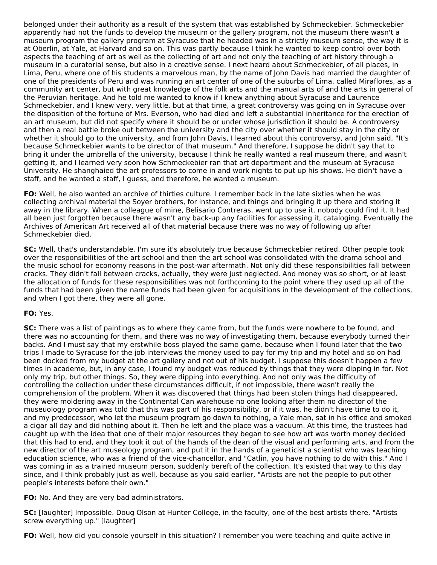belonged under their authority as a result of the system that was established by Schmeckebier. Schmeckebier apparently had not the funds to develop the museum or the gallery program, not the museum there wasn't a museum program the gallery program at Syracuse that he headed was in a strictly museum sense, the way it is at Oberlin, at Yale, at Harvard and so on. This was partly because I think he wanted to keep control over both aspects the teaching of art as well as the collecting of art and not only the teaching of art history through a museum in a curatorial sense, but also in a creative sense. I next heard about Schmeckebier, of all places, in Lima, Peru, where one of his students a marvelous man, by the name of John Davis had married the daughter of one of the presidents of Peru and was running an art center of one of the suburbs of Lima, called Miraflores, as a community art center, but with great knowledge of the folk arts and the manual arts of and the arts in general of the Peruvian heritage. And he told me wanted to know if I knew anything about Syracuse and Laurence Schmeckebier, and I knew very, very little, but at that time, a great controversy was going on in Syracuse over the disposition of the fortune of Mrs. Everson, who had died and left a substantial inheritance for the erection of an art museum, but did not specify where it should be or under whose jurisdiction it should be. A controversy and then a real battle broke out between the university and the city over whether it should stay in the city or whether it should go to the university, and from John Davis, I learned about this controversy, and John said, "It's because Schmeckebier wants to be director of that museum." And therefore, I suppose he didn't say that to bring it under the umbrella of the university, because I think he really wanted a real museum there, and wasn't getting it, and I learned very soon how Schmeckebier ran that art department and the museum at Syracuse University. He shanghaied the art professors to come in and work nights to put up his shows. He didn't have a staff, and he wanted a staff, I guess, and therefore, he wanted a museum.

**FO:** Well, he also wanted an archive of thirties culture. I remember back in the late sixties when he was collecting archival material the Soyer brothers, for instance, and things and bringing it up there and storing it away in the library. When a colleague of mine, Belisario Contreras, went up to use it, nobody could find it. It had all been just forgotten because there wasn't any back-up any facilities for assessing it, cataloging. Eventually the Archives of American Art received all of that material because there was no way of following up after Schmeckebier died.

**SC:** Well, that's understandable. I'm sure it's absolutely true because Schmeckebier retired. Other people took over the responsibilities of the art school and then the art school was consolidated with the drama school and the music school for economy reasons in the post-war aftermath. Not only did these responsibilities fall between cracks. They didn't fall between cracks, actually, they were just neglected. And money was so short, or at least the allocation of funds for these responsibilities was not forthcoming to the point where they used up all of the funds that had been given the name funds had been given for acquisitions in the development of the collections, and when I got there, they were all gone.

## **FO:** Yes.

**SC:** There was a list of paintings as to where they came from, but the funds were nowhere to be found, and there was no accounting for them, and there was no way of investigating them, because everybody turned their backs. And I must say that my erstwhile boss played the same game, because when I found later that the two trips I made to Syracuse for the job interviews the money used to pay for my trip and my hotel and so on had been docked from my budget at the art gallery and not out of his budget. I suppose this doesn't happen a few times in academe, but, in any case, I found my budget was reduced by things that they were dipping in for. Not only my trip, but other things. So, they were dipping into everything. And not only was the difficulty of controlling the collection under these circumstances difficult, if not impossible, there wasn't really the comprehension of the problem. When it was discovered that things had been stolen things had disappeared, they were moldering away in the Continental Can warehouse no one looking after them no director of the museuology program was told that this was part of his responsibility, or if it was, he didn't have time to do it, and my predecessor, who let the museum program go down to nothing, a Yale man, sat in his office and smoked a cigar all day and did nothing about it. Then he left and the place was a vacuum. At this time, the trustees had caught up with the idea that one of their major resources they began to see how art was worth money decided that this had to end, and they took it out of the hands of the dean of the visual and performing arts, and from the new director of the art museology program, and put it in the hands of a geneticist a scientist who was teaching education science, who was a friend of the vice-chancellor, and "Catlin, you have nothing to do with this." And I was coming in as a trained museum person, suddenly bereft of the collection. It's existed that way to this day since, and I think probably just as well, because as you said earlier, "Artists are not the people to put other people's interests before their own."

## **FO:** No. And they are very bad administrators.

**SC:** [laughter] Impossible. Doug Olson at Hunter College, in the faculty, one of the best artists there, "Artists screw everything up." [laughter]

**FO:** Well, how did you console yourself in this situation? I remember you were teaching and quite active in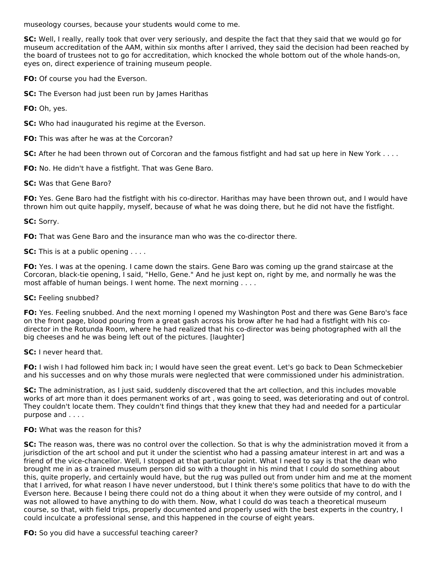museology courses, because your students would come to me.

**SC:** Well, I really, really took that over very seriously, and despite the fact that they said that we would go for museum accreditation of the AAM, within six months after I arrived, they said the decision had been reached by the board of trustees not to go for accreditation, which knocked the whole bottom out of the whole hands-on, eyes on, direct experience of training museum people.

**FO:** Of course you had the Everson.

**SC:** The Everson had just been run by James Harithas

**FO:** Oh, yes.

**SC:** Who had inaugurated his regime at the Everson.

**FO:** This was after he was at the Corcoran?

**SC:** After he had been thrown out of Corcoran and the famous fistfight and had sat up here in New York . . . .

**FO:** No. He didn't have a fistfight. That was Gene Baro.

#### **SC:** Was that Gene Baro?

**FO:** Yes. Gene Baro had the fistfight with his co-director. Harithas may have been thrown out, and I would have thrown him out quite happily, myself, because of what he was doing there, but he did not have the fistfight.

### **SC:** Sorry.

**FO:** That was Gene Baro and the insurance man who was the co-director there.

**SC:** This is at a public opening . . . .

**FO:** Yes. I was at the opening. I came down the stairs. Gene Baro was coming up the grand staircase at the Corcoran, black-tie opening, I said, "Hello, Gene." And he just kept on, right by me, and normally he was the most affable of human beings. I went home. The next morning . . . .

#### **SC:** Feeling snubbed?

**FO:** Yes. Feeling snubbed. And the next morning I opened my Washington Post and there was Gene Baro's face on the front page, blood pouring from a great gash across his brow after he had had a fistfight with his codirector in the Rotunda Room, where he had realized that his co-director was being photographed with all the big cheeses and he was being left out of the pictures. [laughter]

**SC:** I never heard that.

**FO:** I wish I had followed him back in; I would have seen the great event. Let's go back to Dean Schmeckebier and his successes and on why those murals were neglected that were commissioned under his administration.

**SC:** The administration, as I just said, suddenly discovered that the art collection, and this includes movable works of art more than it does permanent works of art , was going to seed, was deteriorating and out of control. They couldn't locate them. They couldn't find things that they knew that they had and needed for a particular purpose and . . . .

#### **FO:** What was the reason for this?

**SC:** The reason was, there was no control over the collection. So that is why the administration moved it from a jurisdiction of the art school and put it under the scientist who had a passing amateur interest in art and was a friend of the vice-chancellor. Well, I stopped at that particular point. What I need to say is that the dean who brought me in as a trained museum person did so with a thought in his mind that I could do something about this, quite properly, and certainly would have, but the rug was pulled out from under him and me at the moment that I arrived, for what reason I have never understood, but I think there's some politics that have to do with the Everson here. Because I being there could not do a thing about it when they were outside of my control, and I was not allowed to have anything to do with them. Now, what I could do was teach a theoretical museum course, so that, with field trips, properly documented and properly used with the best experts in the country, I could inculcate a professional sense, and this happened in the course of eight years.

#### **FO:** So you did have a successful teaching career?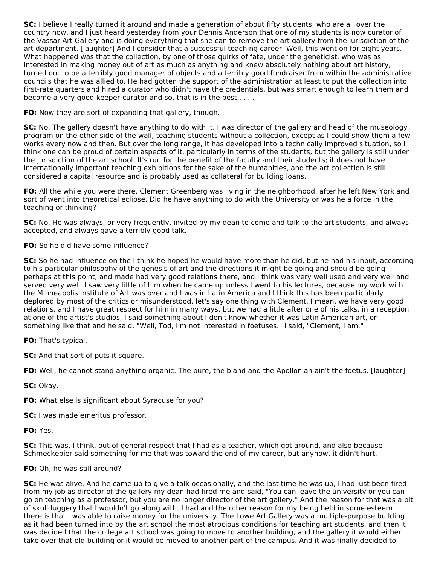**SC:** I believe I really turned it around and made a generation of about fifty students, who are all over the country now, and I just heard yesterday from your Dennis Anderson that one of my students is now curator of the Vassar Art Gallery and is doing everything that she can to remove the art gallery from the jurisdiction of the art department. [laughter] And I consider that a successful teaching career. Well, this went on for eight years. What happened was that the collection, by one of those quirks of fate, under the geneticist, who was as interested in making money out of art as much as anything and knew absolutely nothing about art history, turned out to be a terribly good manager of objects and a terribly good fundraiser from within the administrative councils that he was allied to. He had gotten the support of the administration at least to put the collection into first-rate quarters and hired a curator who didn't have the credentials, but was smart enough to learn them and become a very good keeper-curator and so, that is in the best . . . .

**FO:** Now they are sort of expanding that gallery, though.

**SC:** No. The gallery doesn't have anything to do with it. I was director of the gallery and head of the museology program on the other side of the wall, teaching students without a collection, except as I could show them a few works every now and then. But over the long range, it has developed into a technically improved situation, so I think one can be proud of certain aspects of it, particularly in terms of the students, but the gallery is still under the jurisdiction of the art school. It's run for the benefit of the faculty and their students; it does not have internationally important teaching exhibitions for the sake of the humanities, and the art collection is still considered a capital resource and is probably used as collateral for building loans.

**FO:** All the while you were there, Clement Greenberg was living in the neighborhood, after he left New York and sort of went into theoretical eclipse. Did he have anything to do with the University or was he a force in the teaching or thinking?

**SC:** No. He was always, or very frequently, invited by my dean to come and talk to the art students, and always accepted, and always gave a terribly good talk.

## **FO:** So he did have some influence?

**SC:** So he had influence on the I think he hoped he would have more than he did, but he had his input, according to his particular philosophy of the genesis of art and the directions it might be going and should be going perhaps at this point, and made had very good relations there, and I think was very well used and very well and served very well. I saw very little of him when he came up unless I went to his lectures, because my work with the Minneapolis Institute of Art was over and I was in Latin America and I think this has been particularly deplored by most of the critics or misunderstood, let's say one thing with Clement. I mean, we have very good relations, and I have great respect for him in many ways, but we had a little after one of his talks, in a reception at one of the artist's studios, I said something about I don't know whether it was Latin American art, or something like that and he said, "Well, Tod, I'm not interested in foetuses." I said, "Clement, I am."

**FO:** That's typical.

**SC:** And that sort of puts it square.

**FO:** Well, he cannot stand anything organic. The pure, the bland and the Apollonian ain't the foetus. [laughter]

**SC:** Okay.

**FO:** What else is significant about Syracuse for you?

**SC:** I was made emeritus professor.

**FO:** Yes.

**SC:** This was, I think, out of general respect that I had as a teacher, which got around, and also because Schmeckebier said something for me that was toward the end of my career, but anyhow, it didn't hurt.

## **FO:** Oh, he was still around?

**SC:** He was alive. And he came up to give a talk occasionally, and the last time he was up, I had just been fired from my job as director of the gallery my dean had fired me and said, "You can leave the university or you can go on teaching as a professor, but you are no longer director of the art gallery." And the reason for that was a bit of skullduggery that I wouldn't go along with. I had and the other reason for my being held in some esteem there is that I was able to raise money for the university. The Lowe Art Gallery was a multiple-purpose building as it had been turned into by the art school the most atrocious conditions for teaching art students, and then it was decided that the college art school was going to move to another building, and the gallery it would either take over that old building or it would be moved to another part of the campus. And it was finally decided to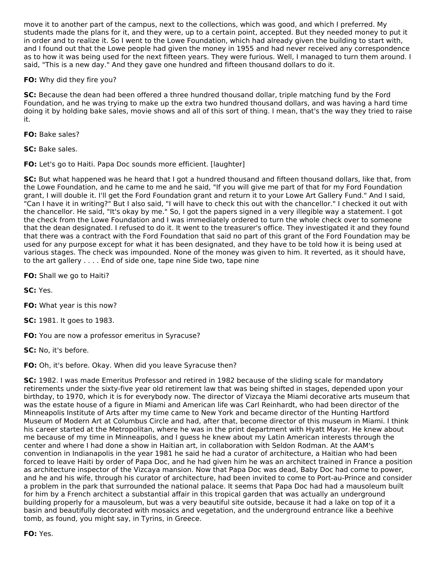move it to another part of the campus, next to the collections, which was good, and which I preferred. My students made the plans for it, and they were, up to a certain point, accepted. But they needed money to put it in order and to realize it. So I went to the Lowe Foundation, which had already given the building to start with, and I found out that the Lowe people had given the money in 1955 and had never received any correspondence as to how it was being used for the next fifteen years. They were furious. Well, I managed to turn them around. I said, "This is a new day." And they gave one hundred and fifteen thousand dollars to do it.

## **FO:** Why did they fire you?

**SC:** Because the dean had been offered a three hundred thousand dollar, triple matching fund by the Ford Foundation, and he was trying to make up the extra two hundred thousand dollars, and was having a hard time doing it by holding bake sales, movie shows and all of this sort of thing. I mean, that's the way they tried to raise it.

**FO:** Bake sales?

**SC:** Bake sales.

**FO:** Let's go to Haiti. Papa Doc sounds more efficient. [laughter]

**SC:** But what happened was he heard that I got a hundred thousand and fifteen thousand dollars, like that, from the Lowe Foundation, and he came to me and he said, "If you will give me part of that for my Ford Foundation grant, I will double it. I'll get the Ford Foundation grant and return it to your Lowe Art Gallery Fund." And I said, "Can I have it in writing?" But I also said, "I will have to check this out with the chancellor." I checked it out with the chancellor. He said, "It's okay by me." So, I got the papers signed in a very illegible way a statement. I got the check from the Lowe Foundation and I was immediately ordered to turn the whole check over to someone that the dean designated. I refused to do it. It went to the treasurer's office. They investigated it and they found that there was a contract with the Ford Foundation that said no part of this grant of the Ford Foundation may be used for any purpose except for what it has been designated, and they have to be told how it is being used at various stages. The check was impounded. None of the money was given to him. It reverted, as it should have, to the art gallery . . . . End of side one, tape nine Side two, tape nine

**FO:** Shall we go to Haiti?

**SC:** Yes.

**FO:** What year is this now?

**SC:** 1981. It goes to 1983.

**FO:** You are now a professor emeritus in Syracuse?

**SC:** No, it's before.

**FO:** Oh, it's before. Okay. When did you leave Syracuse then?

**SC:** 1982. I was made Emeritus Professor and retired in 1982 because of the sliding scale for mandatory retirements under the sixty-five year old retirement law that was being shifted in stages, depended upon your birthday, to 1970, which it is for everybody now. The director of Vizcaya the Miami decorative arts museum that was the estate house of a figure in Miami and American life was Carl Reinhardt, who had been director of the Minneapolis Institute of Arts after my time came to New York and became director of the Hunting Hartford Museum of Modern Art at Columbus Circle and had, after that, become director of this museum in Miami. I think his career started at the Metropolitan, where he was in the print department with Hyatt Mayor. He knew about me because of my time in Minneapolis, and I guess he knew about my Latin American interests through the center and where I had done a show in Haitian art, in collaboration with Seldon Rodman. At the AAM's convention in Indianapolis in the year 1981 he said he had a curator of architecture, a Haitian who had been forced to leave Haiti by order of Papa Doc, and he had given him he was an architect trained in France a position as architecture inspector of the Vizcaya mansion. Now that Papa Doc was dead, Baby Doc had come to power, and he and his wife, through his curator of architecture, had been invited to come to Port-au-Prince and consider a problem in the park that surrounded the national palace. It seems that Papa Doc had had a mausoleum built for him by a French architect a substantial affair in this tropical garden that was actually an underground building properly for a mausoleum, but was a very beautiful site outside, because it had a lake on top of it a basin and beautifully decorated with mosaics and vegetation, and the underground entrance like a beehive tomb, as found, you might say, in Tyrins, in Greece.

**FO:** Yes.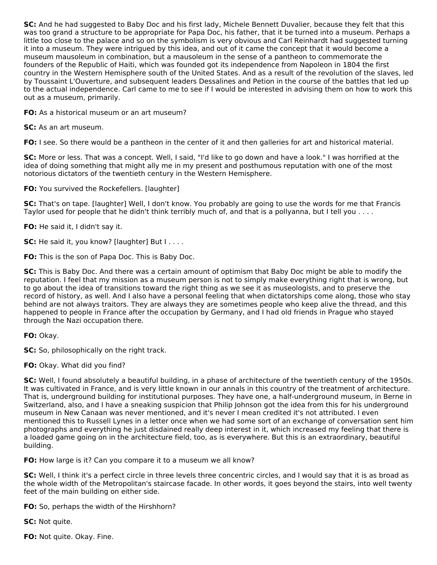**SC:** And he had suggested to Baby Doc and his first lady, Michele Bennett Duvalier, because they felt that this was too grand a structure to be appropriate for Papa Doc, his father, that it be turned into a museum. Perhaps a little too close to the palace and so on the symbolism is very obvious and Carl Reinhardt had suggested turning it into a museum. They were intrigued by this idea, and out of it came the concept that it would become a museum mausoleum in combination, but a mausoleum in the sense of a pantheon to commemorate the founders of the Republic of Haiti, which was founded got its independence from Napoleon in 1804 the first country in the Western Hemisphere south of the United States. And as a result of the revolution of the slaves, led by Toussaint L'Ouverture, and subsequent leaders Dessalines and Petion in the course of the battles that led up to the actual independence. Carl came to me to see if I would be interested in advising them on how to work this out as a museum, primarily.

**FO:** As a historical museum or an art museum?

**SC:** As an art museum.

**FO:** I see. So there would be a pantheon in the center of it and then galleries for art and historical material.

**SC:** More or less. That was a concept. Well, I said, "I'd like to go down and have a look." I was horrified at the idea of doing something that might ally me in my present and posthumous reputation with one of the most notorious dictators of the twentieth century in the Western Hemisphere.

**FO:** You survived the Rockefellers. [laughter]

**SC:** That's on tape. [laughter] Well, I don't know. You probably are going to use the words for me that Francis Taylor used for people that he didn't think terribly much of, and that is a pollyanna, but I tell you . . . .

**FO:** He said it, I didn't say it.

**SC:** He said it, you know? [laughter] But I . . . .

**FO:** This is the son of Papa Doc. This is Baby Doc.

**SC:** This is Baby Doc. And there was a certain amount of optimism that Baby Doc might be able to modify the reputation. I feel that my mission as a museum person is not to simply make everything right that is wrong, but to go about the idea of transitions toward the right thing as we see it as museologists, and to preserve the record of history, as well. And I also have a personal feeling that when dictatorships come along, those who stay behind are not always traitors. They are always they are sometimes people who keep alive the thread, and this happened to people in France after the occupation by Germany, and I had old friends in Prague who stayed through the Nazi occupation there.

**FO:** Okay.

**SC:** So, philosophically on the right track.

**FO:** Okay. What did you find?

**SC:** Well, I found absolutely a beautiful building, in a phase of architecture of the twentieth century of the 1950s. It was cultivated in France, and is very little known in our annals in this country of the treatment of architecture. That is, underground building for institutional purposes. They have one, a half-underground museum, in Berne in Switzerland, also, and I have a sneaking suspicion that Philip Johnson got the idea from this for his underground museum in New Canaan was never mentioned, and it's never I mean credited it's not attributed. I even mentioned this to Russell Lynes in a letter once when we had some sort of an exchange of conversation sent him photographs and everything he just disdained really deep interest in it, which increased my feeling that there is a loaded game going on in the architecture field, too, as is everywhere. But this is an extraordinary, beautiful building.

**FO:** How large is it? Can you compare it to a museum we all know?

**SC:** Well, I think it's a perfect circle in three levels three concentric circles, and I would say that it is as broad as the whole width of the Metropolitan's staircase facade. In other words, it goes beyond the stairs, into well twenty feet of the main building on either side.

**FO:** So, perhaps the width of the Hirshhorn?

**SC:** Not quite.

**FO:** Not quite. Okay. Fine.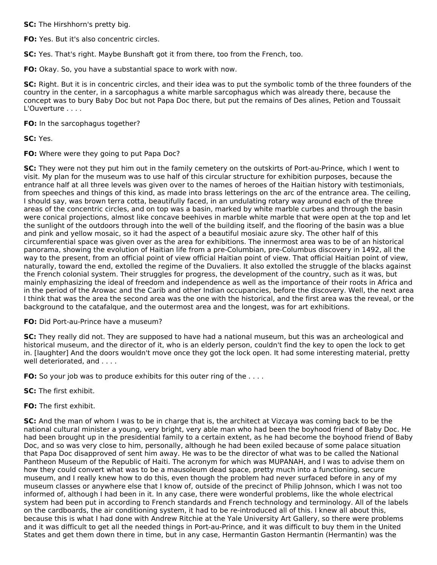**SC:** The Hirshhorn's pretty big.

**FO:** Yes. But it's also concentric circles.

**SC:** Yes. That's right. Maybe Bunshaft got it from there, too from the French, too.

**FO:** Okay. So, you have a substantial space to work with now.

**SC:** Right. But it is in concentric circles, and their idea was to put the symbolic tomb of the three founders of the country in the center, in a sarcophagus a white marble sarcophagus which was already there, because the concept was to bury Baby Doc but not Papa Doc there, but put the remains of Des alines, Petion and Toussait L'Ouverture . . . .

**FO:** In the sarcophagus together?

**SC:** Yes.

**FO:** Where were they going to put Papa Doc?

**SC:** They were not they put him out in the family cemetery on the outskirts of Port-au-Prince, which I went to visit. My plan for the museum was to use half of this circular structure for exhibition purposes, because the entrance half at all three levels was given over to the names of heroes of the Haitian history with testimonials, from speeches and things of this kind, as made into brass letterings on the arc of the entrance area. The ceiling, I should say, was brown terra cotta, beautifully faced, in an undulating rotary way around each of the three areas of the concentric circles, and on top was a basin, marked by white marble curbes and through the basin were conical projections, almost like concave beehives in marble white marble that were open at the top and let the sunlight of the outdoors through into the well of the building itself, and the flooring of the basin was a blue and pink and yellow mosaic, so it had the aspect of a beautiful mosiaic azure sky. The other half of this circumferential space was given over as the area for exhibitions. The innermost area was to be of an historical panorama, showing the evolution of Haitian life from a pre-Columbian, pre-Columbus discovery in 1492, all the way to the present, from an official point of view official Haitian point of view. That official Haitian point of view, naturally, toward the end, extolled the regime of the Duvaliers. It also extolled the struggle of the blacks against the French colonial system. Their struggles for progress, the development of the country, such as it was, but mainly emphasizing the ideal of freedom and independence as well as the importance of their roots in Africa and in the period of the Arowac and the Carib and other Indian occupancies, before the discovery. Well, the next area I think that was the area the second area was the one with the historical, and the first area was the reveal, or the background to the catafalque, and the outermost area and the longest, was for art exhibitions.

#### **FO:** Did Port-au-Prince have a museum?

**SC:** They really did not. They are supposed to have had a national museum, but this was an archeological and historical museum, and the director of it, who is an elderly person, couldn't find the key to open the lock to get in. [laughter] And the doors wouldn't move once they got the lock open. It had some interesting material, pretty well deteriorated, and . . . .

**FO:** So your job was to produce exhibits for this outer ring of the ....

**SC:** The first exhibit.

**FO:** The first exhibit.

**SC:** And the man of whom I was to be in charge that is, the architect at Vizcaya was coming back to be the national cultural minister a young, very bright, very able man who had been the boyhood friend of Baby Doc. He had been brought up in the presidential family to a certain extent, as he had become the boyhood friend of Baby Doc, and so was very close to him, personally, although he had been exiled because of some palace situation that Papa Doc disapproved of sent him away. He was to be the director of what was to be called the National Pantheon Museum of the Republic of Haiti. The acronym for which was MUPANAH, and I was to advise them on how they could convert what was to be a mausoleum dead space, pretty much into a functioning, secure museum, and I really knew how to do this, even though the problem had never surfaced before in any of my museum classes or anywhere else that I know of, outside of the precinct of Philip Johnson, which I was not too informed of, although I had been in it. In any case, there were wonderful problems, like the whole electrical system had been put in according to French standards and French technology and terminology. All of the labels on the cardboards, the air conditioning system, it had to be re-introduced all of this. I knew all about this, because this is what I had done with Andrew Ritchie at the Yale University Art Gallery, so there were problems and it was difficult to get all the needed things in Port-au-Prince, and it was difficult to buy them in the United States and get them down there in time, but in any case, Hermantin Gaston Hermantin (Hermantin) was the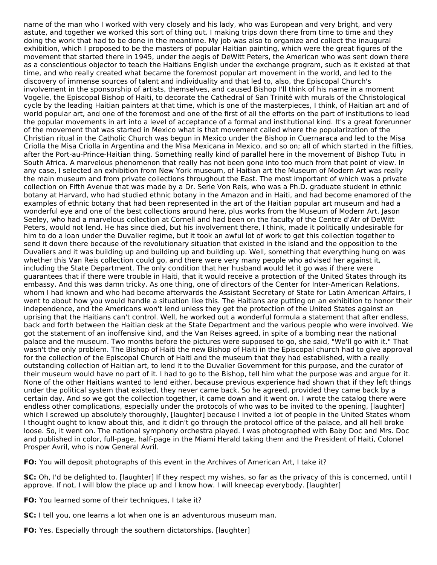name of the man who I worked with very closely and his lady, who was European and very bright, and very astute, and together we worked this sort of thing out. I making trips down there from time to time and they doing the work that had to be done in the meantime. My job was also to organize and collect the inaugural exhibition, which I proposed to be the masters of popular Haitian painting, which were the great figures of the movement that started there in 1945, under the aegis of DeWitt Peters, the American who was sent down there as a conscientious objector to teach the Haitians English under the exchange program, such as it existed at that time, and who really created what became the foremost popular art movement in the world, and led to the discovery of immense sources of talent and individuality and that led to, also, the Episcopal Church's involvement in the sponsorship of artists, themselves, and caused Bishop I'll think of his name in a moment Vogelie, the Episcopal Bishop of Haiti, to decorate the Cathedral of San Trinité with murals of the Christological cycle by the leading Haitian painters at that time, which is one of the masterpieces, I think, of Haitian art and of world popular art, and one of the foremost and one of the first of all the efforts on the part of institutions to lead the popular movements in art into a level of acceptance of a formal and institutional kind. It's a great forerunner of the movement that was started in Mexico what is that movement called where the popularization of the Christian ritual in the Catholic Church was begun in Mexico under the Bishop in Cuernaraca and led to the Misa Criolla the Misa Criolla in Argentina and the Misa Mexicana in Mexico, and so on; all of which started in the fifties, after the Port-au-Prince-Haitian thing. Something really kind of parallel here in the movement of Bishop Tutu in South Africa. A marvelous phenomenon that really has not been gone into too much from that point of view. In any case, I selected an exhibition from New York museum, of Haitian art the Museum of Modern Art was really the main museum and from private collections throughout the East. The most important of which was a private collection on Fifth Avenue that was made by a Dr. Serie Von Reis, who was a Ph.D. graduate student in ethnic botany at Harvard, who had studied ethnic botany in the Amazon and in Haiti, and had become enamored of the examples of ethnic botany that had been represented in the art of the Haitian popular art museum and had a wonderful eye and one of the best collections around here, plus works from the Museum of Modern Art. Jason Seeley, who had a marvelous collection at Cornell and had been on the faculty of the Centre d'Atr of DeWitt Peters, would not lend. He has since died, but his involvement there, I think, made it politically undesirable for him to do a loan under the Duvalier regime, but it took an awful lot of work to get this collection together to send it down there because of the revolutionary situation that existed in the island and the opposition to the Duvaliers and it was building up and building up and building up. Well, something that everything hung on was whether this Van Reis collection could go, and there were very many people who advised her against it, including the State Department. The only condition that her husband would let it go was if there were guarantees that if there were trouble in Haiti, that it would receive a protection of the United States through its embassy. And this was damn tricky. As one thing, one of directors of the Center for Inter-American Relations, whom I had known and who had become afterwards the Assistant Secretary of State for Latin American Affairs, I went to about how you would handle a situation like this. The Haitians are putting on an exhibition to honor their independence, and the Americans won't lend unless they get the protection of the United States against an uprising that the Haitians can't control. Well, he worked out a wonderful formula a statement that after endless, back and forth between the Haitian desk at the State Department and the various people who were involved. We got the statement of an inoffensive kind, and the Van Reises agreed, in spite of a bombing near the national palace and the museum. Two months before the pictures were supposed to go, she said, "We'll go with it." That wasn't the only problem. The Bishop of Haiti the new Bishop of Haiti in the Episcopal church had to give approval for the collection of the Episcopal Church of Haiti and the museum that they had established, with a really outstanding collection of Haitian art, to lend it to the Duvalier Government for this purpose, and the curator of their museum would have no part of it. I had to go to the Bishop, tell him what the purpose was and argue for it. None of the other Haitians wanted to lend either, because previous experience had shown that if they left things under the political system that existed, they never came back. So he agreed, provided they came back by a certain day. And so we got the collection together, it came down and it went on. I wrote the catalog there were endless other complications, especially under the protocols of who was to be invited to the opening, [laughter] which I screwed up absolutely thoroughly, [laughter] because I invited a lot of people in the United States whom I thought ought to know about this, and it didn't go through the protocol office of the palace, and all hell broke loose. So, it went on. The national symphony orchestra played. I was photographed with Baby Doc and Mrs. Doc and published in color, full-page, half-page in the Miami Herald taking them and the President of Haiti, Colonel Prosper Avril, who is now General Avril.

**FO:** You will deposit photographs of this event in the Archives of American Art, I take it?

**SC:** Oh, I'd be delighted to. [laughter] If they respect my wishes, so far as the privacy of this is concerned, until I approve. If not, I will blow the place up and I know how. I will kneecap everybody. [laughter]

**FO:** You learned some of their techniques, I take it?

**SC:** I tell you, one learns a lot when one is an adventurous museum man.

**FO:** Yes. Especially through the southern dictatorships. [laughter]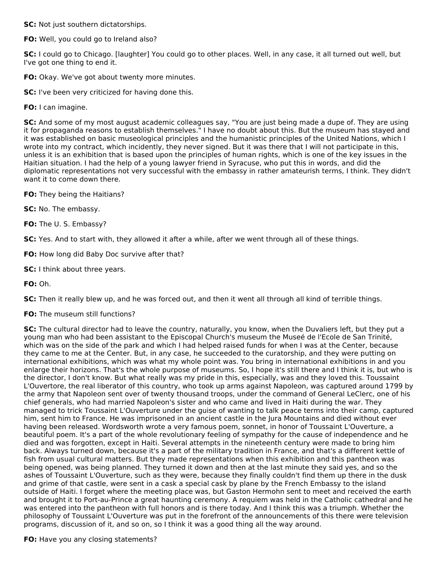**SC:** Not just southern dictatorships.

**FO:** Well, you could go to Ireland also?

**SC:** I could go to Chicago. [laughter] You could go to other places. Well, in any case, it all turned out well, but I've got one thing to end it.

- **FO:** Okay. We've got about twenty more minutes.
- **SC:** I've been very criticized for having done this.
- **FO:** I can imagine.

**SC:** And some of my most august academic colleagues say, "You are just being made a dupe of. They are using it for propaganda reasons to establish themselves." I have no doubt about this. But the museum has stayed and it was established on basic museological principles and the humanistic principles of the United Nations, which I wrote into my contract, which incidently, they never signed. But it was there that I will not participate in this, unless it is an exhibition that is based upon the principles of human rights, which is one of the key issues in the Haitian situation. I had the help of a young lawyer friend in Syracuse, who put this in words, and did the diplomatic representations not very successful with the embassy in rather amateurish terms, I think. They didn't want it to come down there.

- **FO:** They being the Haitians?
- **SC:** No. The embassy.
- **FO:** The U. S. Embassy?

**SC:** Yes. And to start with, they allowed it after a while, after we went through all of these things.

- **FO:** How long did Baby Doc survive after that?
- **SC:** I think about three years.
- **FO:** Oh.

**SC:** Then it really blew up, and he was forced out, and then it went all through all kind of terrible things.

**FO:** The museum still functions?

**SC:** The cultural director had to leave the country, naturally, you know, when the Duvaliers left, but they put a young man who had been assistant to the Episcopal Church's museum the Museé de l'Ecole de San Trinité, which was on the side of the park and which I had helped raised funds for when I was at the Center, because they came to me at the Center. But, in any case, he succeeded to the curatorship, and they were putting on international exhibitions, which was what my whole point was. You bring in international exhibitions in and you enlarge their horizons. That's the whole purpose of museums. So, I hope it's still there and I think it is, but who is the director, I don't know. But what really was my pride in this, especially, was and they loved this. Toussaint L'Ouvertore, the real liberator of this country, who took up arms against Napoleon, was captured around 1799 by the army that Napoleon sent over of twenty thousand troops, under the command of General LeClerc, one of his chief generals, who had married Napoleon's sister and who came and lived in Haiti during the war. They managed to trick Toussaint L'Ouverture under the guise of wanting to talk peace terms into their camp, captured him, sent him to France. He was imprisoned in an ancient castle in the Jura Mountains and died without ever having been released. Wordsworth wrote a very famous poem, sonnet, in honor of Toussaint L'Ouverture, a beautiful poem. It's a part of the whole revolutionary feeling of sympathy for the cause of independence and he died and was forgotten, except in Haiti. Several attempts in the nineteenth century were made to bring him back. Always turned down, because it's a part of the military tradition in France, and that's a different kettle of fish from usual cultural matters. But they made representations when this exhibition and this pantheon was being opened, was being planned. They turned it down and then at the last minute they said yes, and so the ashes of Toussaint L'Ouverture, such as they were, because they finally couldn't find them up there in the dusk and grime of that castle, were sent in a cask a special cask by plane by the French Embassy to the island outside of Haiti. I forget where the meeting place was, but Gaston Hermohn sent to meet and received the earth and brought it to Port-au-Prince a great haunting ceremony. A requiem was held in the Catholic cathedral and he was entered into the pantheon with full honors and is there today. And I think this was a triumph. Whether the philosophy of Toussaint L'Ouverture was put in the forefront of the announcements of this there were television programs, discussion of it, and so on, so I think it was a good thing all the way around.